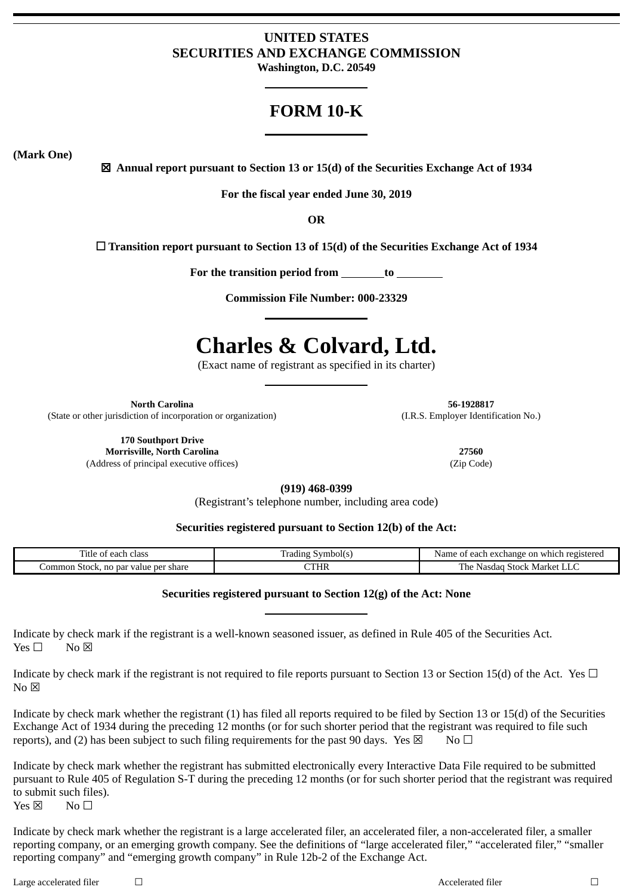## **UNITED STATES SECURITIES AND EXCHANGE COMMISSION Washington, D.C. 20549**

# **FORM 10-K**

**(Mark One)**

☒ **Annual report pursuant to Section 13 or 15(d) of the Securities Exchange Act of 1934**

**For the fiscal year ended June 30, 2019**

**OR**

☐ **Transition report pursuant to Section 13 of 15(d) of the Securities Exchange Act of 1934**

For the transition period from \_\_\_\_\_\_\_\_ to \_\_\_

**Commission File Number: 000-23329**

# **Charles & Colvard, Ltd.**

(Exact name of registrant as specified in its charter)

**North Carolina 56-1928817** (State or other jurisdiction of incorporation or organization) (I.R.S. Employer Identification No.)

**170 Southport Drive Morrisville, North Carolina 27560** (Address of principal executive offices) (Zip Code)

**(919) 468-0399**

(Registrant's telephone number, including area code)

**Securities registered pursuant to Section 12(b) of the Act:**

| --<br>ritle<br>onch<br>close.<br>$\Omega$<br>CidSS<br>וו וח־ | Symbol(:<br>rading ' | registered -<br>exchange<br>onch<br>whici.<br>Nam<br>on<br>O1<br>וו וח־ |
|--------------------------------------------------------------|----------------------|-------------------------------------------------------------------------|
| value<br>per shar<br>par<br>common<br>no<br>STOCK.           | 11II)                | . he<br><b>Stock</b><br>Market<br>Nasc<br>™HR.<br>∸                     |

## **Securities registered pursuant to Section 12(g) of the Act: None**

Indicate by check mark if the registrant is a well-known seasoned issuer, as defined in Rule 405 of the Securities Act.<br>
Yes  $\Box$  No  $\boxtimes$  $Yes \Box$ 

Indicate by check mark if the registrant is not required to file reports pursuant to Section 13 or Section 15(d) of the Act. Yes  $\Box$  $N_0$   $\boxtimes$ 

Indicate by check mark whether the registrant (1) has filed all reports required to be filed by Section 13 or 15(d) of the Securities Exchange Act of 1934 during the preceding 12 months (or for such shorter period that the registrant was required to file such reports), and (2) has been subject to such filing requirements for the past 90 days. Yes  $\boxtimes$  No  $\Box$ 

Indicate by check mark whether the registrant has submitted electronically every Interactive Data File required to be submitted pursuant to Rule 405 of Regulation S-T during the preceding 12 months (or for such shorter period that the registrant was required to submit such files).

 $Yes \boxtimes$  No  $\square$ 

Indicate by check mark whether the registrant is a large accelerated filer, an accelerated filer, a non-accelerated filer, a smaller reporting company, or an emerging growth company. See the definitions of "large accelerated filer," "accelerated filer," "smaller reporting company" and "emerging growth company" in Rule 12b-2 of the Exchange Act.

Large accelerated filer ☐ Accelerated filer ☐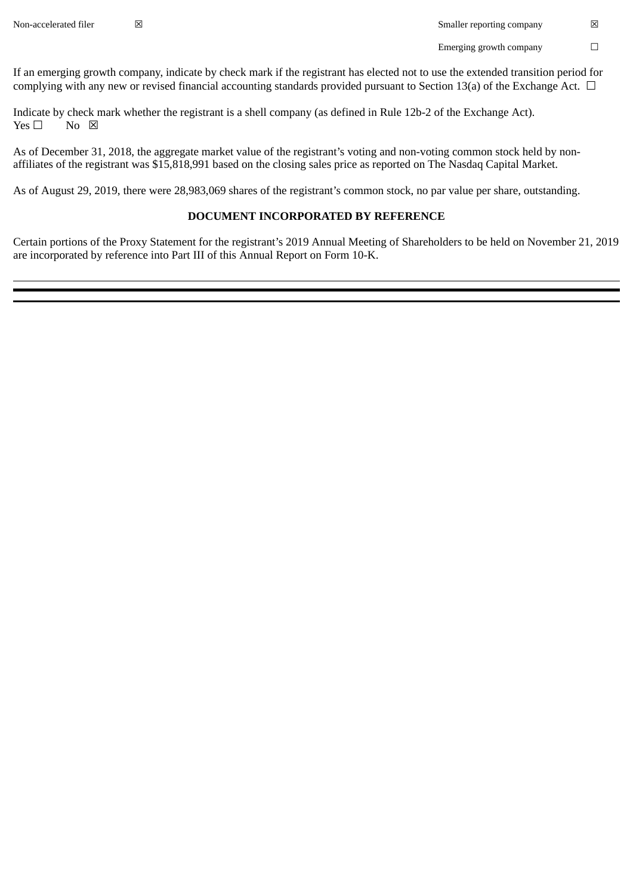If an emerging growth company, indicate by check mark if the registrant has elected not to use the extended transition period for complying with any new or revised financial accounting standards provided pursuant to Section 13(a) of the Exchange Act.  $\Box$ 

Indicate by check mark whether the registrant is a shell company (as defined in Rule 12b-2 of the Exchange Act).  $Yes \Box$  No  $\boxtimes$ 

As of December 31, 2018, the aggregate market value of the registrant's voting and non-voting common stock held by nonaffiliates of the registrant was \$15,818,991 based on the closing sales price as reported on The Nasdaq Capital Market.

As of August 29, 2019, there were 28,983,069 shares of the registrant's common stock, no par value per share, outstanding.

## **DOCUMENT INCORPORATED BY REFERENCE**

Certain portions of the Proxy Statement for the registrant's 2019 Annual Meeting of Shareholders to be held on November 21, 2019 are incorporated by reference into Part III of this Annual Report on Form 10-K.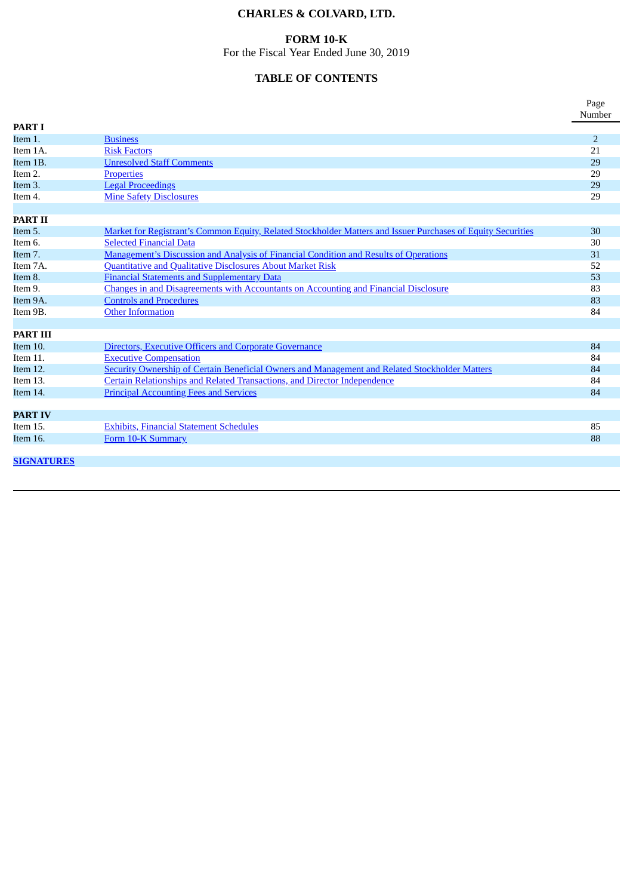# **CHARLES & COLVARD, LTD.**

## **FORM 10-K**

For the Fiscal Year Ended June 30, 2019

# **TABLE OF CONTENTS**

<span id="page-2-0"></span>

|                   |                                                                                                              | Page           |
|-------------------|--------------------------------------------------------------------------------------------------------------|----------------|
|                   |                                                                                                              | Number         |
| <b>PART I</b>     |                                                                                                              |                |
| Item 1.           | <b>Business</b>                                                                                              | $\overline{2}$ |
| Item 1A.          | <b>Risk Factors</b>                                                                                          | 21             |
| Item 1B.          | <b>Unresolved Staff Comments</b>                                                                             | 29             |
| Item 2.           | <b>Properties</b>                                                                                            | 29             |
| Item 3.           | <b>Legal Proceedings</b>                                                                                     | 29             |
| Item 4.           | <b>Mine Safety Disclosures</b>                                                                               | 29             |
|                   |                                                                                                              |                |
| <b>PART II</b>    |                                                                                                              |                |
| Item 5.           | Market for Registrant's Common Equity, Related Stockholder Matters and Issuer Purchases of Equity Securities | 30             |
| Item 6.           | <b>Selected Financial Data</b>                                                                               | 30             |
| Item 7.           | <b>Management's Discussion and Analysis of Financial Condition and Results of Operations</b>                 | 31             |
| Item 7A.          | <b>Quantitative and Qualitative Disclosures About Market Risk</b>                                            | 52             |
| Item 8.           | <b>Financial Statements and Supplementary Data</b>                                                           | 53             |
| Item 9.           | Changes in and Disagreements with Accountants on Accounting and Financial Disclosure                         | 83             |
| Item 9A.          | <b>Controls and Procedures</b>                                                                               | 83             |
| Item 9B.          | <b>Other Information</b>                                                                                     | 84             |
|                   |                                                                                                              |                |
| <b>PART III</b>   |                                                                                                              |                |
| Item 10.          | Directors, Executive Officers and Corporate Governance                                                       | 84             |
| Item 11.          | <b>Executive Compensation</b>                                                                                | 84             |
| Item 12.          | Security Ownership of Certain Beneficial Owners and Management and Related Stockholder Matters               | 84             |
| Item 13.          | Certain Relationships and Related Transactions, and Director Independence                                    | 84             |
| Item 14.          | <b>Principal Accounting Fees and Services</b>                                                                | 84             |
|                   |                                                                                                              |                |
| <b>PART IV</b>    |                                                                                                              |                |
| Item 15.          | <b>Exhibits, Financial Statement Schedules</b>                                                               | 85             |
| Item 16.          | Form 10-K Summary                                                                                            | 88             |
|                   |                                                                                                              |                |
| <b>SIGNATURES</b> |                                                                                                              |                |
|                   |                                                                                                              |                |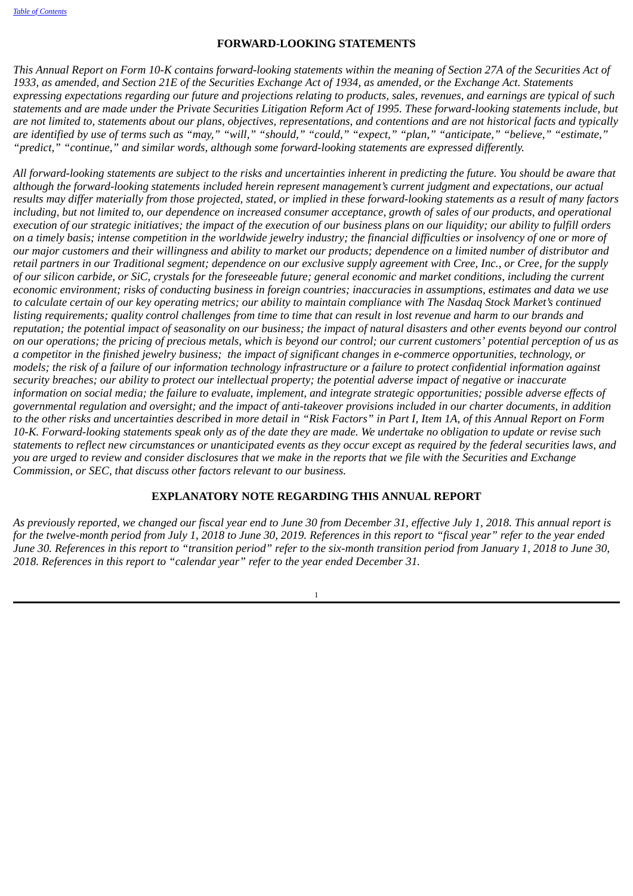#### **FORWARD-LOOKING STATEMENTS**

*This Annual Report on Form 10-K contains forward-looking statements within the meaning of Section 27A of the Securities Act of 1933, as amended, and Section 21E of the Securities Exchange Act of 1934, as amended, or the Exchange Act. Statements expressing expectations regarding our future and projections relating to products, sales, revenues, and earnings are typical of such statements and are made under the Private Securities Litigation Reform Act of 1995. These forward-looking statements include, but are not limited to, statements about our plans, objectives, representations, and contentions and are not historical facts and typically are identified by use of terms such as "may," "will," "should," "could," "expect," "plan," "anticipate," "believe," "estimate," "predict," "continue," and similar words, although some forward-looking statements are expressed differently.*

*All forward-looking statements are subject to the risks and uncertainties inherent in predicting the future. You should be aware that although the forward-looking statements included herein represent management's current judgment and expectations, our actual results may differ materially from those projected, stated, or implied in these forward-looking statements as a result of many factors including, but not limited to, our dependence on increased consumer acceptance, growth of sales of our products, and operational execution of our strategic initiatives; the impact of the execution of our business plans on our liquidity; our ability to fulfill orders on a timely basis; intense competition in the worldwide jewelry industry; the financial difficulties or insolvency of one or more of our major customers and their willingness and ability to market our products; dependence on a limited number of distributor and retail partners in our Traditional segment; dependence on our exclusive supply agreement with Cree, Inc., or Cree, for the supply of our silicon carbide, or SiC, crystals for the foreseeable future; general economic and market conditions, including the current economic environment; risks of conducting business in foreign countries; inaccuracies in assumptions, estimates and data we use to calculate certain of our key operating metrics; our ability to maintain compliance with The Nasdaq Stock Market's continued listing requirements; quality control challenges from time to time that can result in lost revenue and harm to our brands and reputation; the potential impact of seasonality on our business; the impact of natural disasters and other events beyond our control on our operations; the pricing of precious metals, which is beyond our control; our current customers' potential perception of us as a competitor in the finished jewelry business; the impact of significant changes in e-commerce opportunities, technology, or models; the risk of a failure of our information technology infrastructure or a failure to protect confidential information against security breaches; our ability to protect our intellectual property; the potential adverse impact of negative or inaccurate information on social media; the failure to evaluate, implement, and integrate strategic opportunities; possible adverse effects of governmental regulation and oversight; and the impact of anti-takeover provisions included in our charter documents, in addition to the other risks and uncertainties described in more detail in "Risk Factors" in Part I, Item 1A, of this Annual Report on Form 10-K. Forward-looking statements speak only as of the date they are made. We undertake no obligation to update or revise such statements to reflect new circumstances or unanticipated events as they occur except as required by the federal securities laws, and you are urged to review and consider disclosures that we make in the reports that we file with the Securities and Exchange Commission, or SEC, that discuss other factors relevant to our business.*

#### **EXPLANATORY NOTE REGARDING THIS ANNUAL REPORT**

*As previously reported, we changed our fiscal year end to June 30 from December 31, effective July 1, 2018. This annual report is for the twelve-month period from July 1, 2018 to June 30, 2019. References in this report to "fiscal year" refer to the year ended June 30. References in this report to "transition period" refer to the six-month transition period from January 1, 2018 to June 30, 2018. References in this report to "calendar year" refer to the year ended December 31.*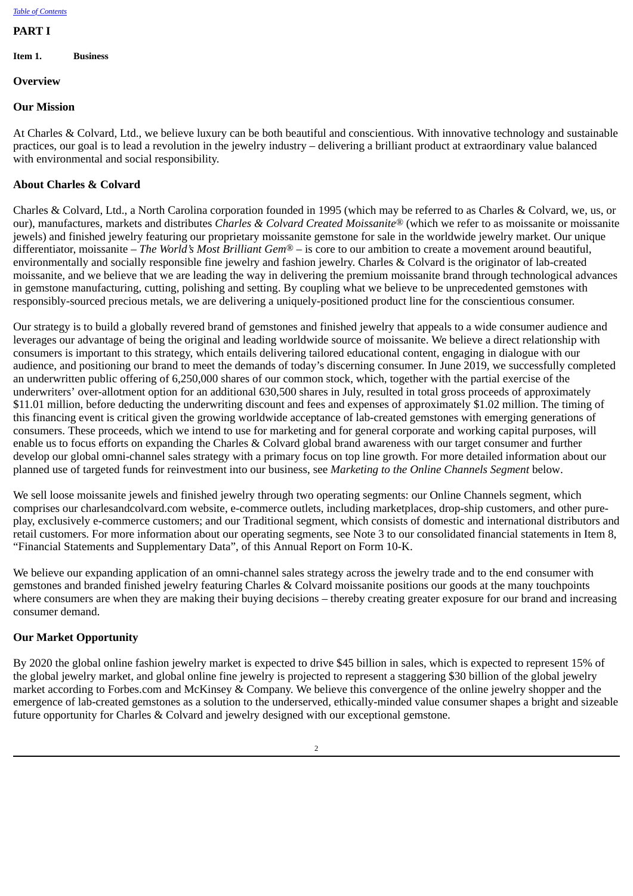#### **PART I**

<span id="page-4-0"></span>**Item 1. Business**

## **Overview**

## **Our Mission**

At Charles & Colvard, Ltd., we believe luxury can be both beautiful and conscientious. With innovative technology and sustainable practices, our goal is to lead a revolution in the jewelry industry – delivering a brilliant product at extraordinary value balanced with environmental and social responsibility.

## **About Charles & Colvard**

Charles & Colvard, Ltd., a North Carolina corporation founded in 1995 (which may be referred to as Charles & Colvard, we, us, or our), manufactures, markets and distributes *Charles & Colvard Created Moissanite®* (which we refer to as moissanite or moissanite jewels) and finished jewelry featuring our proprietary moissanite gemstone for sale in the worldwide jewelry market. Our unique differentiator, moissanite – *The World's Most Brilliant Gem®* – is core to our ambition to create a movement around beautiful, environmentally and socially responsible fine jewelry and fashion jewelry. Charles & Colvard is the originator of lab-created moissanite, and we believe that we are leading the way in delivering the premium moissanite brand through technological advances in gemstone manufacturing, cutting, polishing and setting. By coupling what we believe to be unprecedented gemstones with responsibly-sourced precious metals, we are delivering a uniquely-positioned product line for the conscientious consumer.

Our strategy is to build a globally revered brand of gemstones and finished jewelry that appeals to a wide consumer audience and leverages our advantage of being the original and leading worldwide source of moissanite. We believe a direct relationship with consumers is important to this strategy, which entails delivering tailored educational content, engaging in dialogue with our audience, and positioning our brand to meet the demands of today's discerning consumer. In June 2019, we successfully completed an underwritten public offering of 6,250,000 shares of our common stock, which, together with the partial exercise of the underwriters' over-allotment option for an additional 630,500 shares in July, resulted in total gross proceeds of approximately \$11.01 million, before deducting the underwriting discount and fees and expenses of approximately \$1.02 million. The timing of this financing event is critical given the growing worldwide acceptance of lab-created gemstones with emerging generations of consumers. These proceeds, which we intend to use for marketing and for general corporate and working capital purposes, will enable us to focus efforts on expanding the Charles & Colvard global brand awareness with our target consumer and further develop our global omni-channel sales strategy with a primary focus on top line growth. For more detailed information about our planned use of targeted funds for reinvestment into our business, see *Marketing to the Online Channels Segment* below.

We sell loose moissanite jewels and finished jewelry through two operating segments: our Online Channels segment, which comprises our charlesandcolvard.com website, e-commerce outlets, including marketplaces, drop-ship customers, and other pureplay, exclusively e-commerce customers; and our Traditional segment, which consists of domestic and international distributors and retail customers. For more information about our operating segments, see Note 3 to our consolidated financial statements in Item 8, "Financial Statements and Supplementary Data", of this Annual Report on Form 10-K.

We believe our expanding application of an omni-channel sales strategy across the jewelry trade and to the end consumer with gemstones and branded finished jewelry featuring Charles & Colvard moissanite positions our goods at the many touchpoints where consumers are when they are making their buying decisions – thereby creating greater exposure for our brand and increasing consumer demand.

## **Our Market Opportunity**

By 2020 the global online fashion jewelry market is expected to drive \$45 billion in sales, which is expected to represent 15% of the global jewelry market, and global online fine jewelry is projected to represent a staggering \$30 billion of the global jewelry market according to Forbes.com and McKinsey & Company. We believe this convergence of the online jewelry shopper and the emergence of lab-created gemstones as a solution to the underserved, ethically-minded value consumer shapes a bright and sizeable future opportunity for Charles & Colvard and jewelry designed with our exceptional gemstone.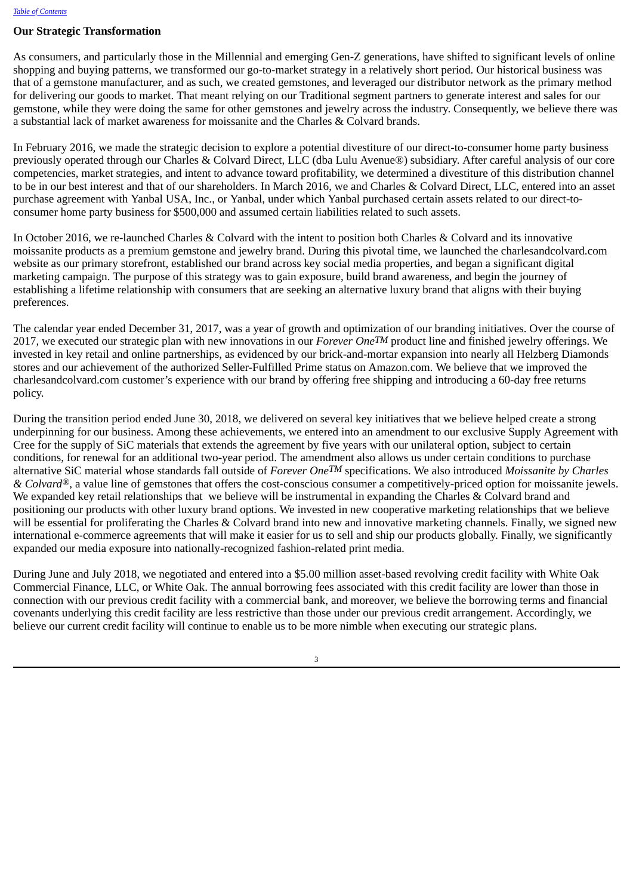## **Our Strategic Transformation**

As consumers, and particularly those in the Millennial and emerging Gen-Z generations, have shifted to significant levels of online shopping and buying patterns, we transformed our go-to-market strategy in a relatively short period. Our historical business was that of a gemstone manufacturer, and as such, we created gemstones, and leveraged our distributor network as the primary method for delivering our goods to market. That meant relying on our Traditional segment partners to generate interest and sales for our gemstone, while they were doing the same for other gemstones and jewelry across the industry. Consequently, we believe there was a substantial lack of market awareness for moissanite and the Charles & Colvard brands.

In February 2016, we made the strategic decision to explore a potential divestiture of our direct-to-consumer home party business previously operated through our Charles & Colvard Direct, LLC (dba Lulu Avenue®) subsidiary. After careful analysis of our core competencies, market strategies, and intent to advance toward profitability, we determined a divestiture of this distribution channel to be in our best interest and that of our shareholders. In March 2016, we and Charles & Colvard Direct, LLC, entered into an asset purchase agreement with Yanbal USA, Inc., or Yanbal, under which Yanbal purchased certain assets related to our direct-toconsumer home party business for \$500,000 and assumed certain liabilities related to such assets.

In October 2016, we re-launched Charles & Colvard with the intent to position both Charles & Colvard and its innovative moissanite products as a premium gemstone and jewelry brand. During this pivotal time, we launched the charlesandcolvard.com website as our primary storefront, established our brand across key social media properties, and began a significant digital marketing campaign. The purpose of this strategy was to gain exposure, build brand awareness, and begin the journey of establishing a lifetime relationship with consumers that are seeking an alternative luxury brand that aligns with their buying preferences.

The calendar year ended December 31, 2017, was a year of growth and optimization of our branding initiatives. Over the course of 2017, we executed our strategic plan with new innovations in our *Forever OneTM* product line and finished jewelry offerings. We invested in key retail and online partnerships, as evidenced by our brick-and-mortar expansion into nearly all Helzberg Diamonds stores and our achievement of the authorized Seller-Fulfilled Prime status on Amazon.com. We believe that we improved the charlesandcolvard.com customer's experience with our brand by offering free shipping and introducing a 60-day free returns policy.

During the transition period ended June 30, 2018, we delivered on several key initiatives that we believe helped create a strong underpinning for our business. Among these achievements, we entered into an amendment to our exclusive Supply Agreement with Cree for the supply of SiC materials that extends the agreement by five years with our unilateral option, subject to certain conditions, for renewal for an additional two-year period. The amendment also allows us under certain conditions to purchase alternative SiC material whose standards fall outside of *Forever OneTM* specifications. We also introduced *Moissanite by Charles & Colvard®*, a value line of gemstones that offers the cost-conscious consumer a competitively-priced option for moissanite jewels. We expanded key retail relationships that we believe will be instrumental in expanding the Charles & Colvard brand and positioning our products with other luxury brand options. We invested in new cooperative marketing relationships that we believe will be essential for proliferating the Charles & Colvard brand into new and innovative marketing channels. Finally, we signed new international e-commerce agreements that will make it easier for us to sell and ship our products globally. Finally, we significantly expanded our media exposure into nationally-recognized fashion-related print media.

During June and July 2018, we negotiated and entered into a \$5.00 million asset-based revolving credit facility with White Oak Commercial Finance, LLC, or White Oak. The annual borrowing fees associated with this credit facility are lower than those in connection with our previous credit facility with a commercial bank, and moreover, we believe the borrowing terms and financial covenants underlying this credit facility are less restrictive than those under our previous credit arrangement. Accordingly, we believe our current credit facility will continue to enable us to be more nimble when executing our strategic plans.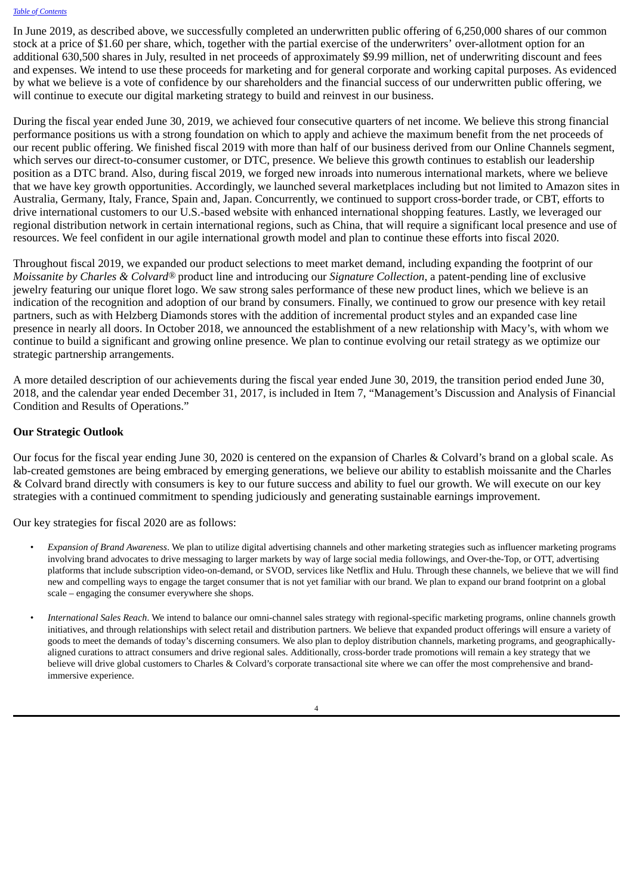#### *Table of [Contents](#page-2-0)*

In June 2019, as described above, we successfully completed an underwritten public offering of 6,250,000 shares of our common stock at a price of \$1.60 per share, which, together with the partial exercise of the underwriters' over-allotment option for an additional 630,500 shares in July, resulted in net proceeds of approximately \$9.99 million, net of underwriting discount and fees and expenses. We intend to use these proceeds for marketing and for general corporate and working capital purposes. As evidenced by what we believe is a vote of confidence by our shareholders and the financial success of our underwritten public offering, we will continue to execute our digital marketing strategy to build and reinvest in our business.

During the fiscal year ended June 30, 2019, we achieved four consecutive quarters of net income. We believe this strong financial performance positions us with a strong foundation on which to apply and achieve the maximum benefit from the net proceeds of our recent public offering. We finished fiscal 2019 with more than half of our business derived from our Online Channels segment, which serves our direct-to-consumer customer, or DTC, presence. We believe this growth continues to establish our leadership position as a DTC brand. Also, during fiscal 2019, we forged new inroads into numerous international markets, where we believe that we have key growth opportunities. Accordingly, we launched several marketplaces including but not limited to Amazon sites in Australia, Germany, Italy, France, Spain and, Japan. Concurrently, we continued to support cross-border trade, or CBT, efforts to drive international customers to our U.S.-based website with enhanced international shopping features. Lastly, we leveraged our regional distribution network in certain international regions, such as China, that will require a significant local presence and use of resources. We feel confident in our agile international growth model and plan to continue these efforts into fiscal 2020.

Throughout fiscal 2019, we expanded our product selections to meet market demand, including expanding the footprint of our *Moissanite by Charles & Colvard®* product line and introducing our *Signature Collection*, a patent-pending line of exclusive jewelry featuring our unique floret logo. We saw strong sales performance of these new product lines, which we believe is an indication of the recognition and adoption of our brand by consumers. Finally, we continued to grow our presence with key retail partners, such as with Helzberg Diamonds stores with the addition of incremental product styles and an expanded case line presence in nearly all doors. In October 2018, we announced the establishment of a new relationship with Macy's, with whom we continue to build a significant and growing online presence. We plan to continue evolving our retail strategy as we optimize our strategic partnership arrangements.

A more detailed description of our achievements during the fiscal year ended June 30, 2019, the transition period ended June 30, 2018, and the calendar year ended December 31, 2017, is included in Item 7, "Management's Discussion and Analysis of Financial Condition and Results of Operations."

#### **Our Strategic Outlook**

Our focus for the fiscal year ending June 30, 2020 is centered on the expansion of Charles & Colvard's brand on a global scale. As lab-created gemstones are being embraced by emerging generations, we believe our ability to establish moissanite and the Charles & Colvard brand directly with consumers is key to our future success and ability to fuel our growth. We will execute on our key strategies with a continued commitment to spending judiciously and generating sustainable earnings improvement.

Our key strategies for fiscal 2020 are as follows:

- *Expansion of Brand Awareness*. We plan to utilize digital advertising channels and other marketing strategies such as influencer marketing programs involving brand advocates to drive messaging to larger markets by way of large social media followings, and Over-the-Top, or OTT, advertising platforms that include subscription video-on-demand, or SVOD, services like Netflix and Hulu. Through these channels, we believe that we will find new and compelling ways to engage the target consumer that is not yet familiar with our brand. We plan to expand our brand footprint on a global scale – engaging the consumer everywhere she shops.
- *International Sales Reach*. We intend to balance our omni-channel sales strategy with regional-specific marketing programs, online channels growth initiatives, and through relationships with select retail and distribution partners. We believe that expanded product offerings will ensure a variety of goods to meet the demands of today's discerning consumers. We also plan to deploy distribution channels, marketing programs, and geographicallyaligned curations to attract consumers and drive regional sales. Additionally, cross-border trade promotions will remain a key strategy that we believe will drive global customers to Charles & Colvard's corporate transactional site where we can offer the most comprehensive and brandimmersive experience.

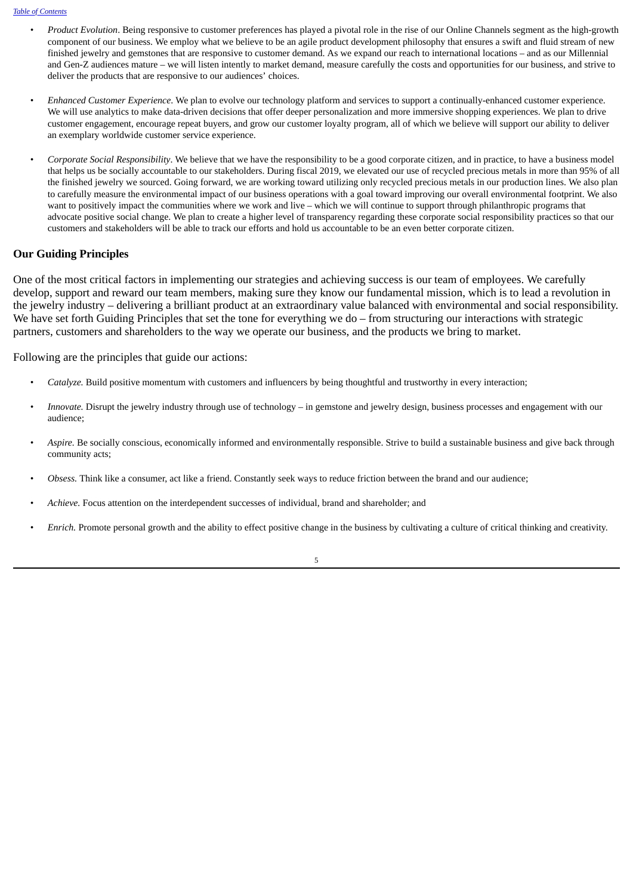- *Product Evolution*. Being responsive to customer preferences has played a pivotal role in the rise of our Online Channels segment as the high-growth component of our business. We employ what we believe to be an agile product development philosophy that ensures a swift and fluid stream of new finished jewelry and gemstones that are responsive to customer demand. As we expand our reach to international locations – and as our Millennial and Gen-Z audiences mature – we will listen intently to market demand, measure carefully the costs and opportunities for our business, and strive to deliver the products that are responsive to our audiences' choices.
- *Enhanced Customer Experience*. We plan to evolve our technology platform and services to support a continually-enhanced customer experience. We will use analytics to make data-driven decisions that offer deeper personalization and more immersive shopping experiences. We plan to drive customer engagement, encourage repeat buyers, and grow our customer loyalty program, all of which we believe will support our ability to deliver an exemplary worldwide customer service experience.
- *Corporate Social Responsibility*. We believe that we have the responsibility to be a good corporate citizen, and in practice, to have a business model that helps us be socially accountable to our stakeholders. During fiscal 2019, we elevated our use of recycled precious metals in more than 95% of all the finished jewelry we sourced. Going forward, we are working toward utilizing only recycled precious metals in our production lines. We also plan to carefully measure the environmental impact of our business operations with a goal toward improving our overall environmental footprint. We also want to positively impact the communities where we work and live – which we will continue to support through philanthropic programs that advocate positive social change. We plan to create a higher level of transparency regarding these corporate social responsibility practices so that our customers and stakeholders will be able to track our efforts and hold us accountable to be an even better corporate citizen.

#### **Our Guiding Principles**

One of the most critical factors in implementing our strategies and achieving success is our team of employees. We carefully develop, support and reward our team members, making sure they know our fundamental mission, which is to lead a revolution in the jewelry industry – delivering a brilliant product at an extraordinary value balanced with environmental and social responsibility. We have set forth Guiding Principles that set the tone for everything we do – from structuring our interactions with strategic partners, customers and shareholders to the way we operate our business, and the products we bring to market.

Following are the principles that guide our actions:

- *Catalyze.* Build positive momentum with customers and influencers by being thoughtful and trustworthy in every interaction;
- *Innovate.* Disrupt the jewelry industry through use of technology in gemstone and jewelry design, business processes and engagement with our audience;
- *Aspire.* Be socially conscious, economically informed and environmentally responsible. Strive to build a sustainable business and give back through community acts;
- *Obsess.* Think like a consumer, act like a friend. Constantly seek ways to reduce friction between the brand and our audience;
- *Achieve.* Focus attention on the interdependent successes of individual, brand and shareholder; and
- *Enrich.* Promote personal growth and the ability to effect positive change in the business by cultivating a culture of critical thinking and creativity.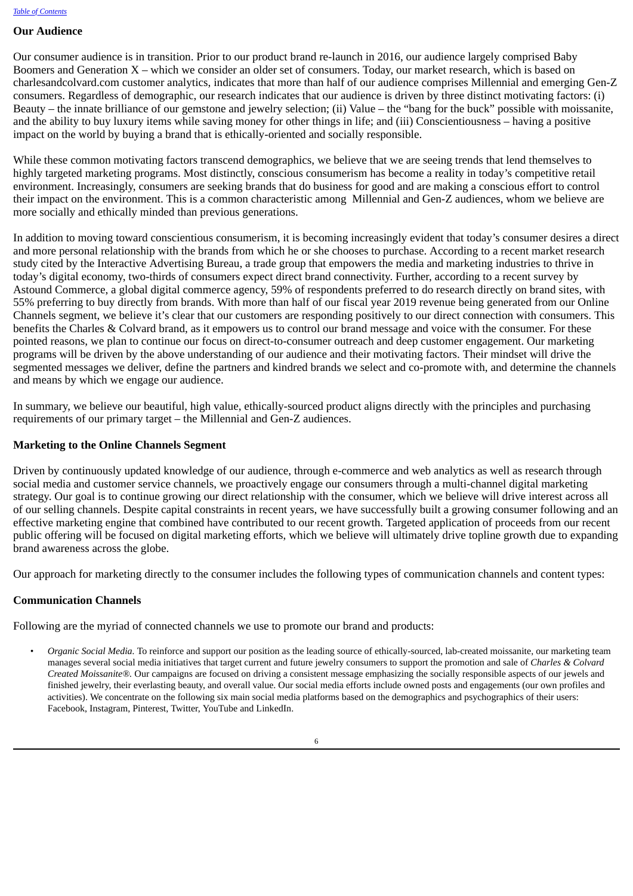## **Our Audience**

Our consumer audience is in transition. Prior to our product brand re-launch in 2016, our audience largely comprised Baby Boomers and Generation X – which we consider an older set of consumers. Today, our market research, which is based on charlesandcolvard.com customer analytics, indicates that more than half of our audience comprises Millennial and emerging Gen-Z consumers. Regardless of demographic, our research indicates that our audience is driven by three distinct motivating factors: (i) Beauty – the innate brilliance of our gemstone and jewelry selection; (ii) Value – the "bang for the buck" possible with moissanite, and the ability to buy luxury items while saving money for other things in life; and (iii) Conscientiousness – having a positive impact on the world by buying a brand that is ethically-oriented and socially responsible.

While these common motivating factors transcend demographics, we believe that we are seeing trends that lend themselves to highly targeted marketing programs. Most distinctly, conscious consumerism has become a reality in today's competitive retail environment. Increasingly, consumers are seeking brands that do business for good and are making a conscious effort to control their impact on the environment. This is a common characteristic among Millennial and Gen-Z audiences, whom we believe are more socially and ethically minded than previous generations.

In addition to moving toward conscientious consumerism, it is becoming increasingly evident that today's consumer desires a direct and more personal relationship with the brands from which he or she chooses to purchase. According to a recent market research study cited by the Interactive Advertising Bureau, a trade group that empowers the media and marketing industries to thrive in today's digital economy, two-thirds of consumers expect direct brand connectivity. Further, according to a recent survey by Astound Commerce, a global digital commerce agency, 59% of respondents preferred to do research directly on brand sites, with 55% preferring to buy directly from brands. With more than half of our fiscal year 2019 revenue being generated from our Online Channels segment, we believe it's clear that our customers are responding positively to our direct connection with consumers. This benefits the Charles & Colvard brand, as it empowers us to control our brand message and voice with the consumer. For these pointed reasons, we plan to continue our focus on direct-to-consumer outreach and deep customer engagement. Our marketing programs will be driven by the above understanding of our audience and their motivating factors. Their mindset will drive the segmented messages we deliver, define the partners and kindred brands we select and co-promote with, and determine the channels and means by which we engage our audience.

In summary, we believe our beautiful, high value, ethically-sourced product aligns directly with the principles and purchasing requirements of our primary target – the Millennial and Gen-Z audiences.

#### **Marketing to the Online Channels Segment**

Driven by continuously updated knowledge of our audience, through e-commerce and web analytics as well as research through social media and customer service channels, we proactively engage our consumers through a multi-channel digital marketing strategy. Our goal is to continue growing our direct relationship with the consumer, which we believe will drive interest across all of our selling channels. Despite capital constraints in recent years, we have successfully built a growing consumer following and an effective marketing engine that combined have contributed to our recent growth. Targeted application of proceeds from our recent public offering will be focused on digital marketing efforts, which we believe will ultimately drive topline growth due to expanding brand awareness across the globe.

Our approach for marketing directly to the consumer includes the following types of communication channels and content types:

## **Communication Channels**

Following are the myriad of connected channels we use to promote our brand and products:

• *Organic Social Media.* To reinforce and support our position as the leading source of ethically-sourced, lab-created moissanite, our marketing team manages several social media initiatives that target current and future jewelry consumers to support the promotion and sale of *Charles & Colvard Created Moissanite®.* Our campaigns are focused on driving a consistent message emphasizing the socially responsible aspects of our jewels and finished jewelry, their everlasting beauty, and overall value. Our social media efforts include owned posts and engagements (our own profiles and activities). We concentrate on the following six main social media platforms based on the demographics and psychographics of their users: Facebook, Instagram, Pinterest, Twitter, YouTube and LinkedIn.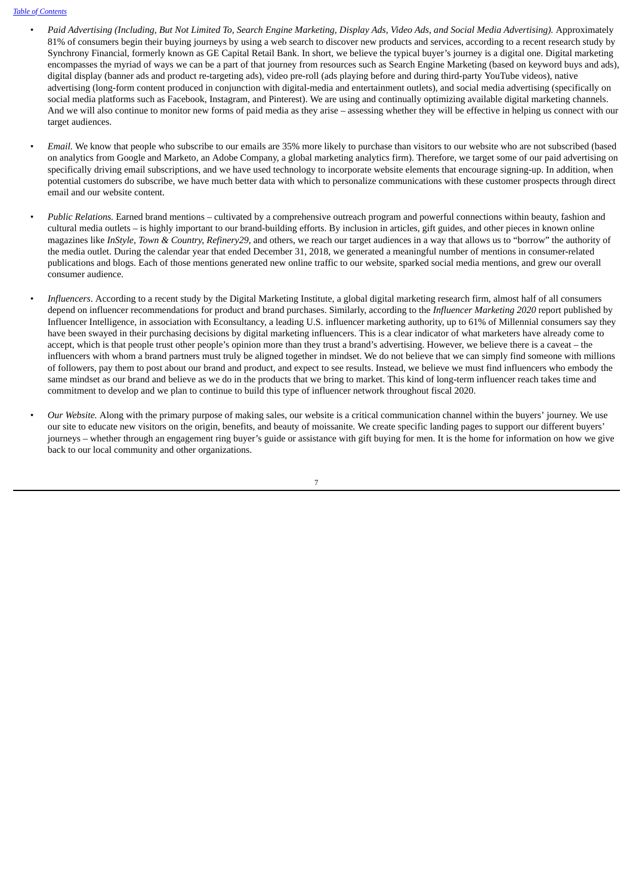```
Table of Contents
```
- Paid Advertising (Including, But Not Limited To, Search Engine Marketing, Display Ads, Video Ads, and Social Media Advertising). Approximately 81% of consumers begin their buying journeys by using a web search to discover new products and services, according to a recent research study by Synchrony Financial, formerly known as GE Capital Retail Bank. In short, we believe the typical buyer's journey is a digital one. Digital marketing encompasses the myriad of ways we can be a part of that journey from resources such as Search Engine Marketing (based on keyword buys and ads), digital display (banner ads and product re-targeting ads), video pre-roll (ads playing before and during third-party YouTube videos), native advertising (long-form content produced in conjunction with digital-media and entertainment outlets), and social media advertising (specifically on social media platforms such as Facebook, Instagram, and Pinterest). We are using and continually optimizing available digital marketing channels. And we will also continue to monitor new forms of paid media as they arise – assessing whether they will be effective in helping us connect with our target audiences.
- *Email.* We know that people who subscribe to our emails are 35% more likely to purchase than visitors to our website who are not subscribed (based on analytics from Google and Marketo, an Adobe Company, a global marketing analytics firm). Therefore, we target some of our paid advertising on specifically driving email subscriptions, and we have used technology to incorporate website elements that encourage signing-up. In addition, when potential customers do subscribe, we have much better data with which to personalize communications with these customer prospects through direct email and our website content.
- *Public Relations.* Earned brand mentions cultivated by a comprehensive outreach program and powerful connections within beauty, fashion and cultural media outlets – is highly important to our brand-building efforts. By inclusion in articles, gift guides, and other pieces in known online magazines like *InStyle, Town & Country, Refinery29*, and others, we reach our target audiences in a way that allows us to "borrow" the authority of the media outlet. During the calendar year that ended December 31, 2018, we generated a meaningful number of mentions in consumer-related publications and blogs. Each of those mentions generated new online traffic to our website, sparked social media mentions, and grew our overall consumer audience.
- *Influencers*. According to a recent study by the Digital Marketing Institute, a global digital marketing research firm, almost half of all consumers depend on influencer recommendations for product and brand purchases. Similarly, according to the *Influencer Marketing 2020* report published by Influencer Intelligence, in association with Econsultancy, a leading U.S. influencer marketing authority, up to 61% of Millennial consumers say they have been swayed in their purchasing decisions by digital marketing influencers. This is a clear indicator of what marketers have already come to accept, which is that people trust other people's opinion more than they trust a brand's advertising. However, we believe there is a caveat – the influencers with whom a brand partners must truly be aligned together in mindset. We do not believe that we can simply find someone with millions of followers, pay them to post about our brand and product, and expect to see results. Instead, we believe we must find influencers who embody the same mindset as our brand and believe as we do in the products that we bring to market. This kind of long-term influencer reach takes time and commitment to develop and we plan to continue to build this type of influencer network throughout fiscal 2020.
- *Our Website.* Along with the primary purpose of making sales, our website is a critical communication channel within the buyers' journey. We use our site to educate new visitors on the origin, benefits, and beauty of moissanite. We create specific landing pages to support our different buyers' journeys – whether through an engagement ring buyer's guide or assistance with gift buying for men. It is the home for information on how we give back to our local community and other organizations.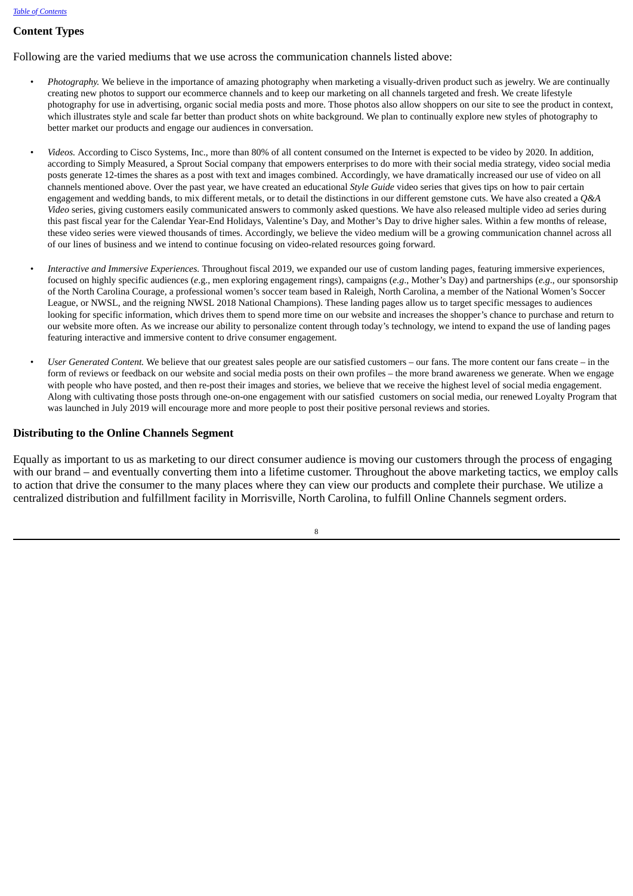## **Content Types**

Following are the varied mediums that we use across the communication channels listed above:

- *Photography.* We believe in the importance of amazing photography when marketing a visually-driven product such as jewelry. We are continually creating new photos to support our ecommerce channels and to keep our marketing on all channels targeted and fresh. We create lifestyle photography for use in advertising, organic social media posts and more. Those photos also allow shoppers on our site to see the product in context, which illustrates style and scale far better than product shots on white background. We plan to continually explore new styles of photography to better market our products and engage our audiences in conversation.
- *Videos.* According to Cisco Systems, Inc., more than 80% of all content consumed on the Internet is expected to be video by 2020. In addition, according to Simply Measured, a Sprout Social company that empowers enterprises to do more with their social media strategy, video social media posts generate 12-times the shares as a post with text and images combined. Accordingly, we have dramatically increased our use of video on all channels mentioned above. Over the past year, we have created an educational *Style Guide* video series that gives tips on how to pair certain engagement and wedding bands, to mix different metals, or to detail the distinctions in our different gemstone cuts. We have also created a *Q&A Video* series, giving customers easily communicated answers to commonly asked questions. We have also released multiple video ad series during this past fiscal year for the Calendar Year-End Holidays, Valentine's Day, and Mother's Day to drive higher sales. Within a few months of release, these video series were viewed thousands of times. Accordingly, we believe the video medium will be a growing communication channel across all of our lines of business and we intend to continue focusing on video-related resources going forward.
- *Interactive and Immersive Experiences.* Throughout fiscal 2019, we expanded our use of custom landing pages, featuring immersive experiences, focused on highly specific audiences (*e*.g., men exploring engagement rings), campaigns (*e.g*., Mother's Day) and partnerships (*e.g*., our sponsorship of the North Carolina Courage, a professional women's soccer team based in Raleigh, North Carolina, a member of the National Women's Soccer League, or NWSL, and the reigning NWSL 2018 National Champions). These landing pages allow us to target specific messages to audiences looking for specific information, which drives them to spend more time on our website and increases the shopper's chance to purchase and return to our website more often. As we increase our ability to personalize content through today's technology, we intend to expand the use of landing pages featuring interactive and immersive content to drive consumer engagement.
- *User Generated Content.* We believe that our greatest sales people are our satisfied customers our fans. The more content our fans create in the form of reviews or feedback on our website and social media posts on their own profiles – the more brand awareness we generate. When we engage with people who have posted, and then re-post their images and stories, we believe that we receive the highest level of social media engagement. Along with cultivating those posts through one-on-one engagement with our satisfied customers on social media, our renewed Loyalty Program that was launched in July 2019 will encourage more and more people to post their positive personal reviews and stories.

#### **Distributing to the Online Channels Segment**

Equally as important to us as marketing to our direct consumer audience is moving our customers through the process of engaging with our brand – and eventually converting them into a lifetime customer. Throughout the above marketing tactics, we employ calls to action that drive the consumer to the many places where they can view our products and complete their purchase. We utilize a centralized distribution and fulfillment facility in Morrisville, North Carolina, to fulfill Online Channels segment orders.

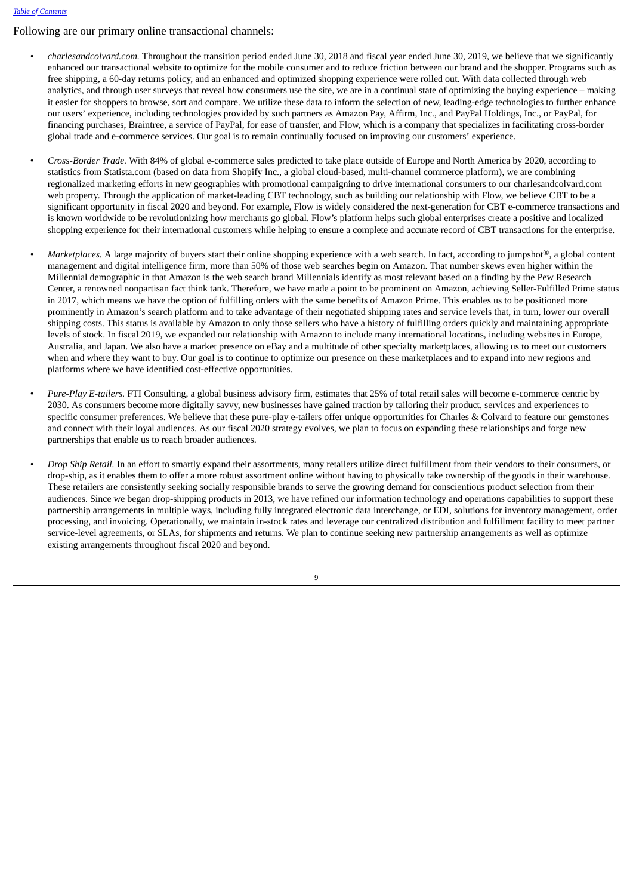# Following are our primary online transactional channels:

- *charlesandcolvard.com.* Throughout the transition period ended June 30, 2018 and fiscal year ended June 30, 2019, we believe that we significantly enhanced our transactional website to optimize for the mobile consumer and to reduce friction between our brand and the shopper. Programs such as free shipping, a 60-day returns policy, and an enhanced and optimized shopping experience were rolled out. With data collected through web analytics, and through user surveys that reveal how consumers use the site, we are in a continual state of optimizing the buying experience – making it easier for shoppers to browse, sort and compare. We utilize these data to inform the selection of new, leading-edge technologies to further enhance our users' experience, including technologies provided by such partners as Amazon Pay, Affirm, Inc., and PayPal Holdings, Inc., or PayPal, for financing purchases, Braintree, a service of PayPal, for ease of transfer, and Flow, which is a company that specializes in facilitating cross-border global trade and e-commerce services. Our goal is to remain continually focused on improving our customers' experience.
- *Cross-Border Trade.* With 84% of global e-commerce sales predicted to take place outside of Europe and North America by 2020, according to statistics from Statista.com (based on data from Shopify Inc., a global cloud-based, multi-channel commerce platform), we are combining regionalized marketing efforts in new geographies with promotional campaigning to drive international consumers to our charlesandcolvard.com web property. Through the application of market-leading CBT technology, such as building our relationship with Flow, we believe CBT to be a significant opportunity in fiscal 2020 and beyond. For example, Flow is widely considered the next-generation for CBT e-commerce transactions and is known worldwide to be revolutionizing how merchants go global. Flow's platform helps such global enterprises create a positive and localized shopping experience for their international customers while helping to ensure a complete and accurate record of CBT transactions for the enterprise.
- *Marketplaces.* A large majority of buyers start their online shopping experience with a web search. In fact, according to jumpshot<sup>®</sup>, a global content management and digital intelligence firm, more than 50% of those web searches begin on Amazon. That number skews even higher within the Millennial demographic in that Amazon is the web search brand Millennials identify as most relevant based on a finding by the Pew Research Center, a renowned nonpartisan fact think tank. Therefore, we have made a point to be prominent on Amazon, achieving Seller-Fulfilled Prime status in 2017, which means we have the option of fulfilling orders with the same benefits of Amazon Prime. This enables us to be positioned more prominently in Amazon's search platform and to take advantage of their negotiated shipping rates and service levels that, in turn, lower our overall shipping costs. This status is available by Amazon to only those sellers who have a history of fulfilling orders quickly and maintaining appropriate levels of stock. In fiscal 2019, we expanded our relationship with Amazon to include many international locations, including websites in Europe, Australia, and Japan. We also have a market presence on eBay and a multitude of other specialty marketplaces, allowing us to meet our customers when and where they want to buy. Our goal is to continue to optimize our presence on these marketplaces and to expand into new regions and platforms where we have identified cost-effective opportunities.
- *Pure-Play E-tailers*. FTI Consulting, a global business advisory firm, estimates that 25% of total retail sales will become e-commerce centric by 2030. As consumers become more digitally savvy, new businesses have gained traction by tailoring their product, services and experiences to specific consumer preferences. We believe that these pure-play e-tailers offer unique opportunities for Charles & Colvard to feature our gemstones and connect with their loyal audiences. As our fiscal 2020 strategy evolves, we plan to focus on expanding these relationships and forge new partnerships that enable us to reach broader audiences.
- *Drop Ship Retail.* In an effort to smartly expand their assortments, many retailers utilize direct fulfillment from their vendors to their consumers, or drop-ship, as it enables them to offer a more robust assortment online without having to physically take ownership of the goods in their warehouse. These retailers are consistently seeking socially responsible brands to serve the growing demand for conscientious product selection from their audiences. Since we began drop-shipping products in 2013, we have refined our information technology and operations capabilities to support these partnership arrangements in multiple ways, including fully integrated electronic data interchange, or EDI, solutions for inventory management, order processing, and invoicing. Operationally, we maintain in-stock rates and leverage our centralized distribution and fulfillment facility to meet partner service-level agreements, or SLAs, for shipments and returns. We plan to continue seeking new partnership arrangements as well as optimize existing arrangements throughout fiscal 2020 and beyond.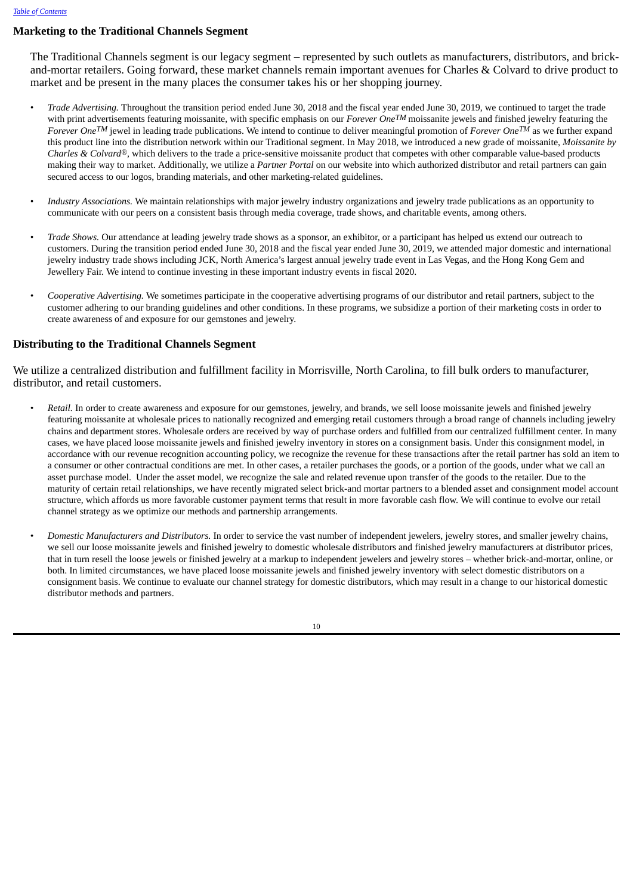# **Marketing to the Traditional Channels Segment**

The Traditional Channels segment is our legacy segment – represented by such outlets as manufacturers, distributors, and brickand-mortar retailers. Going forward, these market channels remain important avenues for Charles & Colvard to drive product to market and be present in the many places the consumer takes his or her shopping journey.

- *Trade Advertising.* Throughout the transition period ended June 30, 2018 and the fiscal year ended June 30, 2019, we continued to target the trade with print advertisements featuring moissanite, with specific emphasis on our *Forever OneTM* moissanite jewels and finished jewelry featuring the *Forever OneTM* jewel in leading trade publications. We intend to continue to deliver meaningful promotion of *Forever OneTM* as we further expand this product line into the distribution network within our Traditional segment. In May 2018, we introduced a new grade of moissanite, *Moissanite by Charles & Colvard®*, which delivers to the trade a price-sensitive moissanite product that competes with other comparable value-based products making their way to market. Additionally, we utilize a *Partner Portal* on our website into which authorized distributor and retail partners can gain secured access to our logos, branding materials, and other marketing-related guidelines.
- *Industry Associations.* We maintain relationships with major jewelry industry organizations and jewelry trade publications as an opportunity to communicate with our peers on a consistent basis through media coverage, trade shows, and charitable events, among others.
- *Trade Shows.* Our attendance at leading jewelry trade shows as a sponsor, an exhibitor, or a participant has helped us extend our outreach to customers. During the transition period ended June 30, 2018 and the fiscal year ended June 30, 2019, we attended major domestic and international jewelry industry trade shows including JCK, North America's largest annual jewelry trade event in Las Vegas, and the Hong Kong Gem and Jewellery Fair. We intend to continue investing in these important industry events in fiscal 2020.
- *Cooperative Advertising.* We sometimes participate in the cooperative advertising programs of our distributor and retail partners, subject to the customer adhering to our branding guidelines and other conditions. In these programs, we subsidize a portion of their marketing costs in order to create awareness of and exposure for our gemstones and jewelry.

## **Distributing to the Traditional Channels Segment**

We utilize a centralized distribution and fulfillment facility in Morrisville, North Carolina, to fill bulk orders to manufacturer, distributor, and retail customers.

- *Retail.* In order to create awareness and exposure for our gemstones, jewelry, and brands, we sell loose moissanite jewels and finished jewelry featuring moissanite at wholesale prices to nationally recognized and emerging retail customers through a broad range of channels including jewelry chains and department stores. Wholesale orders are received by way of purchase orders and fulfilled from our centralized fulfillment center. In many cases, we have placed loose moissanite jewels and finished jewelry inventory in stores on a consignment basis. Under this consignment model, in accordance with our revenue recognition accounting policy, we recognize the revenue for these transactions after the retail partner has sold an item to a consumer or other contractual conditions are met. In other cases, a retailer purchases the goods, or a portion of the goods, under what we call an asset purchase model. Under the asset model, we recognize the sale and related revenue upon transfer of the goods to the retailer. Due to the maturity of certain retail relationships, we have recently migrated select brick-and mortar partners to a blended asset and consignment model account structure, which affords us more favorable customer payment terms that result in more favorable cash flow. We will continue to evolve our retail channel strategy as we optimize our methods and partnership arrangements.
- *Domestic Manufacturers and Distributors.* In order to service the vast number of independent jewelers, jewelry stores, and smaller jewelry chains, we sell our loose moissanite jewels and finished jewelry to domestic wholesale distributors and finished jewelry manufacturers at distributor prices, that in turn resell the loose jewels or finished jewelry at a markup to independent jewelers and jewelry stores – whether brick-and-mortar, online, or both. In limited circumstances, we have placed loose moissanite jewels and finished jewelry inventory with select domestic distributors on a consignment basis. We continue to evaluate our channel strategy for domestic distributors, which may result in a change to our historical domestic distributor methods and partners.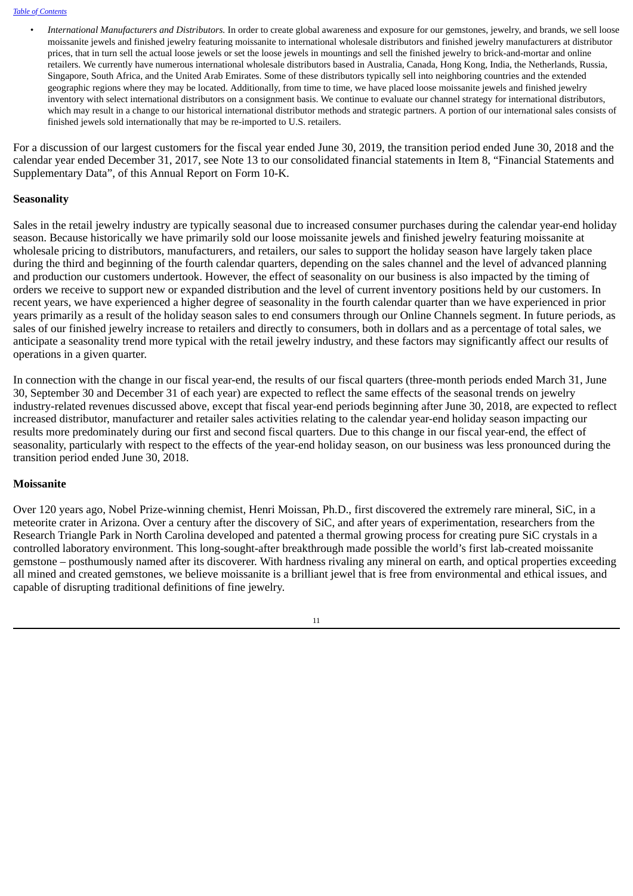• *International Manufacturers and Distributors.* In order to create global awareness and exposure for our gemstones, jewelry, and brands, we sell loose moissanite jewels and finished jewelry featuring moissanite to international wholesale distributors and finished jewelry manufacturers at distributor prices, that in turn sell the actual loose jewels or set the loose jewels in mountings and sell the finished jewelry to brick-and-mortar and online retailers. We currently have numerous international wholesale distributors based in Australia, Canada, Hong Kong, India, the Netherlands, Russia, Singapore, South Africa, and the United Arab Emirates. Some of these distributors typically sell into neighboring countries and the extended geographic regions where they may be located. Additionally, from time to time, we have placed loose moissanite jewels and finished jewelry inventory with select international distributors on a consignment basis. We continue to evaluate our channel strategy for international distributors, which may result in a change to our historical international distributor methods and strategic partners. A portion of our international sales consists of finished jewels sold internationally that may be re-imported to U.S. retailers.

For a discussion of our largest customers for the fiscal year ended June 30, 2019, the transition period ended June 30, 2018 and the calendar year ended December 31, 2017, see Note 13 to our consolidated financial statements in Item 8, "Financial Statements and Supplementary Data", of this Annual Report on Form 10-K.

#### **Seasonality**

Sales in the retail jewelry industry are typically seasonal due to increased consumer purchases during the calendar year-end holiday season. Because historically we have primarily sold our loose moissanite jewels and finished jewelry featuring moissanite at wholesale pricing to distributors, manufacturers, and retailers, our sales to support the holiday season have largely taken place during the third and beginning of the fourth calendar quarters, depending on the sales channel and the level of advanced planning and production our customers undertook. However, the effect of seasonality on our business is also impacted by the timing of orders we receive to support new or expanded distribution and the level of current inventory positions held by our customers. In recent years, we have experienced a higher degree of seasonality in the fourth calendar quarter than we have experienced in prior years primarily as a result of the holiday season sales to end consumers through our Online Channels segment. In future periods, as sales of our finished jewelry increase to retailers and directly to consumers, both in dollars and as a percentage of total sales, we anticipate a seasonality trend more typical with the retail jewelry industry, and these factors may significantly affect our results of operations in a given quarter.

In connection with the change in our fiscal year-end, the results of our fiscal quarters (three-month periods ended March 31, June 30, September 30 and December 31 of each year) are expected to reflect the same effects of the seasonal trends on jewelry industry-related revenues discussed above, except that fiscal year-end periods beginning after June 30, 2018, are expected to reflect increased distributor, manufacturer and retailer sales activities relating to the calendar year-end holiday season impacting our results more predominately during our first and second fiscal quarters. Due to this change in our fiscal year-end, the effect of seasonality, particularly with respect to the effects of the year-end holiday season, on our business was less pronounced during the transition period ended June 30, 2018.

#### **Moissanite**

Over 120 years ago, Nobel Prize-winning chemist, Henri Moissan, Ph.D., first discovered the extremely rare mineral, SiC, in a meteorite crater in Arizona. Over a century after the discovery of SiC, and after years of experimentation, researchers from the Research Triangle Park in North Carolina developed and patented a thermal growing process for creating pure SiC crystals in a controlled laboratory environment. This long-sought-after breakthrough made possible the world's first lab-created moissanite gemstone – posthumously named after its discoverer. With hardness rivaling any mineral on earth, and optical properties exceeding all mined and created gemstones, we believe moissanite is a brilliant jewel that is free from environmental and ethical issues, and capable of disrupting traditional definitions of fine jewelry.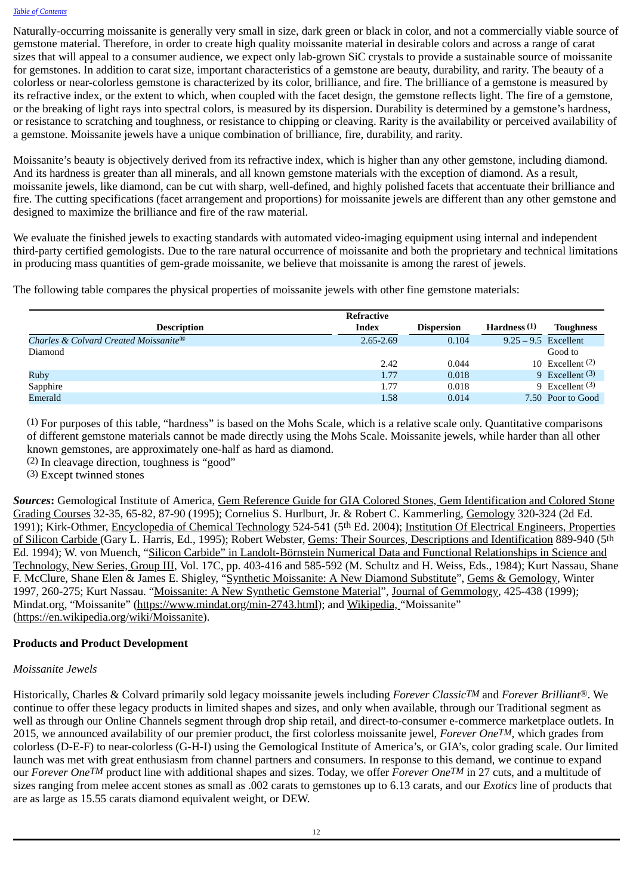Naturally-occurring moissanite is generally very small in size, dark green or black in color, and not a commercially viable source of gemstone material. Therefore, in order to create high quality moissanite material in desirable colors and across a range of carat sizes that will appeal to a consumer audience, we expect only lab-grown SiC crystals to provide a sustainable source of moissanite for gemstones. In addition to carat size, important characteristics of a gemstone are beauty, durability, and rarity. The beauty of a colorless or near-colorless gemstone is characterized by its color, brilliance, and fire. The brilliance of a gemstone is measured by its refractive index, or the extent to which, when coupled with the facet design, the gemstone reflects light. The fire of a gemstone, or the breaking of light rays into spectral colors, is measured by its dispersion. Durability is determined by a gemstone's hardness, or resistance to scratching and toughness, or resistance to chipping or cleaving. Rarity is the availability or perceived availability of a gemstone. Moissanite jewels have a unique combination of brilliance, fire, durability, and rarity.

Moissanite's beauty is objectively derived from its refractive index, which is higher than any other gemstone, including diamond. And its hardness is greater than all minerals, and all known gemstone materials with the exception of diamond. As a result, moissanite jewels, like diamond, can be cut with sharp, well-defined, and highly polished facets that accentuate their brilliance and fire. The cutting specifications (facet arrangement and proportions) for moissanite jewels are different than any other gemstone and designed to maximize the brilliance and fire of the raw material.

We evaluate the finished jewels to exacting standards with automated video-imaging equipment using internal and independent third-party certified gemologists. Due to the rare natural occurrence of moissanite and both the proprietary and technical limitations in producing mass quantities of gem-grade moissanite, we believe that moissanite is among the rarest of jewels.

The following table compares the physical properties of moissanite jewels with other fine gemstone materials:

|                                                   | <b>Refractive</b> |                   |                         |                    |
|---------------------------------------------------|-------------------|-------------------|-------------------------|--------------------|
| <b>Description</b>                                | <b>Index</b>      | <b>Dispersion</b> | Hardness <sup>(1)</sup> | <b>Toughness</b>   |
| Charles & Colvard Created Moissanite <sup>®</sup> | 2.65-2.69         | 0.104             | $9.25 - 9.5$ Excellent  |                    |
| Diamond                                           |                   |                   |                         | Good to            |
|                                                   | 2.42              | 0.044             |                         | 10 Excellent $(2)$ |
| <b>Ruby</b>                                       | 1.77              | 0.018             |                         | 9 Excellent $(3)$  |
| Sapphire                                          | 1.77              | 0.018             |                         | 9 Excellent $(3)$  |
| Emerald                                           | 1.58              | 0.014             |                         | 7.50 Poor to Good  |

(1) For purposes of this table, "hardness" is based on the Mohs Scale, which is a relative scale only. Quantitative comparisons of different gemstone materials cannot be made directly using the Mohs Scale. Moissanite jewels, while harder than all other known gemstones, are approximately one-half as hard as diamond.

(2) In cleavage direction, toughness is "good"

(3) Except twinned stones

*Sources***:** Gemological Institute of America, Gem Reference Guide for GIA Colored Stones, Gem Identification and Colored Stone Grading Courses 32-35, 65-82, 87-90 (1995); Cornelius S. Hurlburt, Jr. & Robert C. Kammerling, Gemology 320-324 (2d Ed. 1991); Kirk-Othmer, Encyclopedia of Chemical Technology 524-541 (5th Ed. 2004); Institution Of Electrical Engineers, Properties of Silicon Carbide (Gary L. Harris, Ed., 1995); Robert Webster, Gems: Their Sources, Descriptions and Identification 889-940 (5th Ed. 1994); W. von Muench, "Silicon Carbide" in Landolt-Börnstein Numerical Data and Functional Relationships in Science and Technology, New Series, Group III, Vol. 17C, pp. 403-416 and 585-592 (M. Schultz and H. Weiss, Eds., 1984); Kurt Nassau, Shane F. McClure, Shane Elen & James E. Shigley, "Synthetic Moissanite: A New Diamond Substitute", Gems & Gemology, Winter 1997, 260-275; Kurt Nassau. "Moissanite: A New Synthetic Gemstone Material", Journal of Gemmology, 425-438 (1999); Mindat.org, "Moissanite" (https://www.mindat.org/min-2743.html); and Wikipedia, "Moissanite" (https://en.wikipedia.org/wiki/Moissanite).

## **Products and Product Development**

## *Moissanite Jewels*

Historically, Charles & Colvard primarily sold legacy moissanite jewels including *Forever ClassicTM* and *Forever Brilliant®*. We continue to offer these legacy products in limited shapes and sizes, and only when available, through our Traditional segment as well as through our Online Channels segment through drop ship retail, and direct-to-consumer e-commerce marketplace outlets. In 2015, we announced availability of our premier product, the first colorless moissanite jewel, *Forever OneTM*, which grades from colorless (D-E-F) to near-colorless (G-H-I) using the Gemological Institute of America's, or GIA's, color grading scale. Our limited launch was met with great enthusiasm from channel partners and consumers. In response to this demand, we continue to expand our *Forever OneTM* product line with additional shapes and sizes. Today, we offer *Forever OneTM* in 27 cuts, and a multitude of sizes ranging from melee accent stones as small as .002 carats to gemstones up to 6.13 carats, and our *Exotics* line of products that are as large as 15.55 carats diamond equivalent weight, or DEW.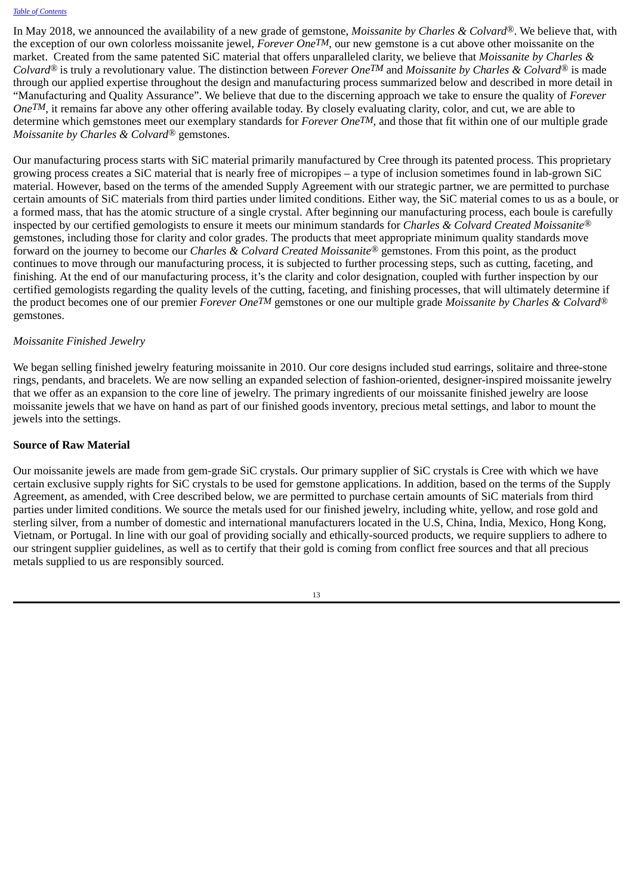#### *Table of [Contents](#page-2-0)*

In May 2018, we announced the availability of a new grade of gemstone, *Moissanite by Charles & Colvard®*. We believe that, with the exception of our own colorless moissanite jewel, *Forever OneTM*, our new gemstone is a cut above other moissanite on the market. Created from the same patented SiC material that offers unparalleled clarity, we believe that *Moissanite by Charles & Colvard®* is truly a revolutionary value. The distinction between *Forever OneTM* and *Moissanite by Charles & Colvard®* is made through our applied expertise throughout the design and manufacturing process summarized below and described in more detail in "Manufacturing and Quality Assurance". We believe that due to the discerning approach we take to ensure the quality of *Forever OneTM*, it remains far above any other offering available today. By closely evaluating clarity, color, and cut, we are able to determine which gemstones meet our exemplary standards for *Forever OneTM*, and those that fit within one of our multiple grade *Moissanite by Charles & Colvard®* gemstones.

Our manufacturing process starts with SiC material primarily manufactured by Cree through its patented process. This proprietary growing process creates a SiC material that is nearly free of micropipes – a type of inclusion sometimes found in lab-grown SiC material. However, based on the terms of the amended Supply Agreement with our strategic partner, we are permitted to purchase certain amounts of SiC materials from third parties under limited conditions. Either way, the SiC material comes to us as a boule, or a formed mass, that has the atomic structure of a single crystal. After beginning our manufacturing process, each boule is carefully inspected by our certified gemologists to ensure it meets our minimum standards for *Charles & Colvard Created Moissanite®* gemstones, including those for clarity and color grades. The products that meet appropriate minimum quality standards move forward on the journey to become our *Charles & Colvard Created Moissanite®* gemstones. From this point, as the product continues to move through our manufacturing process, it is subjected to further processing steps, such as cutting, faceting, and finishing. At the end of our manufacturing process, it's the clarity and color designation, coupled with further inspection by our certified gemologists regarding the quality levels of the cutting, faceting, and finishing processes, that will ultimately determine if the product becomes one of our premier *Forever OneTM* gemstones or one our multiple grade *Moissanite by Charles & Colvard®* gemstones.

#### *Moissanite Finished Jewelry*

We began selling finished jewelry featuring moissanite in 2010. Our core designs included stud earrings, solitaire and three-stone rings, pendants, and bracelets. We are now selling an expanded selection of fashion-oriented, designer-inspired moissanite jewelry that we offer as an expansion to the core line of jewelry. The primary ingredients of our moissanite finished jewelry are loose moissanite jewels that we have on hand as part of our finished goods inventory, precious metal settings, and labor to mount the jewels into the settings.

#### **Source of Raw Material**

Our moissanite jewels are made from gem-grade SiC crystals. Our primary supplier of SiC crystals is Cree with which we have certain exclusive supply rights for SiC crystals to be used for gemstone applications. In addition, based on the terms of the Supply Agreement, as amended, with Cree described below, we are permitted to purchase certain amounts of SiC materials from third parties under limited conditions. We source the metals used for our finished jewelry, including white, yellow, and rose gold and sterling silver, from a number of domestic and international manufacturers located in the U.S, China, India, Mexico, Hong Kong, Vietnam, or Portugal. In line with our goal of providing socially and ethically-sourced products, we require suppliers to adhere to our stringent supplier guidelines, as well as to certify that their gold is coming from conflict free sources and that all precious metals supplied to us are responsibly sourced.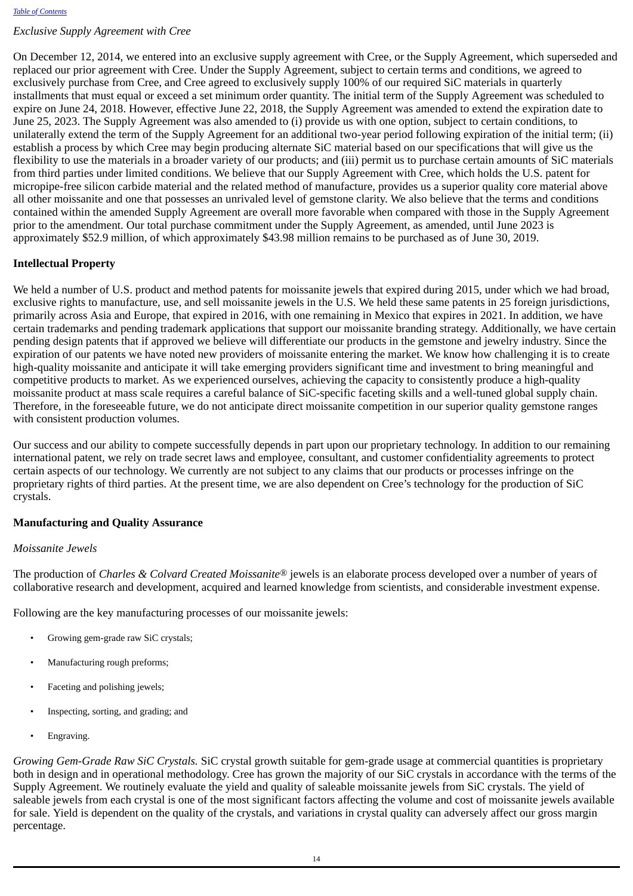# *Exclusive Supply Agreement with Cree*

On December 12, 2014, we entered into an exclusive supply agreement with Cree, or the Supply Agreement, which superseded and replaced our prior agreement with Cree. Under the Supply Agreement, subject to certain terms and conditions, we agreed to exclusively purchase from Cree, and Cree agreed to exclusively supply 100% of our required SiC materials in quarterly installments that must equal or exceed a set minimum order quantity. The initial term of the Supply Agreement was scheduled to expire on June 24, 2018. However, effective June 22, 2018, the Supply Agreement was amended to extend the expiration date to June 25, 2023. The Supply Agreement was also amended to (i) provide us with one option, subject to certain conditions, to unilaterally extend the term of the Supply Agreement for an additional two-year period following expiration of the initial term; (ii) establish a process by which Cree may begin producing alternate SiC material based on our specifications that will give us the flexibility to use the materials in a broader variety of our products; and (iii) permit us to purchase certain amounts of SiC materials from third parties under limited conditions. We believe that our Supply Agreement with Cree, which holds the U.S. patent for micropipe-free silicon carbide material and the related method of manufacture, provides us a superior quality core material above all other moissanite and one that possesses an unrivaled level of gemstone clarity. We also believe that the terms and conditions contained within the amended Supply Agreement are overall more favorable when compared with those in the Supply Agreement prior to the amendment. Our total purchase commitment under the Supply Agreement, as amended, until June 2023 is approximately \$52.9 million, of which approximately \$43.98 million remains to be purchased as of June 30, 2019.

## **Intellectual Property**

We held a number of U.S. product and method patents for moissanite jewels that expired during 2015, under which we had broad, exclusive rights to manufacture, use, and sell moissanite jewels in the U.S. We held these same patents in 25 foreign jurisdictions, primarily across Asia and Europe, that expired in 2016, with one remaining in Mexico that expires in 2021. In addition, we have certain trademarks and pending trademark applications that support our moissanite branding strategy. Additionally, we have certain pending design patents that if approved we believe will differentiate our products in the gemstone and jewelry industry. Since the expiration of our patents we have noted new providers of moissanite entering the market. We know how challenging it is to create high-quality moissanite and anticipate it will take emerging providers significant time and investment to bring meaningful and competitive products to market. As we experienced ourselves, achieving the capacity to consistently produce a high-quality moissanite product at mass scale requires a careful balance of SiC-specific faceting skills and a well-tuned global supply chain. Therefore, in the foreseeable future, we do not anticipate direct moissanite competition in our superior quality gemstone ranges with consistent production volumes.

Our success and our ability to compete successfully depends in part upon our proprietary technology. In addition to our remaining international patent, we rely on trade secret laws and employee, consultant, and customer confidentiality agreements to protect certain aspects of our technology. We currently are not subject to any claims that our products or processes infringe on the proprietary rights of third parties. At the present time, we are also dependent on Cree's technology for the production of SiC crystals.

## **Manufacturing and Quality Assurance**

## *Moissanite Jewels*

The production of *Charles & Colvard Created Moissanite®* jewels is an elaborate process developed over a number of years of collaborative research and development, acquired and learned knowledge from scientists, and considerable investment expense.

Following are the key manufacturing processes of our moissanite jewels:

- Growing gem-grade raw SiC crystals;
- Manufacturing rough preforms;
- Faceting and polishing jewels;
- Inspecting, sorting, and grading; and
- Engraving.

*Growing Gem-Grade Raw SiC Crystals.* SiC crystal growth suitable for gem-grade usage at commercial quantities is proprietary both in design and in operational methodology. Cree has grown the majority of our SiC crystals in accordance with the terms of the Supply Agreement. We routinely evaluate the yield and quality of saleable moissanite jewels from SiC crystals. The yield of saleable jewels from each crystal is one of the most significant factors affecting the volume and cost of moissanite jewels available for sale. Yield is dependent on the quality of the crystals, and variations in crystal quality can adversely affect our gross margin percentage.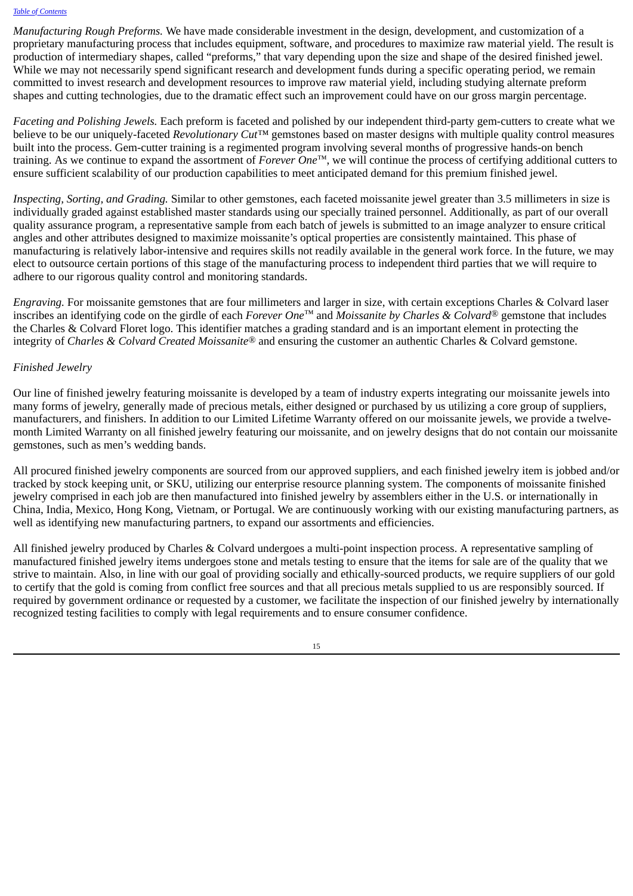#### *Table of [Contents](#page-2-0)*

*Manufacturing Rough Preforms.* We have made considerable investment in the design, development, and customization of a proprietary manufacturing process that includes equipment, software, and procedures to maximize raw material yield. The result is production of intermediary shapes, called "preforms," that vary depending upon the size and shape of the desired finished jewel. While we may not necessarily spend significant research and development funds during a specific operating period, we remain committed to invest research and development resources to improve raw material yield, including studying alternate preform shapes and cutting technologies, due to the dramatic effect such an improvement could have on our gross margin percentage.

*Faceting and Polishing Jewels.* Each preform is faceted and polished by our independent third-party gem-cutters to create what we believe to be our uniquely-faceted *Revolutionary Cut™* gemstones based on master designs with multiple quality control measures built into the process. Gem-cutter training is a regimented program involving several months of progressive hands-on bench training. As we continue to expand the assortment of *Forever One™*, we will continue the process of certifying additional cutters to ensure sufficient scalability of our production capabilities to meet anticipated demand for this premium finished jewel.

*Inspecting, Sorting, and Grading.* Similar to other gemstones, each faceted moissanite jewel greater than 3.5 millimeters in size is individually graded against established master standards using our specially trained personnel. Additionally, as part of our overall quality assurance program, a representative sample from each batch of jewels is submitted to an image analyzer to ensure critical angles and other attributes designed to maximize moissanite's optical properties are consistently maintained. This phase of manufacturing is relatively labor-intensive and requires skills not readily available in the general work force. In the future, we may elect to outsource certain portions of this stage of the manufacturing process to independent third parties that we will require to adhere to our rigorous quality control and monitoring standards.

*Engraving.* For moissanite gemstones that are four millimeters and larger in size, with certain exceptions Charles & Colvard laser inscribes an identifying code on the girdle of each *Forever One™* and *Moissanite by Charles & Colvard®* gemstone that includes the Charles & Colvard Floret logo. This identifier matches a grading standard and is an important element in protecting the integrity of *Charles & Colvard Created Moissanite®* and ensuring the customer an authentic Charles & Colvard gemstone.

#### *Finished Jewelry*

Our line of finished jewelry featuring moissanite is developed by a team of industry experts integrating our moissanite jewels into many forms of jewelry, generally made of precious metals, either designed or purchased by us utilizing a core group of suppliers, manufacturers, and finishers. In addition to our Limited Lifetime Warranty offered on our moissanite jewels, we provide a twelvemonth Limited Warranty on all finished jewelry featuring our moissanite, and on jewelry designs that do not contain our moissanite gemstones, such as men's wedding bands.

All procured finished jewelry components are sourced from our approved suppliers, and each finished jewelry item is jobbed and/or tracked by stock keeping unit, or SKU, utilizing our enterprise resource planning system. The components of moissanite finished jewelry comprised in each job are then manufactured into finished jewelry by assemblers either in the U.S. or internationally in China, India, Mexico, Hong Kong, Vietnam, or Portugal. We are continuously working with our existing manufacturing partners, as well as identifying new manufacturing partners, to expand our assortments and efficiencies.

All finished jewelry produced by Charles & Colvard undergoes a multi-point inspection process. A representative sampling of manufactured finished jewelry items undergoes stone and metals testing to ensure that the items for sale are of the quality that we strive to maintain. Also, in line with our goal of providing socially and ethically-sourced products, we require suppliers of our gold to certify that the gold is coming from conflict free sources and that all precious metals supplied to us are responsibly sourced. If required by government ordinance or requested by a customer, we facilitate the inspection of our finished jewelry by internationally recognized testing facilities to comply with legal requirements and to ensure consumer confidence.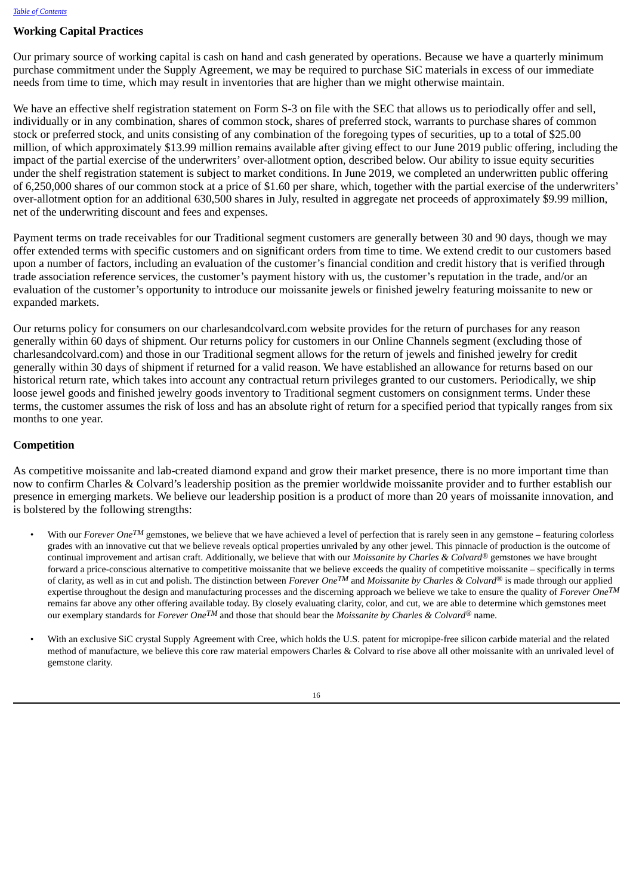## **Working Capital Practices**

Our primary source of working capital is cash on hand and cash generated by operations. Because we have a quarterly minimum purchase commitment under the Supply Agreement, we may be required to purchase SiC materials in excess of our immediate needs from time to time, which may result in inventories that are higher than we might otherwise maintain.

We have an effective shelf registration statement on Form S-3 on file with the SEC that allows us to periodically offer and sell, individually or in any combination, shares of common stock, shares of preferred stock, warrants to purchase shares of common stock or preferred stock, and units consisting of any combination of the foregoing types of securities, up to a total of \$25.00 million, of which approximately \$13.99 million remains available after giving effect to our June 2019 public offering, including the impact of the partial exercise of the underwriters' over-allotment option, described below. Our ability to issue equity securities under the shelf registration statement is subject to market conditions. In June 2019, we completed an underwritten public offering of 6,250,000 shares of our common stock at a price of \$1.60 per share, which, together with the partial exercise of the underwriters' over-allotment option for an additional 630,500 shares in July, resulted in aggregate net proceeds of approximately \$9.99 million, net of the underwriting discount and fees and expenses.

Payment terms on trade receivables for our Traditional segment customers are generally between 30 and 90 days, though we may offer extended terms with specific customers and on significant orders from time to time. We extend credit to our customers based upon a number of factors, including an evaluation of the customer's financial condition and credit history that is verified through trade association reference services, the customer's payment history with us, the customer's reputation in the trade, and/or an evaluation of the customer's opportunity to introduce our moissanite jewels or finished jewelry featuring moissanite to new or expanded markets.

Our returns policy for consumers on our charlesandcolvard.com website provides for the return of purchases for any reason generally within 60 days of shipment. Our returns policy for customers in our Online Channels segment (excluding those of charlesandcolvard.com) and those in our Traditional segment allows for the return of jewels and finished jewelry for credit generally within 30 days of shipment if returned for a valid reason. We have established an allowance for returns based on our historical return rate, which takes into account any contractual return privileges granted to our customers. Periodically, we ship loose jewel goods and finished jewelry goods inventory to Traditional segment customers on consignment terms. Under these terms, the customer assumes the risk of loss and has an absolute right of return for a specified period that typically ranges from six months to one year.

#### **Competition**

As competitive moissanite and lab-created diamond expand and grow their market presence, there is no more important time than now to confirm Charles & Colvard's leadership position as the premier worldwide moissanite provider and to further establish our presence in emerging markets. We believe our leadership position is a product of more than 20 years of moissanite innovation, and is bolstered by the following strengths:

- With our *Forever OneTM* gemstones, we believe that we have achieved a level of perfection that is rarely seen in any gemstone featuring colorless grades with an innovative cut that we believe reveals optical properties unrivaled by any other jewel. This pinnacle of production is the outcome of continual improvement and artisan craft. Additionally, we believe that with our *Moissanite by Charles & Colvard®* gemstones we have brought forward a price-conscious alternative to competitive moissanite that we believe exceeds the quality of competitive moissanite – specifically in terms of clarity, as well as in cut and polish. The distinction between *Forever OneTM* and *Moissanite by Charles & Colvard®* is made through our applied expertise throughout the design and manufacturing processes and the discerning approach we believe we take to ensure the quality of *Forever OneTM* remains far above any other offering available today. By closely evaluating clarity, color, and cut, we are able to determine which gemstones meet our exemplary standards for *Forever OneTM* and those that should bear the *Moissanite by Charles & Colvard®* name.
- With an exclusive SiC crystal Supply Agreement with Cree, which holds the U.S. patent for micropipe-free silicon carbide material and the related method of manufacture, we believe this core raw material empowers Charles & Colvard to rise above all other moissanite with an unrivaled level of gemstone clarity.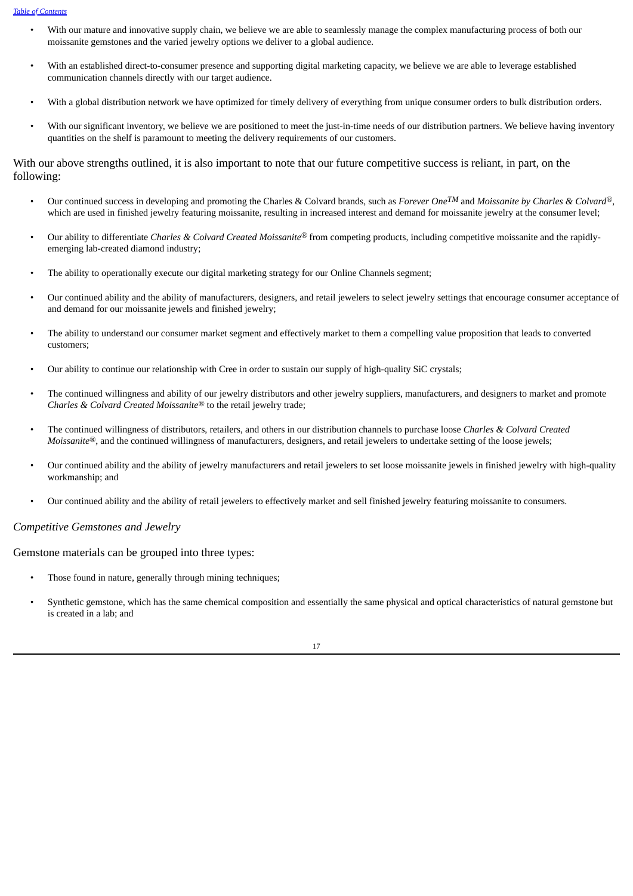- With our mature and innovative supply chain, we believe we are able to seamlessly manage the complex manufacturing process of both our moissanite gemstones and the varied jewelry options we deliver to a global audience.
- With an established direct-to-consumer presence and supporting digital marketing capacity, we believe we are able to leverage established communication channels directly with our target audience.
- With a global distribution network we have optimized for timely delivery of everything from unique consumer orders to bulk distribution orders.
- With our significant inventory, we believe we are positioned to meet the just-in-time needs of our distribution partners. We believe having inventory quantities on the shelf is paramount to meeting the delivery requirements of our customers.

With our above strengths outlined, it is also important to note that our future competitive success is reliant, in part, on the following:

- Our continued success in developing and promoting the Charles & Colvard brands, such as *Forever OneTM* and *Moissanite by Charles & Colvard®*, which are used in finished jewelry featuring moissanite, resulting in increased interest and demand for moissanite jewelry at the consumer level;
- Our ability to differentiate *Charles & Colvard Created Moissanite®* from competing products, including competitive moissanite and the rapidlyemerging lab-created diamond industry;
- The ability to operationally execute our digital marketing strategy for our Online Channels segment;
- Our continued ability and the ability of manufacturers, designers, and retail jewelers to select jewelry settings that encourage consumer acceptance of and demand for our moissanite jewels and finished jewelry;
- The ability to understand our consumer market segment and effectively market to them a compelling value proposition that leads to converted customers;
- Our ability to continue our relationship with Cree in order to sustain our supply of high-quality SiC crystals;
- The continued willingness and ability of our jewelry distributors and other jewelry suppliers, manufacturers, and designers to market and promote *Charles & Colvard Created Moissanite®* to the retail jewelry trade;
- The continued willingness of distributors, retailers, and others in our distribution channels to purchase loose *Charles & Colvard Created Moissanite<sup>®</sup>*, and the continued willingness of manufacturers, designers, and retail jewelers to undertake setting of the loose jewels;
- Our continued ability and the ability of jewelry manufacturers and retail jewelers to set loose moissanite jewels in finished jewelry with high-quality workmanship; and
- Our continued ability and the ability of retail jewelers to effectively market and sell finished jewelry featuring moissanite to consumers.

#### *Competitive Gemstones and Jewelry*

Gemstone materials can be grouped into three types:

- Those found in nature, generally through mining techniques;
- Synthetic gemstone, which has the same chemical composition and essentially the same physical and optical characteristics of natural gemstone but is created in a lab; and

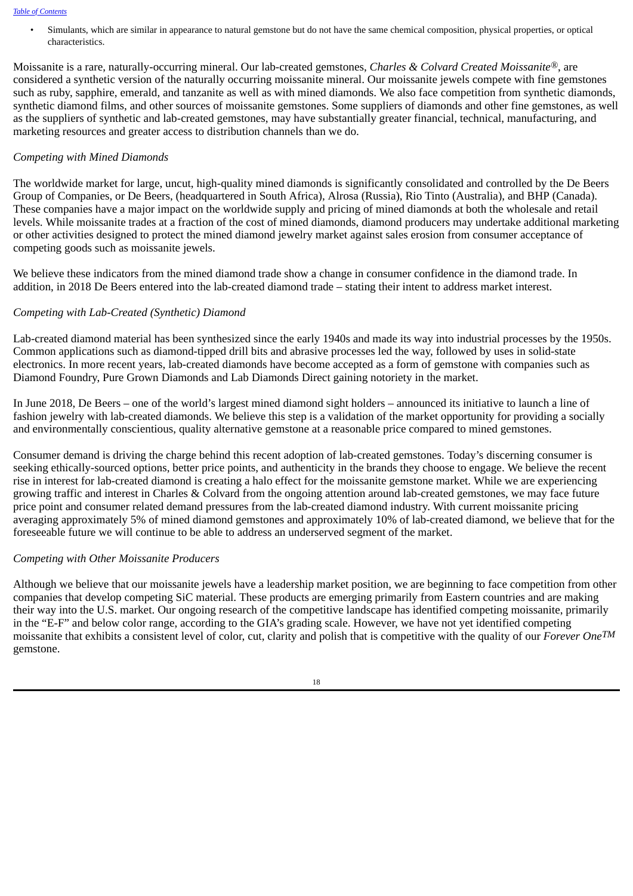• Simulants, which are similar in appearance to natural gemstone but do not have the same chemical composition, physical properties, or optical characteristics.

Moissanite is a rare, naturally-occurring mineral. Our lab-created gemstones, *Charles & Colvard Created Moissanite®*, are considered a synthetic version of the naturally occurring moissanite mineral. Our moissanite jewels compete with fine gemstones such as ruby, sapphire, emerald, and tanzanite as well as with mined diamonds. We also face competition from synthetic diamonds, synthetic diamond films, and other sources of moissanite gemstones. Some suppliers of diamonds and other fine gemstones, as well as the suppliers of synthetic and lab-created gemstones, may have substantially greater financial, technical, manufacturing, and marketing resources and greater access to distribution channels than we do.

#### *Competing with Mined Diamonds*

The worldwide market for large, uncut, high-quality mined diamonds is significantly consolidated and controlled by the De Beers Group of Companies, or De Beers, (headquartered in South Africa), Alrosa (Russia), Rio Tinto (Australia), and BHP (Canada). These companies have a major impact on the worldwide supply and pricing of mined diamonds at both the wholesale and retail levels. While moissanite trades at a fraction of the cost of mined diamonds, diamond producers may undertake additional marketing or other activities designed to protect the mined diamond jewelry market against sales erosion from consumer acceptance of competing goods such as moissanite jewels.

We believe these indicators from the mined diamond trade show a change in consumer confidence in the diamond trade. In addition, in 2018 De Beers entered into the lab-created diamond trade – stating their intent to address market interest.

## *Competing with Lab-Created (Synthetic) Diamond*

Lab-created diamond material has been synthesized since the early 1940s and made its way into industrial processes by the 1950s. Common applications such as diamond-tipped drill bits and abrasive processes led the way, followed by uses in solid-state electronics. In more recent years, lab-created diamonds have become accepted as a form of gemstone with companies such as Diamond Foundry, Pure Grown Diamonds and Lab Diamonds Direct gaining notoriety in the market.

In June 2018, De Beers – one of the world's largest mined diamond sight holders – announced its initiative to launch a line of fashion jewelry with lab-created diamonds. We believe this step is a validation of the market opportunity for providing a socially and environmentally conscientious, quality alternative gemstone at a reasonable price compared to mined gemstones.

Consumer demand is driving the charge behind this recent adoption of lab-created gemstones. Today's discerning consumer is seeking ethically-sourced options, better price points, and authenticity in the brands they choose to engage. We believe the recent rise in interest for lab-created diamond is creating a halo effect for the moissanite gemstone market. While we are experiencing growing traffic and interest in Charles & Colvard from the ongoing attention around lab-created gemstones, we may face future price point and consumer related demand pressures from the lab-created diamond industry. With current moissanite pricing averaging approximately 5% of mined diamond gemstones and approximately 10% of lab-created diamond, we believe that for the foreseeable future we will continue to be able to address an underserved segment of the market.

#### *Competing with Other Moissanite Producers*

Although we believe that our moissanite jewels have a leadership market position, we are beginning to face competition from other companies that develop competing SiC material. These products are emerging primarily from Eastern countries and are making their way into the U.S. market. Our ongoing research of the competitive landscape has identified competing moissanite, primarily in the "E-F" and below color range, according to the GIA's grading scale. However, we have not yet identified competing moissanite that exhibits a consistent level of color, cut, clarity and polish that is competitive with the quality of our *Forever OneTM* gemstone.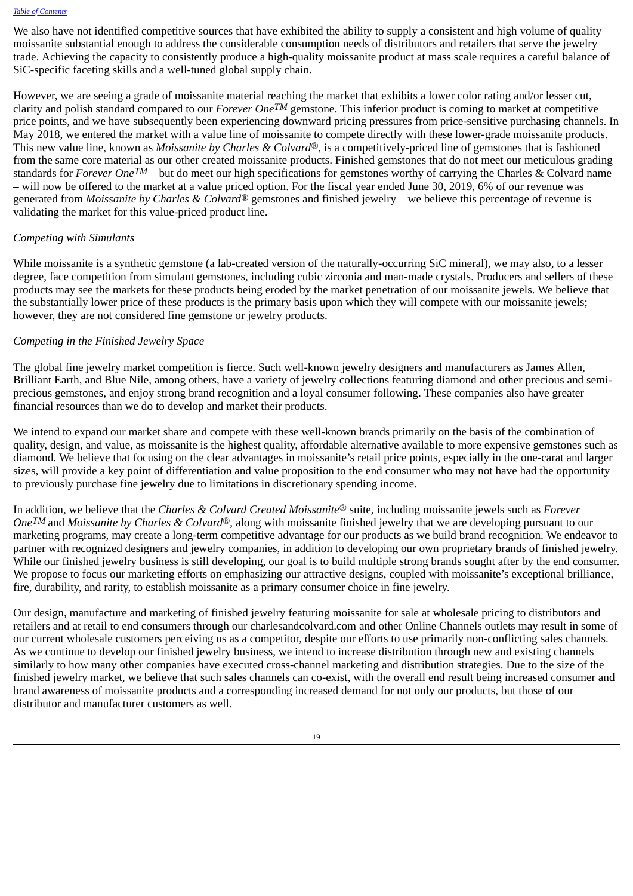#### *Table of [Contents](#page-2-0)*

We also have not identified competitive sources that have exhibited the ability to supply a consistent and high volume of quality moissanite substantial enough to address the considerable consumption needs of distributors and retailers that serve the jewelry trade. Achieving the capacity to consistently produce a high-quality moissanite product at mass scale requires a careful balance of SiC-specific faceting skills and a well-tuned global supply chain.

However, we are seeing a grade of moissanite material reaching the market that exhibits a lower color rating and/or lesser cut, clarity and polish standard compared to our *Forever OneTM* gemstone. This inferior product is coming to market at competitive price points, and we have subsequently been experiencing downward pricing pressures from price-sensitive purchasing channels. In May 2018, we entered the market with a value line of moissanite to compete directly with these lower-grade moissanite products. This new value line, known as *Moissanite by Charles & Colvard®*, is a competitively-priced line of gemstones that is fashioned from the same core material as our other created moissanite products. Finished gemstones that do not meet our meticulous grading standards for *Forever OneTM* – but do meet our high specifications for gemstones worthy of carrying the Charles & Colvard name – will now be offered to the market at a value priced option. For the fiscal year ended June 30, 2019, 6% of our revenue was generated from *Moissanite by Charles & Colvard®* gemstones and finished jewelry – we believe this percentage of revenue is validating the market for this value-priced product line.

#### *Competing with Simulants*

While moissanite is a synthetic gemstone (a lab-created version of the naturally-occurring SiC mineral), we may also, to a lesser degree, face competition from simulant gemstones, including cubic zirconia and man-made crystals. Producers and sellers of these products may see the markets for these products being eroded by the market penetration of our moissanite jewels. We believe that the substantially lower price of these products is the primary basis upon which they will compete with our moissanite jewels; however, they are not considered fine gemstone or jewelry products.

#### *Competing in the Finished Jewelry Space*

The global fine jewelry market competition is fierce. Such well-known jewelry designers and manufacturers as James Allen, Brilliant Earth, and Blue Nile, among others, have a variety of jewelry collections featuring diamond and other precious and semiprecious gemstones, and enjoy strong brand recognition and a loyal consumer following. These companies also have greater financial resources than we do to develop and market their products.

We intend to expand our market share and compete with these well-known brands primarily on the basis of the combination of quality, design, and value, as moissanite is the highest quality, affordable alternative available to more expensive gemstones such as diamond. We believe that focusing on the clear advantages in moissanite's retail price points, especially in the one-carat and larger sizes, will provide a key point of differentiation and value proposition to the end consumer who may not have had the opportunity to previously purchase fine jewelry due to limitations in discretionary spending income.

In addition, we believe that the *Charles & Colvard Created Moissanite®* suite, including moissanite jewels such as *Forever OneTM* and *Moissanite by Charles & Colvard®*, along with moissanite finished jewelry that we are developing pursuant to our marketing programs, may create a long-term competitive advantage for our products as we build brand recognition. We endeavor to partner with recognized designers and jewelry companies, in addition to developing our own proprietary brands of finished jewelry. While our finished jewelry business is still developing, our goal is to build multiple strong brands sought after by the end consumer. We propose to focus our marketing efforts on emphasizing our attractive designs, coupled with moissanite's exceptional brilliance, fire, durability, and rarity, to establish moissanite as a primary consumer choice in fine jewelry.

Our design, manufacture and marketing of finished jewelry featuring moissanite for sale at wholesale pricing to distributors and retailers and at retail to end consumers through our charlesandcolvard.com and other Online Channels outlets may result in some of our current wholesale customers perceiving us as a competitor, despite our efforts to use primarily non-conflicting sales channels. As we continue to develop our finished jewelry business, we intend to increase distribution through new and existing channels similarly to how many other companies have executed cross-channel marketing and distribution strategies. Due to the size of the finished jewelry market, we believe that such sales channels can co-exist, with the overall end result being increased consumer and brand awareness of moissanite products and a corresponding increased demand for not only our products, but those of our distributor and manufacturer customers as well.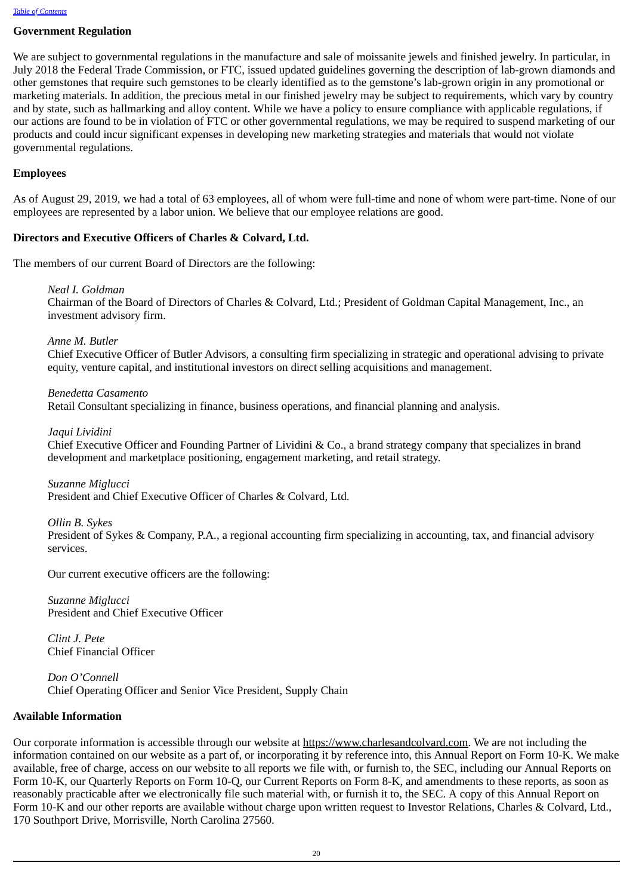## **Government Regulation**

We are subject to governmental regulations in the manufacture and sale of moissanite jewels and finished jewelry. In particular, in July 2018 the Federal Trade Commission, or FTC, issued updated guidelines governing the description of lab-grown diamonds and other gemstones that require such gemstones to be clearly identified as to the gemstone's lab-grown origin in any promotional or marketing materials. In addition, the precious metal in our finished jewelry may be subject to requirements, which vary by country and by state, such as hallmarking and alloy content. While we have a policy to ensure compliance with applicable regulations, if our actions are found to be in violation of FTC or other governmental regulations, we may be required to suspend marketing of our products and could incur significant expenses in developing new marketing strategies and materials that would not violate governmental regulations.

#### **Employees**

As of August 29, 2019, we had a total of 63 employees, all of whom were full-time and none of whom were part-time. None of our employees are represented by a labor union. We believe that our employee relations are good.

#### **Directors and Executive Officers of Charles & Colvard, Ltd.**

The members of our current Board of Directors are the following:

*Neal I. Goldman*

Chairman of the Board of Directors of Charles & Colvard, Ltd.; President of Goldman Capital Management, Inc., an investment advisory firm.

*Anne M. Butler*

Chief Executive Officer of Butler Advisors, a consulting firm specializing in strategic and operational advising to private equity, venture capital, and institutional investors on direct selling acquisitions and management.

*Benedetta Casamento*

Retail Consultant specializing in finance, business operations, and financial planning and analysis.

*Jaqui Lividini*

Chief Executive Officer and Founding Partner of Lividini & Co., a brand strategy company that specializes in brand development and marketplace positioning, engagement marketing, and retail strategy.

*Suzanne Miglucci* President and Chief Executive Officer of Charles & Colvard, Ltd.

*Ollin B. Sykes*

President of Sykes & Company, P.A., a regional accounting firm specializing in accounting, tax, and financial advisory services.

Our current executive officers are the following:

*Suzanne Miglucci* President and Chief Executive Officer

*Clint J. Pete* Chief Financial Officer

*Don O'Connell* Chief Operating Officer and Senior Vice President, Supply Chain

## **Available Information**

Our corporate information is accessible through our website at https://www.charlesandcolvard.com. We are not including the information contained on our website as a part of, or incorporating it by reference into, this Annual Report on Form 10-K. We make available, free of charge, access on our website to all reports we file with, or furnish to, the SEC, including our Annual Reports on Form 10-K, our Quarterly Reports on Form 10-Q, our Current Reports on Form 8-K, and amendments to these reports, as soon as reasonably practicable after we electronically file such material with, or furnish it to, the SEC. A copy of this Annual Report on Form 10-K and our other reports are available without charge upon written request to Investor Relations, Charles & Colvard, Ltd., 170 Southport Drive, Morrisville, North Carolina 27560.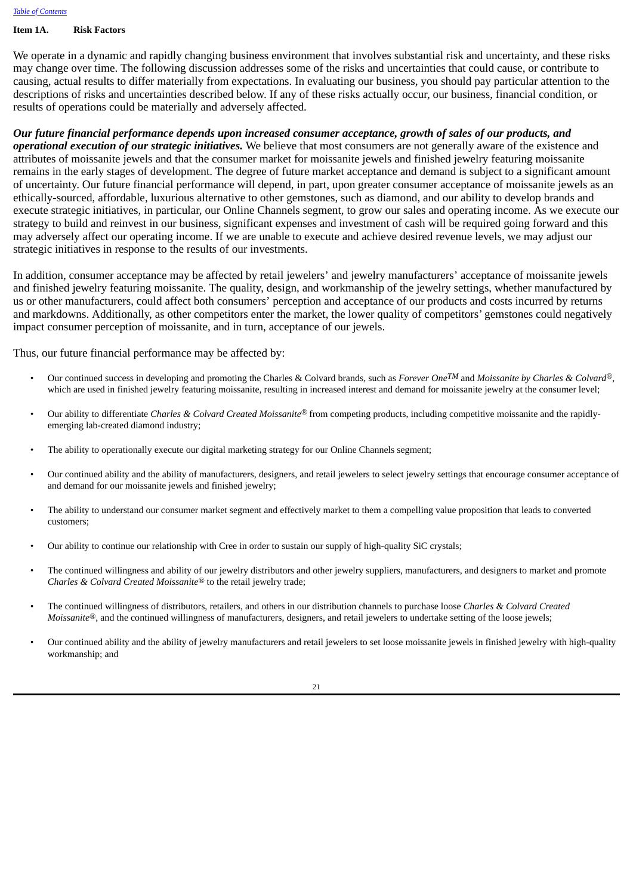#### <span id="page-23-0"></span>**Item 1A. Risk Factors**

We operate in a dynamic and rapidly changing business environment that involves substantial risk and uncertainty, and these risks may change over time. The following discussion addresses some of the risks and uncertainties that could cause, or contribute to causing, actual results to differ materially from expectations. In evaluating our business, you should pay particular attention to the descriptions of risks and uncertainties described below. If any of these risks actually occur, our business, financial condition, or results of operations could be materially and adversely affected.

*Our future financial performance depends upon increased consumer acceptance, growth of sales of our products, and operational execution of our strategic initiatives.* We believe that most consumers are not generally aware of the existence and attributes of moissanite jewels and that the consumer market for moissanite jewels and finished jewelry featuring moissanite remains in the early stages of development. The degree of future market acceptance and demand is subject to a significant amount of uncertainty. Our future financial performance will depend, in part, upon greater consumer acceptance of moissanite jewels as an ethically-sourced, affordable, luxurious alternative to other gemstones, such as diamond, and our ability to develop brands and execute strategic initiatives, in particular, our Online Channels segment, to grow our sales and operating income. As we execute our strategy to build and reinvest in our business, significant expenses and investment of cash will be required going forward and this may adversely affect our operating income. If we are unable to execute and achieve desired revenue levels, we may adjust our strategic initiatives in response to the results of our investments.

In addition, consumer acceptance may be affected by retail jewelers' and jewelry manufacturers' acceptance of moissanite jewels and finished jewelry featuring moissanite. The quality, design, and workmanship of the jewelry settings, whether manufactured by us or other manufacturers, could affect both consumers' perception and acceptance of our products and costs incurred by returns and markdowns. Additionally, as other competitors enter the market, the lower quality of competitors' gemstones could negatively impact consumer perception of moissanite, and in turn, acceptance of our jewels.

Thus, our future financial performance may be affected by:

- Our continued success in developing and promoting the Charles & Colvard brands, such as *Forever OneTM* and *Moissanite by Charles & Colvard®*, which are used in finished jewelry featuring moissanite, resulting in increased interest and demand for moissanite jewelry at the consumer level;
- Our ability to differentiate *Charles & Colvard Created Moissanite®* from competing products, including competitive moissanite and the rapidlyemerging lab-created diamond industry;
- The ability to operationally execute our digital marketing strategy for our Online Channels segment;
- Our continued ability and the ability of manufacturers, designers, and retail jewelers to select jewelry settings that encourage consumer acceptance of and demand for our moissanite jewels and finished jewelry;
- The ability to understand our consumer market segment and effectively market to them a compelling value proposition that leads to converted customers;
- Our ability to continue our relationship with Cree in order to sustain our supply of high-quality SiC crystals;
- The continued willingness and ability of our jewelry distributors and other jewelry suppliers, manufacturers, and designers to market and promote *Charles & Colvard Created Moissanite®* to the retail jewelry trade;
- The continued willingness of distributors, retailers, and others in our distribution channels to purchase loose *Charles & Colvard Created Moissanite<sup>®</sup>*, and the continued willingness of manufacturers, designers, and retail jewelers to undertake setting of the loose jewels;
- Our continued ability and the ability of jewelry manufacturers and retail jewelers to set loose moissanite jewels in finished jewelry with high-quality workmanship; and

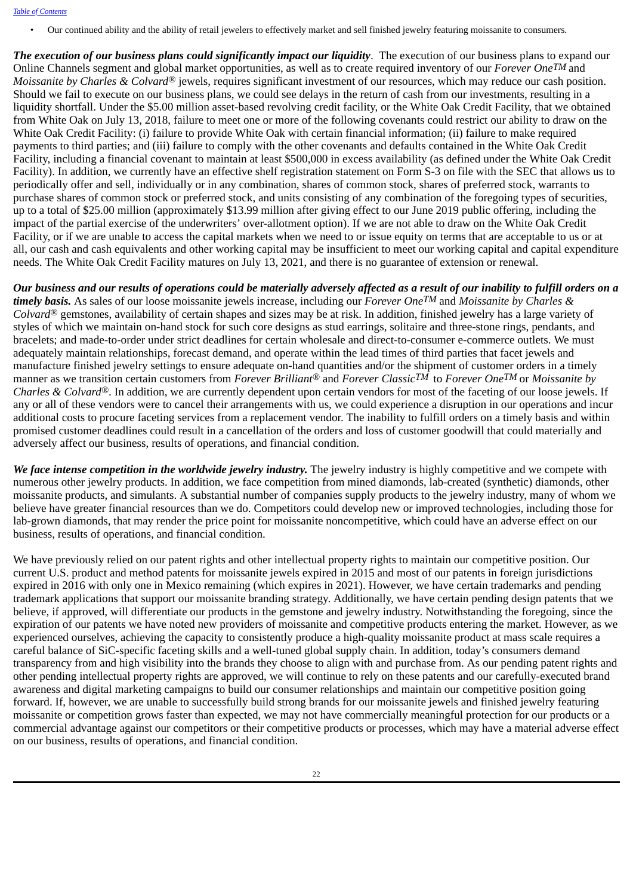#### *Table of [Contents](#page-2-0)*

• Our continued ability and the ability of retail jewelers to effectively market and sell finished jewelry featuring moissanite to consumers.

*The execution of our business plans could significantly impact our liquidity*. The execution of our business plans to expand our Online Channels segment and global market opportunities, as well as to create required inventory of our *Forever OneTM* and *Moissanite by Charles & Colvard®* jewels, requires significant investment of our resources, which may reduce our cash position. Should we fail to execute on our business plans, we could see delays in the return of cash from our investments, resulting in a liquidity shortfall. Under the \$5.00 million asset-based revolving credit facility, or the White Oak Credit Facility, that we obtained from White Oak on July 13, 2018, failure to meet one or more of the following covenants could restrict our ability to draw on the White Oak Credit Facility: (i) failure to provide White Oak with certain financial information; (ii) failure to make required payments to third parties; and (iii) failure to comply with the other covenants and defaults contained in the White Oak Credit Facility, including a financial covenant to maintain at least \$500,000 in excess availability (as defined under the White Oak Credit Facility). In addition, we currently have an effective shelf registration statement on Form S-3 on file with the SEC that allows us to periodically offer and sell, individually or in any combination, shares of common stock, shares of preferred stock, warrants to purchase shares of common stock or preferred stock, and units consisting of any combination of the foregoing types of securities, up to a total of \$25.00 million (approximately \$13.99 million after giving effect to our June 2019 public offering, including the impact of the partial exercise of the underwriters' over-allotment option). If we are not able to draw on the White Oak Credit Facility, or if we are unable to access the capital markets when we need to or issue equity on terms that are acceptable to us or at all, our cash and cash equivalents and other working capital may be insufficient to meet our working capital and capital expenditure needs. The White Oak Credit Facility matures on July 13, 2021, and there is no guarantee of extension or renewal.

*Our business and our results of operations could be materially adversely affected as a result of our inability to fulfill orders on a timely basis.* As sales of our loose moissanite jewels increase, including our *Forever OneTM* and *Moissanite by Charles & Colvard®* gemstones, availability of certain shapes and sizes may be at risk. In addition, finished jewelry has a large variety of styles of which we maintain on-hand stock for such core designs as stud earrings, solitaire and three-stone rings, pendants, and bracelets; and made-to-order under strict deadlines for certain wholesale and direct-to-consumer e-commerce outlets. We must adequately maintain relationships, forecast demand, and operate within the lead times of third parties that facet jewels and manufacture finished jewelry settings to ensure adequate on-hand quantities and/or the shipment of customer orders in a timely manner as we transition certain customers from *Forever Brilliant®* and *Forever ClassicTM* to *Forever OneTM* or *Moissanite by Charles & Colvard®*. In addition, we are currently dependent upon certain vendors for most of the faceting of our loose jewels. If any or all of these vendors were to cancel their arrangements with us, we could experience a disruption in our operations and incur additional costs to procure faceting services from a replacement vendor. The inability to fulfill orders on a timely basis and within promised customer deadlines could result in a cancellation of the orders and loss of customer goodwill that could materially and adversely affect our business, results of operations, and financial condition.

*We face intense competition in the worldwide jewelry industry.* The jewelry industry is highly competitive and we compete with numerous other jewelry products. In addition, we face competition from mined diamonds, lab-created (synthetic) diamonds, other moissanite products, and simulants. A substantial number of companies supply products to the jewelry industry, many of whom we believe have greater financial resources than we do. Competitors could develop new or improved technologies, including those for lab-grown diamonds, that may render the price point for moissanite noncompetitive, which could have an adverse effect on our business, results of operations, and financial condition.

We have previously relied on our patent rights and other intellectual property rights to maintain our competitive position. Our current U.S. product and method patents for moissanite jewels expired in 2015 and most of our patents in foreign jurisdictions expired in 2016 with only one in Mexico remaining (which expires in 2021). However, we have certain trademarks and pending trademark applications that support our moissanite branding strategy. Additionally, we have certain pending design patents that we believe, if approved, will differentiate our products in the gemstone and jewelry industry. Notwithstanding the foregoing, since the expiration of our patents we have noted new providers of moissanite and competitive products entering the market. However, as we experienced ourselves, achieving the capacity to consistently produce a high-quality moissanite product at mass scale requires a careful balance of SiC-specific faceting skills and a well-tuned global supply chain. In addition, today's consumers demand transparency from and high visibility into the brands they choose to align with and purchase from. As our pending patent rights and other pending intellectual property rights are approved, we will continue to rely on these patents and our carefully-executed brand awareness and digital marketing campaigns to build our consumer relationships and maintain our competitive position going forward. If, however, we are unable to successfully build strong brands for our moissanite jewels and finished jewelry featuring moissanite or competition grows faster than expected, we may not have commercially meaningful protection for our products or a commercial advantage against our competitors or their competitive products or processes, which may have a material adverse effect on our business, results of operations, and financial condition.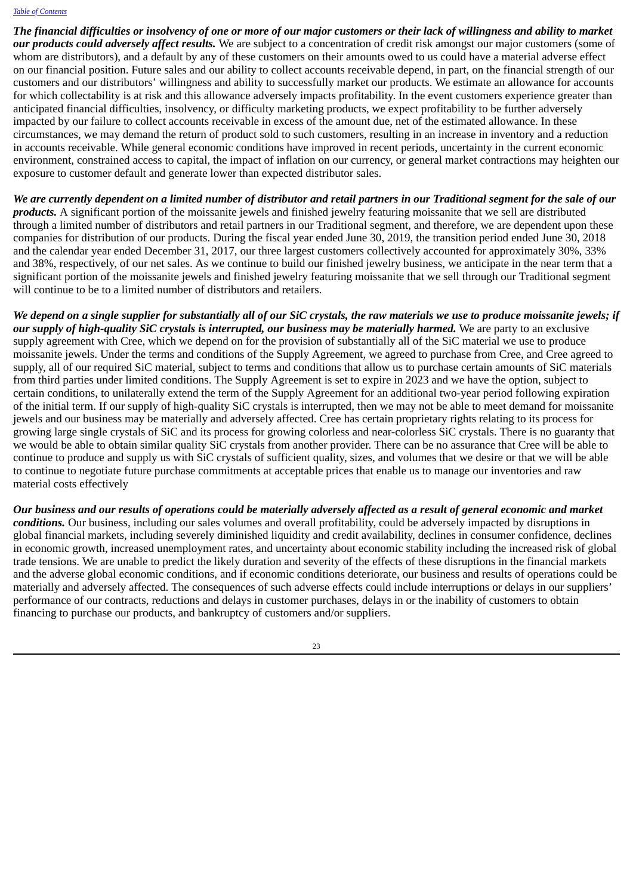*The financial difficulties or insolvency of one or more of our major customers or their lack of willingness and ability to market our products could adversely affect results.* We are subject to a concentration of credit risk amongst our major customers (some of whom are distributors), and a default by any of these customers on their amounts owed to us could have a material adverse effect on our financial position. Future sales and our ability to collect accounts receivable depend, in part, on the financial strength of our customers and our distributors' willingness and ability to successfully market our products. We estimate an allowance for accounts for which collectability is at risk and this allowance adversely impacts profitability. In the event customers experience greater than anticipated financial difficulties, insolvency, or difficulty marketing products, we expect profitability to be further adversely impacted by our failure to collect accounts receivable in excess of the amount due, net of the estimated allowance. In these circumstances, we may demand the return of product sold to such customers, resulting in an increase in inventory and a reduction in accounts receivable. While general economic conditions have improved in recent periods, uncertainty in the current economic environment, constrained access to capital, the impact of inflation on our currency, or general market contractions may heighten our exposure to customer default and generate lower than expected distributor sales.

*We are currently dependent on a limited number of distributor and retail partners in our Traditional segment for the sale of our products.* A significant portion of the moissanite jewels and finished jewelry featuring moissanite that we sell are distributed through a limited number of distributors and retail partners in our Traditional segment, and therefore, we are dependent upon these companies for distribution of our products. During the fiscal year ended June 30, 2019, the transition period ended June 30, 2018 and the calendar year ended December 31, 2017, our three largest customers collectively accounted for approximately 30%, 33% and 38%, respectively, of our net sales. As we continue to build our finished jewelry business, we anticipate in the near term that a significant portion of the moissanite jewels and finished jewelry featuring moissanite that we sell through our Traditional segment will continue to be to a limited number of distributors and retailers.

*We depend on a single supplier for substantially all of our SiC crystals, the raw materials we use to produce moissanite jewels; if our supply of high-quality SiC crystals is interrupted, our business may be materially harmed.* We are party to an exclusive supply agreement with Cree, which we depend on for the provision of substantially all of the SiC material we use to produce moissanite jewels. Under the terms and conditions of the Supply Agreement, we agreed to purchase from Cree, and Cree agreed to supply, all of our required SiC material, subject to terms and conditions that allow us to purchase certain amounts of SiC materials from third parties under limited conditions. The Supply Agreement is set to expire in 2023 and we have the option, subject to certain conditions, to unilaterally extend the term of the Supply Agreement for an additional two-year period following expiration of the initial term. If our supply of high-quality SiC crystals is interrupted, then we may not be able to meet demand for moissanite jewels and our business may be materially and adversely affected. Cree has certain proprietary rights relating to its process for growing large single crystals of SiC and its process for growing colorless and near-colorless SiC crystals. There is no guaranty that we would be able to obtain similar quality SiC crystals from another provider. There can be no assurance that Cree will be able to continue to produce and supply us with SiC crystals of sufficient quality, sizes, and volumes that we desire or that we will be able to continue to negotiate future purchase commitments at acceptable prices that enable us to manage our inventories and raw material costs effectively

*Our business and our results of operations could be materially adversely affected as a result of general economic and market conditions.* Our business, including our sales volumes and overall profitability, could be adversely impacted by disruptions in global financial markets, including severely diminished liquidity and credit availability, declines in consumer confidence, declines in economic growth, increased unemployment rates, and uncertainty about economic stability including the increased risk of global trade tensions. We are unable to predict the likely duration and severity of the effects of these disruptions in the financial markets and the adverse global economic conditions, and if economic conditions deteriorate, our business and results of operations could be materially and adversely affected. The consequences of such adverse effects could include interruptions or delays in our suppliers' performance of our contracts, reductions and delays in customer purchases, delays in or the inability of customers to obtain financing to purchase our products, and bankruptcy of customers and/or suppliers.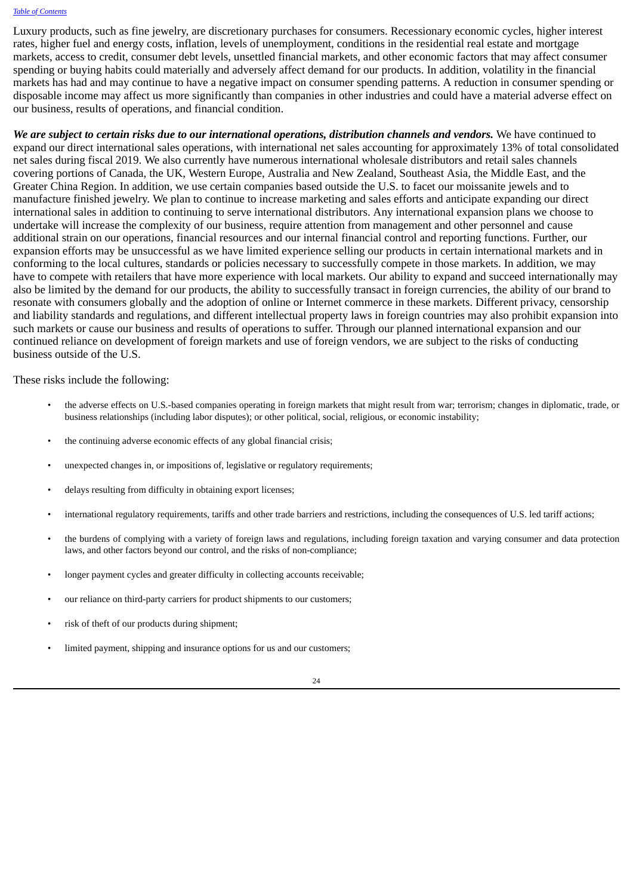#### *Table of [Contents](#page-2-0)*

Luxury products, such as fine jewelry, are discretionary purchases for consumers. Recessionary economic cycles, higher interest rates, higher fuel and energy costs, inflation, levels of unemployment, conditions in the residential real estate and mortgage markets, access to credit, consumer debt levels, unsettled financial markets, and other economic factors that may affect consumer spending or buying habits could materially and adversely affect demand for our products. In addition, volatility in the financial markets has had and may continue to have a negative impact on consumer spending patterns. A reduction in consumer spending or disposable income may affect us more significantly than companies in other industries and could have a material adverse effect on our business, results of operations, and financial condition.

*We are subject to certain risks due to our international operations, distribution channels and vendors.* We have continued to expand our direct international sales operations, with international net sales accounting for approximately 13% of total consolidated net sales during fiscal 2019. We also currently have numerous international wholesale distributors and retail sales channels covering portions of Canada, the UK, Western Europe, Australia and New Zealand, Southeast Asia, the Middle East, and the Greater China Region. In addition, we use certain companies based outside the U.S. to facet our moissanite jewels and to manufacture finished jewelry. We plan to continue to increase marketing and sales efforts and anticipate expanding our direct international sales in addition to continuing to serve international distributors. Any international expansion plans we choose to undertake will increase the complexity of our business, require attention from management and other personnel and cause additional strain on our operations, financial resources and our internal financial control and reporting functions. Further, our expansion efforts may be unsuccessful as we have limited experience selling our products in certain international markets and in conforming to the local cultures, standards or policies necessary to successfully compete in those markets. In addition, we may have to compete with retailers that have more experience with local markets. Our ability to expand and succeed internationally may also be limited by the demand for our products, the ability to successfully transact in foreign currencies, the ability of our brand to resonate with consumers globally and the adoption of online or Internet commerce in these markets. Different privacy, censorship and liability standards and regulations, and different intellectual property laws in foreign countries may also prohibit expansion into such markets or cause our business and results of operations to suffer. Through our planned international expansion and our continued reliance on development of foreign markets and use of foreign vendors, we are subject to the risks of conducting business outside of the U.S.

These risks include the following:

- the adverse effects on U.S.-based companies operating in foreign markets that might result from war; terrorism; changes in diplomatic, trade, or business relationships (including labor disputes); or other political, social, religious, or economic instability;
- the continuing adverse economic effects of any global financial crisis;
- unexpected changes in, or impositions of, legislative or regulatory requirements;
- delays resulting from difficulty in obtaining export licenses;
- international regulatory requirements, tariffs and other trade barriers and restrictions, including the consequences of U.S. led tariff actions;
- the burdens of complying with a variety of foreign laws and regulations, including foreign taxation and varying consumer and data protection laws, and other factors beyond our control, and the risks of non-compliance;
- longer payment cycles and greater difficulty in collecting accounts receivable;
- our reliance on third-party carriers for product shipments to our customers;
- risk of theft of our products during shipment;
- limited payment, shipping and insurance options for us and our customers;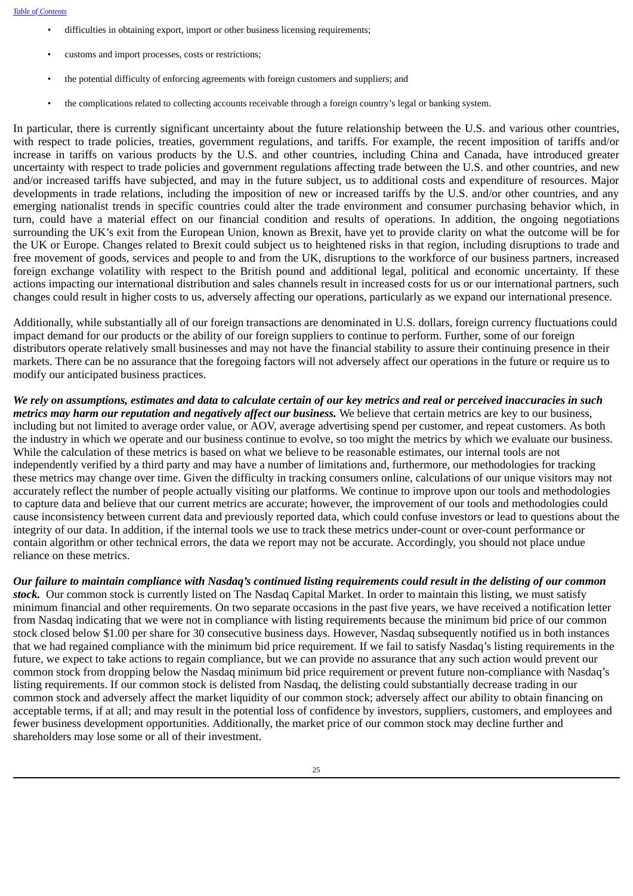- difficulties in obtaining export, import or other business licensing requirements;
- customs and import processes, costs or restrictions;
- the potential difficulty of enforcing agreements with foreign customers and suppliers; and
- the complications related to collecting accounts receivable through a foreign country's legal or banking system.

In particular, there is currently significant uncertainty about the future relationship between the U.S. and various other countries, with respect to trade policies, treaties, government regulations, and tariffs. For example, the recent imposition of tariffs and/or increase in tariffs on various products by the U.S. and other countries, including China and Canada, have introduced greater uncertainty with respect to trade policies and government regulations affecting trade between the U.S. and other countries, and new and/or increased tariffs have subjected, and may in the future subject, us to additional costs and expenditure of resources. Major developments in trade relations, including the imposition of new or increased tariffs by the U.S. and/or other countries, and any emerging nationalist trends in specific countries could alter the trade environment and consumer purchasing behavior which, in turn, could have a material effect on our financial condition and results of operations. In addition, the ongoing negotiations surrounding the UK's exit from the European Union, known as Brexit, have yet to provide clarity on what the outcome will be for the UK or Europe. Changes related to Brexit could subject us to heightened risks in that region, including disruptions to trade and free movement of goods, services and people to and from the UK, disruptions to the workforce of our business partners, increased foreign exchange volatility with respect to the British pound and additional legal, political and economic uncertainty. If these actions impacting our international distribution and sales channels result in increased costs for us or our international partners, such changes could result in higher costs to us, adversely affecting our operations, particularly as we expand our international presence.

Additionally, while substantially all of our foreign transactions are denominated in U.S. dollars, foreign currency fluctuations could impact demand for our products or the ability of our foreign suppliers to continue to perform. Further, some of our foreign distributors operate relatively small businesses and may not have the financial stability to assure their continuing presence in their markets. There can be no assurance that the foregoing factors will not adversely affect our operations in the future or require us to modify our anticipated business practices.

*We rely on assumptions, estimates and data to calculate certain of our key metrics and real or perceived inaccuracies in such metrics may harm our reputation and negatively affect our business.* We believe that certain metrics are key to our business, including but not limited to average order value, or AOV, average advertising spend per customer, and repeat customers. As both the industry in which we operate and our business continue to evolve, so too might the metrics by which we evaluate our business. While the calculation of these metrics is based on what we believe to be reasonable estimates, our internal tools are not independently verified by a third party and may have a number of limitations and, furthermore, our methodologies for tracking these metrics may change over time. Given the difficulty in tracking consumers online, calculations of our unique visitors may not accurately reflect the number of people actually visiting our platforms. We continue to improve upon our tools and methodologies to capture data and believe that our current metrics are accurate; however, the improvement of our tools and methodologies could cause inconsistency between current data and previously reported data, which could confuse investors or lead to questions about the integrity of our data. In addition, if the internal tools we use to track these metrics under-count or over-count performance or contain algorithm or other technical errors, the data we report may not be accurate. Accordingly, you should not place undue reliance on these metrics.

*Our failure to maintain compliance with Nasdaq's continued listing requirements could result in the delisting of our common stock.* Our common stock is currently listed on The Nasdaq Capital Market. In order to maintain this listing, we must satisfy minimum financial and other requirements. On two separate occasions in the past five years, we have received a notification letter from Nasdaq indicating that we were not in compliance with listing requirements because the minimum bid price of our common stock closed below \$1.00 per share for 30 consecutive business days. However, Nasdaq subsequently notified us in both instances that we had regained compliance with the minimum bid price requirement. If we fail to satisfy Nasdaq's listing requirements in the future, we expect to take actions to regain compliance, but we can provide no assurance that any such action would prevent our common stock from dropping below the Nasdaq minimum bid price requirement or prevent future non-compliance with Nasdaq's listing requirements. If our common stock is delisted from Nasdaq, the delisting could substantially decrease trading in our common stock and adversely affect the market liquidity of our common stock; adversely affect our ability to obtain financing on acceptable terms, if at all; and may result in the potential loss of confidence by investors, suppliers, customers, and employees and fewer business development opportunities. Additionally, the market price of our common stock may decline further and shareholders may lose some or all of their investment.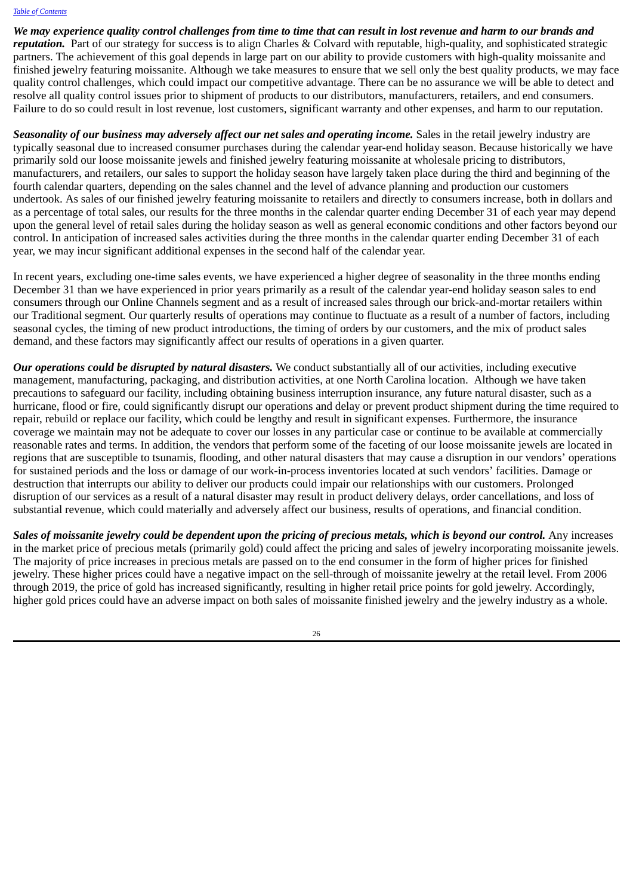*We may experience quality control challenges from time to time that can result in lost revenue and harm to our brands and reputation.* Part of our strategy for success is to align Charles & Colvard with reputable, high-quality, and sophisticated strategic partners. The achievement of this goal depends in large part on our ability to provide customers with high-quality moissanite and finished jewelry featuring moissanite. Although we take measures to ensure that we sell only the best quality products, we may face quality control challenges, which could impact our competitive advantage. There can be no assurance we will be able to detect and resolve all quality control issues prior to shipment of products to our distributors, manufacturers, retailers, and end consumers. Failure to do so could result in lost revenue, lost customers, significant warranty and other expenses, and harm to our reputation.

**Seasonality of our business may adversely affect our net sales and operating income.** Sales in the retail jewelry industry are typically seasonal due to increased consumer purchases during the calendar year-end holiday season. Because historically we have primarily sold our loose moissanite jewels and finished jewelry featuring moissanite at wholesale pricing to distributors, manufacturers, and retailers, our sales to support the holiday season have largely taken place during the third and beginning of the fourth calendar quarters, depending on the sales channel and the level of advance planning and production our customers undertook. As sales of our finished jewelry featuring moissanite to retailers and directly to consumers increase, both in dollars and as a percentage of total sales, our results for the three months in the calendar quarter ending December 31 of each year may depend upon the general level of retail sales during the holiday season as well as general economic conditions and other factors beyond our control. In anticipation of increased sales activities during the three months in the calendar quarter ending December 31 of each year, we may incur significant additional expenses in the second half of the calendar year.

In recent years, excluding one-time sales events, we have experienced a higher degree of seasonality in the three months ending December 31 than we have experienced in prior years primarily as a result of the calendar year-end holiday season sales to end consumers through our Online Channels segment and as a result of increased sales through our brick-and-mortar retailers within our Traditional segment*.* Our quarterly results of operations may continue to fluctuate as a result of a number of factors, including seasonal cycles, the timing of new product introductions, the timing of orders by our customers, and the mix of product sales demand, and these factors may significantly affect our results of operations in a given quarter.

*Our operations could be disrupted by natural disasters.* We conduct substantially all of our activities, including executive management, manufacturing, packaging, and distribution activities, at one North Carolina location. Although we have taken precautions to safeguard our facility, including obtaining business interruption insurance, any future natural disaster, such as a hurricane, flood or fire, could significantly disrupt our operations and delay or prevent product shipment during the time required to repair, rebuild or replace our facility, which could be lengthy and result in significant expenses. Furthermore, the insurance coverage we maintain may not be adequate to cover our losses in any particular case or continue to be available at commercially reasonable rates and terms. In addition, the vendors that perform some of the faceting of our loose moissanite jewels are located in regions that are susceptible to tsunamis, flooding, and other natural disasters that may cause a disruption in our vendors' operations for sustained periods and the loss or damage of our work-in-process inventories located at such vendors' facilities. Damage or destruction that interrupts our ability to deliver our products could impair our relationships with our customers. Prolonged disruption of our services as a result of a natural disaster may result in product delivery delays, order cancellations, and loss of substantial revenue, which could materially and adversely affect our business, results of operations, and financial condition.

*Sales of moissanite jewelry could be dependent upon the pricing of precious metals, which is beyond our control.* Any increases in the market price of precious metals (primarily gold) could affect the pricing and sales of jewelry incorporating moissanite jewels. The majority of price increases in precious metals are passed on to the end consumer in the form of higher prices for finished jewelry. These higher prices could have a negative impact on the sell-through of moissanite jewelry at the retail level. From 2006 through 2019, the price of gold has increased significantly, resulting in higher retail price points for gold jewelry. Accordingly, higher gold prices could have an adverse impact on both sales of moissanite finished jewelry and the jewelry industry as a whole.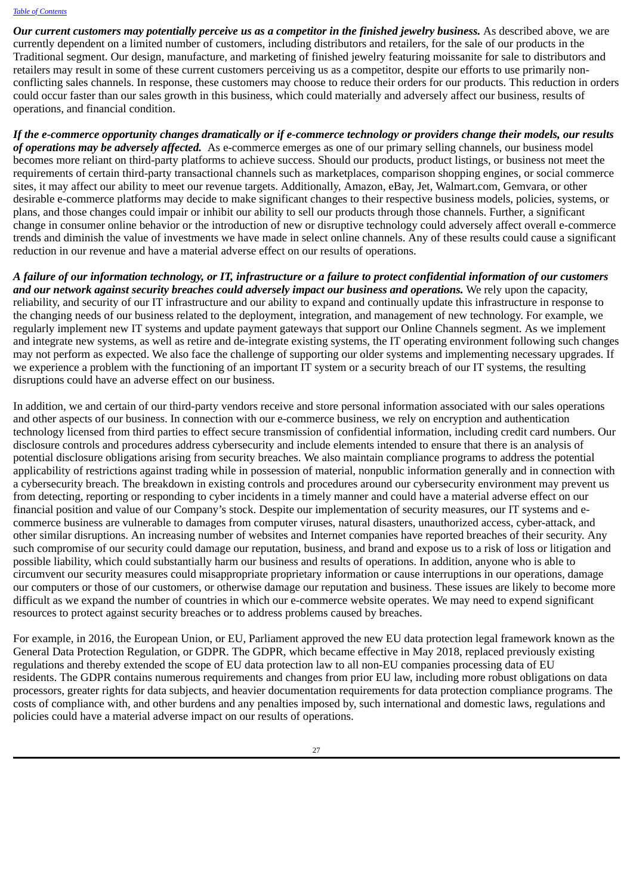*Our current customers may potentially perceive us as a competitor in the finished jewelry business.* As described above, we are currently dependent on a limited number of customers, including distributors and retailers, for the sale of our products in the Traditional segment. Our design, manufacture, and marketing of finished jewelry featuring moissanite for sale to distributors and retailers may result in some of these current customers perceiving us as a competitor, despite our efforts to use primarily nonconflicting sales channels. In response, these customers may choose to reduce their orders for our products. This reduction in orders could occur faster than our sales growth in this business, which could materially and adversely affect our business, results of operations, and financial condition.

*If the e-commerce opportunity changes dramatically or if e-commerce technology or providers change their models, our results of operations may be adversely affected.* As e-commerce emerges as one of our primary selling channels, our business model becomes more reliant on third-party platforms to achieve success. Should our products, product listings, or business not meet the requirements of certain third-party transactional channels such as marketplaces, comparison shopping engines, or social commerce sites, it may affect our ability to meet our revenue targets. Additionally, Amazon, eBay, Jet, Walmart.com, Gemvara, or other desirable e-commerce platforms may decide to make significant changes to their respective business models, policies, systems, or plans, and those changes could impair or inhibit our ability to sell our products through those channels. Further, a significant change in consumer online behavior or the introduction of new or disruptive technology could adversely affect overall e-commerce trends and diminish the value of investments we have made in select online channels. Any of these results could cause a significant reduction in our revenue and have a material adverse effect on our results of operations.

*A failure of our information technology, or IT, infrastructure or a failure to protect confidential information of our customers and our network against security breaches could adversely impact our business and operations.* We rely upon the capacity, reliability, and security of our IT infrastructure and our ability to expand and continually update this infrastructure in response to the changing needs of our business related to the deployment, integration, and management of new technology. For example, we regularly implement new IT systems and update payment gateways that support our Online Channels segment. As we implement and integrate new systems, as well as retire and de-integrate existing systems, the IT operating environment following such changes may not perform as expected. We also face the challenge of supporting our older systems and implementing necessary upgrades. If we experience a problem with the functioning of an important IT system or a security breach of our IT systems, the resulting disruptions could have an adverse effect on our business.

In addition, we and certain of our third-party vendors receive and store personal information associated with our sales operations and other aspects of our business. In connection with our e-commerce business, we rely on encryption and authentication technology licensed from third parties to effect secure transmission of confidential information, including credit card numbers. Our disclosure controls and procedures address cybersecurity and include elements intended to ensure that there is an analysis of potential disclosure obligations arising from security breaches. We also maintain compliance programs to address the potential applicability of restrictions against trading while in possession of material, nonpublic information generally and in connection with a cybersecurity breach. The breakdown in existing controls and procedures around our cybersecurity environment may prevent us from detecting, reporting or responding to cyber incidents in a timely manner and could have a material adverse effect on our financial position and value of our Company's stock. Despite our implementation of security measures, our IT systems and ecommerce business are vulnerable to damages from computer viruses, natural disasters, unauthorized access, cyber-attack, and other similar disruptions. An increasing number of websites and Internet companies have reported breaches of their security. Any such compromise of our security could damage our reputation, business, and brand and expose us to a risk of loss or litigation and possible liability, which could substantially harm our business and results of operations. In addition, anyone who is able to circumvent our security measures could misappropriate proprietary information or cause interruptions in our operations, damage our computers or those of our customers, or otherwise damage our reputation and business. These issues are likely to become more difficult as we expand the number of countries in which our e-commerce website operates. We may need to expend significant resources to protect against security breaches or to address problems caused by breaches.

For example, in 2016, the European Union, or EU, Parliament approved the new EU data protection legal framework known as the General Data Protection Regulation, or GDPR. The GDPR, which became effective in May 2018, replaced previously existing regulations and thereby extended the scope of EU data protection law to all non-EU companies processing data of EU residents. The GDPR contains numerous requirements and changes from prior EU law, including more robust obligations on data processors, greater rights for data subjects, and heavier documentation requirements for data protection compliance programs. The costs of compliance with, and other burdens and any penalties imposed by, such international and domestic laws, regulations and policies could have a material adverse impact on our results of operations.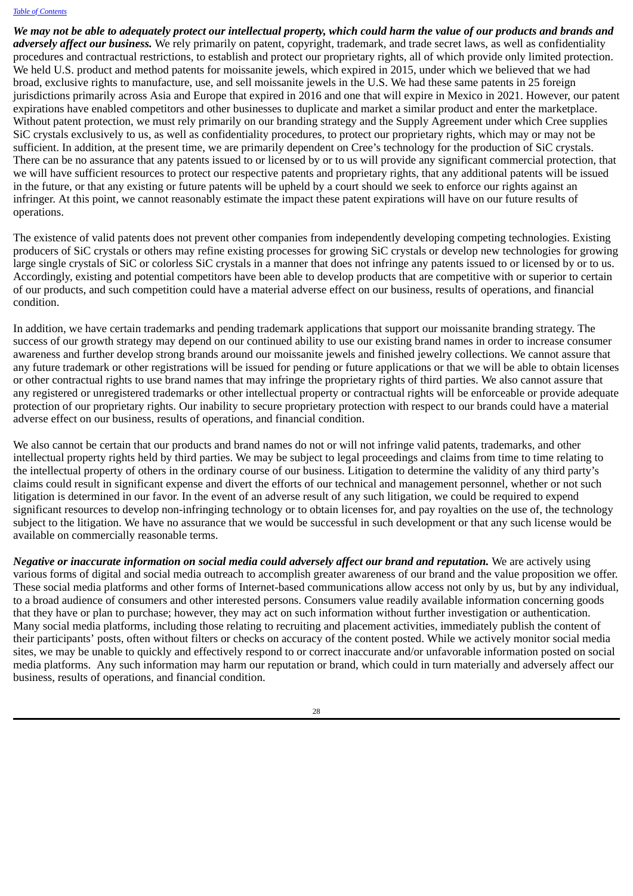*We may not be able to adequately protect our intellectual property, which could harm the value of our products and brands and adversely affect our business.* We rely primarily on patent, copyright, trademark, and trade secret laws, as well as confidentiality procedures and contractual restrictions, to establish and protect our proprietary rights, all of which provide only limited protection. We held U.S. product and method patents for moissanite jewels, which expired in 2015, under which we believed that we had broad, exclusive rights to manufacture, use, and sell moissanite jewels in the U.S. We had these same patents in 25 foreign jurisdictions primarily across Asia and Europe that expired in 2016 and one that will expire in Mexico in 2021. However, our patent expirations have enabled competitors and other businesses to duplicate and market a similar product and enter the marketplace. Without patent protection, we must rely primarily on our branding strategy and the Supply Agreement under which Cree supplies SiC crystals exclusively to us, as well as confidentiality procedures, to protect our proprietary rights, which may or may not be sufficient. In addition, at the present time, we are primarily dependent on Cree's technology for the production of SiC crystals. There can be no assurance that any patents issued to or licensed by or to us will provide any significant commercial protection, that we will have sufficient resources to protect our respective patents and proprietary rights, that any additional patents will be issued in the future, or that any existing or future patents will be upheld by a court should we seek to enforce our rights against an infringer. At this point, we cannot reasonably estimate the impact these patent expirations will have on our future results of operations.

The existence of valid patents does not prevent other companies from independently developing competing technologies. Existing producers of SiC crystals or others may refine existing processes for growing SiC crystals or develop new technologies for growing large single crystals of SiC or colorless SiC crystals in a manner that does not infringe any patents issued to or licensed by or to us. Accordingly, existing and potential competitors have been able to develop products that are competitive with or superior to certain of our products, and such competition could have a material adverse effect on our business, results of operations, and financial condition.

In addition, we have certain trademarks and pending trademark applications that support our moissanite branding strategy. The success of our growth strategy may depend on our continued ability to use our existing brand names in order to increase consumer awareness and further develop strong brands around our moissanite jewels and finished jewelry collections. We cannot assure that any future trademark or other registrations will be issued for pending or future applications or that we will be able to obtain licenses or other contractual rights to use brand names that may infringe the proprietary rights of third parties. We also cannot assure that any registered or unregistered trademarks or other intellectual property or contractual rights will be enforceable or provide adequate protection of our proprietary rights. Our inability to secure proprietary protection with respect to our brands could have a material adverse effect on our business, results of operations, and financial condition.

We also cannot be certain that our products and brand names do not or will not infringe valid patents, trademarks, and other intellectual property rights held by third parties. We may be subject to legal proceedings and claims from time to time relating to the intellectual property of others in the ordinary course of our business. Litigation to determine the validity of any third party's claims could result in significant expense and divert the efforts of our technical and management personnel, whether or not such litigation is determined in our favor. In the event of an adverse result of any such litigation, we could be required to expend significant resources to develop non-infringing technology or to obtain licenses for, and pay royalties on the use of, the technology subject to the litigation. We have no assurance that we would be successful in such development or that any such license would be available on commercially reasonable terms.

*Negative or inaccurate information on social media could adversely affect our brand and reputation.* We are actively using various forms of digital and social media outreach to accomplish greater awareness of our brand and the value proposition we offer. These social media platforms and other forms of Internet-based communications allow access not only by us, but by any individual, to a broad audience of consumers and other interested persons. Consumers value readily available information concerning goods that they have or plan to purchase; however, they may act on such information without further investigation or authentication. Many social media platforms, including those relating to recruiting and placement activities, immediately publish the content of their participants' posts, often without filters or checks on accuracy of the content posted. While we actively monitor social media sites, we may be unable to quickly and effectively respond to or correct inaccurate and/or unfavorable information posted on social media platforms. Any such information may harm our reputation or brand, which could in turn materially and adversely affect our business, results of operations, and financial condition.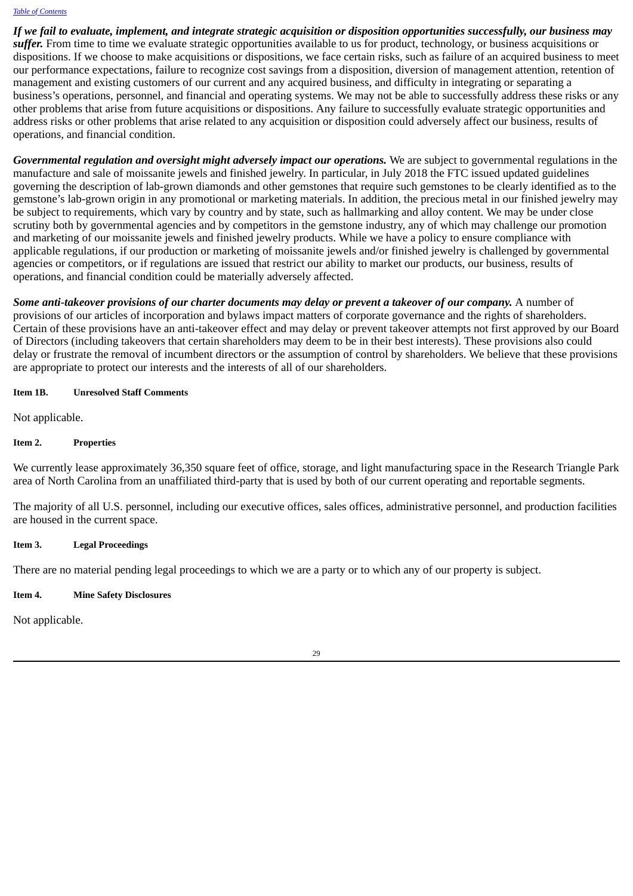*If we fail to evaluate, implement, and integrate strategic acquisition or disposition opportunities successfully, our business may suffer.* From time to time we evaluate strategic opportunities available to us for product, technology, or business acquisitions or dispositions. If we choose to make acquisitions or dispositions, we face certain risks, such as failure of an acquired business to meet our performance expectations, failure to recognize cost savings from a disposition, diversion of management attention, retention of management and existing customers of our current and any acquired business, and difficulty in integrating or separating a business's operations, personnel, and financial and operating systems. We may not be able to successfully address these risks or any other problems that arise from future acquisitions or dispositions. Any failure to successfully evaluate strategic opportunities and address risks or other problems that arise related to any acquisition or disposition could adversely affect our business, results of operations, and financial condition.

*Governmental regulation and oversight might adversely impact our operations.* We are subject to governmental regulations in the manufacture and sale of moissanite jewels and finished jewelry. In particular, in July 2018 the FTC issued updated guidelines governing the description of lab-grown diamonds and other gemstones that require such gemstones to be clearly identified as to the gemstone's lab-grown origin in any promotional or marketing materials. In addition, the precious metal in our finished jewelry may be subject to requirements, which vary by country and by state, such as hallmarking and alloy content. We may be under close scrutiny both by governmental agencies and by competitors in the gemstone industry, any of which may challenge our promotion and marketing of our moissanite jewels and finished jewelry products. While we have a policy to ensure compliance with applicable regulations, if our production or marketing of moissanite jewels and/or finished jewelry is challenged by governmental agencies or competitors, or if regulations are issued that restrict our ability to market our products, our business, results of operations, and financial condition could be materially adversely affected.

*Some anti-takeover provisions of our charter documents may delay or prevent a takeover of our company.* A number of provisions of our articles of incorporation and bylaws impact matters of corporate governance and the rights of shareholders. Certain of these provisions have an anti-takeover effect and may delay or prevent takeover attempts not first approved by our Board of Directors (including takeovers that certain shareholders may deem to be in their best interests). These provisions also could delay or frustrate the removal of incumbent directors or the assumption of control by shareholders. We believe that these provisions are appropriate to protect our interests and the interests of all of our shareholders.

#### <span id="page-31-0"></span>**Item 1B. Unresolved Staff Comments**

Not applicable.

#### <span id="page-31-1"></span>**Item 2. Properties**

We currently lease approximately 36,350 square feet of office, storage, and light manufacturing space in the Research Triangle Park area of North Carolina from an unaffiliated third-party that is used by both of our current operating and reportable segments.

The majority of all U.S. personnel, including our executive offices, sales offices, administrative personnel, and production facilities are housed in the current space.

#### <span id="page-31-2"></span>**Item 3. Legal Proceedings**

There are no material pending legal proceedings to which we are a party or to which any of our property is subject.

#### <span id="page-31-3"></span>**Item 4. Mine Safety Disclosures**

Not applicable.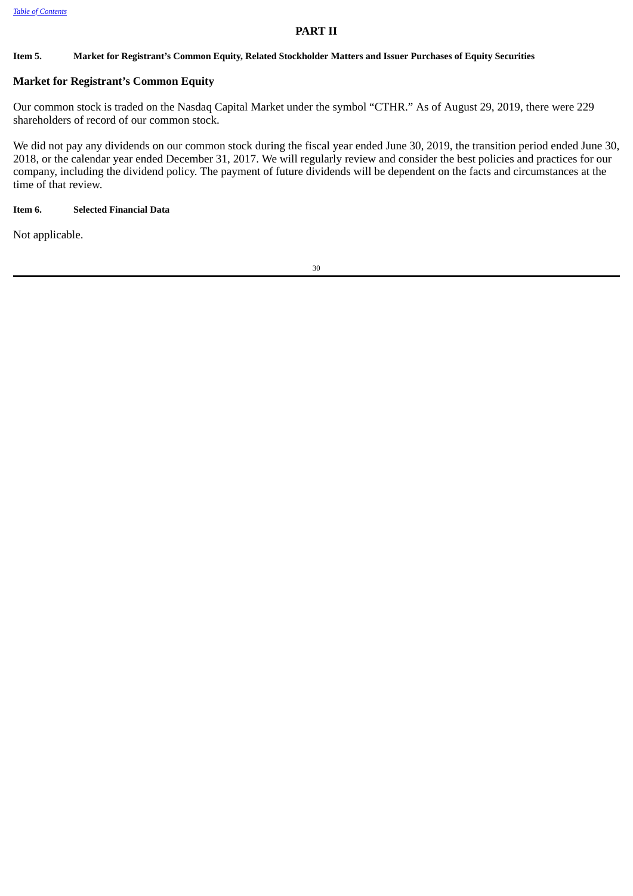## **PART II**

#### <span id="page-32-0"></span>Item 5. Market for Registrant's Common Equity, Related Stockholder Matters and Issuer Purchases of Equity Securities

## **Market for Registrant's Common Equity**

Our common stock is traded on the Nasdaq Capital Market under the symbol "CTHR." As of August 29, 2019, there were 229 shareholders of record of our common stock.

We did not pay any dividends on our common stock during the fiscal year ended June 30, 2019, the transition period ended June 30, 2018, or the calendar year ended December 31, 2017. We will regularly review and consider the best policies and practices for our company, including the dividend policy. The payment of future dividends will be dependent on the facts and circumstances at the time of that review.

#### <span id="page-32-1"></span>**Item 6. Selected Financial Data**

Not applicable.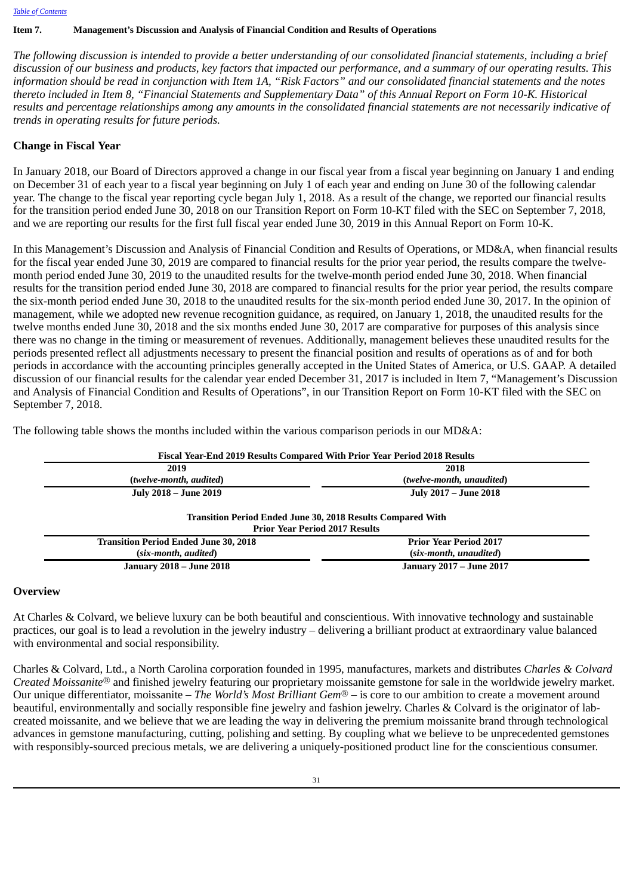#### <span id="page-33-0"></span>**Item 7. Management's Discussion and Analysis of Financial Condition and Results of Operations**

*The following discussion is intended to provide a better understanding of our consolidated financial statements, including a brief discussion of our business and products, key factors that impacted our performance, and a summary of our operating results. This information should be read in conjunction with Item 1A, "Risk Factors" and our consolidated financial statements and the notes thereto included in Item 8, "Financial Statements and Supplementary Data" of this Annual Report on Form 10-K. Historical results and percentage relationships among any amounts in the consolidated financial statements are not necessarily indicative of trends in operating results for future periods.*

#### **Change in Fiscal Year**

In January 2018, our Board of Directors approved a change in our fiscal year from a fiscal year beginning on January 1 and ending on December 31 of each year to a fiscal year beginning on July 1 of each year and ending on June 30 of the following calendar year. The change to the fiscal year reporting cycle began July 1, 2018. As a result of the change, we reported our financial results for the transition period ended June 30, 2018 on our Transition Report on Form 10-KT filed with the SEC on September 7, 2018, and we are reporting our results for the first full fiscal year ended June 30, 2019 in this Annual Report on Form 10-K.

In this Management's Discussion and Analysis of Financial Condition and Results of Operations, or MD&A, when financial results for the fiscal year ended June 30, 2019 are compared to financial results for the prior year period, the results compare the twelvemonth period ended June 30, 2019 to the unaudited results for the twelve-month period ended June 30, 2018. When financial results for the transition period ended June 30, 2018 are compared to financial results for the prior year period, the results compare the six-month period ended June 30, 2018 to the unaudited results for the six-month period ended June 30, 2017. In the opinion of management, while we adopted new revenue recognition guidance, as required, on January 1, 2018, the unaudited results for the twelve months ended June 30, 2018 and the six months ended June 30, 2017 are comparative for purposes of this analysis since there was no change in the timing or measurement of revenues. Additionally, management believes these unaudited results for the periods presented reflect all adjustments necessary to present the financial position and results of operations as of and for both periods in accordance with the accounting principles generally accepted in the United States of America, or U.S. GAAP. A detailed discussion of our financial results for the calendar year ended December 31, 2017 is included in Item 7, "Management's Discussion and Analysis of Financial Condition and Results of Operations", in our Transition Report on Form 10-KT filed with the SEC on September 7, 2018.

The following table shows the months included within the various comparison periods in our MD&A:

| Fiscal Year-End 2019 Results Compared With Prior Year Period 2018 Results |                               |
|---------------------------------------------------------------------------|-------------------------------|
| 2019                                                                      | 2018                          |
| (twelve-month, audited)                                                   | (twelve-month, unaudited)     |
| July 2018 – June 2019                                                     | July 2017 – June 2018         |
| <b>Transition Period Ended June 30, 2018 Results Compared With</b>        |                               |
| <b>Prior Year Period 2017 Results</b>                                     |                               |
| <b>Transition Period Ended June 30, 2018</b>                              | <b>Prior Year Period 2017</b> |
| (six-month, audited)                                                      | (six-month, unaudited)        |

#### **Overview**

At Charles & Colvard, we believe luxury can be both beautiful and conscientious. With innovative technology and sustainable practices, our goal is to lead a revolution in the jewelry industry – delivering a brilliant product at extraordinary value balanced with environmental and social responsibility.

Charles & Colvard, Ltd., a North Carolina corporation founded in 1995, manufactures, markets and distributes *Charles & Colvard Created Moissanite®* and finished jewelry featuring our proprietary moissanite gemstone for sale in the worldwide jewelry market. Our unique differentiator, moissanite – *The World's Most Brilliant Gem®* – is core to our ambition to create a movement around beautiful, environmentally and socially responsible fine jewelry and fashion jewelry. Charles & Colvard is the originator of labcreated moissanite, and we believe that we are leading the way in delivering the premium moissanite brand through technological advances in gemstone manufacturing, cutting, polishing and setting. By coupling what we believe to be unprecedented gemstones with responsibly-sourced precious metals, we are delivering a uniquely-positioned product line for the conscientious consumer.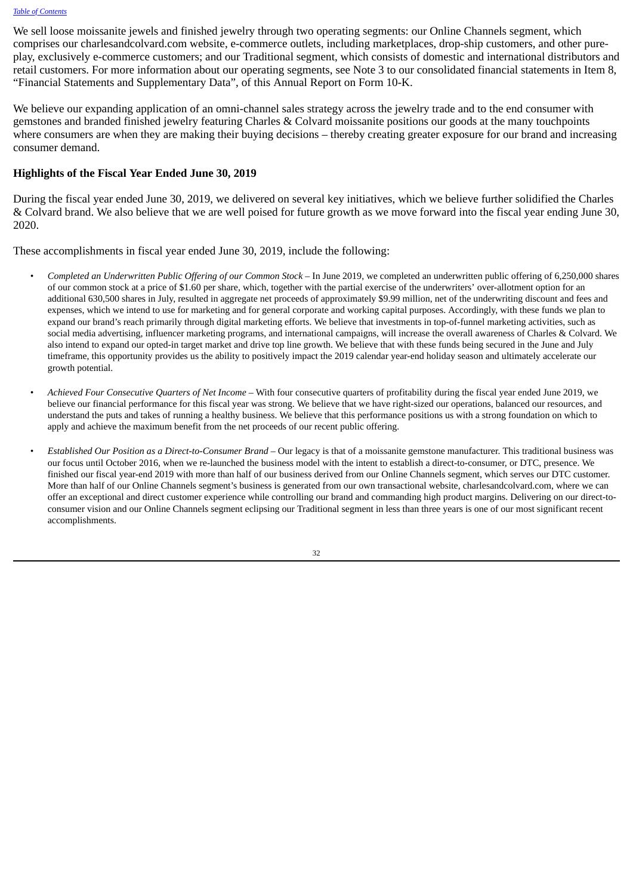We sell loose moissanite jewels and finished jewelry through two operating segments: our Online Channels segment, which comprises our charlesandcolvard.com website, e-commerce outlets, including marketplaces, drop-ship customers, and other pureplay, exclusively e-commerce customers; and our Traditional segment, which consists of domestic and international distributors and retail customers. For more information about our operating segments, see Note 3 to our consolidated financial statements in Item 8, "Financial Statements and Supplementary Data", of this Annual Report on Form 10-K.

We believe our expanding application of an omni-channel sales strategy across the jewelry trade and to the end consumer with gemstones and branded finished jewelry featuring Charles & Colvard moissanite positions our goods at the many touchpoints where consumers are when they are making their buying decisions – thereby creating greater exposure for our brand and increasing consumer demand.

#### **Highlights of the Fiscal Year Ended June 30, 2019**

During the fiscal year ended June 30, 2019, we delivered on several key initiatives, which we believe further solidified the Charles & Colvard brand. We also believe that we are well poised for future growth as we move forward into the fiscal year ending June 30, 2020.

These accomplishments in fiscal year ended June 30, 2019, include the following:

- *Completed an Underwritten Public Offering of our Common Stock* In June 2019, we completed an underwritten public offering of 6,250,000 shares of our common stock at a price of \$1.60 per share, which, together with the partial exercise of the underwriters' over-allotment option for an additional 630,500 shares in July, resulted in aggregate net proceeds of approximately \$9.99 million, net of the underwriting discount and fees and expenses, which we intend to use for marketing and for general corporate and working capital purposes. Accordingly, with these funds we plan to expand our brand's reach primarily through digital marketing efforts. We believe that investments in top-of-funnel marketing activities, such as social media advertising, influencer marketing programs, and international campaigns, will increase the overall awareness of Charles & Colvard. We also intend to expand our opted-in target market and drive top line growth. We believe that with these funds being secured in the June and July timeframe, this opportunity provides us the ability to positively impact the 2019 calendar year-end holiday season and ultimately accelerate our growth potential.
- *Achieved Four Consecutive Quarters of Net Income* With four consecutive quarters of profitability during the fiscal year ended June 2019, we believe our financial performance for this fiscal year was strong. We believe that we have right-sized our operations, balanced our resources, and understand the puts and takes of running a healthy business. We believe that this performance positions us with a strong foundation on which to apply and achieve the maximum benefit from the net proceeds of our recent public offering.
- *Established Our Position as a Direct-to-Consumer Brand* Our legacy is that of a moissanite gemstone manufacturer. This traditional business was our focus until October 2016, when we re-launched the business model with the intent to establish a direct-to-consumer, or DTC, presence. We finished our fiscal year-end 2019 with more than half of our business derived from our Online Channels segment, which serves our DTC customer. More than half of our Online Channels segment's business is generated from our own transactional website, charlesandcolvard.com, where we can offer an exceptional and direct customer experience while controlling our brand and commanding high product margins. Delivering on our direct-toconsumer vision and our Online Channels segment eclipsing our Traditional segment in less than three years is one of our most significant recent accomplishments.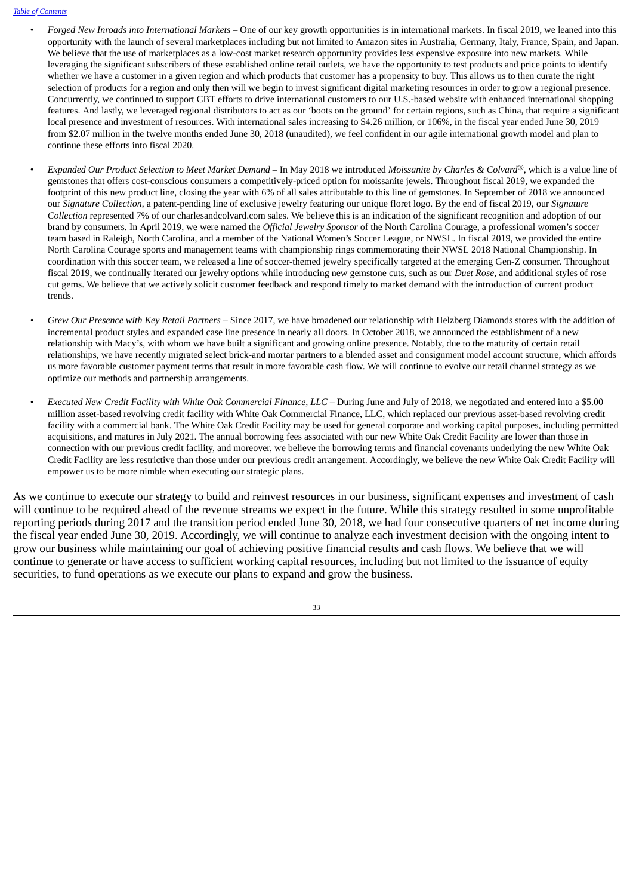```
Table of Contents
```
- *Forged New Inroads into International Markets* One of our key growth opportunities is in international markets. In fiscal 2019, we leaned into this opportunity with the launch of several marketplaces including but not limited to Amazon sites in Australia, Germany, Italy, France, Spain, and Japan. We believe that the use of marketplaces as a low-cost market research opportunity provides less expensive exposure into new markets. While leveraging the significant subscribers of these established online retail outlets, we have the opportunity to test products and price points to identify whether we have a customer in a given region and which products that customer has a propensity to buy. This allows us to then curate the right selection of products for a region and only then will we begin to invest significant digital marketing resources in order to grow a regional presence. Concurrently, we continued to support CBT efforts to drive international customers to our U.S.-based website with enhanced international shopping features. And lastly, we leveraged regional distributors to act as our 'boots on the ground' for certain regions, such as China, that require a significant local presence and investment of resources. With international sales increasing to \$4.26 million, or 106%, in the fiscal year ended June 30, 2019 from \$2.07 million in the twelve months ended June 30, 2018 (unaudited), we feel confident in our agile international growth model and plan to continue these efforts into fiscal 2020.
- Expanded Our Product Selection to Meet Market Demand In May 2018 we introduced Moissanite by Charles & Colvard®, which is a value line of gemstones that offers cost-conscious consumers a competitively-priced option for moissanite jewels. Throughout fiscal 2019, we expanded the footprint of this new product line, closing the year with 6% of all sales attributable to this line of gemstones. In September of 2018 we announced our *Signature Collection*, a patent-pending line of exclusive jewelry featuring our unique floret logo. By the end of fiscal 2019, our *Signature Collection* represented 7% of our charlesandcolvard.com sales. We believe this is an indication of the significant recognition and adoption of our brand by consumers. In April 2019, we were named the *Official Jewelry Sponsor* of the North Carolina Courage, a professional women's soccer team based in Raleigh, North Carolina, and a member of the National Women's Soccer League, or NWSL. In fiscal 2019, we provided the entire North Carolina Courage sports and management teams with championship rings commemorating their NWSL 2018 National Championship. In coordination with this soccer team, we released a line of soccer-themed jewelry specifically targeted at the emerging Gen-Z consumer. Throughout fiscal 2019, we continually iterated our jewelry options while introducing new gemstone cuts, such as our *Duet Rose*, and additional styles of rose cut gems. We believe that we actively solicit customer feedback and respond timely to market demand with the introduction of current product trends.
- *Grew Our Presence with Key Retail Partners –* Since 2017, we have broadened our relationship with Helzberg Diamonds stores with the addition of incremental product styles and expanded case line presence in nearly all doors. In October 2018, we announced the establishment of a new relationship with Macy's, with whom we have built a significant and growing online presence. Notably, due to the maturity of certain retail relationships, we have recently migrated select brick-and mortar partners to a blended asset and consignment model account structure, which affords us more favorable customer payment terms that result in more favorable cash flow. We will continue to evolve our retail channel strategy as we optimize our methods and partnership arrangements.
- *Executed New Credit Facility with White Oak Commercial Finance, LLC* During June and July of 2018, we negotiated and entered into a \$5.00 million asset-based revolving credit facility with White Oak Commercial Finance, LLC, which replaced our previous asset-based revolving credit facility with a commercial bank. The White Oak Credit Facility may be used for general corporate and working capital purposes, including permitted acquisitions, and matures in July 2021. The annual borrowing fees associated with our new White Oak Credit Facility are lower than those in connection with our previous credit facility, and moreover, we believe the borrowing terms and financial covenants underlying the new White Oak Credit Facility are less restrictive than those under our previous credit arrangement. Accordingly, we believe the new White Oak Credit Facility will empower us to be more nimble when executing our strategic plans.

As we continue to execute our strategy to build and reinvest resources in our business, significant expenses and investment of cash will continue to be required ahead of the revenue streams we expect in the future. While this strategy resulted in some unprofitable reporting periods during 2017 and the transition period ended June 30, 2018, we had four consecutive quarters of net income during the fiscal year ended June 30, 2019. Accordingly, we will continue to analyze each investment decision with the ongoing intent to grow our business while maintaining our goal of achieving positive financial results and cash flows. We believe that we will continue to generate or have access to sufficient working capital resources, including but not limited to the issuance of equity securities, to fund operations as we execute our plans to expand and grow the business.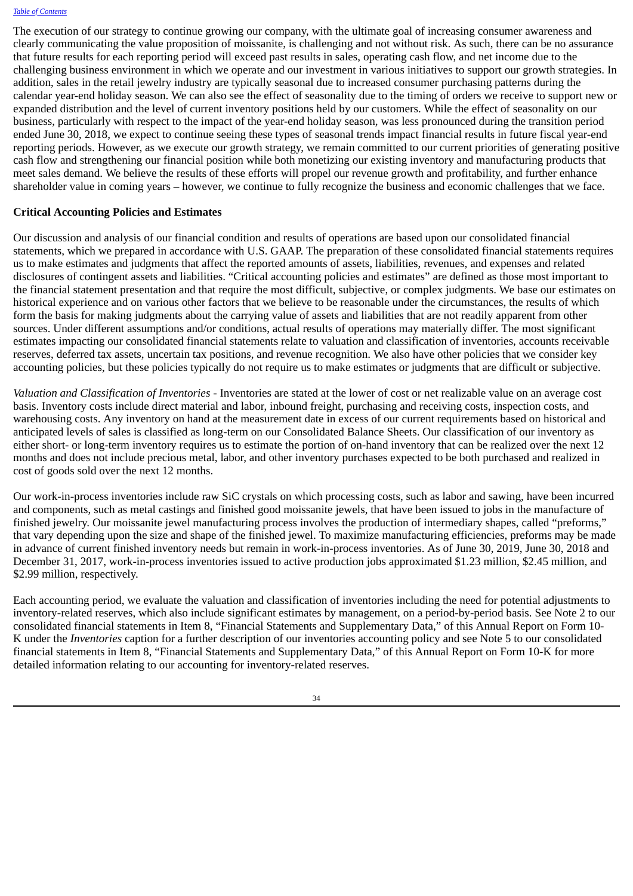The execution of our strategy to continue growing our company, with the ultimate goal of increasing consumer awareness and clearly communicating the value proposition of moissanite, is challenging and not without risk. As such, there can be no assurance that future results for each reporting period will exceed past results in sales, operating cash flow, and net income due to the challenging business environment in which we operate and our investment in various initiatives to support our growth strategies. In addition, sales in the retail jewelry industry are typically seasonal due to increased consumer purchasing patterns during the calendar year-end holiday season. We can also see the effect of seasonality due to the timing of orders we receive to support new or expanded distribution and the level of current inventory positions held by our customers. While the effect of seasonality on our business, particularly with respect to the impact of the year-end holiday season, was less pronounced during the transition period ended June 30, 2018, we expect to continue seeing these types of seasonal trends impact financial results in future fiscal year-end reporting periods. However, as we execute our growth strategy, we remain committed to our current priorities of generating positive cash flow and strengthening our financial position while both monetizing our existing inventory and manufacturing products that meet sales demand. We believe the results of these efforts will propel our revenue growth and profitability, and further enhance shareholder value in coming years – however, we continue to fully recognize the business and economic challenges that we face.

#### **Critical Accounting Policies and Estimates**

Our discussion and analysis of our financial condition and results of operations are based upon our consolidated financial statements, which we prepared in accordance with U.S. GAAP. The preparation of these consolidated financial statements requires us to make estimates and judgments that affect the reported amounts of assets, liabilities, revenues, and expenses and related disclosures of contingent assets and liabilities. "Critical accounting policies and estimates" are defined as those most important to the financial statement presentation and that require the most difficult, subjective, or complex judgments. We base our estimates on historical experience and on various other factors that we believe to be reasonable under the circumstances, the results of which form the basis for making judgments about the carrying value of assets and liabilities that are not readily apparent from other sources. Under different assumptions and/or conditions, actual results of operations may materially differ. The most significant estimates impacting our consolidated financial statements relate to valuation and classification of inventories, accounts receivable reserves, deferred tax assets, uncertain tax positions, and revenue recognition. We also have other policies that we consider key accounting policies, but these policies typically do not require us to make estimates or judgments that are difficult or subjective.

*Valuation and Classification of Inventories -* Inventories are stated at the lower of cost or net realizable value on an average cost basis. Inventory costs include direct material and labor, inbound freight, purchasing and receiving costs, inspection costs, and warehousing costs. Any inventory on hand at the measurement date in excess of our current requirements based on historical and anticipated levels of sales is classified as long-term on our Consolidated Balance Sheets. Our classification of our inventory as either short- or long-term inventory requires us to estimate the portion of on-hand inventory that can be realized over the next 12 months and does not include precious metal, labor, and other inventory purchases expected to be both purchased and realized in cost of goods sold over the next 12 months.

Our work-in-process inventories include raw SiC crystals on which processing costs, such as labor and sawing, have been incurred and components, such as metal castings and finished good moissanite jewels, that have been issued to jobs in the manufacture of finished jewelry. Our moissanite jewel manufacturing process involves the production of intermediary shapes, called "preforms," that vary depending upon the size and shape of the finished jewel. To maximize manufacturing efficiencies, preforms may be made in advance of current finished inventory needs but remain in work-in-process inventories. As of June 30, 2019, June 30, 2018 and December 31, 2017, work-in-process inventories issued to active production jobs approximated \$1.23 million, \$2.45 million, and \$2.99 million, respectively.

Each accounting period, we evaluate the valuation and classification of inventories including the need for potential adjustments to inventory-related reserves, which also include significant estimates by management, on a period-by-period basis. See Note 2 to our consolidated financial statements in Item 8, "Financial Statements and Supplementary Data," of this Annual Report on Form 10- K under the *Inventories* caption for a further description of our inventories accounting policy and see Note 5 to our consolidated financial statements in Item 8, "Financial Statements and Supplementary Data," of this Annual Report on Form 10-K for more detailed information relating to our accounting for inventory-related reserves.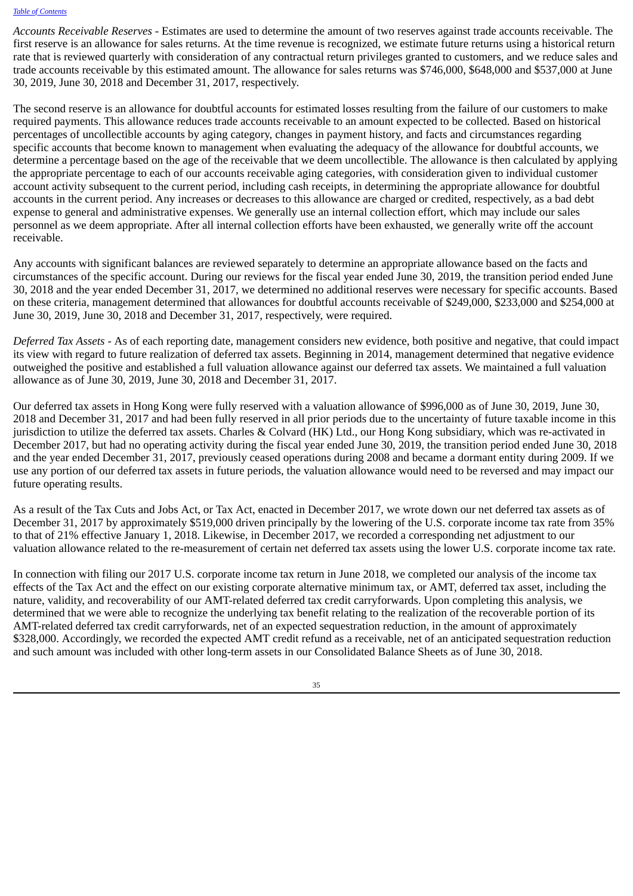#### *Table of [Contents](#page-2-0)*

*Accounts Receivable Reserves -* Estimates are used to determine the amount of two reserves against trade accounts receivable. The first reserve is an allowance for sales returns. At the time revenue is recognized, we estimate future returns using a historical return rate that is reviewed quarterly with consideration of any contractual return privileges granted to customers, and we reduce sales and trade accounts receivable by this estimated amount. The allowance for sales returns was \$746,000, \$648,000 and \$537,000 at June 30, 2019, June 30, 2018 and December 31, 2017, respectively.

The second reserve is an allowance for doubtful accounts for estimated losses resulting from the failure of our customers to make required payments. This allowance reduces trade accounts receivable to an amount expected to be collected. Based on historical percentages of uncollectible accounts by aging category, changes in payment history, and facts and circumstances regarding specific accounts that become known to management when evaluating the adequacy of the allowance for doubtful accounts, we determine a percentage based on the age of the receivable that we deem uncollectible. The allowance is then calculated by applying the appropriate percentage to each of our accounts receivable aging categories, with consideration given to individual customer account activity subsequent to the current period, including cash receipts, in determining the appropriate allowance for doubtful accounts in the current period. Any increases or decreases to this allowance are charged or credited, respectively, as a bad debt expense to general and administrative expenses. We generally use an internal collection effort, which may include our sales personnel as we deem appropriate. After all internal collection efforts have been exhausted, we generally write off the account receivable.

Any accounts with significant balances are reviewed separately to determine an appropriate allowance based on the facts and circumstances of the specific account. During our reviews for the fiscal year ended June 30, 2019, the transition period ended June 30, 2018 and the year ended December 31, 2017, we determined no additional reserves were necessary for specific accounts. Based on these criteria, management determined that allowances for doubtful accounts receivable of \$249,000, \$233,000 and \$254,000 at June 30, 2019, June 30, 2018 and December 31, 2017, respectively, were required.

*Deferred Tax Assets -* As of each reporting date, management considers new evidence, both positive and negative, that could impact its view with regard to future realization of deferred tax assets. Beginning in 2014, management determined that negative evidence outweighed the positive and established a full valuation allowance against our deferred tax assets. We maintained a full valuation allowance as of June 30, 2019, June 30, 2018 and December 31, 2017.

Our deferred tax assets in Hong Kong were fully reserved with a valuation allowance of \$996,000 as of June 30, 2019, June 30, 2018 and December 31, 2017 and had been fully reserved in all prior periods due to the uncertainty of future taxable income in this jurisdiction to utilize the deferred tax assets. Charles & Colvard (HK) Ltd., our Hong Kong subsidiary, which was re-activated in December 2017, but had no operating activity during the fiscal year ended June 30, 2019, the transition period ended June 30, 2018 and the year ended December 31, 2017, previously ceased operations during 2008 and became a dormant entity during 2009. If we use any portion of our deferred tax assets in future periods, the valuation allowance would need to be reversed and may impact our future operating results.

As a result of the Tax Cuts and Jobs Act, or Tax Act, enacted in December 2017, we wrote down our net deferred tax assets as of December 31, 2017 by approximately \$519,000 driven principally by the lowering of the U.S. corporate income tax rate from 35% to that of 21% effective January 1, 2018. Likewise, in December 2017, we recorded a corresponding net adjustment to our valuation allowance related to the re-measurement of certain net deferred tax assets using the lower U.S. corporate income tax rate.

In connection with filing our 2017 U.S. corporate income tax return in June 2018, we completed our analysis of the income tax effects of the Tax Act and the effect on our existing corporate alternative minimum tax, or AMT, deferred tax asset, including the nature, validity, and recoverability of our AMT-related deferred tax credit carryforwards. Upon completing this analysis, we determined that we were able to recognize the underlying tax benefit relating to the realization of the recoverable portion of its AMT-related deferred tax credit carryforwards, net of an expected sequestration reduction, in the amount of approximately \$328,000. Accordingly, we recorded the expected AMT credit refund as a receivable, net of an anticipated sequestration reduction and such amount was included with other long-term assets in our Consolidated Balance Sheets as of June 30, 2018.

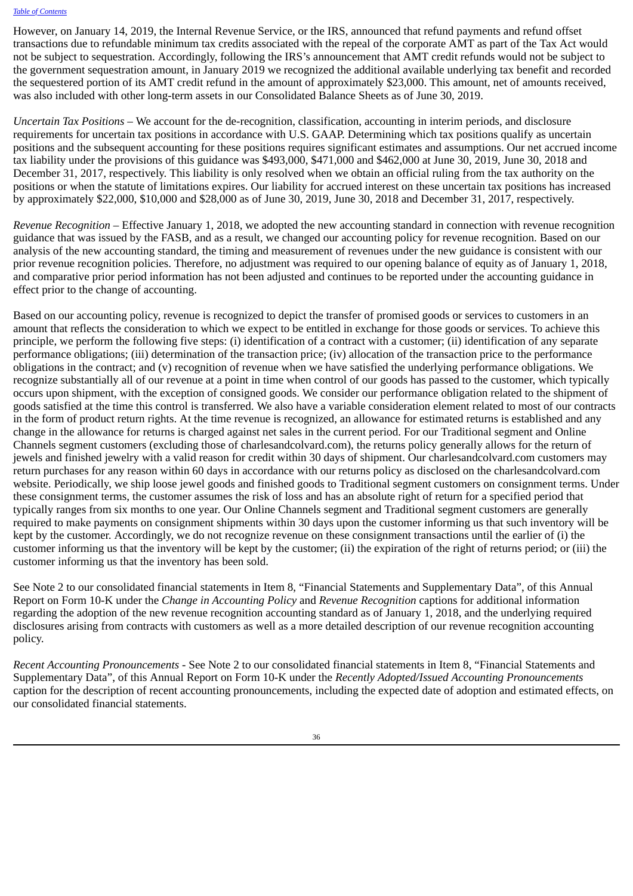However, on January 14, 2019, the Internal Revenue Service, or the IRS, announced that refund payments and refund offset transactions due to refundable minimum tax credits associated with the repeal of the corporate AMT as part of the Tax Act would not be subject to sequestration. Accordingly, following the IRS's announcement that AMT credit refunds would not be subject to the government sequestration amount, in January 2019 we recognized the additional available underlying tax benefit and recorded the sequestered portion of its AMT credit refund in the amount of approximately \$23,000. This amount, net of amounts received, was also included with other long-term assets in our Consolidated Balance Sheets as of June 30, 2019.

*Uncertain Tax Positions –* We account for the de-recognition, classification, accounting in interim periods, and disclosure requirements for uncertain tax positions in accordance with U.S. GAAP. Determining which tax positions qualify as uncertain positions and the subsequent accounting for these positions requires significant estimates and assumptions. Our net accrued income tax liability under the provisions of this guidance was \$493,000, \$471,000 and \$462,000 at June 30, 2019, June 30, 2018 and December 31, 2017, respectively. This liability is only resolved when we obtain an official ruling from the tax authority on the positions or when the statute of limitations expires. Our liability for accrued interest on these uncertain tax positions has increased by approximately \$22,000, \$10,000 and \$28,000 as of June 30, 2019, June 30, 2018 and December 31, 2017, respectively.

*Revenue Recognition –* Effective January 1, 2018, we adopted the new accounting standard in connection with revenue recognition guidance that was issued by the FASB, and as a result, we changed our accounting policy for revenue recognition. Based on our analysis of the new accounting standard, the timing and measurement of revenues under the new guidance is consistent with our prior revenue recognition policies. Therefore, no adjustment was required to our opening balance of equity as of January 1, 2018, and comparative prior period information has not been adjusted and continues to be reported under the accounting guidance in effect prior to the change of accounting.

Based on our accounting policy, revenue is recognized to depict the transfer of promised goods or services to customers in an amount that reflects the consideration to which we expect to be entitled in exchange for those goods or services. To achieve this principle, we perform the following five steps: (i) identification of a contract with a customer; (ii) identification of any separate performance obligations; (iii) determination of the transaction price; (iv) allocation of the transaction price to the performance obligations in the contract; and (v) recognition of revenue when we have satisfied the underlying performance obligations. We recognize substantially all of our revenue at a point in time when control of our goods has passed to the customer, which typically occurs upon shipment, with the exception of consigned goods. We consider our performance obligation related to the shipment of goods satisfied at the time this control is transferred. We also have a variable consideration element related to most of our contracts in the form of product return rights. At the time revenue is recognized, an allowance for estimated returns is established and any change in the allowance for returns is charged against net sales in the current period. For our Traditional segment and Online Channels segment customers (excluding those of charlesandcolvard.com), the returns policy generally allows for the return of jewels and finished jewelry with a valid reason for credit within 30 days of shipment. Our charlesandcolvard.com customers may return purchases for any reason within 60 days in accordance with our returns policy as disclosed on the charlesandcolvard.com website. Periodically, we ship loose jewel goods and finished goods to Traditional segment customers on consignment terms. Under these consignment terms, the customer assumes the risk of loss and has an absolute right of return for a specified period that typically ranges from six months to one year. Our Online Channels segment and Traditional segment customers are generally required to make payments on consignment shipments within 30 days upon the customer informing us that such inventory will be kept by the customer. Accordingly, we do not recognize revenue on these consignment transactions until the earlier of (i) the customer informing us that the inventory will be kept by the customer; (ii) the expiration of the right of returns period; or (iii) the customer informing us that the inventory has been sold.

See Note 2 to our consolidated financial statements in Item 8, "Financial Statements and Supplementary Data", of this Annual Report on Form 10-K under the *Change in Accounting Policy* and *Revenue Recognition* captions for additional information regarding the adoption of the new revenue recognition accounting standard as of January 1, 2018, and the underlying required disclosures arising from contracts with customers as well as a more detailed description of our revenue recognition accounting policy.

*Recent Accounting Pronouncements -* See Note 2 to our consolidated financial statements in Item 8, "Financial Statements and Supplementary Data", of this Annual Report on Form 10-K under the *Recently Adopted/Issued Accounting Pronouncements* caption for the description of recent accounting pronouncements, including the expected date of adoption and estimated effects, on our consolidated financial statements.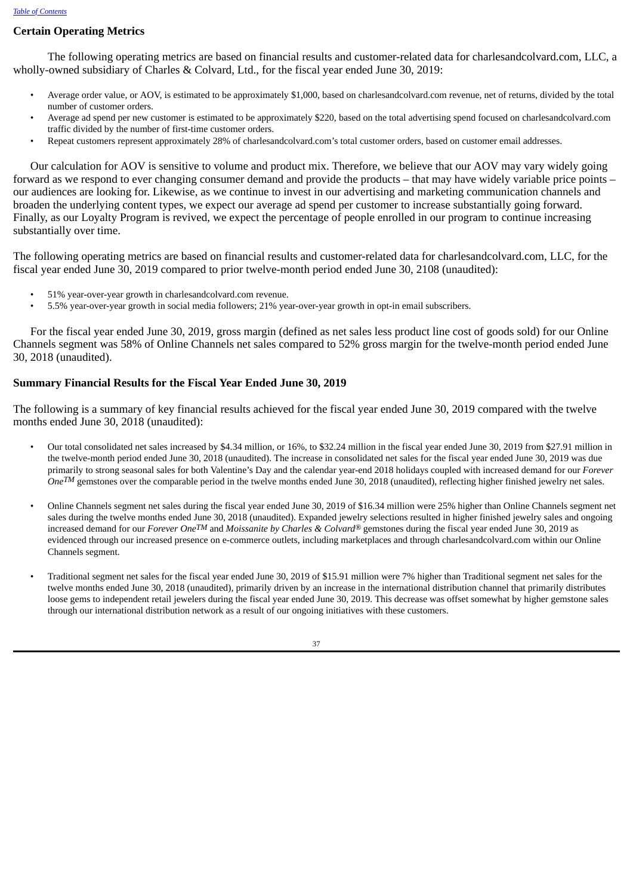# **Certain Operating Metrics**

The following operating metrics are based on financial results and customer-related data for charlesandcolvard.com, LLC, a wholly-owned subsidiary of Charles & Colvard, Ltd., for the fiscal year ended June 30, 2019:

- Average order value, or AOV, is estimated to be approximately \$1,000, based on charlesandcolvard.com revenue, net of returns, divided by the total number of customer orders.
- Average ad spend per new customer is estimated to be approximately \$220, based on the total advertising spend focused on charlesandcolvard.com traffic divided by the number of first-time customer orders.
- Repeat customers represent approximately 28% of charlesandcolvard.com's total customer orders, based on customer email addresses.

Our calculation for AOV is sensitive to volume and product mix. Therefore, we believe that our AOV may vary widely going forward as we respond to ever changing consumer demand and provide the products – that may have widely variable price points – our audiences are looking for. Likewise, as we continue to invest in our advertising and marketing communication channels and broaden the underlying content types, we expect our average ad spend per customer to increase substantially going forward. Finally, as our Loyalty Program is revived, we expect the percentage of people enrolled in our program to continue increasing substantially over time.

The following operating metrics are based on financial results and customer-related data for charlesandcolvard.com, LLC, for the fiscal year ended June 30, 2019 compared to prior twelve-month period ended June 30, 2108 (unaudited):

- 51% year-over-year growth in charlesandcolvard.com revenue.
- 5.5% year-over-year growth in social media followers; 21% year-over-year growth in opt-in email subscribers.

For the fiscal year ended June 30, 2019, gross margin (defined as net sales less product line cost of goods sold) for our Online Channels segment was 58% of Online Channels net sales compared to 52% gross margin for the twelve-month period ended June 30, 2018 (unaudited).

# **Summary Financial Results for the Fiscal Year Ended June 30, 2019**

The following is a summary of key financial results achieved for the fiscal year ended June 30, 2019 compared with the twelve months ended June 30, 2018 (unaudited):

- Our total consolidated net sales increased by \$4.34 million, or 16%, to \$32.24 million in the fiscal year ended June 30, 2019 from \$27.91 million in the twelve-month period ended June 30, 2018 (unaudited). The increase in consolidated net sales for the fiscal year ended June 30, 2019 was due primarily to strong seasonal sales for both Valentine's Day and the calendar year-end 2018 holidays coupled with increased demand for our *Forever OneTM* gemstones over the comparable period in the twelve months ended June 30, 2018 (unaudited), reflecting higher finished jewelry net sales.
- Online Channels segment net sales during the fiscal year ended June 30, 2019 of \$16.34 million were 25% higher than Online Channels segment net sales during the twelve months ended June 30, 2018 (unaudited). Expanded jewelry selections resulted in higher finished jewelry sales and ongoing increased demand for our *Forever OneTM* and *Moissanite by Charles & Colvard®* gemstones during the fiscal year ended June 30, 2019 as evidenced through our increased presence on e-commerce outlets, including marketplaces and through charlesandcolvard.com within our Online Channels segment.
- Traditional segment net sales for the fiscal year ended June 30, 2019 of \$15.91 million were 7% higher than Traditional segment net sales for the twelve months ended June 30, 2018 (unaudited), primarily driven by an increase in the international distribution channel that primarily distributes loose gems to independent retail jewelers during the fiscal year ended June 30, 2019. This decrease was offset somewhat by higher gemstone sales through our international distribution network as a result of our ongoing initiatives with these customers.

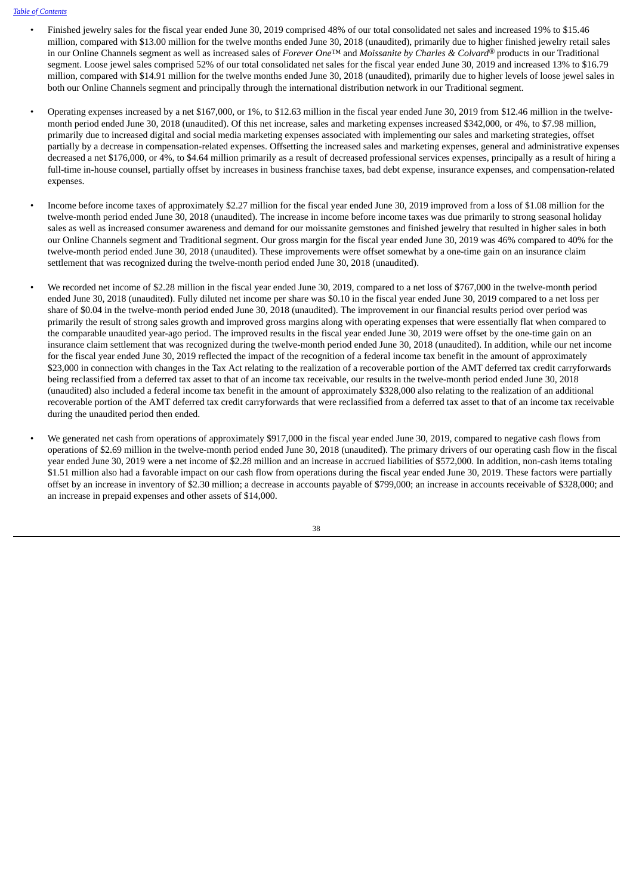- Finished jewelry sales for the fiscal year ended June 30, 2019 comprised 48% of our total consolidated net sales and increased 19% to \$15.46 million, compared with \$13.00 million for the twelve months ended June 30, 2018 (unaudited), primarily due to higher finished jewelry retail sales in our Online Channels segment as well as increased sales of *Forever One™* and *Moissanite by Charles & Colvard®* products in our Traditional segment. Loose jewel sales comprised 52% of our total consolidated net sales for the fiscal year ended June 30, 2019 and increased 13% to \$16.79 million, compared with \$14.91 million for the twelve months ended June 30, 2018 (unaudited), primarily due to higher levels of loose jewel sales in both our Online Channels segment and principally through the international distribution network in our Traditional segment.
- Operating expenses increased by a net \$167,000, or 1%, to \$12.63 million in the fiscal year ended June 30, 2019 from \$12.46 million in the twelvemonth period ended June 30, 2018 (unaudited). Of this net increase, sales and marketing expenses increased \$342,000, or 4%, to \$7.98 million, primarily due to increased digital and social media marketing expenses associated with implementing our sales and marketing strategies, offset partially by a decrease in compensation-related expenses. Offsetting the increased sales and marketing expenses, general and administrative expenses decreased a net \$176,000, or 4%, to \$4.64 million primarily as a result of decreased professional services expenses, principally as a result of hiring a full-time in-house counsel, partially offset by increases in business franchise taxes, bad debt expense, insurance expenses, and compensation-related expenses.
- Income before income taxes of approximately \$2.27 million for the fiscal year ended June 30, 2019 improved from a loss of \$1.08 million for the twelve-month period ended June 30, 2018 (unaudited). The increase in income before income taxes was due primarily to strong seasonal holiday sales as well as increased consumer awareness and demand for our moissanite gemstones and finished jewelry that resulted in higher sales in both our Online Channels segment and Traditional segment. Our gross margin for the fiscal year ended June 30, 2019 was 46% compared to 40% for the twelve-month period ended June 30, 2018 (unaudited). These improvements were offset somewhat by a one-time gain on an insurance claim settlement that was recognized during the twelve-month period ended June 30, 2018 (unaudited).
- We recorded net income of \$2.28 million in the fiscal year ended June 30, 2019, compared to a net loss of \$767,000 in the twelve-month period ended June 30, 2018 (unaudited). Fully diluted net income per share was \$0.10 in the fiscal year ended June 30, 2019 compared to a net loss per share of \$0.04 in the twelve-month period ended June 30, 2018 (unaudited). The improvement in our financial results period over period was primarily the result of strong sales growth and improved gross margins along with operating expenses that were essentially flat when compared to the comparable unaudited year-ago period. The improved results in the fiscal year ended June 30, 2019 were offset by the one-time gain on an insurance claim settlement that was recognized during the twelve-month period ended June 30, 2018 (unaudited). In addition, while our net income for the fiscal year ended June 30, 2019 reflected the impact of the recognition of a federal income tax benefit in the amount of approximately \$23,000 in connection with changes in the Tax Act relating to the realization of a recoverable portion of the AMT deferred tax credit carryforwards being reclassified from a deferred tax asset to that of an income tax receivable, our results in the twelve-month period ended June 30, 2018 (unaudited) also included a federal income tax benefit in the amount of approximately \$328,000 also relating to the realization of an additional recoverable portion of the AMT deferred tax credit carryforwards that were reclassified from a deferred tax asset to that of an income tax receivable during the unaudited period then ended.
- We generated net cash from operations of approximately \$917,000 in the fiscal year ended June 30, 2019, compared to negative cash flows from operations of \$2.69 million in the twelve-month period ended June 30, 2018 (unaudited). The primary drivers of our operating cash flow in the fiscal year ended June 30, 2019 were a net income of \$2.28 million and an increase in accrued liabilities of \$572,000. In addition, non-cash items totaling \$1.51 million also had a favorable impact on our cash flow from operations during the fiscal year ended June 30, 2019. These factors were partially offset by an increase in inventory of \$2.30 million; a decrease in accounts payable of \$799,000; an increase in accounts receivable of \$328,000; and an increase in prepaid expenses and other assets of \$14,000.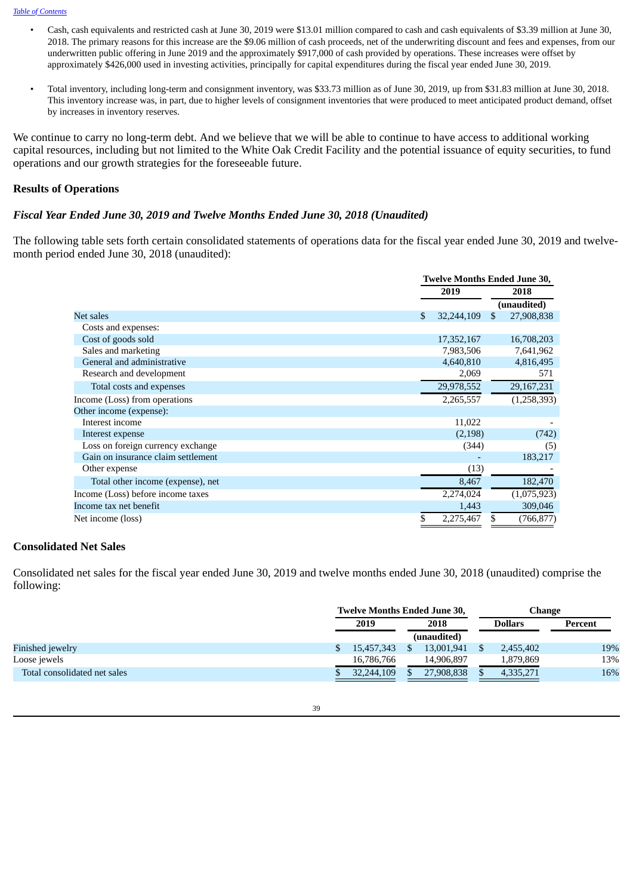- Cash, cash equivalents and restricted cash at June 30, 2019 were \$13.01 million compared to cash and cash equivalents of \$3.39 million at June 30, 2018. The primary reasons for this increase are the \$9.06 million of cash proceeds, net of the underwriting discount and fees and expenses, from our underwritten public offering in June 2019 and the approximately \$917,000 of cash provided by operations. These increases were offset by approximately \$426,000 used in investing activities, principally for capital expenditures during the fiscal year ended June 30, 2019.
- Total inventory, including long-term and consignment inventory, was \$33.73 million as of June 30, 2019, up from \$31.83 million at June 30, 2018. This inventory increase was, in part, due to higher levels of consignment inventories that were produced to meet anticipated product demand, offset by increases in inventory reserves.

We continue to carry no long-term debt. And we believe that we will be able to continue to have access to additional working capital resources, including but not limited to the White Oak Credit Facility and the potential issuance of equity securities, to fund operations and our growth strategies for the foreseeable future.

#### **Results of Operations**

#### *Fiscal Year Ended June 30, 2019 and Twelve Months Ended June 30, 2018 (Unaudited)*

The following table sets forth certain consolidated statements of operations data for the fiscal year ended June 30, 2019 and twelvemonth period ended June 30, 2018 (unaudited):

|                                    | <b>Twelve Months Ended June 30,</b> |               |              |  |  |  |  |
|------------------------------------|-------------------------------------|---------------|--------------|--|--|--|--|
|                                    | 2019                                |               | 2018         |  |  |  |  |
|                                    |                                     | (unaudited)   |              |  |  |  |  |
| Net sales                          | \$<br>32,244,109                    | <sup>\$</sup> | 27,908,838   |  |  |  |  |
| Costs and expenses:                |                                     |               |              |  |  |  |  |
| Cost of goods sold                 | 17,352,167                          |               | 16,708,203   |  |  |  |  |
| Sales and marketing                | 7,983,506                           |               | 7,641,962    |  |  |  |  |
| General and administrative         | 4,640,810                           |               | 4,816,495    |  |  |  |  |
| Research and development           | 2,069                               |               | 571          |  |  |  |  |
| Total costs and expenses           | 29,978,552                          |               | 29, 167, 231 |  |  |  |  |
| Income (Loss) from operations      | 2,265,557                           |               | (1,258,393)  |  |  |  |  |
| Other income (expense):            |                                     |               |              |  |  |  |  |
| Interest income                    | 11,022                              |               |              |  |  |  |  |
| Interest expense                   | (2, 198)                            |               | (742)        |  |  |  |  |
| Loss on foreign currency exchange  | (344)                               |               | (5)          |  |  |  |  |
| Gain on insurance claim settlement |                                     |               | 183,217      |  |  |  |  |
| Other expense                      | (13)                                |               |              |  |  |  |  |
| Total other income (expense), net  | 8,467                               |               | 182,470      |  |  |  |  |
| Income (Loss) before income taxes  | 2,274,024                           |               | (1,075,923)  |  |  |  |  |
| Income tax net benefit             | 1,443                               |               | 309,046      |  |  |  |  |
| Net income (loss)                  | \$<br>2,275,467                     |               | (766, 877)   |  |  |  |  |

#### **Consolidated Net Sales**

Consolidated net sales for the fiscal year ended June 30, 2019 and twelve months ended June 30, 2018 (unaudited) comprise the following:

|                              | <b>Twelve Months Ended June 30,</b> |            |      | Change      |                |           |         |
|------------------------------|-------------------------------------|------------|------|-------------|----------------|-----------|---------|
|                              | 2019                                |            | 2018 |             | <b>Dollars</b> |           | Percent |
|                              |                                     |            |      | (unaudited) |                |           |         |
| Finished jewelry             |                                     | 15,457,343 |      | 13,001,941  |                | 2,455,402 | 19%     |
| Loose jewels                 |                                     | 16,786,766 |      | 14,906,897  |                | 1,879,869 | 13%     |
| Total consolidated net sales |                                     | 32,244,109 |      | 27,908,838  |                | 4.335.271 | 16%     |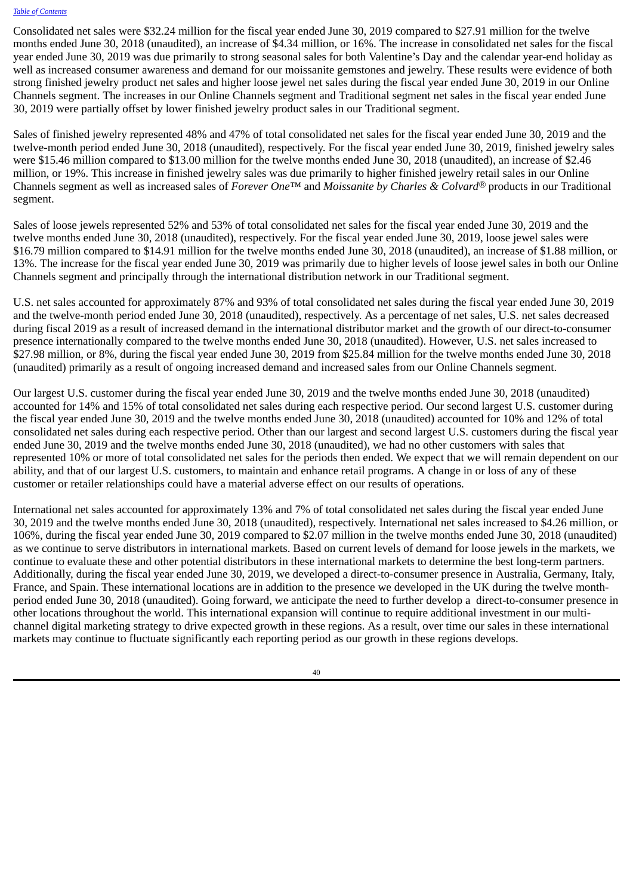Consolidated net sales were \$32.24 million for the fiscal year ended June 30, 2019 compared to \$27.91 million for the twelve months ended June 30, 2018 (unaudited), an increase of \$4.34 million, or 16%. The increase in consolidated net sales for the fiscal year ended June 30, 2019 was due primarily to strong seasonal sales for both Valentine's Day and the calendar year-end holiday as well as increased consumer awareness and demand for our moissanite gemstones and jewelry. These results were evidence of both strong finished jewelry product net sales and higher loose jewel net sales during the fiscal year ended June 30, 2019 in our Online Channels segment. The increases in our Online Channels segment and Traditional segment net sales in the fiscal year ended June 30, 2019 were partially offset by lower finished jewelry product sales in our Traditional segment.

Sales of finished jewelry represented 48% and 47% of total consolidated net sales for the fiscal year ended June 30, 2019 and the twelve-month period ended June 30, 2018 (unaudited), respectively. For the fiscal year ended June 30, 2019, finished jewelry sales were \$15.46 million compared to \$13.00 million for the twelve months ended June 30, 2018 (unaudited), an increase of \$2.46 million, or 19%. This increase in finished jewelry sales was due primarily to higher finished jewelry retail sales in our Online Channels segment as well as increased sales of *Forever One™* and *Moissanite by Charles & Colvard®* products in our Traditional segment.

Sales of loose jewels represented 52% and 53% of total consolidated net sales for the fiscal year ended June 30, 2019 and the twelve months ended June 30, 2018 (unaudited), respectively. For the fiscal year ended June 30, 2019, loose jewel sales were \$16.79 million compared to \$14.91 million for the twelve months ended June 30, 2018 (unaudited), an increase of \$1.88 million, or 13%. The increase for the fiscal year ended June 30, 2019 was primarily due to higher levels of loose jewel sales in both our Online Channels segment and principally through the international distribution network in our Traditional segment.

U.S. net sales accounted for approximately 87% and 93% of total consolidated net sales during the fiscal year ended June 30, 2019 and the twelve-month period ended June 30, 2018 (unaudited), respectively. As a percentage of net sales, U.S. net sales decreased during fiscal 2019 as a result of increased demand in the international distributor market and the growth of our direct-to-consumer presence internationally compared to the twelve months ended June 30, 2018 (unaudited). However, U.S. net sales increased to \$27.98 million, or 8%, during the fiscal year ended June 30, 2019 from \$25.84 million for the twelve months ended June 30, 2018 (unaudited) primarily as a result of ongoing increased demand and increased sales from our Online Channels segment.

Our largest U.S. customer during the fiscal year ended June 30, 2019 and the twelve months ended June 30, 2018 (unaudited) accounted for 14% and 15% of total consolidated net sales during each respective period. Our second largest U.S. customer during the fiscal year ended June 30, 2019 and the twelve months ended June 30, 2018 (unaudited) accounted for 10% and 12% of total consolidated net sales during each respective period. Other than our largest and second largest U.S. customers during the fiscal year ended June 30, 2019 and the twelve months ended June 30, 2018 (unaudited), we had no other customers with sales that represented 10% or more of total consolidated net sales for the periods then ended. We expect that we will remain dependent on our ability, and that of our largest U.S. customers, to maintain and enhance retail programs. A change in or loss of any of these customer or retailer relationships could have a material adverse effect on our results of operations.

International net sales accounted for approximately 13% and 7% of total consolidated net sales during the fiscal year ended June 30, 2019 and the twelve months ended June 30, 2018 (unaudited), respectively. International net sales increased to \$4.26 million, or 106%, during the fiscal year ended June 30, 2019 compared to \$2.07 million in the twelve months ended June 30, 2018 (unaudited) as we continue to serve distributors in international markets. Based on current levels of demand for loose jewels in the markets, we continue to evaluate these and other potential distributors in these international markets to determine the best long-term partners. Additionally, during the fiscal year ended June 30, 2019, we developed a direct-to-consumer presence in Australia, Germany, Italy, France, and Spain. These international locations are in addition to the presence we developed in the UK during the twelve monthperiod ended June 30, 2018 (unaudited). Going forward, we anticipate the need to further develop a direct-to-consumer presence in other locations throughout the world. This international expansion will continue to require additional investment in our multichannel digital marketing strategy to drive expected growth in these regions. As a result, over time our sales in these international markets may continue to fluctuate significantly each reporting period as our growth in these regions develops.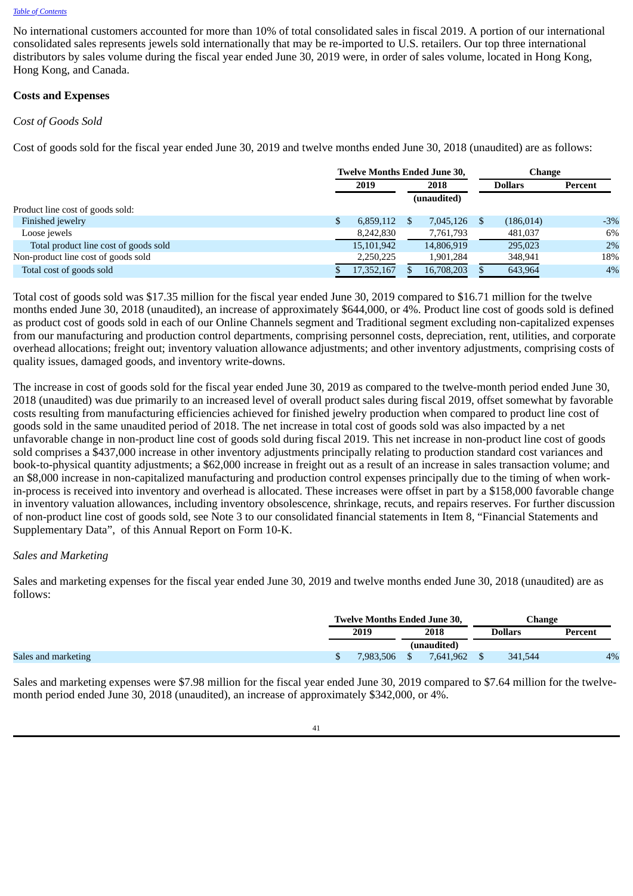No international customers accounted for more than 10% of total consolidated sales in fiscal 2019. A portion of our international consolidated sales represents jewels sold internationally that may be re-imported to U.S. retailers. Our top three international distributors by sales volume during the fiscal year ended June 30, 2019 were, in order of sales volume, located in Hong Kong, Hong Kong, and Canada.

# **Costs and Expenses**

### *Cost of Goods Sold*

Cost of goods sold for the fiscal year ended June 30, 2019 and twelve months ended June 30, 2018 (unaudited) are as follows:

|                                       | <b>Twelve Months Ended June 30,</b> |  |             |                | Change     |         |  |
|---------------------------------------|-------------------------------------|--|-------------|----------------|------------|---------|--|
|                                       | 2019                                |  | 2018        | <b>Dollars</b> |            | Percent |  |
|                                       |                                     |  | (unaudited) |                |            |         |  |
| Product line cost of goods sold:      |                                     |  |             |                |            |         |  |
| Finished jewelry                      | 6,859,112                           |  | 7,045,126   |                | (186, 014) | $-3%$   |  |
| Loose jewels                          | 8,242,830                           |  | 7,761,793   |                | 481,037    | 6%      |  |
| Total product line cost of goods sold | 15,101,942                          |  | 14,806,919  |                | 295,023    | 2%      |  |
| Non-product line cost of goods sold   | 2,250,225                           |  | 1,901,284   |                | 348,941    | 18%     |  |
| Total cost of goods sold              | 17,352,167                          |  | 16,708,203  |                | 643,964    | 4%      |  |

Total cost of goods sold was \$17.35 million for the fiscal year ended June 30, 2019 compared to \$16.71 million for the twelve months ended June 30, 2018 (unaudited), an increase of approximately \$644,000, or 4%. Product line cost of goods sold is defined as product cost of goods sold in each of our Online Channels segment and Traditional segment excluding non-capitalized expenses from our manufacturing and production control departments, comprising personnel costs, depreciation, rent, utilities, and corporate overhead allocations; freight out; inventory valuation allowance adjustments; and other inventory adjustments, comprising costs of quality issues, damaged goods, and inventory write-downs.

The increase in cost of goods sold for the fiscal year ended June 30, 2019 as compared to the twelve-month period ended June 30, 2018 (unaudited) was due primarily to an increased level of overall product sales during fiscal 2019, offset somewhat by favorable costs resulting from manufacturing efficiencies achieved for finished jewelry production when compared to product line cost of goods sold in the same unaudited period of 2018. The net increase in total cost of goods sold was also impacted by a net unfavorable change in non-product line cost of goods sold during fiscal 2019. This net increase in non-product line cost of goods sold comprises a \$437,000 increase in other inventory adjustments principally relating to production standard cost variances and book-to-physical quantity adjustments; a \$62,000 increase in freight out as a result of an increase in sales transaction volume; and an \$8,000 increase in non-capitalized manufacturing and production control expenses principally due to the timing of when workin-process is received into inventory and overhead is allocated. These increases were offset in part by a \$158,000 favorable change in inventory valuation allowances, including inventory obsolescence, shrinkage, recuts, and repairs reserves. For further discussion of non-product line cost of goods sold, see Note 3 to our consolidated financial statements in Item 8, "Financial Statements and Supplementary Data", of this Annual Report on Form 10-K.

### *Sales and Marketing*

Sales and marketing expenses for the fiscal year ended June 30, 2019 and twelve months ended June 30, 2018 (unaudited) are as follows:

|                     | <b>Twelve Months Ended June 30,</b> |           |      |             | Change         |         |         |
|---------------------|-------------------------------------|-----------|------|-------------|----------------|---------|---------|
|                     | 2019                                |           | 2018 |             | <b>Dollars</b> |         | Percent |
|                     |                                     |           |      | (unaudited) |                |         |         |
| Sales and marketing |                                     | 7.983.506 |      | 7.641.962   |                | 341,544 | 4%      |

Sales and marketing expenses were \$7.98 million for the fiscal year ended June 30, 2019 compared to \$7.64 million for the twelvemonth period ended June 30, 2018 (unaudited), an increase of approximately \$342,000, or 4%.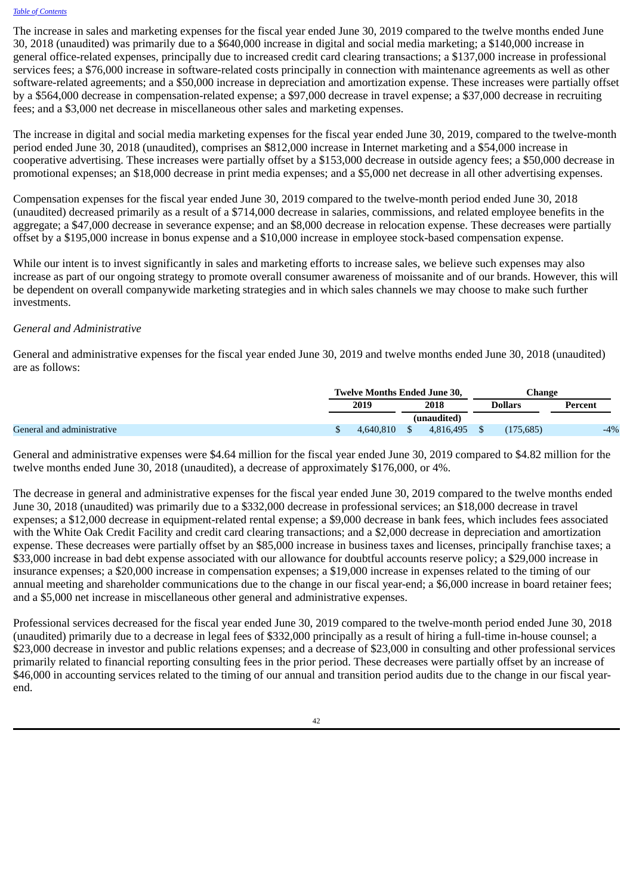The increase in sales and marketing expenses for the fiscal year ended June 30, 2019 compared to the twelve months ended June 30, 2018 (unaudited) was primarily due to a \$640,000 increase in digital and social media marketing; a \$140,000 increase in general office-related expenses, principally due to increased credit card clearing transactions; a \$137,000 increase in professional services fees; a \$76,000 increase in software-related costs principally in connection with maintenance agreements as well as other software-related agreements; and a \$50,000 increase in depreciation and amortization expense. These increases were partially offset by a \$564,000 decrease in compensation-related expense; a \$97,000 decrease in travel expense; a \$37,000 decrease in recruiting fees; and a \$3,000 net decrease in miscellaneous other sales and marketing expenses.

The increase in digital and social media marketing expenses for the fiscal year ended June 30, 2019, compared to the twelve-month period ended June 30, 2018 (unaudited), comprises an \$812,000 increase in Internet marketing and a \$54,000 increase in cooperative advertising. These increases were partially offset by a \$153,000 decrease in outside agency fees; a \$50,000 decrease in promotional expenses; an \$18,000 decrease in print media expenses; and a \$5,000 net decrease in all other advertising expenses.

Compensation expenses for the fiscal year ended June 30, 2019 compared to the twelve-month period ended June 30, 2018 (unaudited) decreased primarily as a result of a \$714,000 decrease in salaries, commissions, and related employee benefits in the aggregate; a \$47,000 decrease in severance expense; and an \$8,000 decrease in relocation expense. These decreases were partially offset by a \$195,000 increase in bonus expense and a \$10,000 increase in employee stock-based compensation expense.

While our intent is to invest significantly in sales and marketing efforts to increase sales, we believe such expenses may also increase as part of our ongoing strategy to promote overall consumer awareness of moissanite and of our brands. However, this will be dependent on overall companywide marketing strategies and in which sales channels we may choose to make such further investments.

### *General and Administrative*

General and administrative expenses for the fiscal year ended June 30, 2019 and twelve months ended June 30, 2018 (unaudited) are as follows:

|                            | <b>Twelve Months Ended June 30.</b> |           |      |             | Change         |            |         |  |
|----------------------------|-------------------------------------|-----------|------|-------------|----------------|------------|---------|--|
|                            | 2019                                |           | 2018 |             | <b>Dollars</b> |            | Percent |  |
|                            |                                     |           |      | (unaudited) |                |            |         |  |
| General and administrative |                                     | 4.640.810 |      | 4.816.495   |                | (175, 685) | $-4%$   |  |

General and administrative expenses were \$4.64 million for the fiscal year ended June 30, 2019 compared to \$4.82 million for the twelve months ended June 30, 2018 (unaudited), a decrease of approximately \$176,000, or 4%.

The decrease in general and administrative expenses for the fiscal year ended June 30, 2019 compared to the twelve months ended June 30, 2018 (unaudited) was primarily due to a \$332,000 decrease in professional services; an \$18,000 decrease in travel expenses; a \$12,000 decrease in equipment-related rental expense; a \$9,000 decrease in bank fees, which includes fees associated with the White Oak Credit Facility and credit card clearing transactions; and a \$2,000 decrease in depreciation and amortization expense. These decreases were partially offset by an \$85,000 increase in business taxes and licenses, principally franchise taxes; a \$33,000 increase in bad debt expense associated with our allowance for doubtful accounts reserve policy; a \$29,000 increase in insurance expenses; a \$20,000 increase in compensation expenses; a \$19,000 increase in expenses related to the timing of our annual meeting and shareholder communications due to the change in our fiscal year-end; a \$6,000 increase in board retainer fees; and a \$5,000 net increase in miscellaneous other general and administrative expenses.

Professional services decreased for the fiscal year ended June 30, 2019 compared to the twelve-month period ended June 30, 2018 (unaudited) primarily due to a decrease in legal fees of \$332,000 principally as a result of hiring a full-time in-house counsel; a \$23,000 decrease in investor and public relations expenses; and a decrease of \$23,000 in consulting and other professional services primarily related to financial reporting consulting fees in the prior period. These decreases were partially offset by an increase of \$46,000 in accounting services related to the timing of our annual and transition period audits due to the change in our fiscal yearend.

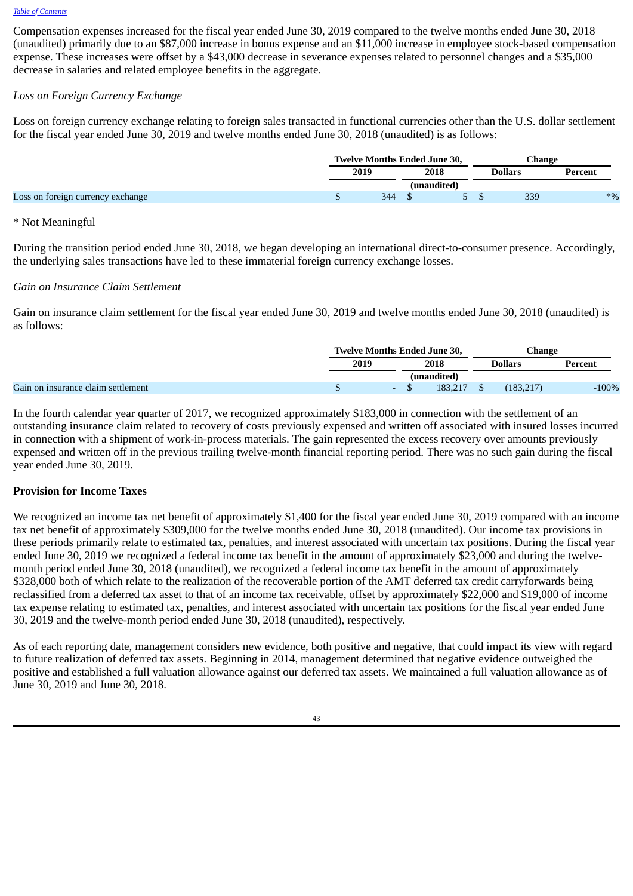Compensation expenses increased for the fiscal year ended June 30, 2019 compared to the twelve months ended June 30, 2018 (unaudited) primarily due to an \$87,000 increase in bonus expense and an \$11,000 increase in employee stock-based compensation expense. These increases were offset by a \$43,000 decrease in severance expenses related to personnel changes and a \$35,000 decrease in salaries and related employee benefits in the aggregate.

### *Loss on Foreign Currency Exchange*

Loss on foreign currency exchange relating to foreign sales transacted in functional currencies other than the U.S. dollar settlement for the fiscal year ended June 30, 2019 and twelve months ended June 30, 2018 (unaudited) is as follows:

|                                   |  | <b>Twelve Months Ended June 30,</b> |             |  |         | Change |         |
|-----------------------------------|--|-------------------------------------|-------------|--|---------|--------|---------|
|                                   |  | 2019                                |             |  | Dollars |        | Percent |
|                                   |  |                                     | (unaudited) |  |         |        |         |
| Loss on foreign currency exchange |  | 344                                 |             |  |         | 339    | $*9/0$  |

### \* Not Meaningful

During the transition period ended June 30, 2018, we began developing an international direct-to-consumer presence. Accordingly, the underlying sales transactions have led to these immaterial foreign currency exchange losses.

### *Gain on Insurance Claim Settlement*

Gain on insurance claim settlement for the fiscal year ended June 30, 2019 and twelve months ended June 30, 2018 (unaudited) is as follows:

|                                    | <b>Twelve Months Ended June 30,</b> |             |  |                |  | Change  |         |
|------------------------------------|-------------------------------------|-------------|--|----------------|--|---------|---------|
|                                    | 2019                                | 2018        |  | <b>Dollars</b> |  | Percent |         |
|                                    |                                     | (unaudited) |  |                |  |         |         |
| Gain on insurance claim settlement |                                     |             |  | 183.217        |  | 183,217 | $-100%$ |

In the fourth calendar year quarter of 2017, we recognized approximately \$183,000 in connection with the settlement of an outstanding insurance claim related to recovery of costs previously expensed and written off associated with insured losses incurred in connection with a shipment of work-in-process materials. The gain represented the excess recovery over amounts previously expensed and written off in the previous trailing twelve-month financial reporting period. There was no such gain during the fiscal year ended June 30, 2019.

### **Provision for Income Taxes**

We recognized an income tax net benefit of approximately \$1,400 for the fiscal year ended June 30, 2019 compared with an income tax net benefit of approximately \$309,000 for the twelve months ended June 30, 2018 (unaudited). Our income tax provisions in these periods primarily relate to estimated tax, penalties, and interest associated with uncertain tax positions. During the fiscal year ended June 30, 2019 we recognized a federal income tax benefit in the amount of approximately \$23,000 and during the twelvemonth period ended June 30, 2018 (unaudited), we recognized a federal income tax benefit in the amount of approximately \$328,000 both of which relate to the realization of the recoverable portion of the AMT deferred tax credit carryforwards being reclassified from a deferred tax asset to that of an income tax receivable, offset by approximately \$22,000 and \$19,000 of income tax expense relating to estimated tax, penalties, and interest associated with uncertain tax positions for the fiscal year ended June 30, 2019 and the twelve-month period ended June 30, 2018 (unaudited), respectively.

As of each reporting date, management considers new evidence, both positive and negative, that could impact its view with regard to future realization of deferred tax assets. Beginning in 2014, management determined that negative evidence outweighed the positive and established a full valuation allowance against our deferred tax assets. We maintained a full valuation allowance as of June 30, 2019 and June 30, 2018.

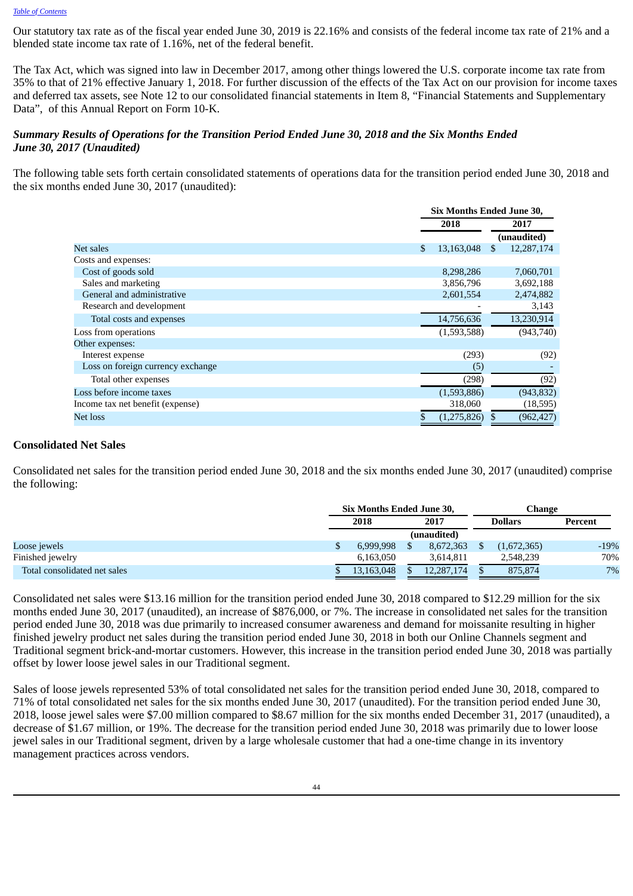Our statutory tax rate as of the fiscal year ended June 30, 2019 is 22.16% and consists of the federal income tax rate of 21% and a blended state income tax rate of 1.16%, net of the federal benefit.

The Tax Act, which was signed into law in December 2017, among other things lowered the U.S. corporate income tax rate from 35% to that of 21% effective January 1, 2018. For further discussion of the effects of the Tax Act on our provision for income taxes and deferred tax assets, see Note 12 to our consolidated financial statements in Item 8, "Financial Statements and Supplementary Data", of this Annual Report on Form 10-K.

# *Summary Results of Operations for the Transition Period Ended June 30, 2018 and the Six Months Ended June 30, 2017 (Unaudited)*

The following table sets forth certain consolidated statements of operations data for the transition period ended June 30, 2018 and the six months ended June 30, 2017 (unaudited):

|                                   | <b>Six Months Ended June 30,</b> |             |             |            |  |  |  |
|-----------------------------------|----------------------------------|-------------|-------------|------------|--|--|--|
|                                   |                                  | 2018        |             | 2017       |  |  |  |
|                                   |                                  |             | (unaudited) |            |  |  |  |
| Net sales                         | \$                               | 13,163,048  | <b>S</b>    | 12,287,174 |  |  |  |
| Costs and expenses:               |                                  |             |             |            |  |  |  |
| Cost of goods sold                |                                  | 8,298,286   |             | 7,060,701  |  |  |  |
| Sales and marketing               |                                  | 3,856,796   |             | 3,692,188  |  |  |  |
| General and administrative        |                                  | 2,601,554   |             | 2,474,882  |  |  |  |
| Research and development          |                                  |             |             | 3,143      |  |  |  |
| Total costs and expenses          |                                  | 14,756,636  |             | 13,230,914 |  |  |  |
| Loss from operations              |                                  | (1,593,588) |             | (943,740)  |  |  |  |
| Other expenses:                   |                                  |             |             |            |  |  |  |
| Interest expense                  |                                  | (293)       |             | (92)       |  |  |  |
| Loss on foreign currency exchange |                                  | (5)         |             |            |  |  |  |
| Total other expenses              |                                  | (298)       |             | (92)       |  |  |  |
| Loss before income taxes          |                                  | (1,593,886) |             | (943, 832) |  |  |  |
| Income tax net benefit (expense)  |                                  | 318,060     |             | (18, 595)  |  |  |  |
| Net loss                          | \$                               | (1,275,826) |             | (962, 427) |  |  |  |

### **Consolidated Net Sales**

Consolidated net sales for the transition period ended June 30, 2018 and the six months ended June 30, 2017 (unaudited) comprise the following:

|                              | Six Months Ended June 30, |            |      |             | Change         |             |         |
|------------------------------|---------------------------|------------|------|-------------|----------------|-------------|---------|
|                              | 2018                      |            | 2017 |             | <b>Dollars</b> |             | Percent |
|                              |                           |            |      | (unaudited) |                |             |         |
| Loose jewels                 |                           | 6,999,998  |      | 8,672,363   |                | (1,672,365) | $-19%$  |
| Finished jewelry             |                           | 6.163.050  |      | 3.614.811   |                | 2.548.239   | 70%     |
| Total consolidated net sales |                           | 13,163,048 |      | 12.287.174  |                | 875,874     | 7%      |

Consolidated net sales were \$13.16 million for the transition period ended June 30, 2018 compared to \$12.29 million for the six months ended June 30, 2017 (unaudited), an increase of \$876,000, or 7%. The increase in consolidated net sales for the transition period ended June 30, 2018 was due primarily to increased consumer awareness and demand for moissanite resulting in higher finished jewelry product net sales during the transition period ended June 30, 2018 in both our Online Channels segment and Traditional segment brick-and-mortar customers. However, this increase in the transition period ended June 30, 2018 was partially offset by lower loose jewel sales in our Traditional segment.

Sales of loose jewels represented 53% of total consolidated net sales for the transition period ended June 30, 2018, compared to 71% of total consolidated net sales for the six months ended June 30, 2017 (unaudited). For the transition period ended June 30, 2018, loose jewel sales were \$7.00 million compared to \$8.67 million for the six months ended December 31, 2017 (unaudited), a decrease of \$1.67 million, or 19%. The decrease for the transition period ended June 30, 2018 was primarily due to lower loose jewel sales in our Traditional segment, driven by a large wholesale customer that had a one-time change in its inventory management practices across vendors.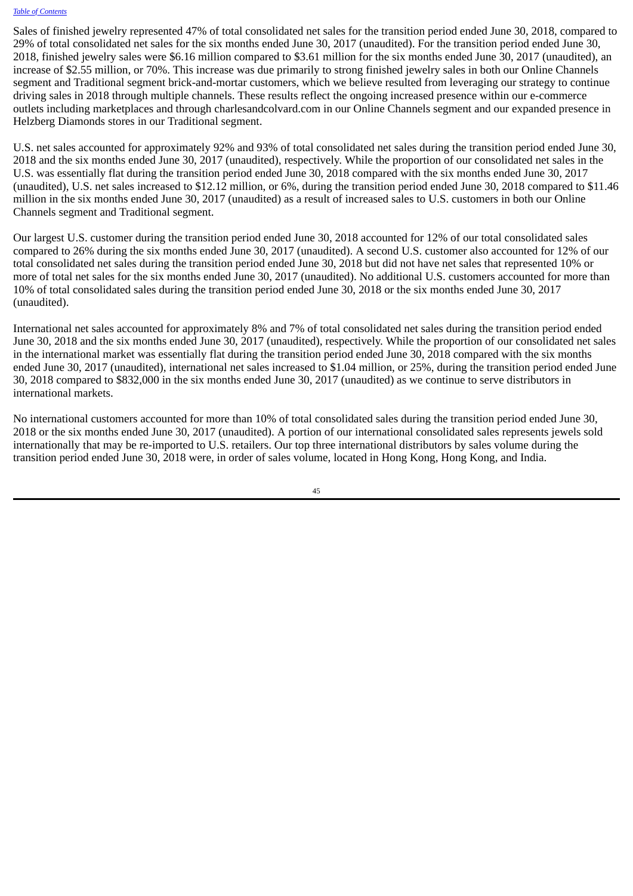#### *Table of [Contents](#page-2-0)*

Sales of finished jewelry represented 47% of total consolidated net sales for the transition period ended June 30, 2018, compared to 29% of total consolidated net sales for the six months ended June 30, 2017 (unaudited). For the transition period ended June 30, 2018, finished jewelry sales were \$6.16 million compared to \$3.61 million for the six months ended June 30, 2017 (unaudited), an increase of \$2.55 million, or 70%. This increase was due primarily to strong finished jewelry sales in both our Online Channels segment and Traditional segment brick-and-mortar customers, which we believe resulted from leveraging our strategy to continue driving sales in 2018 through multiple channels. These results reflect the ongoing increased presence within our e-commerce outlets including marketplaces and through charlesandcolvard.com in our Online Channels segment and our expanded presence in Helzberg Diamonds stores in our Traditional segment.

U.S. net sales accounted for approximately 92% and 93% of total consolidated net sales during the transition period ended June 30, 2018 and the six months ended June 30, 2017 (unaudited), respectively. While the proportion of our consolidated net sales in the U.S. was essentially flat during the transition period ended June 30, 2018 compared with the six months ended June 30, 2017 (unaudited), U.S. net sales increased to \$12.12 million, or 6%, during the transition period ended June 30, 2018 compared to \$11.46 million in the six months ended June 30, 2017 (unaudited) as a result of increased sales to U.S. customers in both our Online Channels segment and Traditional segment.

Our largest U.S. customer during the transition period ended June 30, 2018 accounted for 12% of our total consolidated sales compared to 26% during the six months ended June 30, 2017 (unaudited). A second U.S. customer also accounted for 12% of our total consolidated net sales during the transition period ended June 30, 2018 but did not have net sales that represented 10% or more of total net sales for the six months ended June 30, 2017 (unaudited). No additional U.S. customers accounted for more than 10% of total consolidated sales during the transition period ended June 30, 2018 or the six months ended June 30, 2017 (unaudited).

International net sales accounted for approximately 8% and 7% of total consolidated net sales during the transition period ended June 30, 2018 and the six months ended June 30, 2017 (unaudited), respectively. While the proportion of our consolidated net sales in the international market was essentially flat during the transition period ended June 30, 2018 compared with the six months ended June 30, 2017 (unaudited), international net sales increased to \$1.04 million, or 25%, during the transition period ended June 30, 2018 compared to \$832,000 in the six months ended June 30, 2017 (unaudited) as we continue to serve distributors in international markets.

No international customers accounted for more than 10% of total consolidated sales during the transition period ended June 30, 2018 or the six months ended June 30, 2017 (unaudited). A portion of our international consolidated sales represents jewels sold internationally that may be re-imported to U.S. retailers. Our top three international distributors by sales volume during the transition period ended June 30, 2018 were, in order of sales volume, located in Hong Kong, Hong Kong, and India.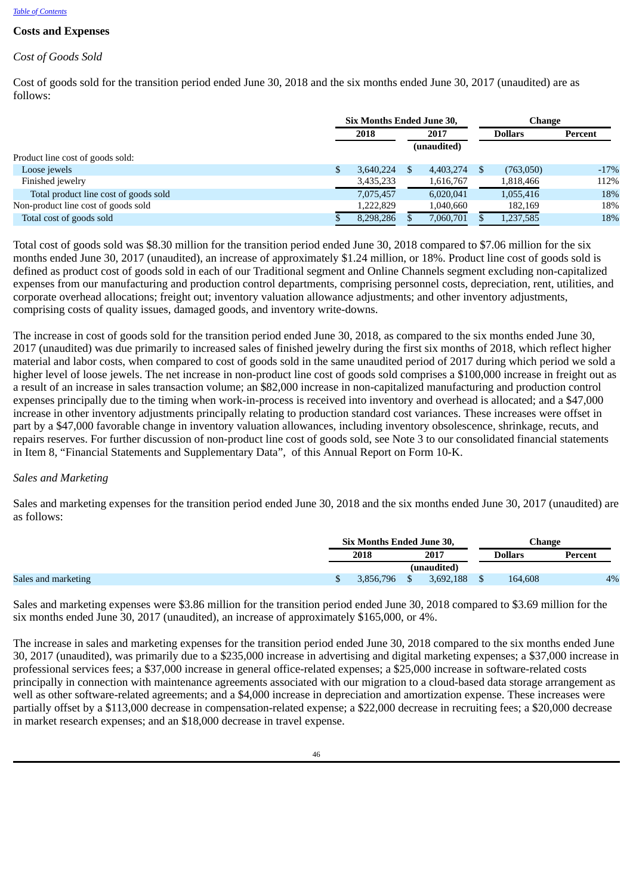# **Costs and Expenses**

## *Cost of Goods Sold*

Cost of goods sold for the transition period ended June 30, 2018 and the six months ended June 30, 2017 (unaudited) are as follows:

|                                       | Six Months Ended June 30, |             |           | Change         |           |         |
|---------------------------------------|---------------------------|-------------|-----------|----------------|-----------|---------|
|                                       | 2018                      |             | 2017      | <b>Dollars</b> |           | Percent |
|                                       |                           | (unaudited) |           |                |           |         |
| Product line cost of goods sold:      |                           |             |           |                |           |         |
| Loose jewels                          | \$<br>3,640,224           |             | 4,403,274 | .S             | (763,050) | $-17%$  |
| Finished jewelry                      | 3,435,233                 |             | 1,616,767 |                | 1,818,466 | 112%    |
| Total product line cost of goods sold | 7,075,457                 |             | 6,020,041 |                | 1,055,416 | 18%     |
| Non-product line cost of goods sold   | 1,222,829                 |             | 1,040,660 |                | 182,169   | 18%     |
| Total cost of goods sold              | 8,298,286                 |             | 7,060,701 |                | 1,237,585 | 18%     |

Total cost of goods sold was \$8.30 million for the transition period ended June 30, 2018 compared to \$7.06 million for the six months ended June 30, 2017 (unaudited), an increase of approximately \$1.24 million, or 18%. Product line cost of goods sold is defined as product cost of goods sold in each of our Traditional segment and Online Channels segment excluding non-capitalized expenses from our manufacturing and production control departments, comprising personnel costs, depreciation, rent, utilities, and corporate overhead allocations; freight out; inventory valuation allowance adjustments; and other inventory adjustments, comprising costs of quality issues, damaged goods, and inventory write-downs.

The increase in cost of goods sold for the transition period ended June 30, 2018, as compared to the six months ended June 30, 2017 (unaudited) was due primarily to increased sales of finished jewelry during the first six months of 2018, which reflect higher material and labor costs, when compared to cost of goods sold in the same unaudited period of 2017 during which period we sold a higher level of loose jewels. The net increase in non-product line cost of goods sold comprises a \$100,000 increase in freight out as a result of an increase in sales transaction volume; an \$82,000 increase in non-capitalized manufacturing and production control expenses principally due to the timing when work-in-process is received into inventory and overhead is allocated; and a \$47,000 increase in other inventory adjustments principally relating to production standard cost variances. These increases were offset in part by a \$47,000 favorable change in inventory valuation allowances, including inventory obsolescence, shrinkage, recuts, and repairs reserves. For further discussion of non-product line cost of goods sold, see Note 3 to our consolidated financial statements in Item 8, "Financial Statements and Supplementary Data", of this Annual Report on Form 10-K.

# *Sales and Marketing*

Sales and marketing expenses for the transition period ended June 30, 2018 and the six months ended June 30, 2017 (unaudited) are as follows:

|                     | Six Months Ended June 30, |      |             |                | $7$ hange |         |
|---------------------|---------------------------|------|-------------|----------------|-----------|---------|
|                     | 2018                      | 2017 |             | <b>Dollars</b> |           | Percent |
|                     |                           |      | (unaudited) |                |           |         |
| Sales and marketing | 3.856.796                 |      | 3,692,188   |                | 164,608   | 4%      |

Sales and marketing expenses were \$3.86 million for the transition period ended June 30, 2018 compared to \$3.69 million for the six months ended June 30, 2017 (unaudited), an increase of approximately \$165,000, or 4%.

The increase in sales and marketing expenses for the transition period ended June 30, 2018 compared to the six months ended June 30, 2017 (unaudited), was primarily due to a \$235,000 increase in advertising and digital marketing expenses; a \$37,000 increase in professional services fees; a \$37,000 increase in general office-related expenses; a \$25,000 increase in software-related costs principally in connection with maintenance agreements associated with our migration to a cloud-based data storage arrangement as well as other software-related agreements; and a \$4,000 increase in depreciation and amortization expense. These increases were partially offset by a \$113,000 decrease in compensation-related expense; a \$22,000 decrease in recruiting fees; a \$20,000 decrease in market research expenses; and an \$18,000 decrease in travel expense.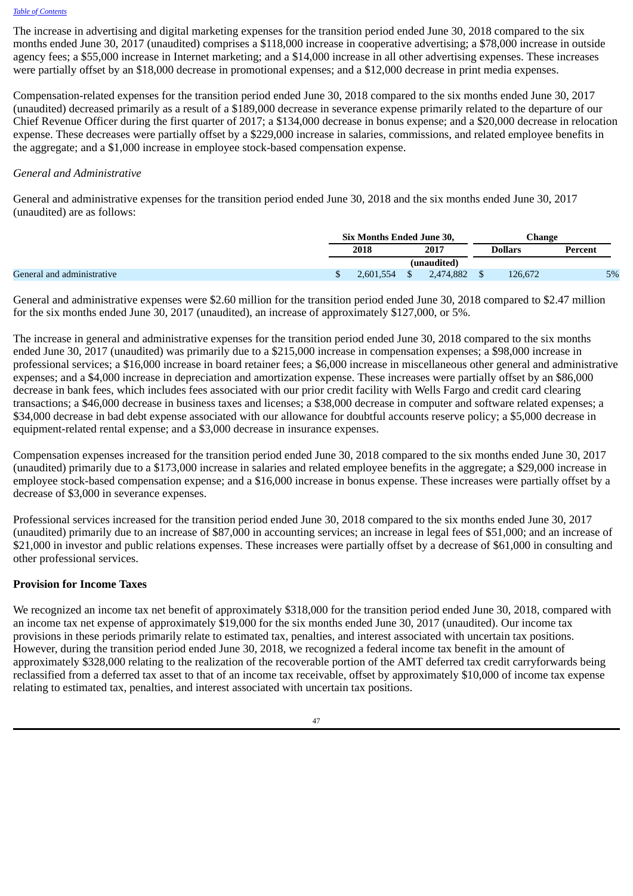The increase in advertising and digital marketing expenses for the transition period ended June 30, 2018 compared to the six months ended June 30, 2017 (unaudited) comprises a \$118,000 increase in cooperative advertising; a \$78,000 increase in outside agency fees; a \$55,000 increase in Internet marketing; and a \$14,000 increase in all other advertising expenses. These increases were partially offset by an \$18,000 decrease in promotional expenses; and a \$12,000 decrease in print media expenses.

Compensation-related expenses for the transition period ended June 30, 2018 compared to the six months ended June 30, 2017 (unaudited) decreased primarily as a result of a \$189,000 decrease in severance expense primarily related to the departure of our Chief Revenue Officer during the first quarter of 2017; a \$134,000 decrease in bonus expense; and a \$20,000 decrease in relocation expense. These decreases were partially offset by a \$229,000 increase in salaries, commissions, and related employee benefits in the aggregate; and a \$1,000 increase in employee stock-based compensation expense.

### *General and Administrative*

General and administrative expenses for the transition period ended June 30, 2018 and the six months ended June 30, 2017 (unaudited) are as follows:

|                            | Six Months Ended June 30, |           |  |             | <b>Change</b> |         |    |  |  |  |  |                |         |
|----------------------------|---------------------------|-----------|--|-------------|---------------|---------|----|--|--|--|--|----------------|---------|
|                            |                           | 2018      |  |             |               | 2017    |    |  |  |  |  | <b>Dollars</b> | Percent |
|                            |                           |           |  | (unaudited) |               |         |    |  |  |  |  |                |         |
| General and administrative |                           | 2,601,554 |  | 2,474,882   | Ψ             | 126,672 | 5% |  |  |  |  |                |         |

General and administrative expenses were \$2.60 million for the transition period ended June 30, 2018 compared to \$2.47 million for the six months ended June 30, 2017 (unaudited), an increase of approximately \$127,000, or 5%.

The increase in general and administrative expenses for the transition period ended June 30, 2018 compared to the six months ended June 30, 2017 (unaudited) was primarily due to a \$215,000 increase in compensation expenses; a \$98,000 increase in professional services; a \$16,000 increase in board retainer fees; a \$6,000 increase in miscellaneous other general and administrative expenses; and a \$4,000 increase in depreciation and amortization expense. These increases were partially offset by an \$86,000 decrease in bank fees, which includes fees associated with our prior credit facility with Wells Fargo and credit card clearing transactions; a \$46,000 decrease in business taxes and licenses; a \$38,000 decrease in computer and software related expenses; a \$34,000 decrease in bad debt expense associated with our allowance for doubtful accounts reserve policy; a \$5,000 decrease in equipment-related rental expense; and a \$3,000 decrease in insurance expenses.

Compensation expenses increased for the transition period ended June 30, 2018 compared to the six months ended June 30, 2017 (unaudited) primarily due to a \$173,000 increase in salaries and related employee benefits in the aggregate; a \$29,000 increase in employee stock-based compensation expense; and a \$16,000 increase in bonus expense. These increases were partially offset by a decrease of \$3,000 in severance expenses.

Professional services increased for the transition period ended June 30, 2018 compared to the six months ended June 30, 2017 (unaudited) primarily due to an increase of \$87,000 in accounting services; an increase in legal fees of \$51,000; and an increase of \$21,000 in investor and public relations expenses. These increases were partially offset by a decrease of \$61,000 in consulting and other professional services.

# **Provision for Income Taxes**

We recognized an income tax net benefit of approximately \$318,000 for the transition period ended June 30, 2018, compared with an income tax net expense of approximately \$19,000 for the six months ended June 30, 2017 (unaudited). Our income tax provisions in these periods primarily relate to estimated tax, penalties, and interest associated with uncertain tax positions. However, during the transition period ended June 30, 2018, we recognized a federal income tax benefit in the amount of approximately \$328,000 relating to the realization of the recoverable portion of the AMT deferred tax credit carryforwards being reclassified from a deferred tax asset to that of an income tax receivable, offset by approximately \$10,000 of income tax expense relating to estimated tax, penalties, and interest associated with uncertain tax positions.

 $\overline{47}$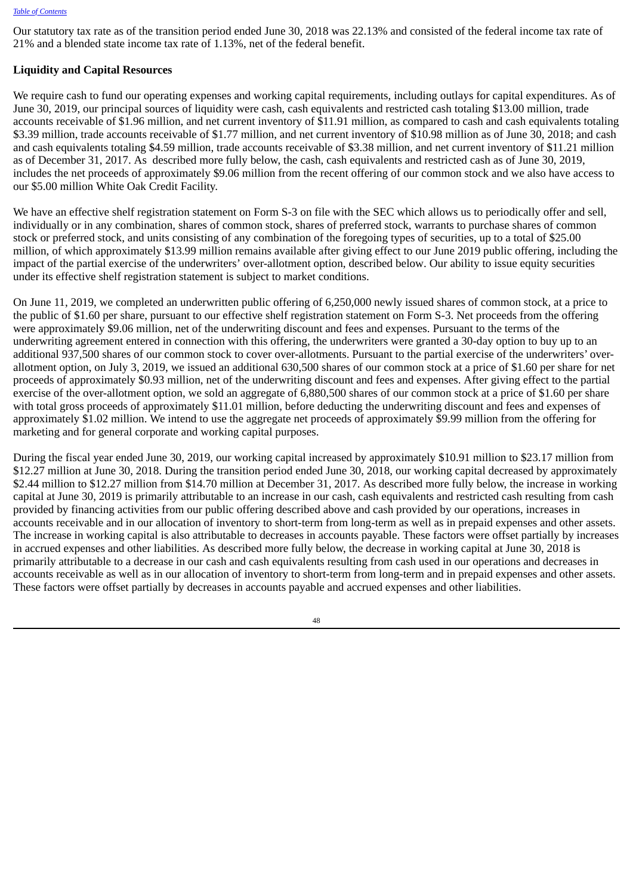Our statutory tax rate as of the transition period ended June 30, 2018 was 22.13% and consisted of the federal income tax rate of 21% and a blended state income tax rate of 1.13%, net of the federal benefit.

# **Liquidity and Capital Resources**

We require cash to fund our operating expenses and working capital requirements, including outlays for capital expenditures. As of June 30, 2019, our principal sources of liquidity were cash, cash equivalents and restricted cash totaling \$13.00 million, trade accounts receivable of \$1.96 million, and net current inventory of \$11.91 million, as compared to cash and cash equivalents totaling \$3.39 million, trade accounts receivable of \$1.77 million, and net current inventory of \$10.98 million as of June 30, 2018; and cash and cash equivalents totaling \$4.59 million, trade accounts receivable of \$3.38 million, and net current inventory of \$11.21 million as of December 31, 2017. As described more fully below, the cash, cash equivalents and restricted cash as of June 30, 2019, includes the net proceeds of approximately \$9.06 million from the recent offering of our common stock and we also have access to our \$5.00 million White Oak Credit Facility.

We have an effective shelf registration statement on Form S-3 on file with the SEC which allows us to periodically offer and sell, individually or in any combination, shares of common stock, shares of preferred stock, warrants to purchase shares of common stock or preferred stock, and units consisting of any combination of the foregoing types of securities, up to a total of \$25.00 million, of which approximately \$13.99 million remains available after giving effect to our June 2019 public offering, including the impact of the partial exercise of the underwriters' over-allotment option, described below. Our ability to issue equity securities under its effective shelf registration statement is subject to market conditions.

On June 11, 2019, we completed an underwritten public offering of 6,250,000 newly issued shares of common stock, at a price to the public of \$1.60 per share, pursuant to our effective shelf registration statement on Form S-3. Net proceeds from the offering were approximately \$9.06 million, net of the underwriting discount and fees and expenses. Pursuant to the terms of the underwriting agreement entered in connection with this offering, the underwriters were granted a 30-day option to buy up to an additional 937,500 shares of our common stock to cover over-allotments. Pursuant to the partial exercise of the underwriters' overallotment option, on July 3, 2019, we issued an additional 630,500 shares of our common stock at a price of \$1.60 per share for net proceeds of approximately \$0.93 million, net of the underwriting discount and fees and expenses. After giving effect to the partial exercise of the over-allotment option, we sold an aggregate of 6,880,500 shares of our common stock at a price of \$1.60 per share with total gross proceeds of approximately \$11.01 million, before deducting the underwriting discount and fees and expenses of approximately \$1.02 million. We intend to use the aggregate net proceeds of approximately \$9.99 million from the offering for marketing and for general corporate and working capital purposes.

During the fiscal year ended June 30, 2019, our working capital increased by approximately \$10.91 million to \$23.17 million from \$12.27 million at June 30, 2018. During the transition period ended June 30, 2018, our working capital decreased by approximately \$2.44 million to \$12.27 million from \$14.70 million at December 31, 2017. As described more fully below, the increase in working capital at June 30, 2019 is primarily attributable to an increase in our cash, cash equivalents and restricted cash resulting from cash provided by financing activities from our public offering described above and cash provided by our operations, increases in accounts receivable and in our allocation of inventory to short-term from long-term as well as in prepaid expenses and other assets. The increase in working capital is also attributable to decreases in accounts payable. These factors were offset partially by increases in accrued expenses and other liabilities. As described more fully below, the decrease in working capital at June 30, 2018 is primarily attributable to a decrease in our cash and cash equivalents resulting from cash used in our operations and decreases in accounts receivable as well as in our allocation of inventory to short-term from long-term and in prepaid expenses and other assets. These factors were offset partially by decreases in accounts payable and accrued expenses and other liabilities.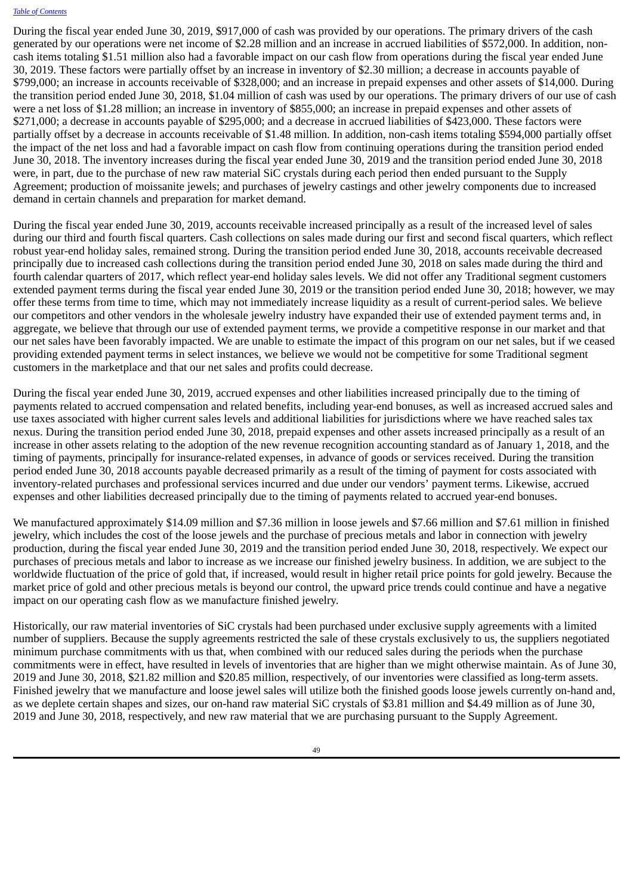During the fiscal year ended June 30, 2019, \$917,000 of cash was provided by our operations. The primary drivers of the cash generated by our operations were net income of \$2.28 million and an increase in accrued liabilities of \$572,000. In addition, noncash items totaling \$1.51 million also had a favorable impact on our cash flow from operations during the fiscal year ended June 30, 2019. These factors were partially offset by an increase in inventory of \$2.30 million; a decrease in accounts payable of \$799,000; an increase in accounts receivable of \$328,000; and an increase in prepaid expenses and other assets of \$14,000. During the transition period ended June 30, 2018, \$1.04 million of cash was used by our operations. The primary drivers of our use of cash were a net loss of \$1.28 million; an increase in inventory of \$855,000; an increase in prepaid expenses and other assets of \$271,000; a decrease in accounts payable of \$295,000; and a decrease in accrued liabilities of \$423,000. These factors were partially offset by a decrease in accounts receivable of \$1.48 million. In addition, non-cash items totaling \$594,000 partially offset the impact of the net loss and had a favorable impact on cash flow from continuing operations during the transition period ended June 30, 2018. The inventory increases during the fiscal year ended June 30, 2019 and the transition period ended June 30, 2018 were, in part, due to the purchase of new raw material SiC crystals during each period then ended pursuant to the Supply Agreement; production of moissanite jewels; and purchases of jewelry castings and other jewelry components due to increased demand in certain channels and preparation for market demand.

During the fiscal year ended June 30, 2019, accounts receivable increased principally as a result of the increased level of sales during our third and fourth fiscal quarters. Cash collections on sales made during our first and second fiscal quarters, which reflect robust year-end holiday sales, remained strong. During the transition period ended June 30, 2018, accounts receivable decreased principally due to increased cash collections during the transition period ended June 30, 2018 on sales made during the third and fourth calendar quarters of 2017, which reflect year-end holiday sales levels. We did not offer any Traditional segment customers extended payment terms during the fiscal year ended June 30, 2019 or the transition period ended June 30, 2018; however, we may offer these terms from time to time, which may not immediately increase liquidity as a result of current-period sales. We believe our competitors and other vendors in the wholesale jewelry industry have expanded their use of extended payment terms and, in aggregate, we believe that through our use of extended payment terms, we provide a competitive response in our market and that our net sales have been favorably impacted. We are unable to estimate the impact of this program on our net sales, but if we ceased providing extended payment terms in select instances, we believe we would not be competitive for some Traditional segment customers in the marketplace and that our net sales and profits could decrease.

During the fiscal year ended June 30, 2019, accrued expenses and other liabilities increased principally due to the timing of payments related to accrued compensation and related benefits, including year-end bonuses, as well as increased accrued sales and use taxes associated with higher current sales levels and additional liabilities for jurisdictions where we have reached sales tax nexus. During the transition period ended June 30, 2018, prepaid expenses and other assets increased principally as a result of an increase in other assets relating to the adoption of the new revenue recognition accounting standard as of January 1, 2018, and the timing of payments, principally for insurance-related expenses, in advance of goods or services received. During the transition period ended June 30, 2018 accounts payable decreased primarily as a result of the timing of payment for costs associated with inventory-related purchases and professional services incurred and due under our vendors' payment terms. Likewise, accrued expenses and other liabilities decreased principally due to the timing of payments related to accrued year-end bonuses.

We manufactured approximately \$14.09 million and \$7.36 million in loose jewels and \$7.66 million and \$7.61 million in finished jewelry, which includes the cost of the loose jewels and the purchase of precious metals and labor in connection with jewelry production, during the fiscal year ended June 30, 2019 and the transition period ended June 30, 2018, respectively. We expect our purchases of precious metals and labor to increase as we increase our finished jewelry business. In addition, we are subject to the worldwide fluctuation of the price of gold that, if increased, would result in higher retail price points for gold jewelry. Because the market price of gold and other precious metals is beyond our control, the upward price trends could continue and have a negative impact on our operating cash flow as we manufacture finished jewelry.

Historically, our raw material inventories of SiC crystals had been purchased under exclusive supply agreements with a limited number of suppliers. Because the supply agreements restricted the sale of these crystals exclusively to us, the suppliers negotiated minimum purchase commitments with us that, when combined with our reduced sales during the periods when the purchase commitments were in effect, have resulted in levels of inventories that are higher than we might otherwise maintain. As of June 30, 2019 and June 30, 2018, \$21.82 million and \$20.85 million, respectively, of our inventories were classified as long-term assets. Finished jewelry that we manufacture and loose jewel sales will utilize both the finished goods loose jewels currently on-hand and, as we deplete certain shapes and sizes, our on-hand raw material SiC crystals of \$3.81 million and \$4.49 million as of June 30, 2019 and June 30, 2018, respectively, and new raw material that we are purchasing pursuant to the Supply Agreement.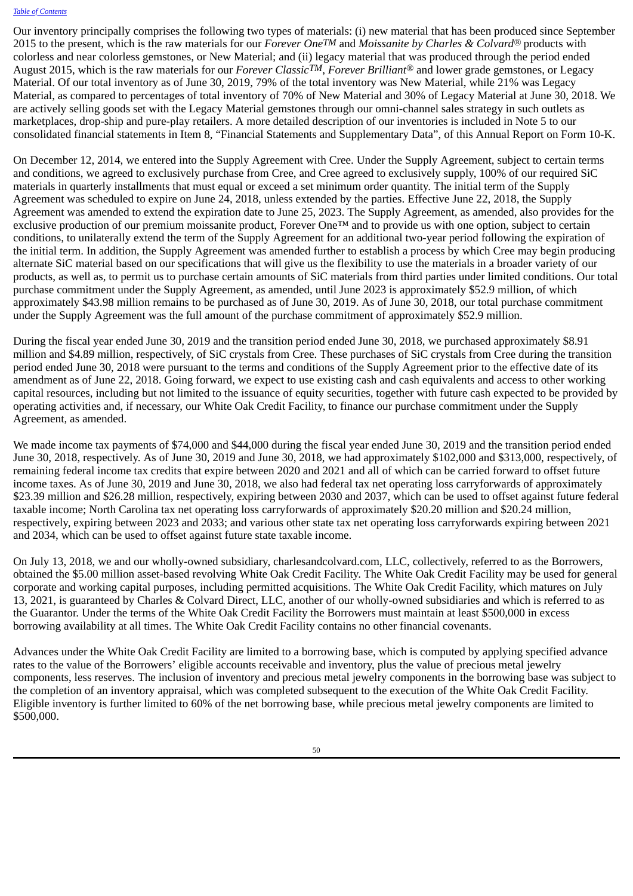Our inventory principally comprises the following two types of materials: (i) new material that has been produced since September 2015 to the present, which is the raw materials for our *Forever OneTM* and *Moissanite by Charles & Colvard®* products with colorless and near colorless gemstones, or New Material; and (ii) legacy material that was produced through the period ended August 2015, which is the raw materials for our *Forever ClassicTM*, *Forever Brilliant®* and lower grade gemstones, or Legacy Material. Of our total inventory as of June 30, 2019, 79% of the total inventory was New Material, while 21% was Legacy Material, as compared to percentages of total inventory of 70% of New Material and 30% of Legacy Material at June 30, 2018. We are actively selling goods set with the Legacy Material gemstones through our omni-channel sales strategy in such outlets as marketplaces, drop-ship and pure-play retailers. A more detailed description of our inventories is included in Note 5 to our consolidated financial statements in Item 8, "Financial Statements and Supplementary Data", of this Annual Report on Form 10-K.

On December 12, 2014, we entered into the Supply Agreement with Cree. Under the Supply Agreement, subject to certain terms and conditions, we agreed to exclusively purchase from Cree, and Cree agreed to exclusively supply, 100% of our required SiC materials in quarterly installments that must equal or exceed a set minimum order quantity. The initial term of the Supply Agreement was scheduled to expire on June 24, 2018, unless extended by the parties. Effective June 22, 2018, the Supply Agreement was amended to extend the expiration date to June 25, 2023. The Supply Agreement, as amended, also provides for the exclusive production of our premium moissanite product, Forever One™ and to provide us with one option, subject to certain conditions, to unilaterally extend the term of the Supply Agreement for an additional two-year period following the expiration of the initial term. In addition, the Supply Agreement was amended further to establish a process by which Cree may begin producing alternate SiC material based on our specifications that will give us the flexibility to use the materials in a broader variety of our products, as well as, to permit us to purchase certain amounts of SiC materials from third parties under limited conditions. Our total purchase commitment under the Supply Agreement, as amended, until June 2023 is approximately \$52.9 million, of which approximately \$43.98 million remains to be purchased as of June 30, 2019. As of June 30, 2018, our total purchase commitment under the Supply Agreement was the full amount of the purchase commitment of approximately \$52.9 million.

During the fiscal year ended June 30, 2019 and the transition period ended June 30, 2018, we purchased approximately \$8.91 million and \$4.89 million, respectively, of SiC crystals from Cree. These purchases of SiC crystals from Cree during the transition period ended June 30, 2018 were pursuant to the terms and conditions of the Supply Agreement prior to the effective date of its amendment as of June 22, 2018. Going forward, we expect to use existing cash and cash equivalents and access to other working capital resources, including but not limited to the issuance of equity securities, together with future cash expected to be provided by operating activities and, if necessary, our White Oak Credit Facility, to finance our purchase commitment under the Supply Agreement, as amended.

We made income tax payments of \$74,000 and \$44,000 during the fiscal year ended June 30, 2019 and the transition period ended June 30, 2018, respectively. As of June 30, 2019 and June 30, 2018, we had approximately \$102,000 and \$313,000, respectively, of remaining federal income tax credits that expire between 2020 and 2021 and all of which can be carried forward to offset future income taxes. As of June 30, 2019 and June 30, 2018, we also had federal tax net operating loss carryforwards of approximately \$23.39 million and \$26.28 million, respectively, expiring between 2030 and 2037, which can be used to offset against future federal taxable income; North Carolina tax net operating loss carryforwards of approximately \$20.20 million and \$20.24 million, respectively, expiring between 2023 and 2033; and various other state tax net operating loss carryforwards expiring between 2021 and 2034, which can be used to offset against future state taxable income.

On July 13, 2018, we and our wholly-owned subsidiary, charlesandcolvard.com, LLC, collectively, referred to as the Borrowers, obtained the \$5.00 million asset-based revolving White Oak Credit Facility. The White Oak Credit Facility may be used for general corporate and working capital purposes, including permitted acquisitions. The White Oak Credit Facility, which matures on July 13, 2021, is guaranteed by Charles & Colvard Direct, LLC, another of our wholly-owned subsidiaries and which is referred to as the Guarantor. Under the terms of the White Oak Credit Facility the Borrowers must maintain at least \$500,000 in excess borrowing availability at all times. The White Oak Credit Facility contains no other financial covenants.

Advances under the White Oak Credit Facility are limited to a borrowing base, which is computed by applying specified advance rates to the value of the Borrowers' eligible accounts receivable and inventory, plus the value of precious metal jewelry components, less reserves. The inclusion of inventory and precious metal jewelry components in the borrowing base was subject to the completion of an inventory appraisal, which was completed subsequent to the execution of the White Oak Credit Facility. Eligible inventory is further limited to 60% of the net borrowing base, while precious metal jewelry components are limited to \$500,000.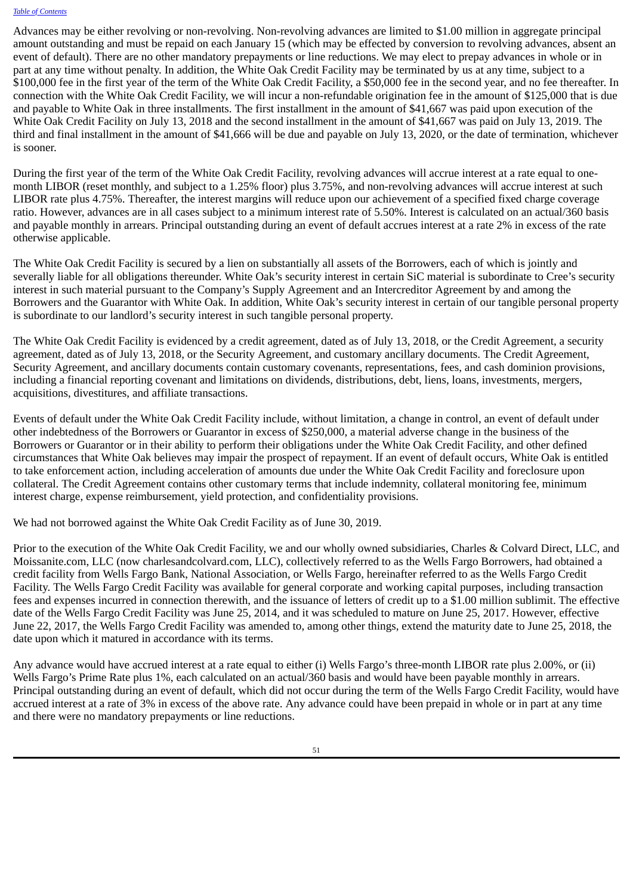Advances may be either revolving or non-revolving. Non-revolving advances are limited to \$1.00 million in aggregate principal amount outstanding and must be repaid on each January 15 (which may be effected by conversion to revolving advances, absent an event of default). There are no other mandatory prepayments or line reductions. We may elect to prepay advances in whole or in part at any time without penalty. In addition, the White Oak Credit Facility may be terminated by us at any time, subject to a \$100,000 fee in the first year of the term of the White Oak Credit Facility, a \$50,000 fee in the second year, and no fee thereafter. In connection with the White Oak Credit Facility, we will incur a non-refundable origination fee in the amount of \$125,000 that is due and payable to White Oak in three installments. The first installment in the amount of \$41,667 was paid upon execution of the White Oak Credit Facility on July 13, 2018 and the second installment in the amount of \$41,667 was paid on July 13, 2019. The third and final installment in the amount of \$41,666 will be due and payable on July 13, 2020, or the date of termination, whichever is sooner.

During the first year of the term of the White Oak Credit Facility, revolving advances will accrue interest at a rate equal to onemonth LIBOR (reset monthly, and subject to a 1.25% floor) plus 3.75%, and non-revolving advances will accrue interest at such LIBOR rate plus 4.75%. Thereafter, the interest margins will reduce upon our achievement of a specified fixed charge coverage ratio. However, advances are in all cases subject to a minimum interest rate of 5.50%. Interest is calculated on an actual/360 basis and payable monthly in arrears. Principal outstanding during an event of default accrues interest at a rate 2% in excess of the rate otherwise applicable.

The White Oak Credit Facility is secured by a lien on substantially all assets of the Borrowers, each of which is jointly and severally liable for all obligations thereunder. White Oak's security interest in certain SiC material is subordinate to Cree's security interest in such material pursuant to the Company's Supply Agreement and an Intercreditor Agreement by and among the Borrowers and the Guarantor with White Oak. In addition, White Oak's security interest in certain of our tangible personal property is subordinate to our landlord's security interest in such tangible personal property.

The White Oak Credit Facility is evidenced by a credit agreement, dated as of July 13, 2018, or the Credit Agreement, a security agreement, dated as of July 13, 2018, or the Security Agreement, and customary ancillary documents. The Credit Agreement, Security Agreement, and ancillary documents contain customary covenants, representations, fees, and cash dominion provisions, including a financial reporting covenant and limitations on dividends, distributions, debt, liens, loans, investments, mergers, acquisitions, divestitures, and affiliate transactions.

Events of default under the White Oak Credit Facility include, without limitation, a change in control, an event of default under other indebtedness of the Borrowers or Guarantor in excess of \$250,000, a material adverse change in the business of the Borrowers or Guarantor or in their ability to perform their obligations under the White Oak Credit Facility, and other defined circumstances that White Oak believes may impair the prospect of repayment. If an event of default occurs, White Oak is entitled to take enforcement action, including acceleration of amounts due under the White Oak Credit Facility and foreclosure upon collateral. The Credit Agreement contains other customary terms that include indemnity, collateral monitoring fee, minimum interest charge, expense reimbursement, yield protection, and confidentiality provisions.

We had not borrowed against the White Oak Credit Facility as of June 30, 2019.

Prior to the execution of the White Oak Credit Facility, we and our wholly owned subsidiaries, Charles & Colvard Direct, LLC, and Moissanite.com, LLC (now charlesandcolvard.com, LLC), collectively referred to as the Wells Fargo Borrowers, had obtained a credit facility from Wells Fargo Bank, National Association, or Wells Fargo, hereinafter referred to as the Wells Fargo Credit Facility. The Wells Fargo Credit Facility was available for general corporate and working capital purposes, including transaction fees and expenses incurred in connection therewith, and the issuance of letters of credit up to a \$1.00 million sublimit. The effective date of the Wells Fargo Credit Facility was June 25, 2014, and it was scheduled to mature on June 25, 2017. However, effective June 22, 2017, the Wells Fargo Credit Facility was amended to, among other things, extend the maturity date to June 25, 2018, the date upon which it matured in accordance with its terms.

Any advance would have accrued interest at a rate equal to either (i) Wells Fargo's three-month LIBOR rate plus 2.00%, or (ii) Wells Fargo's Prime Rate plus 1%, each calculated on an actual/360 basis and would have been payable monthly in arrears. Principal outstanding during an event of default, which did not occur during the term of the Wells Fargo Credit Facility, would have accrued interest at a rate of 3% in excess of the above rate. Any advance could have been prepaid in whole or in part at any time and there were no mandatory prepayments or line reductions.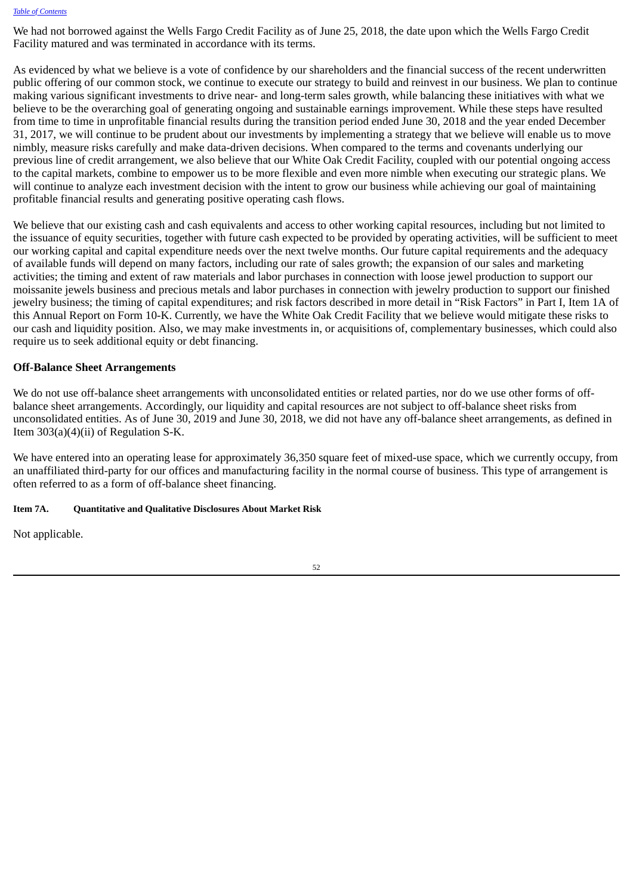We had not borrowed against the Wells Fargo Credit Facility as of June 25, 2018, the date upon which the Wells Fargo Credit Facility matured and was terminated in accordance with its terms.

As evidenced by what we believe is a vote of confidence by our shareholders and the financial success of the recent underwritten public offering of our common stock, we continue to execute our strategy to build and reinvest in our business. We plan to continue making various significant investments to drive near- and long-term sales growth, while balancing these initiatives with what we believe to be the overarching goal of generating ongoing and sustainable earnings improvement. While these steps have resulted from time to time in unprofitable financial results during the transition period ended June 30, 2018 and the year ended December 31, 2017, we will continue to be prudent about our investments by implementing a strategy that we believe will enable us to move nimbly, measure risks carefully and make data-driven decisions. When compared to the terms and covenants underlying our previous line of credit arrangement, we also believe that our White Oak Credit Facility, coupled with our potential ongoing access to the capital markets, combine to empower us to be more flexible and even more nimble when executing our strategic plans. We will continue to analyze each investment decision with the intent to grow our business while achieving our goal of maintaining profitable financial results and generating positive operating cash flows.

We believe that our existing cash and cash equivalents and access to other working capital resources, including but not limited to the issuance of equity securities, together with future cash expected to be provided by operating activities, will be sufficient to meet our working capital and capital expenditure needs over the next twelve months. Our future capital requirements and the adequacy of available funds will depend on many factors, including our rate of sales growth; the expansion of our sales and marketing activities; the timing and extent of raw materials and labor purchases in connection with loose jewel production to support our moissanite jewels business and precious metals and labor purchases in connection with jewelry production to support our finished jewelry business; the timing of capital expenditures; and risk factors described in more detail in "Risk Factors" in Part I, Item 1A of this Annual Report on Form 10-K. Currently, we have the White Oak Credit Facility that we believe would mitigate these risks to our cash and liquidity position. Also, we may make investments in, or acquisitions of, complementary businesses, which could also require us to seek additional equity or debt financing.

### **Off-Balance Sheet Arrangements**

We do not use off-balance sheet arrangements with unconsolidated entities or related parties, nor do we use other forms of offbalance sheet arrangements. Accordingly, our liquidity and capital resources are not subject to off-balance sheet risks from unconsolidated entities. As of June 30, 2019 and June 30, 2018, we did not have any off-balance sheet arrangements, as defined in Item 303(a)(4)(ii) of Regulation S-K.

We have entered into an operating lease for approximately 36,350 square feet of mixed-use space, which we currently occupy, from an unaffiliated third-party for our offices and manufacturing facility in the normal course of business. This type of arrangement is often referred to as a form of off-balance sheet financing.

## **Item 7A. Quantitative and Qualitative Disclosures About Market Risk**

Not applicable.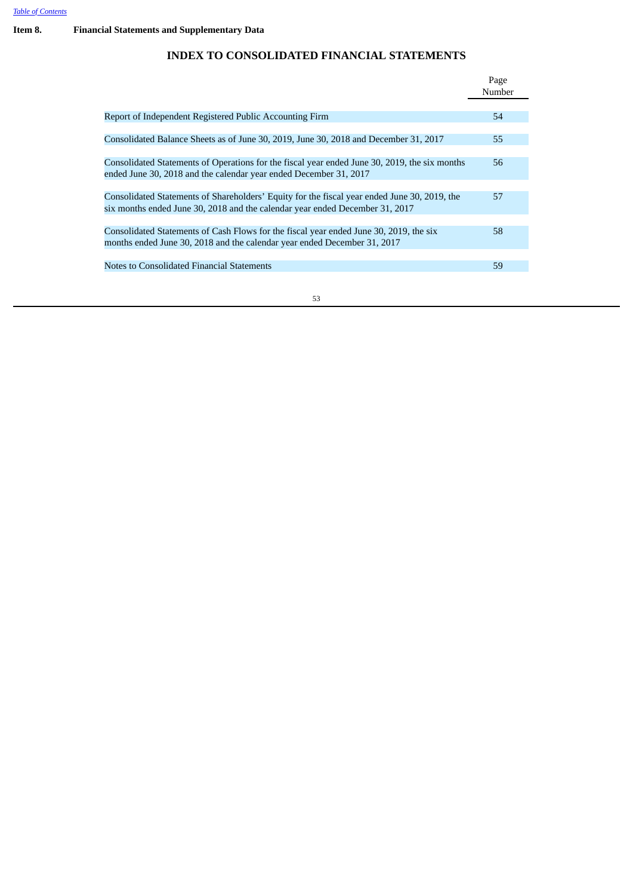# **INDEX TO CONSOLIDATED FINANCIAL STATEMENTS**

|                                                                                                                                                                              | Page<br>Number |
|------------------------------------------------------------------------------------------------------------------------------------------------------------------------------|----------------|
|                                                                                                                                                                              |                |
| Report of Independent Registered Public Accounting Firm                                                                                                                      | 54             |
|                                                                                                                                                                              |                |
| Consolidated Balance Sheets as of June 30, 2019, June 30, 2018 and December 31, 2017                                                                                         | 55             |
|                                                                                                                                                                              |                |
| Consolidated Statements of Operations for the fiscal year ended June 30, 2019, the six months<br>ended June 30, 2018 and the calendar year ended December 31, 2017           | 56             |
|                                                                                                                                                                              |                |
| Consolidated Statements of Shareholders' Equity for the fiscal year ended June 30, 2019, the<br>six months ended June 30, 2018 and the calendar year ended December 31, 2017 | 57             |
|                                                                                                                                                                              |                |
| Consolidated Statements of Cash Flows for the fiscal year ended June 30, 2019, the six<br>months ended June 30, 2018 and the calendar year ended December 31, 2017           | 58             |
|                                                                                                                                                                              |                |
| Notes to Consolidated Financial Statements                                                                                                                                   | 59             |
|                                                                                                                                                                              |                |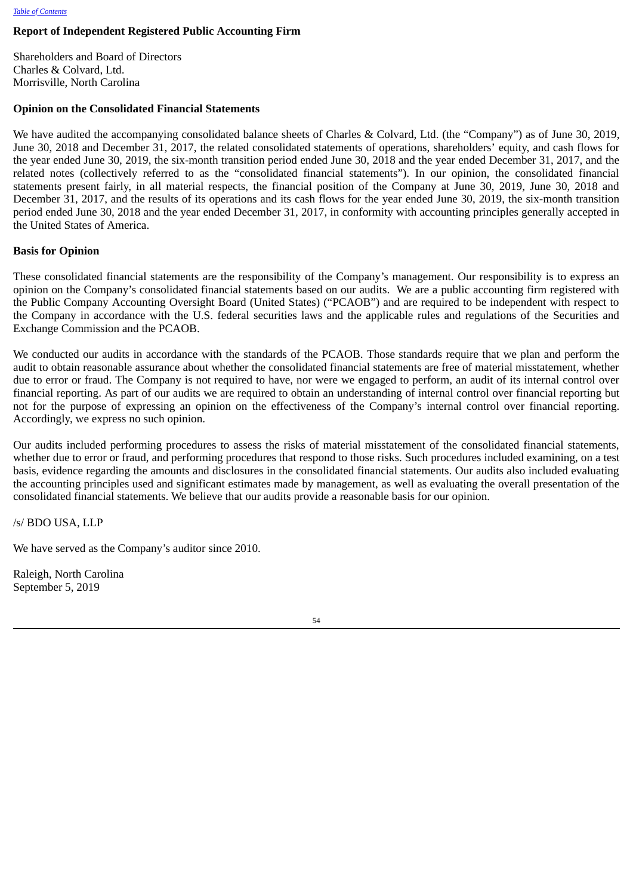# **Report of Independent Registered Public Accounting Firm**

Shareholders and Board of Directors Charles & Colvard, Ltd. Morrisville, North Carolina

# **Opinion on the Consolidated Financial Statements**

We have audited the accompanying consolidated balance sheets of Charles & Colvard, Ltd. (the "Company") as of June 30, 2019, June 30, 2018 and December 31, 2017, the related consolidated statements of operations, shareholders' equity, and cash flows for the year ended June 30, 2019, the six-month transition period ended June 30, 2018 and the year ended December 31, 2017, and the related notes (collectively referred to as the "consolidated financial statements"). In our opinion, the consolidated financial statements present fairly, in all material respects, the financial position of the Company at June 30, 2019, June 30, 2018 and December 31, 2017, and the results of its operations and its cash flows for the year ended June 30, 2019, the six-month transition period ended June 30, 2018 and the year ended December 31, 2017, in conformity with accounting principles generally accepted in the United States of America.

# **Basis for Opinion**

These consolidated financial statements are the responsibility of the Company's management. Our responsibility is to express an opinion on the Company's consolidated financial statements based on our audits. We are a public accounting firm registered with the Public Company Accounting Oversight Board (United States) ("PCAOB") and are required to be independent with respect to the Company in accordance with the U.S. federal securities laws and the applicable rules and regulations of the Securities and Exchange Commission and the PCAOB.

We conducted our audits in accordance with the standards of the PCAOB. Those standards require that we plan and perform the audit to obtain reasonable assurance about whether the consolidated financial statements are free of material misstatement, whether due to error or fraud. The Company is not required to have, nor were we engaged to perform, an audit of its internal control over financial reporting. As part of our audits we are required to obtain an understanding of internal control over financial reporting but not for the purpose of expressing an opinion on the effectiveness of the Company's internal control over financial reporting. Accordingly, we express no such opinion.

Our audits included performing procedures to assess the risks of material misstatement of the consolidated financial statements, whether due to error or fraud, and performing procedures that respond to those risks. Such procedures included examining, on a test basis, evidence regarding the amounts and disclosures in the consolidated financial statements. Our audits also included evaluating the accounting principles used and significant estimates made by management, as well as evaluating the overall presentation of the consolidated financial statements. We believe that our audits provide a reasonable basis for our opinion.

/s/ BDO USA, LLP

We have served as the Company's auditor since 2010.

Raleigh, North Carolina September 5, 2019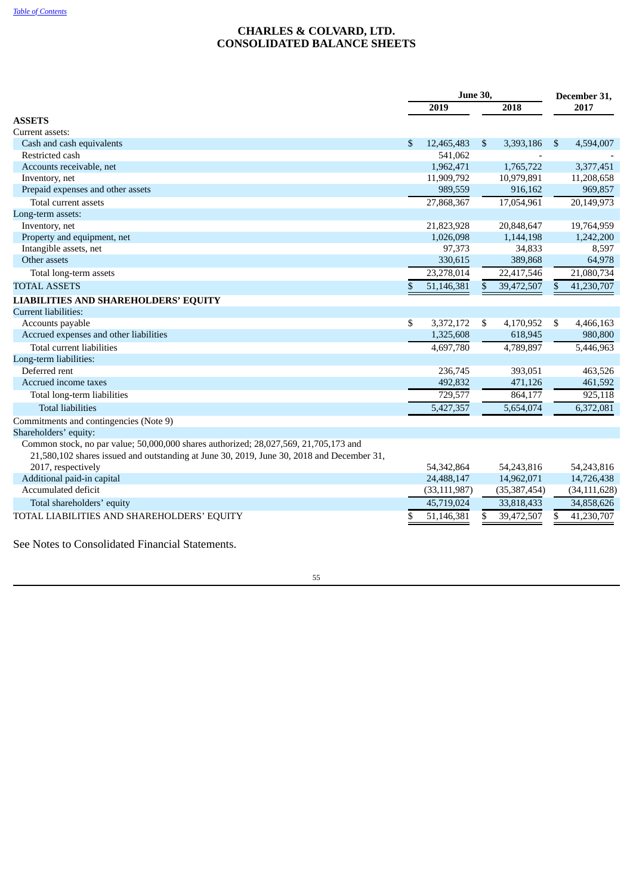# **CHARLES & COLVARD, LTD. CONSOLIDATED BALANCE SHEETS**

|                                                                                           | <b>June 30,</b> |                |                | December 31,   |                |                |
|-------------------------------------------------------------------------------------------|-----------------|----------------|----------------|----------------|----------------|----------------|
|                                                                                           |                 | 2019           | 2018           |                |                | 2017           |
| <b>ASSETS</b>                                                                             |                 |                |                |                |                |                |
| Current assets:                                                                           |                 |                |                |                |                |                |
| Cash and cash equivalents                                                                 | \$              | 12,465,483     | $\mathfrak{S}$ | 3,393,186      | $\mathfrak{S}$ | 4,594,007      |
| Restricted cash                                                                           |                 | 541,062        |                |                |                |                |
| Accounts receivable, net                                                                  |                 | 1,962,471      |                | 1,765,722      |                | 3,377,451      |
| Inventory, net                                                                            |                 | 11,909,792     |                | 10,979,891     |                | 11,208,658     |
| Prepaid expenses and other assets                                                         |                 | 989,559        |                | 916,162        |                | 969,857        |
| Total current assets                                                                      |                 | 27,868,367     |                | 17,054,961     |                | 20,149,973     |
| Long-term assets:                                                                         |                 |                |                |                |                |                |
| Inventory, net                                                                            |                 | 21,823,928     |                | 20,848,647     |                | 19,764,959     |
| Property and equipment, net                                                               |                 | 1,026,098      |                | 1,144,198      |                | 1,242,200      |
| Intangible assets, net                                                                    |                 | 97,373         |                | 34,833         |                | 8,597          |
| Other assets                                                                              |                 | 330,615        |                | 389,868        |                | 64,978         |
| Total long-term assets                                                                    |                 | 23,278,014     |                | 22,417,546     |                | 21,080,734     |
| <b>TOTAL ASSETS</b>                                                                       | \$              | 51,146,381     | $\mathbb{S}$   | 39,472,507     | $\mathfrak{S}$ | 41,230,707     |
| <b>LIABILITIES AND SHAREHOLDERS' EQUITY</b>                                               |                 |                |                |                |                |                |
| <b>Current liabilities:</b>                                                               |                 |                |                |                |                |                |
| Accounts payable                                                                          | \$              | 3,372,172      | \$             | 4,170,952      | \$             | 4,466,163      |
| Accrued expenses and other liabilities                                                    |                 | 1,325,608      |                | 618,945        |                | 980,800        |
| Total current liabilities                                                                 |                 | 4,697,780      |                | 4,789,897      |                | 5,446,963      |
| Long-term liabilities:                                                                    |                 |                |                |                |                |                |
| Deferred rent                                                                             |                 | 236,745        |                | 393,051        |                | 463,526        |
| Accrued income taxes                                                                      |                 | 492,832        |                | 471,126        |                | 461,592        |
| Total long-term liabilities                                                               |                 | 729,577        |                | 864,177        |                | 925,118        |
| <b>Total liabilities</b>                                                                  |                 | 5,427,357      |                | 5,654,074      |                | 6,372,081      |
| Commitments and contingencies (Note 9)                                                    |                 |                |                |                |                |                |
| Shareholders' equity:                                                                     |                 |                |                |                |                |                |
| Common stock, no par value; 50,000,000 shares authorized; 28,027,569, 21,705,173 and      |                 |                |                |                |                |                |
| 21,580,102 shares issued and outstanding at June 30, 2019, June 30, 2018 and December 31, |                 |                |                |                |                |                |
| 2017, respectively                                                                        |                 | 54,342,864     |                | 54,243,816     |                | 54,243,816     |
| Additional paid-in capital                                                                |                 | 24,488,147     |                | 14,962,071     |                | 14,726,438     |
| Accumulated deficit                                                                       |                 | (33, 111, 987) |                | (35, 387, 454) |                | (34, 111, 628) |
| Total shareholders' equity                                                                |                 | 45,719,024     |                | 33,818,433     |                | 34,858,626     |
| TOTAL LIABILITIES AND SHAREHOLDERS' EQUITY                                                | \$              | 51,146,381     | \$             | 39,472,507     | S              | 41,230,707     |
|                                                                                           |                 |                |                |                |                |                |

See Notes to Consolidated Financial Statements.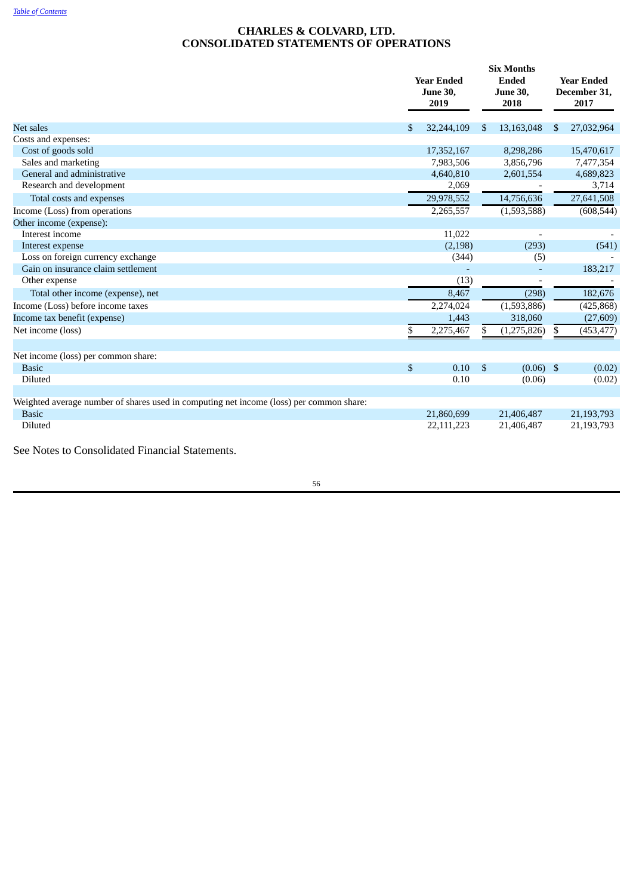# **CHARLES & COLVARD, LTD. CONSOLIDATED STATEMENTS OF OPERATIONS**

|                                                                                         | <b>Six Months</b>                            |            |                                         |             |     |                                           |
|-----------------------------------------------------------------------------------------|----------------------------------------------|------------|-----------------------------------------|-------------|-----|-------------------------------------------|
|                                                                                         | <b>Year Ended</b><br><b>June 30,</b><br>2019 |            | <b>Ended</b><br><b>June 30,</b><br>2018 |             |     | <b>Year Ended</b><br>December 31,<br>2017 |
|                                                                                         |                                              |            |                                         |             |     |                                           |
| <b>Net sales</b>                                                                        | \$                                           | 32,244,109 | \$                                      | 13,163,048  | \$. | 27,032,964                                |
| Costs and expenses:                                                                     |                                              |            |                                         |             |     |                                           |
| Cost of goods sold                                                                      |                                              | 17,352,167 |                                         | 8,298,286   |     | 15,470,617                                |
| Sales and marketing                                                                     |                                              | 7,983,506  |                                         | 3,856,796   |     | 7,477,354                                 |
| General and administrative                                                              |                                              | 4,640,810  |                                         | 2,601,554   |     | 4,689,823                                 |
| Research and development                                                                |                                              | 2,069      |                                         |             |     | 3,714                                     |
| Total costs and expenses                                                                |                                              | 29,978,552 |                                         | 14,756,636  |     | 27,641,508                                |
| Income (Loss) from operations                                                           |                                              | 2,265,557  |                                         | (1,593,588) |     | (608, 544)                                |
| Other income (expense):                                                                 |                                              |            |                                         |             |     |                                           |
| Interest income                                                                         |                                              | 11,022     |                                         |             |     |                                           |
| Interest expense                                                                        |                                              | (2, 198)   |                                         | (293)       |     | (541)                                     |
| Loss on foreign currency exchange                                                       |                                              | (344)      |                                         | (5)         |     |                                           |
| Gain on insurance claim settlement                                                      |                                              |            |                                         |             |     | 183,217                                   |
| Other expense                                                                           |                                              | (13)       |                                         |             |     |                                           |
| Total other income (expense), net                                                       |                                              | 8,467      |                                         | (298)       |     | 182,676                                   |
| Income (Loss) before income taxes                                                       |                                              | 2,274,024  |                                         | (1,593,886) |     | (425, 868)                                |
| Income tax benefit (expense)                                                            |                                              | 1,443      |                                         | 318,060     |     | (27, 609)                                 |
| Net income (loss)                                                                       | S                                            | 2,275,467  | S.                                      | (1,275,826) | \$  | (453, 477)                                |
| Net income (loss) per common share:                                                     |                                              |            |                                         |             |     |                                           |
| <b>Basic</b>                                                                            | \$                                           | 0.10       | $\mathfrak{s}$                          | $(0.06)$ \$ |     | (0.02)                                    |
| <b>Diluted</b>                                                                          |                                              | 0.10       |                                         | (0.06)      |     | (0.02)                                    |
| Weighted average number of shares used in computing net income (loss) per common share: |                                              |            |                                         |             |     |                                           |
| <b>Basic</b>                                                                            |                                              | 21,860,699 |                                         | 21,406,487  |     | 21,193,793                                |
| Diluted                                                                                 |                                              | 22,111,223 |                                         | 21,406,487  |     | 21,193,793                                |

See Notes to Consolidated Financial Statements.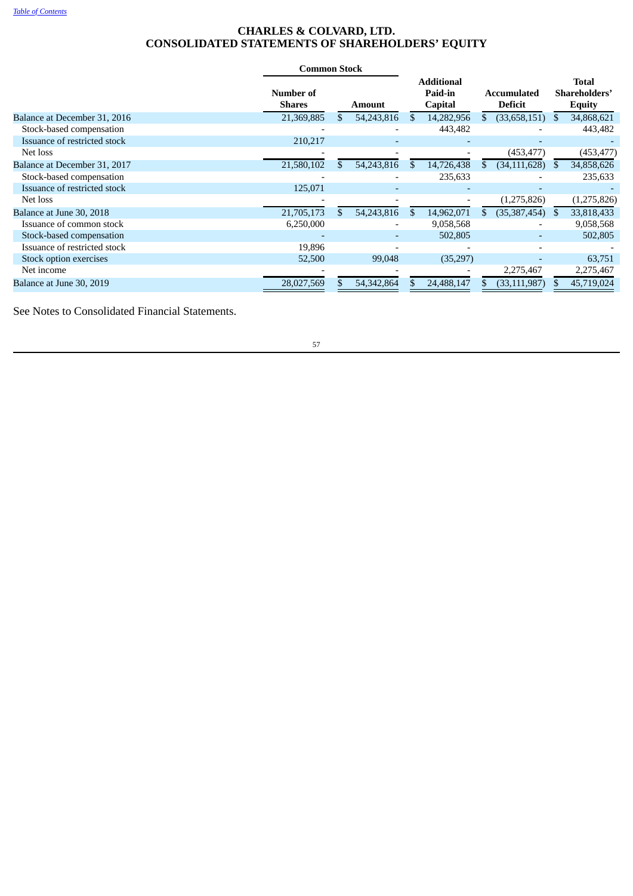# **CHARLES & COLVARD, LTD. CONSOLIDATED STATEMENTS OF SHAREHOLDERS' EQUITY**

|                              | <b>Common Stock</b> |    |                          |                              |     |                          |     |                        |
|------------------------------|---------------------|----|--------------------------|------------------------------|-----|--------------------------|-----|------------------------|
|                              | Number of           |    |                          | <b>Additional</b><br>Paid-in |     | Accumulated              |     | Total<br>Shareholders' |
|                              | <b>Shares</b>       |    | Amount                   | Capital                      |     | <b>Deficit</b>           |     | <b>Equity</b>          |
| Balance at December 31, 2016 | 21,369,885          |    | 54,243,816               | 14,282,956                   | \$. | (33,658,151)             | \$. | 34,868,621             |
| Stock-based compensation     |                     |    |                          | 443,482                      |     |                          |     | 443,482                |
| Issuance of restricted stock | 210,217             |    | $\overline{\phantom{0}}$ |                              |     |                          |     |                        |
| Net loss                     |                     |    |                          |                              |     | (453, 477)               |     | (453, 477)             |
| Balance at December 31, 2017 | 21,580,102          |    | 54,243,816               | 14,726,438                   |     | (34, 111, 628)           | \$. | 34,858,626             |
| Stock-based compensation     |                     |    |                          | 235,633                      |     |                          |     | 235,633                |
| Issuance of restricted stock | 125,071             |    |                          |                              |     |                          |     |                        |
| Net loss                     |                     |    |                          |                              |     | (1,275,826)              |     | (1,275,826)            |
| Balance at June 30, 2018     | 21,705,173          | \$ | 54,243,816               | 14,962,071                   |     | (35, 387, 454)           | \$. | 33,818,433             |
| Issuance of common stock     | 6,250,000           |    |                          | 9,058,568                    |     |                          |     | 9,058,568              |
| Stock-based compensation     |                     |    |                          | 502,805                      |     |                          |     | 502,805                |
| Issuance of restricted stock | 19,896              |    | $\overline{\phantom{0}}$ |                              |     |                          |     |                        |
| Stock option exercises       | 52,500              |    | 99,048                   | (35,297)                     |     | $\overline{\phantom{0}}$ |     | 63,751                 |
| Net income                   |                     |    |                          |                              |     | 2,275,467                |     | 2,275,467              |
| Balance at June 30, 2019     | 28,027,569          |    | 54, 342, 864             | 24,488,147                   |     | (33, 111, 987)           |     | 45,719,024             |

See Notes to Consolidated Financial Statements.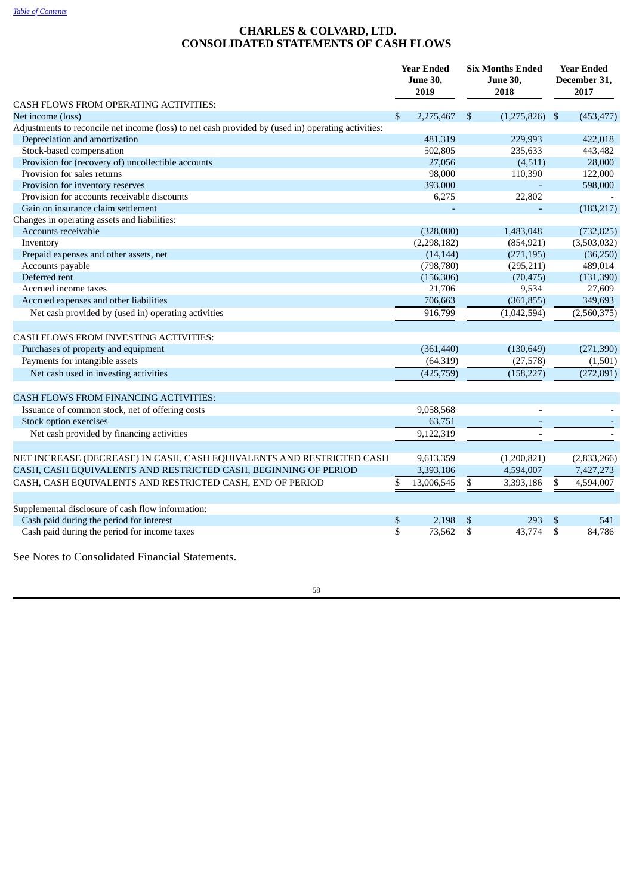# **CHARLES & COLVARD, LTD. CONSOLIDATED STATEMENTS OF CASH FLOWS**

|                                                                                                    | <b>Year Ended</b><br><b>June 30.</b><br>2019 |               | <b>Six Months Ended</b><br><b>June 30,</b><br>2018 |                  | <b>Year Ended</b><br>December 31.<br>2017 |  |
|----------------------------------------------------------------------------------------------------|----------------------------------------------|---------------|----------------------------------------------------|------------------|-------------------------------------------|--|
| <b>CASH FLOWS FROM OPERATING ACTIVITIES:</b>                                                       |                                              |               |                                                    |                  |                                           |  |
| Net income (loss)                                                                                  | \$                                           | 2,275,467     | \$                                                 | $(1,275,826)$ \$ | (453, 477)                                |  |
| Adjustments to reconcile net income (loss) to net cash provided by (used in) operating activities: |                                              |               |                                                    |                  |                                           |  |
| Depreciation and amortization                                                                      |                                              | 481,319       |                                                    | 229,993          | 422,018                                   |  |
| Stock-based compensation                                                                           |                                              | 502,805       |                                                    | 235,633          | 443,482                                   |  |
| Provision for (recovery of) uncollectible accounts                                                 |                                              | 27,056        |                                                    | (4,511)          | 28,000                                    |  |
| Provision for sales returns                                                                        |                                              | 98,000        |                                                    | 110,390          | 122,000                                   |  |
| Provision for inventory reserves                                                                   |                                              | 393,000       |                                                    | Ξ                | 598,000                                   |  |
| Provision for accounts receivable discounts                                                        |                                              | 6,275         |                                                    | 22,802           |                                           |  |
| Gain on insurance claim settlement                                                                 |                                              |               |                                                    |                  | (183, 217)                                |  |
| Changes in operating assets and liabilities:                                                       |                                              |               |                                                    |                  |                                           |  |
| Accounts receivable                                                                                |                                              | (328,080)     |                                                    | 1,483,048        | (732, 825)                                |  |
| Inventory                                                                                          |                                              | (2, 298, 182) |                                                    | (854, 921)       | (3,503,032)                               |  |
| Prepaid expenses and other assets, net                                                             |                                              | (14, 144)     |                                                    | (271, 195)       | (36,250)                                  |  |
| Accounts payable                                                                                   |                                              | (798, 780)    |                                                    | (295, 211)       | 489,014                                   |  |
| Deferred rent                                                                                      |                                              | (156, 306)    |                                                    | (70, 475)        | (131, 390)                                |  |
| Accrued income taxes                                                                               |                                              | 21,706        |                                                    | 9,534            | 27,609                                    |  |
| Accrued expenses and other liabilities                                                             |                                              | 706,663       |                                                    | (361, 855)       | 349,693                                   |  |
| Net cash provided by (used in) operating activities                                                |                                              | 916,799       |                                                    | (1,042,594)      | (2,560,375)                               |  |
| CASH FLOWS FROM INVESTING ACTIVITIES:                                                              |                                              |               |                                                    |                  |                                           |  |
| Purchases of property and equipment                                                                |                                              | (361, 440)    |                                                    | (130, 649)       | (271, 390)                                |  |
| Payments for intangible assets                                                                     |                                              | (64.319)      |                                                    | (27, 578)        | (1,501)                                   |  |
| Net cash used in investing activities                                                              |                                              | (425, 759)    |                                                    | (158, 227)       | (272, 891)                                |  |
| CASH FLOWS FROM FINANCING ACTIVITIES:                                                              |                                              |               |                                                    |                  |                                           |  |
| Issuance of common stock, net of offering costs                                                    |                                              | 9,058,568     |                                                    |                  |                                           |  |
| Stock option exercises                                                                             |                                              | 63,751        |                                                    |                  |                                           |  |
| Net cash provided by financing activities                                                          |                                              | 9,122,319     |                                                    |                  |                                           |  |
| NET INCREASE (DECREASE) IN CASH, CASH EQUIVALENTS AND RESTRICTED CASH                              |                                              | 9,613,359     |                                                    | (1,200,821)      | (2,833,266)                               |  |
| CASH, CASH EQUIVALENTS AND RESTRICTED CASH, BEGINNING OF PERIOD                                    |                                              | 3,393,186     |                                                    | 4,594,007        | 7,427,273                                 |  |
| CASH, CASH EQUIVALENTS AND RESTRICTED CASH, END OF PERIOD                                          | \$                                           | 13,006,545    | \$                                                 | 3,393,186        | \$<br>4,594,007                           |  |
| Supplemental disclosure of cash flow information:                                                  |                                              |               |                                                    |                  |                                           |  |
| Cash paid during the period for interest                                                           | \$                                           | 2,198         | \$                                                 | 293              | \$<br>541                                 |  |
| Cash paid during the period for income taxes                                                       | \$                                           | 73,562        | \$                                                 | 43,774           | \$<br>84,786                              |  |
| Cae Notes to Consolidated Einensial Ctatements                                                     |                                              |               |                                                    |                  |                                           |  |

See Notes to Consolidated Financial Statements.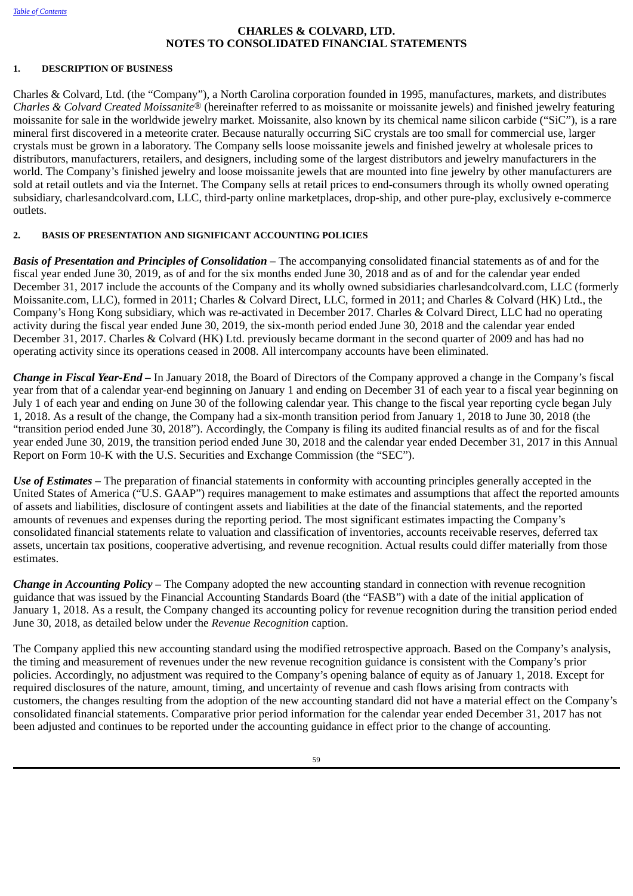# **CHARLES & COLVARD, LTD. NOTES TO CONSOLIDATED FINANCIAL STATEMENTS**

### **1. DESCRIPTION OF BUSINESS**

Charles & Colvard, Ltd. (the "Company"), a North Carolina corporation founded in 1995, manufactures, markets, and distributes *Charles & Colvard Created Moissanite®* (hereinafter referred to as moissanite or moissanite jewels) and finished jewelry featuring moissanite for sale in the worldwide jewelry market. Moissanite, also known by its chemical name silicon carbide ("SiC"), is a rare mineral first discovered in a meteorite crater. Because naturally occurring SiC crystals are too small for commercial use, larger crystals must be grown in a laboratory. The Company sells loose moissanite jewels and finished jewelry at wholesale prices to distributors, manufacturers, retailers, and designers, including some of the largest distributors and jewelry manufacturers in the world. The Company's finished jewelry and loose moissanite jewels that are mounted into fine jewelry by other manufacturers are sold at retail outlets and via the Internet. The Company sells at retail prices to end-consumers through its wholly owned operating subsidiary, charlesandcolvard.com, LLC, third-party online marketplaces, drop-ship, and other pure-play, exclusively e-commerce outlets.

### **2. BASIS OF PRESENTATION AND SIGNIFICANT ACCOUNTING POLICIES**

**Basis of Presentation and Principles of Consolidation –** The accompanying consolidated financial statements as of and for the fiscal year ended June 30, 2019, as of and for the six months ended June 30, 2018 and as of and for the calendar year ended December 31, 2017 include the accounts of the Company and its wholly owned subsidiaries charlesandcolvard.com, LLC (formerly Moissanite.com, LLC), formed in 2011; Charles & Colvard Direct, LLC, formed in 2011; and Charles & Colvard (HK) Ltd., the Company's Hong Kong subsidiary, which was re-activated in December 2017. Charles & Colvard Direct, LLC had no operating activity during the fiscal year ended June 30, 2019, the six-month period ended June 30, 2018 and the calendar year ended December 31, 2017. Charles & Colvard (HK) Ltd. previously became dormant in the second quarter of 2009 and has had no operating activity since its operations ceased in 2008. All intercompany accounts have been eliminated.

*Change in Fiscal Year-End –* In January 2018, the Board of Directors of the Company approved a change in the Company's fiscal year from that of a calendar year-end beginning on January 1 and ending on December 31 of each year to a fiscal year beginning on July 1 of each year and ending on June 30 of the following calendar year. This change to the fiscal year reporting cycle began July 1, 2018. As a result of the change, the Company had a six-month transition period from January 1, 2018 to June 30, 2018 (the "transition period ended June 30, 2018"). Accordingly, the Company is filing its audited financial results as of and for the fiscal year ended June 30, 2019, the transition period ended June 30, 2018 and the calendar year ended December 31, 2017 in this Annual Report on Form 10-K with the U.S. Securities and Exchange Commission (the "SEC").

*Use of Estimates –* The preparation of financial statements in conformity with accounting principles generally accepted in the United States of America ("U.S. GAAP") requires management to make estimates and assumptions that affect the reported amounts of assets and liabilities, disclosure of contingent assets and liabilities at the date of the financial statements, and the reported amounts of revenues and expenses during the reporting period. The most significant estimates impacting the Company's consolidated financial statements relate to valuation and classification of inventories, accounts receivable reserves, deferred tax assets, uncertain tax positions, cooperative advertising, and revenue recognition. Actual results could differ materially from those estimates.

*Change in Accounting Policy –* The Company adopted the new accounting standard in connection with revenue recognition guidance that was issued by the Financial Accounting Standards Board (the "FASB") with a date of the initial application of January 1, 2018. As a result, the Company changed its accounting policy for revenue recognition during the transition period ended June 30, 2018, as detailed below under the *Revenue Recognition* caption.

The Company applied this new accounting standard using the modified retrospective approach. Based on the Company's analysis, the timing and measurement of revenues under the new revenue recognition guidance is consistent with the Company's prior policies. Accordingly, no adjustment was required to the Company's opening balance of equity as of January 1, 2018. Except for required disclosures of the nature, amount, timing, and uncertainty of revenue and cash flows arising from contracts with customers, the changes resulting from the adoption of the new accounting standard did not have a material effect on the Company's consolidated financial statements. Comparative prior period information for the calendar year ended December 31, 2017 has not been adjusted and continues to be reported under the accounting guidance in effect prior to the change of accounting.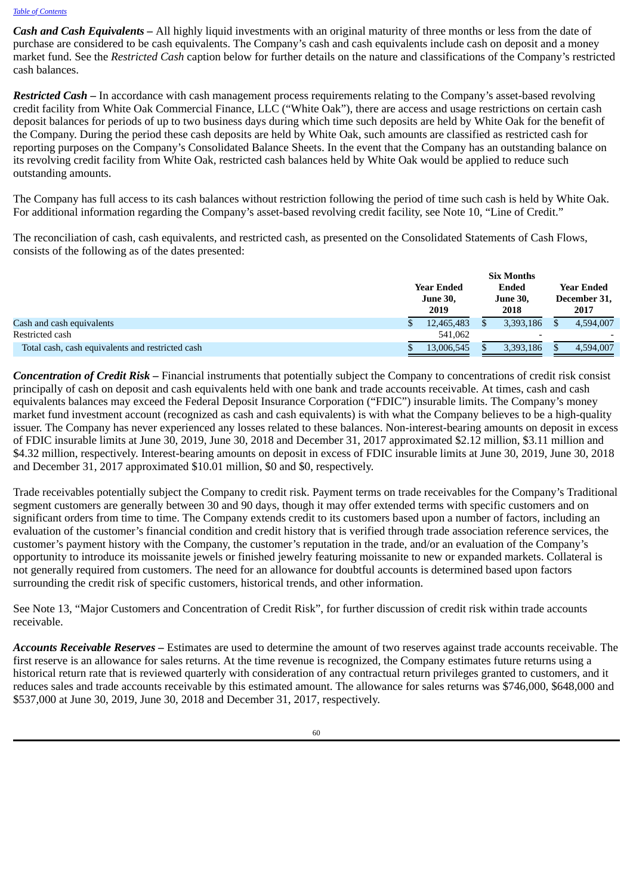#### *Table of [Contents](#page-2-0)*

*Cash and Cash Equivalents –* All highly liquid investments with an original maturity of three months or less from the date of purchase are considered to be cash equivalents. The Company's cash and cash equivalents include cash on deposit and a money market fund. See the *Restricted Cash* caption below for further details on the nature and classifications of the Company's restricted cash balances.

*Restricted Cash –* In accordance with cash management process requirements relating to the Company's asset-based revolving credit facility from White Oak Commercial Finance, LLC ("White Oak"), there are access and usage restrictions on certain cash deposit balances for periods of up to two business days during which time such deposits are held by White Oak for the benefit of the Company. During the period these cash deposits are held by White Oak, such amounts are classified as restricted cash for reporting purposes on the Company's Consolidated Balance Sheets. In the event that the Company has an outstanding balance on its revolving credit facility from White Oak, restricted cash balances held by White Oak would be applied to reduce such outstanding amounts.

The Company has full access to its cash balances without restriction following the period of time such cash is held by White Oak. For additional information regarding the Company's asset-based revolving credit facility, see Note 10, "Line of Credit."

The reconciliation of cash, cash equivalents, and restricted cash, as presented on the Consolidated Statements of Cash Flows, consists of the following as of the dates presented:

|                                                  |  |                                      |  | <b>Six Months</b>                        |  |           |  |  |  |  |  |  |  |  |  |                                    |
|--------------------------------------------------|--|--------------------------------------|--|------------------------------------------|--|-----------|--|--|--|--|--|--|--|--|--|------------------------------------|
|                                                  |  | <b>Year Ended</b><br><b>June 30,</b> |  | Ended<br><b>June 30.</b><br>2019<br>2018 |  |           |  |  |  |  |  |  |  |  |  | Year Ended<br>December 31,<br>2017 |
|                                                  |  |                                      |  |                                          |  |           |  |  |  |  |  |  |  |  |  |                                    |
| Cash and cash equivalents                        |  | 12,465,483                           |  | 3.393.186                                |  | 4,594,007 |  |  |  |  |  |  |  |  |  |                                    |
| Restricted cash                                  |  | 541,062                              |  | $\overline{\phantom{0}}$                 |  |           |  |  |  |  |  |  |  |  |  |                                    |
| Total cash, cash equivalents and restricted cash |  | 13,006,545                           |  | 3,393,186                                |  | 4,594,007 |  |  |  |  |  |  |  |  |  |                                    |

*Concentration of Credit Risk –* Financial instruments that potentially subject the Company to concentrations of credit risk consist principally of cash on deposit and cash equivalents held with one bank and trade accounts receivable. At times, cash and cash equivalents balances may exceed the Federal Deposit Insurance Corporation ("FDIC") insurable limits. The Company's money market fund investment account (recognized as cash and cash equivalents) is with what the Company believes to be a high-quality issuer. The Company has never experienced any losses related to these balances. Non-interest-bearing amounts on deposit in excess of FDIC insurable limits at June 30, 2019, June 30, 2018 and December 31, 2017 approximated \$2.12 million, \$3.11 million and \$4.32 million, respectively. Interest-bearing amounts on deposit in excess of FDIC insurable limits at June 30, 2019, June 30, 2018 and December 31, 2017 approximated \$10.01 million, \$0 and \$0, respectively.

Trade receivables potentially subject the Company to credit risk. Payment terms on trade receivables for the Company's Traditional segment customers are generally between 30 and 90 days, though it may offer extended terms with specific customers and on significant orders from time to time. The Company extends credit to its customers based upon a number of factors, including an evaluation of the customer's financial condition and credit history that is verified through trade association reference services, the customer's payment history with the Company, the customer's reputation in the trade, and/or an evaluation of the Company's opportunity to introduce its moissanite jewels or finished jewelry featuring moissanite to new or expanded markets. Collateral is not generally required from customers. The need for an allowance for doubtful accounts is determined based upon factors surrounding the credit risk of specific customers, historical trends, and other information.

See Note 13, "Major Customers and Concentration of Credit Risk", for further discussion of credit risk within trade accounts receivable.

*Accounts Receivable Reserves –* Estimates are used to determine the amount of two reserves against trade accounts receivable. The first reserve is an allowance for sales returns. At the time revenue is recognized, the Company estimates future returns using a historical return rate that is reviewed quarterly with consideration of any contractual return privileges granted to customers, and it reduces sales and trade accounts receivable by this estimated amount. The allowance for sales returns was \$746,000, \$648,000 and \$537,000 at June 30, 2019, June 30, 2018 and December 31, 2017, respectively.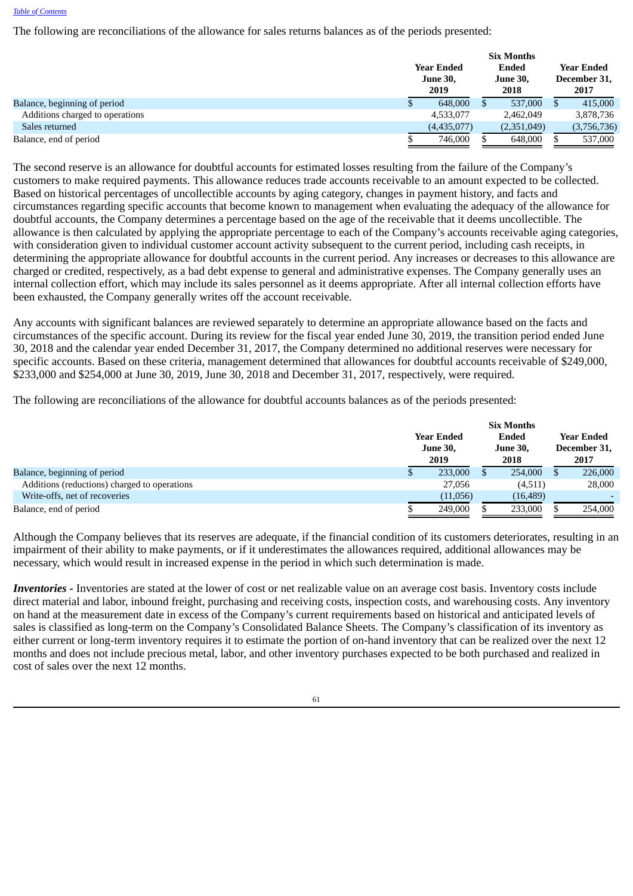The following are reconciliations of the allowance for sales returns balances as of the periods presented:

|                                 | <b>Year Ended</b><br><b>June 30,</b><br>2019 | <b>Six Months</b><br>Ended<br><b>June 30,</b><br>2018 | <b>Year Ended</b><br>December 31,<br>2017 |
|---------------------------------|----------------------------------------------|-------------------------------------------------------|-------------------------------------------|
| Balance, beginning of period    | 648,000                                      | 537,000                                               | 415,000                                   |
| Additions charged to operations | 4,533,077                                    | 2,462,049                                             | 3,878,736                                 |
| Sales returned                  | (4,435,077)                                  | (2,351,049)                                           | (3,756,736)                               |
| Balance, end of period          | 746,000                                      | 648,000                                               | 537,000                                   |

The second reserve is an allowance for doubtful accounts for estimated losses resulting from the failure of the Company's customers to make required payments. This allowance reduces trade accounts receivable to an amount expected to be collected. Based on historical percentages of uncollectible accounts by aging category, changes in payment history, and facts and circumstances regarding specific accounts that become known to management when evaluating the adequacy of the allowance for doubtful accounts, the Company determines a percentage based on the age of the receivable that it deems uncollectible. The allowance is then calculated by applying the appropriate percentage to each of the Company's accounts receivable aging categories, with consideration given to individual customer account activity subsequent to the current period, including cash receipts, in determining the appropriate allowance for doubtful accounts in the current period. Any increases or decreases to this allowance are charged or credited, respectively, as a bad debt expense to general and administrative expenses. The Company generally uses an internal collection effort, which may include its sales personnel as it deems appropriate. After all internal collection efforts have been exhausted, the Company generally writes off the account receivable.

Any accounts with significant balances are reviewed separately to determine an appropriate allowance based on the facts and circumstances of the specific account. During its review for the fiscal year ended June 30, 2019, the transition period ended June 30, 2018 and the calendar year ended December 31, 2017, the Company determined no additional reserves were necessary for specific accounts. Based on these criteria, management determined that allowances for doubtful accounts receivable of \$249,000, \$233,000 and \$254,000 at June 30, 2019, June 30, 2018 and December 31, 2017, respectively, were required.

The following are reconciliations of the allowance for doubtful accounts balances as of the periods presented:

|                                              |  |                                      |  | <b>Six Months</b> |  |                          |  |  |  |  |  |  |  |  |  |  |  |  |  |  |  |       |  |                   |
|----------------------------------------------|--|--------------------------------------|--|-------------------|--|--------------------------|--|--|--|--|--|--|--|--|--|--|--|--|--|--|--|-------|--|-------------------|
|                                              |  | <b>Year Ended</b><br><b>June 30,</b> |  |                   |  |                          |  |  |  |  |  |  |  |  |  |  |  |  |  |  |  | Ended |  | <b>Year Ended</b> |
|                                              |  |                                      |  | <b>June 30,</b>   |  | December 31,             |  |  |  |  |  |  |  |  |  |  |  |  |  |  |  |       |  |                   |
|                                              |  | 2019                                 |  | 2018              |  | 2017                     |  |  |  |  |  |  |  |  |  |  |  |  |  |  |  |       |  |                   |
| Balance, beginning of period                 |  | 233,000                              |  | 254,000           |  | 226,000                  |  |  |  |  |  |  |  |  |  |  |  |  |  |  |  |       |  |                   |
| Additions (reductions) charged to operations |  | 27,056                               |  | (4,511)           |  | 28,000                   |  |  |  |  |  |  |  |  |  |  |  |  |  |  |  |       |  |                   |
| Write-offs, net of recoveries                |  | (11,056)                             |  | (16, 489)         |  | $\overline{\phantom{0}}$ |  |  |  |  |  |  |  |  |  |  |  |  |  |  |  |       |  |                   |
| Balance, end of period                       |  | 249,000                              |  | 233,000           |  | 254,000                  |  |  |  |  |  |  |  |  |  |  |  |  |  |  |  |       |  |                   |

Although the Company believes that its reserves are adequate, if the financial condition of its customers deteriorates, resulting in an impairment of their ability to make payments, or if it underestimates the allowances required, additional allowances may be necessary, which would result in increased expense in the period in which such determination is made.

*Inventories -* Inventories are stated at the lower of cost or net realizable value on an average cost basis. Inventory costs include direct material and labor, inbound freight, purchasing and receiving costs, inspection costs, and warehousing costs. Any inventory on hand at the measurement date in excess of the Company's current requirements based on historical and anticipated levels of sales is classified as long-term on the Company's Consolidated Balance Sheets. The Company's classification of its inventory as either current or long-term inventory requires it to estimate the portion of on-hand inventory that can be realized over the next 12 months and does not include precious metal, labor, and other inventory purchases expected to be both purchased and realized in cost of sales over the next 12 months.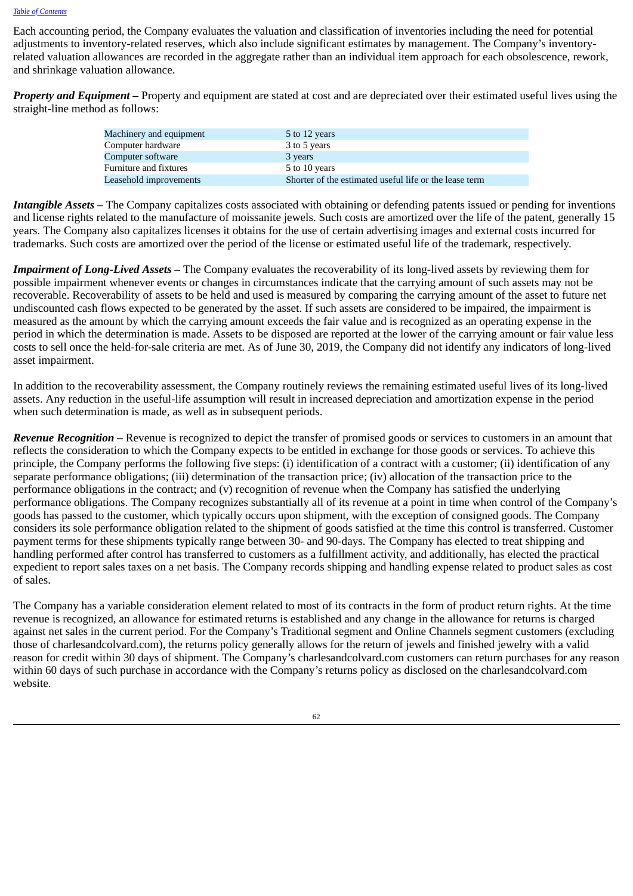Each accounting period, the Company evaluates the valuation and classification of inventories including the need for potential adjustments to inventory-related reserves, which also include significant estimates by management. The Company's inventoryrelated valuation allowances are recorded in the aggregate rather than an individual item approach for each obsolescence, rework, and shrinkage valuation allowance.

*Property and Equipment –* Property and equipment are stated at cost and are depreciated over their estimated useful lives using the straight-line method as follows:

| Machinery and equipment | 5 to 12 years                                          |
|-------------------------|--------------------------------------------------------|
| Computer hardware       | 3 to 5 years                                           |
| Computer software       | 3 years                                                |
| Furniture and fixtures  | 5 to 10 years                                          |
| Leasehold improvements  | Shorter of the estimated useful life or the lease term |

*Intangible Assets –* The Company capitalizes costs associated with obtaining or defending patents issued or pending for inventions and license rights related to the manufacture of moissanite jewels. Such costs are amortized over the life of the patent, generally 15 years. The Company also capitalizes licenses it obtains for the use of certain advertising images and external costs incurred for trademarks. Such costs are amortized over the period of the license or estimated useful life of the trademark, respectively.

*Impairment of Long-Lived Assets –* The Company evaluates the recoverability of its long-lived assets by reviewing them for possible impairment whenever events or changes in circumstances indicate that the carrying amount of such assets may not be recoverable. Recoverability of assets to be held and used is measured by comparing the carrying amount of the asset to future net undiscounted cash flows expected to be generated by the asset. If such assets are considered to be impaired, the impairment is measured as the amount by which the carrying amount exceeds the fair value and is recognized as an operating expense in the period in which the determination is made. Assets to be disposed are reported at the lower of the carrying amount or fair value less costs to sell once the held-for-sale criteria are met. As of June 30, 2019, the Company did not identify any indicators of long-lived asset impairment.

In addition to the recoverability assessment, the Company routinely reviews the remaining estimated useful lives of its long-lived assets. Any reduction in the useful-life assumption will result in increased depreciation and amortization expense in the period when such determination is made, as well as in subsequent periods.

*Revenue Recognition –* Revenue is recognized to depict the transfer of promised goods or services to customers in an amount that reflects the consideration to which the Company expects to be entitled in exchange for those goods or services. To achieve this principle, the Company performs the following five steps: (i) identification of a contract with a customer; (ii) identification of any separate performance obligations; (iii) determination of the transaction price; (iv) allocation of the transaction price to the performance obligations in the contract; and (v) recognition of revenue when the Company has satisfied the underlying performance obligations. The Company recognizes substantially all of its revenue at a point in time when control of the Company's goods has passed to the customer, which typically occurs upon shipment, with the exception of consigned goods. The Company considers its sole performance obligation related to the shipment of goods satisfied at the time this control is transferred. Customer payment terms for these shipments typically range between 30- and 90-days. The Company has elected to treat shipping and handling performed after control has transferred to customers as a fulfillment activity, and additionally, has elected the practical expedient to report sales taxes on a net basis. The Company records shipping and handling expense related to product sales as cost of sales.

The Company has a variable consideration element related to most of its contracts in the form of product return rights. At the time revenue is recognized, an allowance for estimated returns is established and any change in the allowance for returns is charged against net sales in the current period. For the Company's Traditional segment and Online Channels segment customers (excluding those of charlesandcolvard.com), the returns policy generally allows for the return of jewels and finished jewelry with a valid reason for credit within 30 days of shipment. The Company's charlesandcolvard.com customers can return purchases for any reason within 60 days of such purchase in accordance with the Company's returns policy as disclosed on the charlesandcolvard.com website.

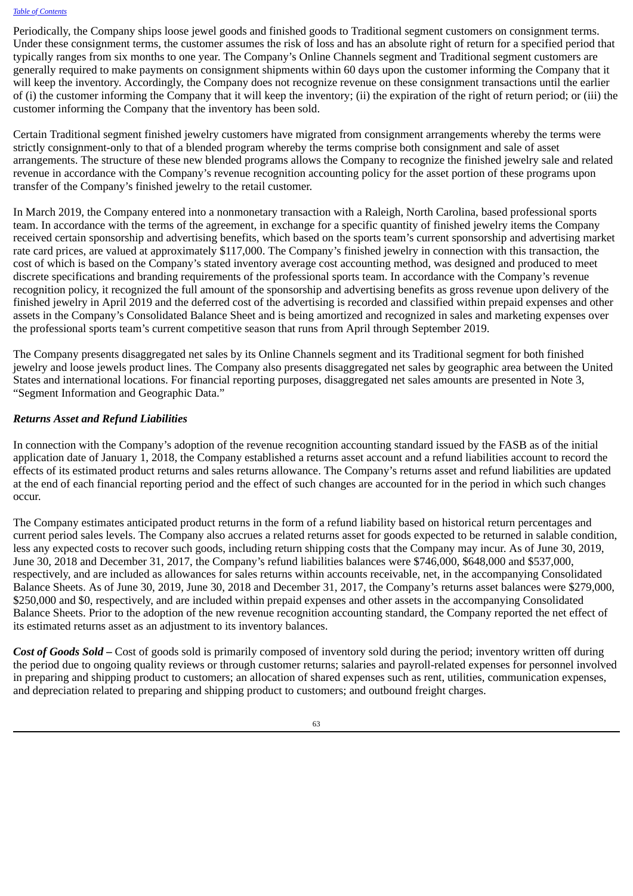Periodically, the Company ships loose jewel goods and finished goods to Traditional segment customers on consignment terms. Under these consignment terms, the customer assumes the risk of loss and has an absolute right of return for a specified period that typically ranges from six months to one year. The Company's Online Channels segment and Traditional segment customers are generally required to make payments on consignment shipments within 60 days upon the customer informing the Company that it will keep the inventory. Accordingly, the Company does not recognize revenue on these consignment transactions until the earlier of (i) the customer informing the Company that it will keep the inventory; (ii) the expiration of the right of return period; or (iii) the customer informing the Company that the inventory has been sold.

Certain Traditional segment finished jewelry customers have migrated from consignment arrangements whereby the terms were strictly consignment-only to that of a blended program whereby the terms comprise both consignment and sale of asset arrangements. The structure of these new blended programs allows the Company to recognize the finished jewelry sale and related revenue in accordance with the Company's revenue recognition accounting policy for the asset portion of these programs upon transfer of the Company's finished jewelry to the retail customer.

In March 2019, the Company entered into a nonmonetary transaction with a Raleigh, North Carolina, based professional sports team. In accordance with the terms of the agreement, in exchange for a specific quantity of finished jewelry items the Company received certain sponsorship and advertising benefits, which based on the sports team's current sponsorship and advertising market rate card prices, are valued at approximately \$117,000. The Company's finished jewelry in connection with this transaction, the cost of which is based on the Company's stated inventory average cost accounting method, was designed and produced to meet discrete specifications and branding requirements of the professional sports team. In accordance with the Company's revenue recognition policy, it recognized the full amount of the sponsorship and advertising benefits as gross revenue upon delivery of the finished jewelry in April 2019 and the deferred cost of the advertising is recorded and classified within prepaid expenses and other assets in the Company's Consolidated Balance Sheet and is being amortized and recognized in sales and marketing expenses over the professional sports team's current competitive season that runs from April through September 2019.

The Company presents disaggregated net sales by its Online Channels segment and its Traditional segment for both finished jewelry and loose jewels product lines. The Company also presents disaggregated net sales by geographic area between the United States and international locations. For financial reporting purposes, disaggregated net sales amounts are presented in Note 3, "Segment Information and Geographic Data."

### *Returns Asset and Refund Liabilities*

In connection with the Company's adoption of the revenue recognition accounting standard issued by the FASB as of the initial application date of January 1, 2018, the Company established a returns asset account and a refund liabilities account to record the effects of its estimated product returns and sales returns allowance. The Company's returns asset and refund liabilities are updated at the end of each financial reporting period and the effect of such changes are accounted for in the period in which such changes occur.

The Company estimates anticipated product returns in the form of a refund liability based on historical return percentages and current period sales levels. The Company also accrues a related returns asset for goods expected to be returned in salable condition, less any expected costs to recover such goods, including return shipping costs that the Company may incur. As of June 30, 2019, June 30, 2018 and December 31, 2017, the Company's refund liabilities balances were \$746,000, \$648,000 and \$537,000, respectively, and are included as allowances for sales returns within accounts receivable, net, in the accompanying Consolidated Balance Sheets. As of June 30, 2019, June 30, 2018 and December 31, 2017, the Company's returns asset balances were \$279,000, \$250,000 and \$0, respectively, and are included within prepaid expenses and other assets in the accompanying Consolidated Balance Sheets. Prior to the adoption of the new revenue recognition accounting standard, the Company reported the net effect of its estimated returns asset as an adjustment to its inventory balances.

*Cost of Goods Sold –* Cost of goods sold is primarily composed of inventory sold during the period; inventory written off during the period due to ongoing quality reviews or through customer returns; salaries and payroll-related expenses for personnel involved in preparing and shipping product to customers; an allocation of shared expenses such as rent, utilities, communication expenses, and depreciation related to preparing and shipping product to customers; and outbound freight charges.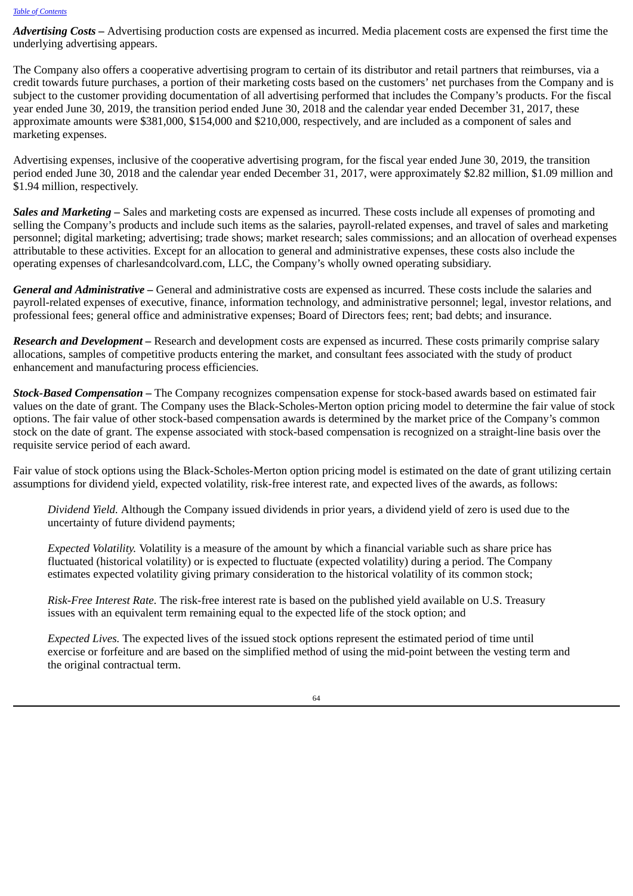*Advertising Costs –* Advertising production costs are expensed as incurred. Media placement costs are expensed the first time the underlying advertising appears.

The Company also offers a cooperative advertising program to certain of its distributor and retail partners that reimburses, via a credit towards future purchases, a portion of their marketing costs based on the customers' net purchases from the Company and is subject to the customer providing documentation of all advertising performed that includes the Company's products. For the fiscal year ended June 30, 2019, the transition period ended June 30, 2018 and the calendar year ended December 31, 2017, these approximate amounts were \$381,000, \$154,000 and \$210,000, respectively, and are included as a component of sales and marketing expenses.

Advertising expenses, inclusive of the cooperative advertising program, for the fiscal year ended June 30, 2019, the transition period ended June 30, 2018 and the calendar year ended December 31, 2017, were approximately \$2.82 million, \$1.09 million and \$1.94 million, respectively.

*Sales and Marketing –* Sales and marketing costs are expensed as incurred. These costs include all expenses of promoting and selling the Company's products and include such items as the salaries, payroll-related expenses, and travel of sales and marketing personnel; digital marketing; advertising; trade shows; market research; sales commissions; and an allocation of overhead expenses attributable to these activities. Except for an allocation to general and administrative expenses, these costs also include the operating expenses of charlesandcolvard.com, LLC, the Company's wholly owned operating subsidiary.

*General and Administrative –* General and administrative costs are expensed as incurred. These costs include the salaries and payroll-related expenses of executive, finance, information technology, and administrative personnel; legal, investor relations, and professional fees; general office and administrative expenses; Board of Directors fees; rent; bad debts; and insurance.

*Research and Development –* Research and development costs are expensed as incurred. These costs primarily comprise salary allocations, samples of competitive products entering the market, and consultant fees associated with the study of product enhancement and manufacturing process efficiencies.

*Stock-Based Compensation –* The Company recognizes compensation expense for stock-based awards based on estimated fair values on the date of grant. The Company uses the Black-Scholes-Merton option pricing model to determine the fair value of stock options. The fair value of other stock-based compensation awards is determined by the market price of the Company's common stock on the date of grant. The expense associated with stock-based compensation is recognized on a straight-line basis over the requisite service period of each award.

Fair value of stock options using the Black-Scholes-Merton option pricing model is estimated on the date of grant utilizing certain assumptions for dividend yield, expected volatility, risk-free interest rate, and expected lives of the awards, as follows:

*Dividend Yield.* Although the Company issued dividends in prior years, a dividend yield of zero is used due to the uncertainty of future dividend payments;

*Expected Volatility.* Volatility is a measure of the amount by which a financial variable such as share price has fluctuated (historical volatility) or is expected to fluctuate (expected volatility) during a period. The Company estimates expected volatility giving primary consideration to the historical volatility of its common stock;

*Risk-Free Interest Rate.* The risk-free interest rate is based on the published yield available on U.S. Treasury issues with an equivalent term remaining equal to the expected life of the stock option; and

*Expected Lives.* The expected lives of the issued stock options represent the estimated period of time until exercise or forfeiture and are based on the simplified method of using the mid-point between the vesting term and the original contractual term.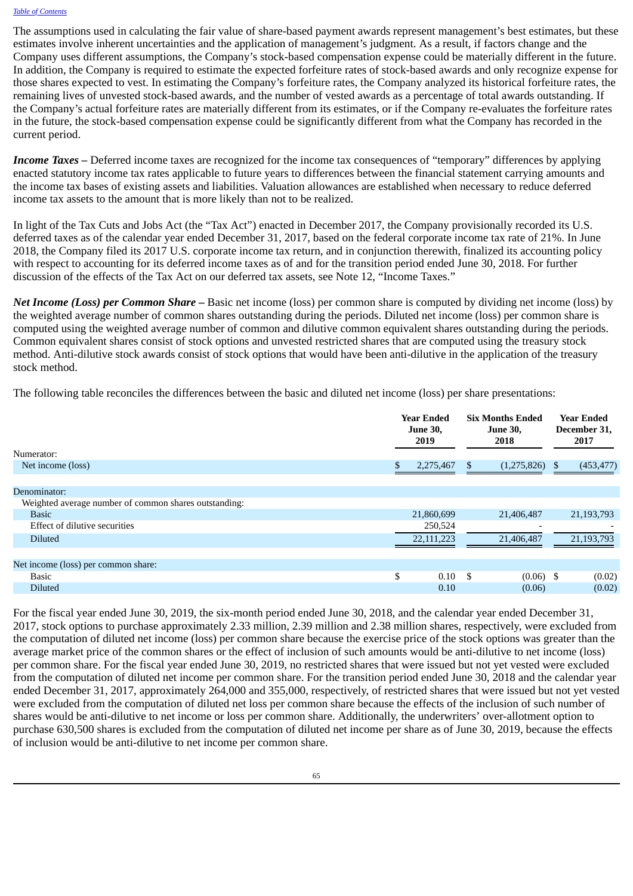The assumptions used in calculating the fair value of share-based payment awards represent management's best estimates, but these estimates involve inherent uncertainties and the application of management's judgment. As a result, if factors change and the Company uses different assumptions, the Company's stock-based compensation expense could be materially different in the future. In addition, the Company is required to estimate the expected forfeiture rates of stock-based awards and only recognize expense for those shares expected to vest. In estimating the Company's forfeiture rates, the Company analyzed its historical forfeiture rates, the remaining lives of unvested stock-based awards, and the number of vested awards as a percentage of total awards outstanding. If the Company's actual forfeiture rates are materially different from its estimates, or if the Company re-evaluates the forfeiture rates in the future, the stock-based compensation expense could be significantly different from what the Company has recorded in the current period.

*Income Taxes –* Deferred income taxes are recognized for the income tax consequences of "temporary" differences by applying enacted statutory income tax rates applicable to future years to differences between the financial statement carrying amounts and the income tax bases of existing assets and liabilities. Valuation allowances are established when necessary to reduce deferred income tax assets to the amount that is more likely than not to be realized.

In light of the Tax Cuts and Jobs Act (the "Tax Act") enacted in December 2017, the Company provisionally recorded its U.S. deferred taxes as of the calendar year ended December 31, 2017, based on the federal corporate income tax rate of 21%. In June 2018, the Company filed its 2017 U.S. corporate income tax return, and in conjunction therewith, finalized its accounting policy with respect to accounting for its deferred income taxes as of and for the transition period ended June 30, 2018. For further discussion of the effects of the Tax Act on our deferred tax assets, see Note 12, "Income Taxes."

*Net Income (Loss) per Common Share –* Basic net income (loss) per common share is computed by dividing net income (loss) by the weighted average number of common shares outstanding during the periods. Diluted net income (loss) per common share is computed using the weighted average number of common and dilutive common equivalent shares outstanding during the periods. Common equivalent shares consist of stock options and unvested restricted shares that are computed using the treasury stock method. Anti-dilutive stock awards consist of stock options that would have been anti-dilutive in the application of the treasury stock method.

The following table reconciles the differences between the basic and diluted net income (loss) per share presentations:

|                                                       |    | <b>Year Ended</b><br><b>June 30,</b><br>2019 |    |             |     |            |  |  |  |  |  |  |  |  |  |  |  |  |  |  |  |  |  |  |  |  |  |  |  |  |  |  |  |  |  |  |  |  |  |  |  | <b>Six Months Ended</b><br><b>June 30,</b><br>2018 |  | <b>Year Ended</b><br>December 31,<br>2017 |
|-------------------------------------------------------|----|----------------------------------------------|----|-------------|-----|------------|--|--|--|--|--|--|--|--|--|--|--|--|--|--|--|--|--|--|--|--|--|--|--|--|--|--|--|--|--|--|--|--|--|--|--|----------------------------------------------------|--|-------------------------------------------|
| Numerator:                                            |    |                                              |    |             |     |            |  |  |  |  |  |  |  |  |  |  |  |  |  |  |  |  |  |  |  |  |  |  |  |  |  |  |  |  |  |  |  |  |  |  |  |                                                    |  |                                           |
| Net income (loss)                                     |    | 2,275,467                                    | S  | (1,275,826) | \$. | (453, 477) |  |  |  |  |  |  |  |  |  |  |  |  |  |  |  |  |  |  |  |  |  |  |  |  |  |  |  |  |  |  |  |  |  |  |  |                                                    |  |                                           |
|                                                       |    |                                              |    |             |     |            |  |  |  |  |  |  |  |  |  |  |  |  |  |  |  |  |  |  |  |  |  |  |  |  |  |  |  |  |  |  |  |  |  |  |  |                                                    |  |                                           |
| Denominator:                                          |    |                                              |    |             |     |            |  |  |  |  |  |  |  |  |  |  |  |  |  |  |  |  |  |  |  |  |  |  |  |  |  |  |  |  |  |  |  |  |  |  |  |                                                    |  |                                           |
| Weighted average number of common shares outstanding: |    |                                              |    |             |     |            |  |  |  |  |  |  |  |  |  |  |  |  |  |  |  |  |  |  |  |  |  |  |  |  |  |  |  |  |  |  |  |  |  |  |  |                                                    |  |                                           |
| <b>Basic</b>                                          |    | 21,860,699                                   |    | 21,406,487  |     | 21,193,793 |  |  |  |  |  |  |  |  |  |  |  |  |  |  |  |  |  |  |  |  |  |  |  |  |  |  |  |  |  |  |  |  |  |  |  |                                                    |  |                                           |
| Effect of dilutive securities                         |    | 250,524                                      |    |             |     |            |  |  |  |  |  |  |  |  |  |  |  |  |  |  |  |  |  |  |  |  |  |  |  |  |  |  |  |  |  |  |  |  |  |  |  |                                                    |  |                                           |
| <b>Diluted</b>                                        |    | 22, 111, 223                                 |    | 21,406,487  |     | 21,193,793 |  |  |  |  |  |  |  |  |  |  |  |  |  |  |  |  |  |  |  |  |  |  |  |  |  |  |  |  |  |  |  |  |  |  |  |                                                    |  |                                           |
|                                                       |    |                                              |    |             |     |            |  |  |  |  |  |  |  |  |  |  |  |  |  |  |  |  |  |  |  |  |  |  |  |  |  |  |  |  |  |  |  |  |  |  |  |                                                    |  |                                           |
| Net income (loss) per common share:                   |    |                                              |    |             |     |            |  |  |  |  |  |  |  |  |  |  |  |  |  |  |  |  |  |  |  |  |  |  |  |  |  |  |  |  |  |  |  |  |  |  |  |                                                    |  |                                           |
| <b>Basic</b>                                          | \$ | 0.10                                         | -S | $(0.06)$ \$ |     | (0.02)     |  |  |  |  |  |  |  |  |  |  |  |  |  |  |  |  |  |  |  |  |  |  |  |  |  |  |  |  |  |  |  |  |  |  |  |                                                    |  |                                           |
| <b>Diluted</b>                                        |    | 0.10                                         |    | (0.06)      |     | (0.02)     |  |  |  |  |  |  |  |  |  |  |  |  |  |  |  |  |  |  |  |  |  |  |  |  |  |  |  |  |  |  |  |  |  |  |  |                                                    |  |                                           |

For the fiscal year ended June 30, 2019, the six-month period ended June 30, 2018, and the calendar year ended December 31, 2017, stock options to purchase approximately 2.33 million, 2.39 million and 2.38 million shares, respectively, were excluded from the computation of diluted net income (loss) per common share because the exercise price of the stock options was greater than the average market price of the common shares or the effect of inclusion of such amounts would be anti-dilutive to net income (loss) per common share. For the fiscal year ended June 30, 2019, no restricted shares that were issued but not yet vested were excluded from the computation of diluted net income per common share. For the transition period ended June 30, 2018 and the calendar year ended December 31, 2017, approximately 264,000 and 355,000, respectively, of restricted shares that were issued but not yet vested were excluded from the computation of diluted net loss per common share because the effects of the inclusion of such number of shares would be anti-dilutive to net income or loss per common share. Additionally, the underwriters' over-allotment option to purchase 630,500 shares is excluded from the computation of diluted net income per share as of June 30, 2019, because the effects of inclusion would be anti-dilutive to net income per common share.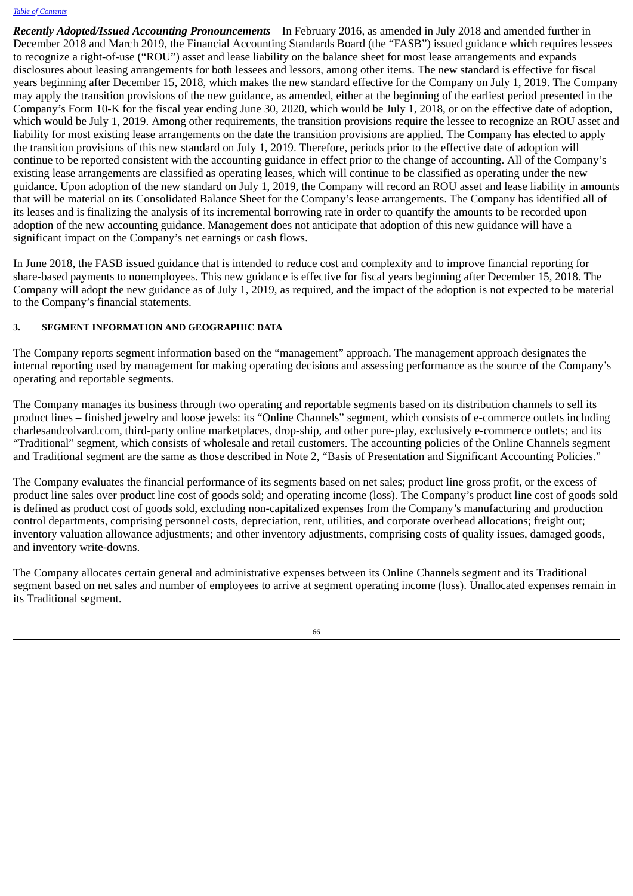#### *Table of [Contents](#page-2-0)*

*Recently Adopted/Issued Accounting Pronouncements* – In February 2016, as amended in July 2018 and amended further in December 2018 and March 2019, the Financial Accounting Standards Board (the "FASB") issued guidance which requires lessees to recognize a right-of-use ("ROU") asset and lease liability on the balance sheet for most lease arrangements and expands disclosures about leasing arrangements for both lessees and lessors, among other items. The new standard is effective for fiscal years beginning after December 15, 2018, which makes the new standard effective for the Company on July 1, 2019. The Company may apply the transition provisions of the new guidance, as amended, either at the beginning of the earliest period presented in the Company's Form 10-K for the fiscal year ending June 30, 2020, which would be July 1, 2018, or on the effective date of adoption, which would be July 1, 2019. Among other requirements, the transition provisions require the lessee to recognize an ROU asset and liability for most existing lease arrangements on the date the transition provisions are applied. The Company has elected to apply the transition provisions of this new standard on July 1, 2019. Therefore, periods prior to the effective date of adoption will continue to be reported consistent with the accounting guidance in effect prior to the change of accounting. All of the Company's existing lease arrangements are classified as operating leases, which will continue to be classified as operating under the new guidance. Upon adoption of the new standard on July 1, 2019, the Company will record an ROU asset and lease liability in amounts that will be material on its Consolidated Balance Sheet for the Company's lease arrangements. The Company has identified all of its leases and is finalizing the analysis of its incremental borrowing rate in order to quantify the amounts to be recorded upon adoption of the new accounting guidance. Management does not anticipate that adoption of this new guidance will have a significant impact on the Company's net earnings or cash flows.

In June 2018, the FASB issued guidance that is intended to reduce cost and complexity and to improve financial reporting for share-based payments to nonemployees. This new guidance is effective for fiscal years beginning after December 15, 2018. The Company will adopt the new guidance as of July 1, 2019, as required, and the impact of the adoption is not expected to be material to the Company's financial statements.

### **3. SEGMENT INFORMATION AND GEOGRAPHIC DATA**

The Company reports segment information based on the "management" approach. The management approach designates the internal reporting used by management for making operating decisions and assessing performance as the source of the Company's operating and reportable segments.

The Company manages its business through two operating and reportable segments based on its distribution channels to sell its product lines – finished jewelry and loose jewels: its "Online Channels" segment, which consists of e-commerce outlets including charlesandcolvard.com, third-party online marketplaces, drop-ship, and other pure-play, exclusively e-commerce outlets; and its "Traditional" segment, which consists of wholesale and retail customers. The accounting policies of the Online Channels segment and Traditional segment are the same as those described in Note 2, "Basis of Presentation and Significant Accounting Policies."

The Company evaluates the financial performance of its segments based on net sales; product line gross profit, or the excess of product line sales over product line cost of goods sold; and operating income (loss). The Company's product line cost of goods sold is defined as product cost of goods sold, excluding non-capitalized expenses from the Company's manufacturing and production control departments, comprising personnel costs, depreciation, rent, utilities, and corporate overhead allocations; freight out; inventory valuation allowance adjustments; and other inventory adjustments, comprising costs of quality issues, damaged goods, and inventory write-downs.

The Company allocates certain general and administrative expenses between its Online Channels segment and its Traditional segment based on net sales and number of employees to arrive at segment operating income (loss). Unallocated expenses remain in its Traditional segment.

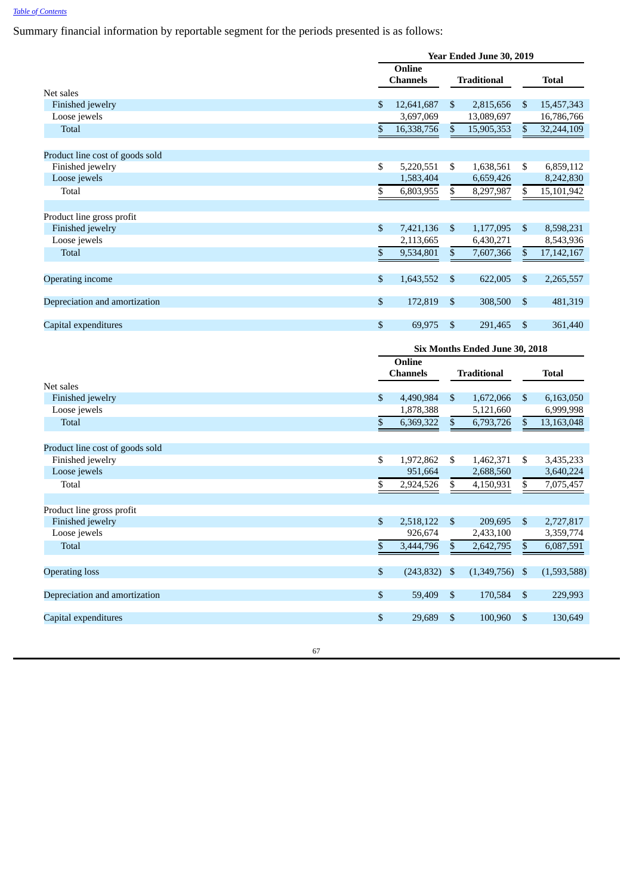## *Table of [Contents](#page-2-0)*

# Summary financial information by reportable segment for the periods presented is as follows:

|                                 |                | Year Ended June 30, 2019  |                |                    |    |              |  |  |
|---------------------------------|----------------|---------------------------|----------------|--------------------|----|--------------|--|--|
|                                 |                | Online<br><b>Channels</b> |                | <b>Traditional</b> |    | <b>Total</b> |  |  |
| Net sales                       |                |                           |                |                    |    |              |  |  |
| Finished jewelry                | \$             | 12,641,687                | \$             | 2,815,656          | \$ | 15,457,343   |  |  |
| Loose jewels                    |                | 3,697,069                 |                | 13,089,697         |    | 16,786,766   |  |  |
| Total                           | \$             | 16,338,756                | \$             | 15,905,353         | \$ | 32,244,109   |  |  |
|                                 |                |                           |                |                    |    |              |  |  |
| Product line cost of goods sold |                |                           |                |                    |    |              |  |  |
| Finished jewelry                | \$             | 5,220,551                 | \$             | 1,638,561          | \$ | 6,859,112    |  |  |
| Loose jewels                    |                | 1,583,404                 |                | 6,659,426          |    | 8,242,830    |  |  |
| Total                           | \$             | 6,803,955                 | \$             | 8,297,987          | \$ | 15,101,942   |  |  |
|                                 |                |                           |                |                    |    |              |  |  |
| Product line gross profit       |                |                           |                |                    |    |              |  |  |
| Finished jewelry                | $\mathbb{S}$   | 7,421,136                 | $\mathbb{S}$   | 1,177,095          | \$ | 8,598,231    |  |  |
| Loose jewels                    |                | 2,113,665                 |                | 6,430,271          |    | 8,543,936    |  |  |
| <b>Total</b>                    | \$             | 9,534,801                 | \$             | 7,607,366          | \$ | 17,142,167   |  |  |
|                                 |                |                           |                |                    |    |              |  |  |
| Operating income                | $\mathfrak{S}$ | 1,643,552                 | $\mathfrak{S}$ | 622,005            | \$ | 2,265,557    |  |  |
|                                 |                |                           |                |                    |    |              |  |  |
| Depreciation and amortization   | $\sqrt[6]{3}$  | 172,819                   | $\mathbb{S}$   | 308,500            | \$ | 481,319      |  |  |
|                                 |                |                           |                |                    |    |              |  |  |
| Capital expenditures            | $\mathfrak{s}$ | 69,975                    | \$             | 291,465            | \$ | 361,440      |  |  |
|                                 |                |                           |                |                    |    |              |  |  |

|                                 | Six Months Ended June 30, 2018 |                           |      |                    |                |              |  |
|---------------------------------|--------------------------------|---------------------------|------|--------------------|----------------|--------------|--|
|                                 |                                | Online<br><b>Channels</b> |      | <b>Traditional</b> |                | <b>Total</b> |  |
| Net sales                       |                                |                           |      |                    |                |              |  |
| Finished jewelry                | \$                             | 4,490,984                 | \$   | 1,672,066          | \$             | 6,163,050    |  |
| Loose jewels                    |                                | 1,878,388                 |      | 5,121,660          |                | 6,999,998    |  |
| Total                           | \$                             | 6,369,322                 | $\$$ | 6,793,726          | \$             | 13,163,048   |  |
|                                 |                                |                           |      |                    |                |              |  |
| Product line cost of goods sold |                                |                           |      |                    |                |              |  |
| Finished jewelry                | \$                             | 1,972,862                 | \$   | 1,462,371          | \$             | 3,435,233    |  |
| Loose jewels                    |                                | 951,664                   |      | 2,688,560          |                | 3,640,224    |  |
| Total                           | \$                             | 2,924,526                 | \$   | 4,150,931          | \$             | 7,075,457    |  |
|                                 |                                |                           |      |                    |                |              |  |
| Product line gross profit       |                                |                           |      |                    |                |              |  |
| Finished jewelry                | $\mathfrak{S}$                 | 2,518,122                 | \$   | 209,695            | $\mathfrak{S}$ | 2,727,817    |  |
| Loose jewels                    |                                | 926,674                   |      | 2,433,100          |                | 3,359,774    |  |
| Total                           | \$                             | 3,444,796                 | \$   | 2,642,795          | \$             | 6,087,591    |  |
|                                 |                                |                           |      |                    |                |              |  |
| <b>Operating loss</b>           | \$                             | (243, 832)                | \$   | $(1,349,756)$ \$   |                | (1,593,588)  |  |
| Depreciation and amortization   | \$                             | 59,409                    | \$   | 170,584            | $\mathcal{S}$  | 229,993      |  |
|                                 |                                |                           |      |                    |                |              |  |
| Capital expenditures            | \$                             | 29,689                    | \$   | 100,960            | \$             | 130,649      |  |
|                                 |                                |                           |      |                    |                |              |  |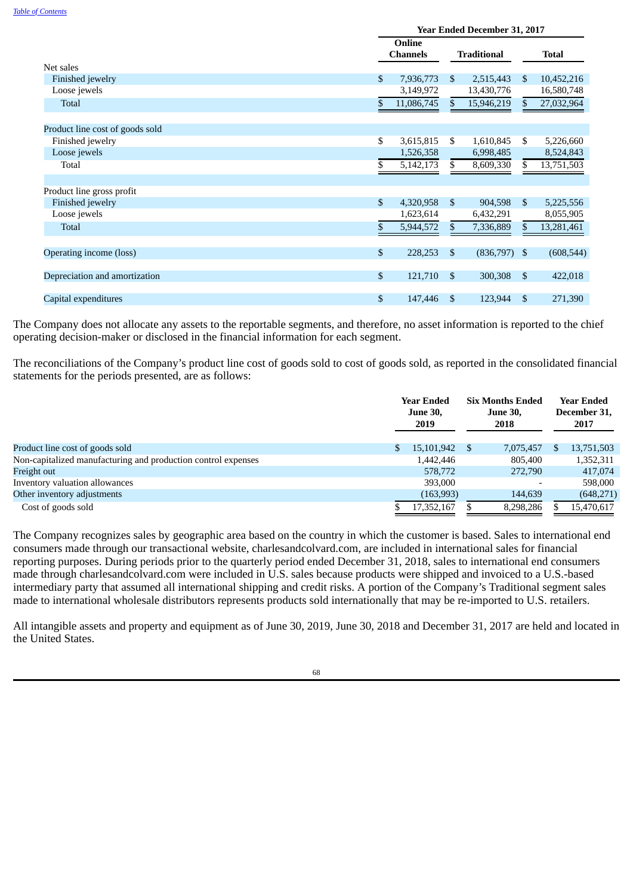|                                 |              | <b>Year Ended December 31, 2017</b> |                    |            |    |              |  |  |
|---------------------------------|--------------|-------------------------------------|--------------------|------------|----|--------------|--|--|
|                                 |              | Online<br><b>Channels</b>           | <b>Traditional</b> |            |    | <b>Total</b> |  |  |
| Net sales                       |              |                                     |                    |            |    |              |  |  |
| Finished jewelry                | \$           | 7,936,773                           | \$                 | 2,515,443  | \$ | 10,452,216   |  |  |
| Loose jewels                    |              | 3,149,972                           |                    | 13,430,776 |    | 16,580,748   |  |  |
| <b>Total</b>                    | \$           | 11,086,745                          | \$                 | 15,946,219 | \$ | 27,032,964   |  |  |
| Product line cost of goods sold |              |                                     |                    |            |    |              |  |  |
| Finished jewelry                | \$           | 3,615,815                           | \$                 | 1,610,845  | \$ | 5,226,660    |  |  |
| Loose jewels                    |              | 1,526,358                           |                    | 6,998,485  |    | 8,524,843    |  |  |
| Total                           | S            | 5,142,173                           | \$                 | 8,609,330  | \$ | 13,751,503   |  |  |
| Product line gross profit       |              |                                     |                    |            |    |              |  |  |
| Finished jewelry                | $\mathbb{S}$ | 4,320,958                           | $\mathbb{S}$       | 904,598    | \$ | 5,225,556    |  |  |
| Loose jewels                    |              | 1,623,614                           |                    | 6,432,291  |    | 8,055,905    |  |  |
| Total                           | \$           | 5,944,572                           | \$                 | 7,336,889  | \$ | 13,281,461   |  |  |
|                                 |              |                                     |                    |            |    |              |  |  |
| Operating income (loss)         | \$           | 228,253                             | $\mathbb{S}$       | (836,797)  | \$ | (608, 544)   |  |  |
| Depreciation and amortization   | \$           | 121,710                             | $\mathfrak{S}$     | 300,308    | \$ | 422,018      |  |  |
| Capital expenditures            | \$           | 147,446                             | \$                 | 123,944    | \$ | 271,390      |  |  |

The Company does not allocate any assets to the reportable segments, and therefore, no asset information is reported to the chief operating decision-maker or disclosed in the financial information for each segment.

The reconciliations of the Company's product line cost of goods sold to cost of goods sold, as reported in the consolidated financial statements for the periods presented, are as follows:

|                                                               | <b>Year Ended</b><br><b>June 30,</b><br>2019 |    | <b>Six Months Ended</b><br><b>June 30,</b><br>2018 |    | <b>Year Ended</b><br>December 31,<br>2017 |  |
|---------------------------------------------------------------|----------------------------------------------|----|----------------------------------------------------|----|-------------------------------------------|--|
| Product line cost of goods sold                               | 15,101,942                                   | -S | 7,075,457                                          | S. | 13,751,503                                |  |
| Non-capitalized manufacturing and production control expenses | 1,442,446                                    |    | 805,400                                            |    | 1,352,311                                 |  |
| Freight out                                                   | 578,772                                      |    | 272,790                                            |    | 417,074                                   |  |
| Inventory valuation allowances                                | 393,000                                      |    |                                                    |    | 598,000                                   |  |
| Other inventory adjustments                                   | (163,993)                                    |    | 144,639                                            |    | (648, 271)                                |  |
| Cost of goods sold                                            | 17.352.167                                   |    | 8.298.286                                          |    | 15.470.617                                |  |

The Company recognizes sales by geographic area based on the country in which the customer is based. Sales to international end consumers made through our transactional website, charlesandcolvard.com, are included in international sales for financial reporting purposes. During periods prior to the quarterly period ended December 31, 2018, sales to international end consumers made through charlesandcolvard.com were included in U.S. sales because products were shipped and invoiced to a U.S.-based intermediary party that assumed all international shipping and credit risks. A portion of the Company's Traditional segment sales made to international wholesale distributors represents products sold internationally that may be re-imported to U.S. retailers.

All intangible assets and property and equipment as of June 30, 2019, June 30, 2018 and December 31, 2017 are held and located in the United States.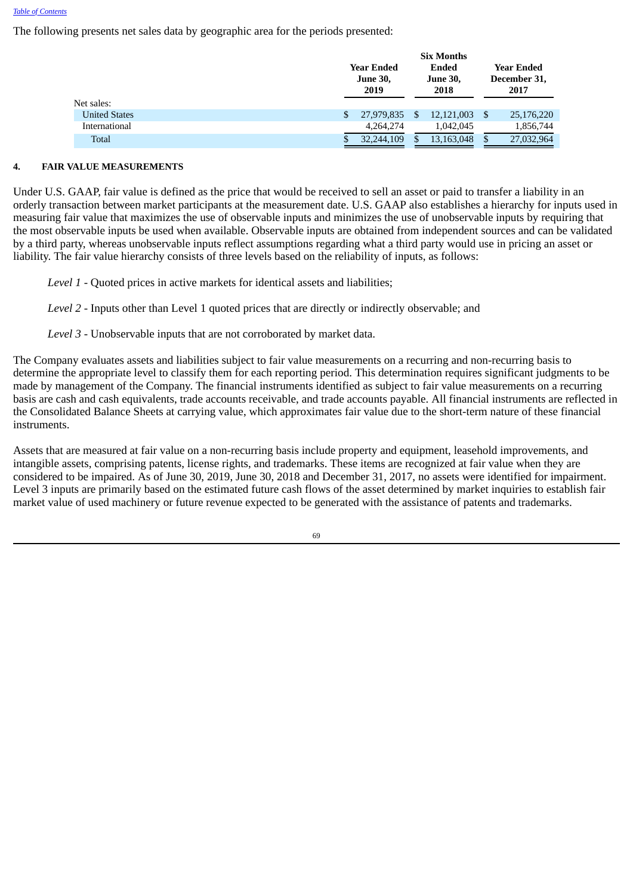The following presents net sales data by geographic area for the periods presented:

| <b>Six Months</b>                            |            |                                  |            |               |                                           |
|----------------------------------------------|------------|----------------------------------|------------|---------------|-------------------------------------------|
| <b>Year Ended</b><br><b>June 30,</b><br>2019 |            | Ended<br><b>June 30,</b><br>2018 |            |               | <b>Year Ended</b><br>December 31,<br>2017 |
|                                              |            |                                  |            |               |                                           |
| \$                                           | 27,979,835 | \$.                              | 12,121,003 | <sup>\$</sup> | 25,176,220                                |
|                                              | 4,264,274  |                                  | 1,042,045  |               | 1,856,744                                 |
|                                              | 32,244,109 |                                  | 13.163.048 | \$            | 27,032,964                                |
|                                              |            |                                  |            |               |                                           |

#### **4. FAIR VALUE MEASUREMENTS**

Under U.S. GAAP, fair value is defined as the price that would be received to sell an asset or paid to transfer a liability in an orderly transaction between market participants at the measurement date. U.S. GAAP also establishes a hierarchy for inputs used in measuring fair value that maximizes the use of observable inputs and minimizes the use of unobservable inputs by requiring that the most observable inputs be used when available. Observable inputs are obtained from independent sources and can be validated by a third party, whereas unobservable inputs reflect assumptions regarding what a third party would use in pricing an asset or liability. The fair value hierarchy consists of three levels based on the reliability of inputs, as follows:

*Level 1* - Quoted prices in active markets for identical assets and liabilities;

*Level 2* - Inputs other than Level 1 quoted prices that are directly or indirectly observable; and

*Level 3* - Unobservable inputs that are not corroborated by market data.

The Company evaluates assets and liabilities subject to fair value measurements on a recurring and non-recurring basis to determine the appropriate level to classify them for each reporting period. This determination requires significant judgments to be made by management of the Company. The financial instruments identified as subject to fair value measurements on a recurring basis are cash and cash equivalents, trade accounts receivable, and trade accounts payable. All financial instruments are reflected in the Consolidated Balance Sheets at carrying value, which approximates fair value due to the short-term nature of these financial instruments.

Assets that are measured at fair value on a non-recurring basis include property and equipment, leasehold improvements, and intangible assets, comprising patents, license rights, and trademarks. These items are recognized at fair value when they are considered to be impaired. As of June 30, 2019, June 30, 2018 and December 31, 2017, no assets were identified for impairment. Level 3 inputs are primarily based on the estimated future cash flows of the asset determined by market inquiries to establish fair market value of used machinery or future revenue expected to be generated with the assistance of patents and trademarks.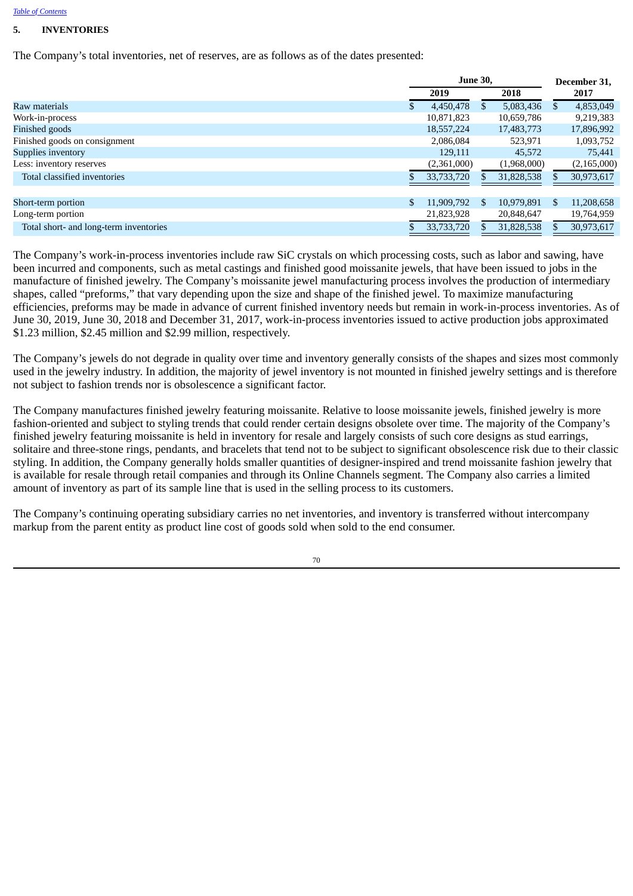# **5. INVENTORIES**

The Company's total inventories, net of reserves, are as follows as of the dates presented:

|                                        | <b>June 30.</b> |     |             | December 31, |               |
|----------------------------------------|-----------------|-----|-------------|--------------|---------------|
|                                        | 2019            |     | 2018        |              | 2017          |
| Raw materials                          | 4,450,478       | P.  | 5,083,436   | S.           | 4,853,049     |
| Work-in-process                        | 10,871,823      |     | 10,659,786  |              | 9,219,383     |
| Finished goods                         | 18,557,224      |     | 17,483,773  |              | 17,896,992    |
| Finished goods on consignment          | 2,086,084       |     | 523,971     |              | 1,093,752     |
| Supplies inventory                     | 129,111         |     | 45,572      |              | 75,441        |
| Less: inventory reserves               | (2,361,000)     |     | (1,968,000) |              | (2, 165, 000) |
| Total classified inventories           | 33,733,720      |     | 31,828,538  |              | 30,973,617    |
| Short-term portion                     | 11,909,792      | \$. | 10.979.891  | \$.          | 11,208,658    |
| Long-term portion                      | 21,823,928      |     | 20,848,647  |              | 19,764,959    |
| Total short- and long-term inventories | 33,733,720      |     | 31,828,538  |              | 30,973,617    |

The Company's work-in-process inventories include raw SiC crystals on which processing costs, such as labor and sawing, have been incurred and components, such as metal castings and finished good moissanite jewels, that have been issued to jobs in the manufacture of finished jewelry. The Company's moissanite jewel manufacturing process involves the production of intermediary shapes, called "preforms," that vary depending upon the size and shape of the finished jewel. To maximize manufacturing efficiencies, preforms may be made in advance of current finished inventory needs but remain in work-in-process inventories. As of June 30, 2019, June 30, 2018 and December 31, 2017, work-in-process inventories issued to active production jobs approximated \$1.23 million, \$2.45 million and \$2.99 million, respectively.

The Company's jewels do not degrade in quality over time and inventory generally consists of the shapes and sizes most commonly used in the jewelry industry. In addition, the majority of jewel inventory is not mounted in finished jewelry settings and is therefore not subject to fashion trends nor is obsolescence a significant factor.

The Company manufactures finished jewelry featuring moissanite. Relative to loose moissanite jewels, finished jewelry is more fashion-oriented and subject to styling trends that could render certain designs obsolete over time. The majority of the Company's finished jewelry featuring moissanite is held in inventory for resale and largely consists of such core designs as stud earrings, solitaire and three-stone rings, pendants, and bracelets that tend not to be subject to significant obsolescence risk due to their classic styling. In addition, the Company generally holds smaller quantities of designer-inspired and trend moissanite fashion jewelry that is available for resale through retail companies and through its Online Channels segment. The Company also carries a limited amount of inventory as part of its sample line that is used in the selling process to its customers.

The Company's continuing operating subsidiary carries no net inventories, and inventory is transferred without intercompany markup from the parent entity as product line cost of goods sold when sold to the end consumer.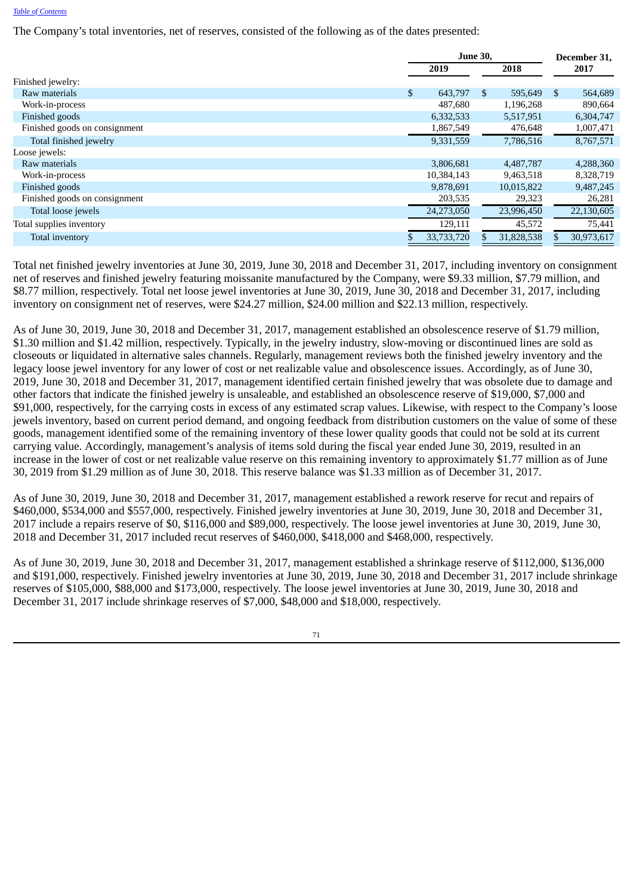The Company's total inventories, net of reserves, consisted of the following as of the dates presented:

|                               | <b>June 30,</b><br>2019<br>2018 |            |     |            | December 31,  |            |
|-------------------------------|---------------------------------|------------|-----|------------|---------------|------------|
|                               |                                 |            |     |            |               | 2017       |
| Finished jewelry:             |                                 |            |     |            |               |            |
| Raw materials                 | \$                              | 643.797    | \$. | 595.649    | <sup>\$</sup> | 564,689    |
| Work-in-process               |                                 | 487,680    |     | 1,196,268  |               | 890,664    |
| Finished goods                |                                 | 6,332,533  |     | 5,517,951  |               | 6,304,747  |
| Finished goods on consignment |                                 | 1,867,549  |     | 476,648    |               | 1,007,471  |
| Total finished jewelry        |                                 | 9,331,559  |     | 7,786,516  |               | 8,767,571  |
| Loose jewels:                 |                                 |            |     |            |               |            |
| Raw materials                 |                                 | 3,806,681  |     | 4,487,787  |               | 4,288,360  |
| Work-in-process               |                                 | 10,384,143 |     | 9,463,518  |               | 8,328,719  |
| Finished goods                |                                 | 9,878,691  |     | 10,015,822 |               | 9,487,245  |
| Finished goods on consignment |                                 | 203,535    |     | 29,323     |               | 26,281     |
| Total loose jewels            |                                 | 24,273,050 |     | 23,996,450 |               | 22,130,605 |
| Total supplies inventory      |                                 | 129,111    |     | 45,572     |               | 75,441     |
| Total inventory               |                                 | 33,733,720 |     | 31,828,538 |               | 30,973,617 |
|                               |                                 |            |     |            |               |            |

Total net finished jewelry inventories at June 30, 2019, June 30, 2018 and December 31, 2017, including inventory on consignment net of reserves and finished jewelry featuring moissanite manufactured by the Company, were \$9.33 million, \$7.79 million, and \$8.77 million, respectively. Total net loose jewel inventories at June 30, 2019, June 30, 2018 and December 31, 2017, including inventory on consignment net of reserves, were \$24.27 million, \$24.00 million and \$22.13 million, respectively.

As of June 30, 2019, June 30, 2018 and December 31, 2017, management established an obsolescence reserve of \$1.79 million, \$1.30 million and \$1.42 million, respectively. Typically, in the jewelry industry, slow-moving or discontinued lines are sold as closeouts or liquidated in alternative sales channels. Regularly, management reviews both the finished jewelry inventory and the legacy loose jewel inventory for any lower of cost or net realizable value and obsolescence issues. Accordingly, as of June 30, 2019, June 30, 2018 and December 31, 2017, management identified certain finished jewelry that was obsolete due to damage and other factors that indicate the finished jewelry is unsaleable, and established an obsolescence reserve of \$19,000, \$7,000 and \$91,000, respectively, for the carrying costs in excess of any estimated scrap values. Likewise, with respect to the Company's loose jewels inventory, based on current period demand, and ongoing feedback from distribution customers on the value of some of these goods, management identified some of the remaining inventory of these lower quality goods that could not be sold at its current carrying value. Accordingly, management's analysis of items sold during the fiscal year ended June 30, 2019, resulted in an increase in the lower of cost or net realizable value reserve on this remaining inventory to approximately \$1.77 million as of June 30, 2019 from \$1.29 million as of June 30, 2018. This reserve balance was \$1.33 million as of December 31, 2017.

As of June 30, 2019, June 30, 2018 and December 31, 2017, management established a rework reserve for recut and repairs of \$460,000, \$534,000 and \$557,000, respectively. Finished jewelry inventories at June 30, 2019, June 30, 2018 and December 31, 2017 include a repairs reserve of \$0, \$116,000 and \$89,000, respectively. The loose jewel inventories at June 30, 2019, June 30, 2018 and December 31, 2017 included recut reserves of \$460,000, \$418,000 and \$468,000, respectively.

As of June 30, 2019, June 30, 2018 and December 31, 2017, management established a shrinkage reserve of \$112,000, \$136,000 and \$191,000, respectively. Finished jewelry inventories at June 30, 2019, June 30, 2018 and December 31, 2017 include shrinkage reserves of \$105,000, \$88,000 and \$173,000, respectively. The loose jewel inventories at June 30, 2019, June 30, 2018 and December 31, 2017 include shrinkage reserves of \$7,000, \$48,000 and \$18,000, respectively.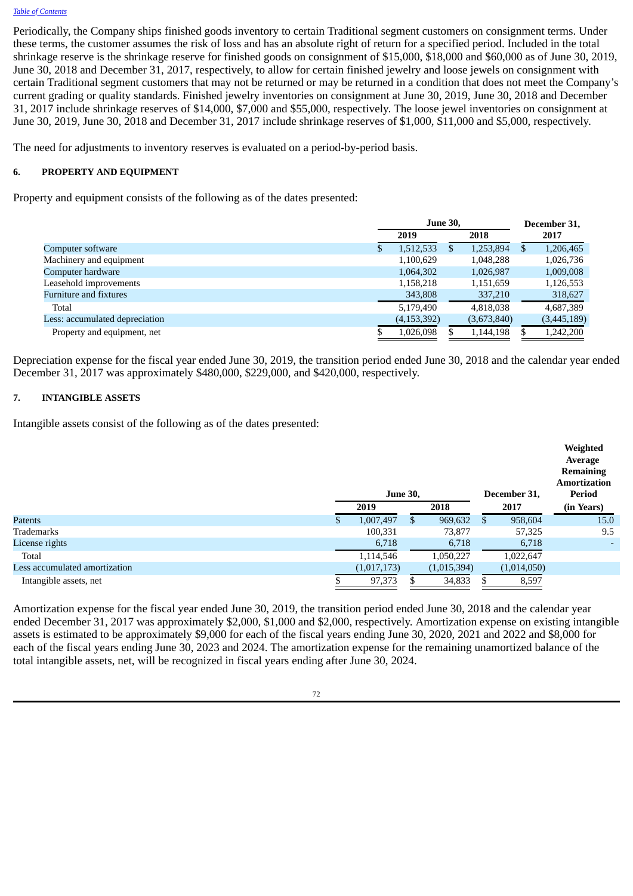Periodically, the Company ships finished goods inventory to certain Traditional segment customers on consignment terms. Under these terms, the customer assumes the risk of loss and has an absolute right of return for a specified period. Included in the total shrinkage reserve is the shrinkage reserve for finished goods on consignment of \$15,000, \$18,000 and \$60,000 as of June 30, 2019, June 30, 2018 and December 31, 2017, respectively, to allow for certain finished jewelry and loose jewels on consignment with certain Traditional segment customers that may not be returned or may be returned in a condition that does not meet the Company's current grading or quality standards. Finished jewelry inventories on consignment at June 30, 2019, June 30, 2018 and December 31, 2017 include shrinkage reserves of \$14,000, \$7,000 and \$55,000, respectively. The loose jewel inventories on consignment at June 30, 2019, June 30, 2018 and December 31, 2017 include shrinkage reserves of \$1,000, \$11,000 and \$5,000, respectively.

The need for adjustments to inventory reserves is evaluated on a period-by-period basis.

### **6. PROPERTY AND EQUIPMENT**

Property and equipment consists of the following as of the dates presented:

| <b>June 30,</b> |               |   |             |   | December 31, |
|-----------------|---------------|---|-------------|---|--------------|
|                 | 2019          |   | 2018        |   | 2017         |
| \$              | 1,512,533     | S | 1,253,894   | S | 1,206,465    |
|                 | 1,100,629     |   | 1,048,288   |   | 1,026,736    |
|                 | 1,064,302     |   | 1,026,987   |   | 1,009,008    |
|                 | 1,158,218     |   | 1,151,659   |   | 1,126,553    |
|                 | 343,808       |   | 337,210     |   | 318,627      |
|                 | 5,179,490     |   | 4,818,038   |   | 4,687,389    |
|                 | (4, 153, 392) |   | (3,673,840) |   | (3,445,189)  |
|                 | 1,026,098     |   | 1,144,198   |   | 1,242,200    |
|                 |               |   |             |   |              |

Depreciation expense for the fiscal year ended June 30, 2019, the transition period ended June 30, 2018 and the calendar year ended December 31, 2017 was approximately \$480,000, \$229,000, and \$420,000, respectively.

### **7. INTANGIBLE ASSETS**

Intangible assets consist of the following as of the dates presented:

|                               |    | <b>June 30,</b> |   |             |              | December 31, | Weighted<br>Average<br><b>Remaining</b><br><b>Amortization</b><br><b>Period</b> |
|-------------------------------|----|-----------------|---|-------------|--------------|--------------|---------------------------------------------------------------------------------|
|                               |    | 2019            |   | 2018        |              | 2017         | (in Years)                                                                      |
| Patents                       | S. | 1,007,497       | S | 969,632     | <sup>S</sup> | 958,604      | 15.0                                                                            |
| Trademarks                    |    | 100,331         |   | 73,877      |              | 57,325       | 9.5                                                                             |
| License rights                |    | 6,718           |   | 6,718       |              | 6,718        | $\sim$                                                                          |
| Total                         |    | 1,114,546       |   | 1,050,227   |              | 1,022,647    |                                                                                 |
| Less accumulated amortization |    | (1,017,173)     |   | (1,015,394) |              | (1,014,050)  |                                                                                 |
| Intangible assets, net        |    | 97,373          |   | 34,833      |              | 8,597        |                                                                                 |

Amortization expense for the fiscal year ended June 30, 2019, the transition period ended June 30, 2018 and the calendar year ended December 31, 2017 was approximately \$2,000, \$1,000 and \$2,000, respectively. Amortization expense on existing intangible assets is estimated to be approximately \$9,000 for each of the fiscal years ending June 30, 2020, 2021 and 2022 and \$8,000 for each of the fiscal years ending June 30, 2023 and 2024. The amortization expense for the remaining unamortized balance of the total intangible assets, net, will be recognized in fiscal years ending after June 30, 2024.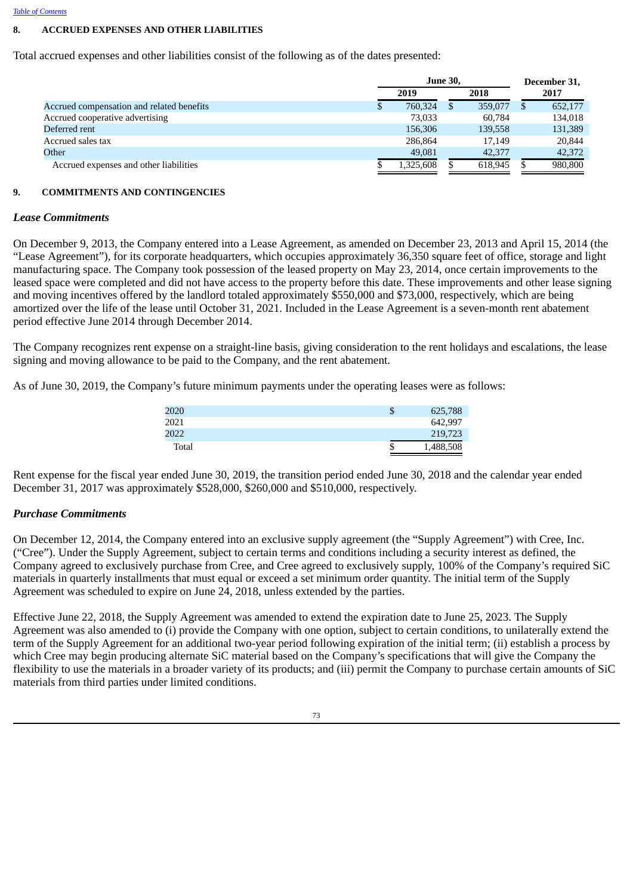# **8. ACCRUED EXPENSES AND OTHER LIABILITIES**

Total accrued expenses and other liabilities consist of the following as of the dates presented:

|                                           |   | <b>June 30.</b> | December 31, |         |  |         |
|-------------------------------------------|---|-----------------|--------------|---------|--|---------|
|                                           |   | 2018<br>2019    |              |         |  | 2017    |
| Accrued compensation and related benefits | Φ | 760,324         |              | 359.077 |  | 652,177 |
| Accrued cooperative advertising           |   | 73.033          |              | 60.784  |  | 134,018 |
| Deferred rent                             |   | 156,306         |              | 139,558 |  | 131,389 |
| Accrued sales tax                         |   | 286,864         |              | 17.149  |  | 20,844  |
| Other                                     |   | 49,081          |              | 42,377  |  | 42,372  |
| Accrued expenses and other liabilities    |   | 1.325.608       |              | 618.945 |  | 980,800 |

### **9. COMMITMENTS AND CONTINGENCIES**

### *Lease Commitments*

On December 9, 2013, the Company entered into a Lease Agreement, as amended on December 23, 2013 and April 15, 2014 (the "Lease Agreement"), for its corporate headquarters, which occupies approximately 36,350 square feet of office, storage and light manufacturing space. The Company took possession of the leased property on May 23, 2014, once certain improvements to the leased space were completed and did not have access to the property before this date. These improvements and other lease signing and moving incentives offered by the landlord totaled approximately \$550,000 and \$73,000, respectively, which are being amortized over the life of the lease until October 31, 2021. Included in the Lease Agreement is a seven-month rent abatement period effective June 2014 through December 2014.

The Company recognizes rent expense on a straight-line basis, giving consideration to the rent holidays and escalations, the lease signing and moving allowance to be paid to the Company, and the rent abatement.

As of June 30, 2019, the Company's future minimum payments under the operating leases were as follows:

| 2020  | \$<br>625,788 |
|-------|---------------|
| 2021  | 642,997       |
| 2022  | 219,723       |
| Total | 1,488,508     |

Rent expense for the fiscal year ended June 30, 2019, the transition period ended June 30, 2018 and the calendar year ended December 31, 2017 was approximately \$528,000, \$260,000 and \$510,000, respectively.

### *Purchase Commitments*

On December 12, 2014, the Company entered into an exclusive supply agreement (the "Supply Agreement") with Cree, Inc. ("Cree"). Under the Supply Agreement, subject to certain terms and conditions including a security interest as defined, the Company agreed to exclusively purchase from Cree, and Cree agreed to exclusively supply, 100% of the Company's required SiC materials in quarterly installments that must equal or exceed a set minimum order quantity. The initial term of the Supply Agreement was scheduled to expire on June 24, 2018, unless extended by the parties.

Effective June 22, 2018, the Supply Agreement was amended to extend the expiration date to June 25, 2023. The Supply Agreement was also amended to (i) provide the Company with one option, subject to certain conditions, to unilaterally extend the term of the Supply Agreement for an additional two-year period following expiration of the initial term; (ii) establish a process by which Cree may begin producing alternate SiC material based on the Company's specifications that will give the Company the flexibility to use the materials in a broader variety of its products; and (iii) permit the Company to purchase certain amounts of SiC materials from third parties under limited conditions.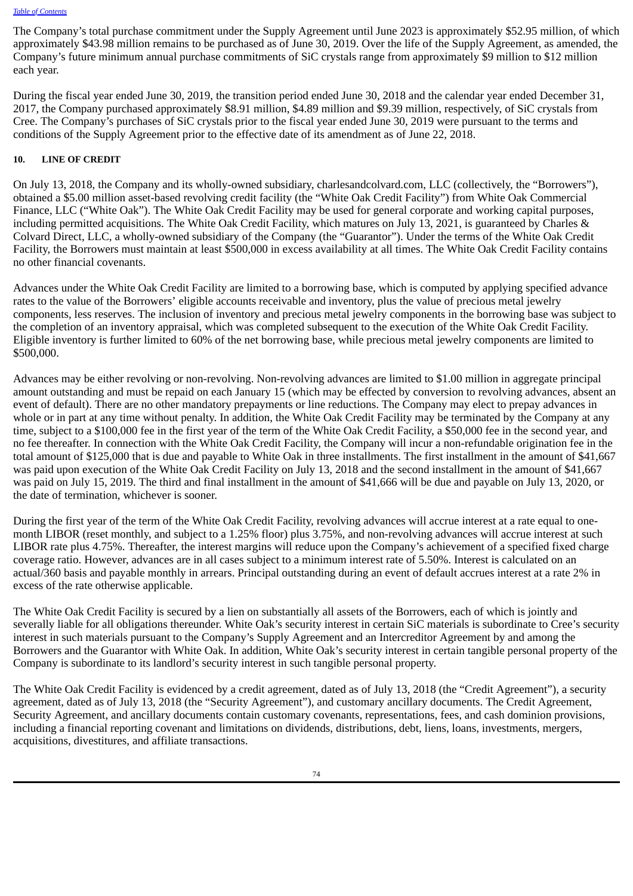The Company's total purchase commitment under the Supply Agreement until June 2023 is approximately \$52.95 million, of which approximately \$43.98 million remains to be purchased as of June 30, 2019. Over the life of the Supply Agreement, as amended, the Company's future minimum annual purchase commitments of SiC crystals range from approximately \$9 million to \$12 million each year.

During the fiscal year ended June 30, 2019, the transition period ended June 30, 2018 and the calendar year ended December 31, 2017, the Company purchased approximately \$8.91 million, \$4.89 million and \$9.39 million, respectively, of SiC crystals from Cree. The Company's purchases of SiC crystals prior to the fiscal year ended June 30, 2019 were pursuant to the terms and conditions of the Supply Agreement prior to the effective date of its amendment as of June 22, 2018.

# **10. LINE OF CREDIT**

On July 13, 2018, the Company and its wholly-owned subsidiary, charlesandcolvard.com, LLC (collectively, the "Borrowers"), obtained a \$5.00 million asset-based revolving credit facility (the "White Oak Credit Facility") from White Oak Commercial Finance, LLC ("White Oak"). The White Oak Credit Facility may be used for general corporate and working capital purposes, including permitted acquisitions. The White Oak Credit Facility, which matures on July 13, 2021, is guaranteed by Charles & Colvard Direct, LLC, a wholly-owned subsidiary of the Company (the "Guarantor"). Under the terms of the White Oak Credit Facility, the Borrowers must maintain at least \$500,000 in excess availability at all times. The White Oak Credit Facility contains no other financial covenants.

Advances under the White Oak Credit Facility are limited to a borrowing base, which is computed by applying specified advance rates to the value of the Borrowers' eligible accounts receivable and inventory, plus the value of precious metal jewelry components, less reserves. The inclusion of inventory and precious metal jewelry components in the borrowing base was subject to the completion of an inventory appraisal, which was completed subsequent to the execution of the White Oak Credit Facility. Eligible inventory is further limited to 60% of the net borrowing base, while precious metal jewelry components are limited to \$500,000.

Advances may be either revolving or non-revolving. Non-revolving advances are limited to \$1.00 million in aggregate principal amount outstanding and must be repaid on each January 15 (which may be effected by conversion to revolving advances, absent an event of default). There are no other mandatory prepayments or line reductions. The Company may elect to prepay advances in whole or in part at any time without penalty. In addition, the White Oak Credit Facility may be terminated by the Company at any time, subject to a \$100,000 fee in the first year of the term of the White Oak Credit Facility, a \$50,000 fee in the second year, and no fee thereafter. In connection with the White Oak Credit Facility, the Company will incur a non-refundable origination fee in the total amount of \$125,000 that is due and payable to White Oak in three installments. The first installment in the amount of \$41,667 was paid upon execution of the White Oak Credit Facility on July 13, 2018 and the second installment in the amount of \$41,667 was paid on July 15, 2019. The third and final installment in the amount of \$41,666 will be due and payable on July 13, 2020, or the date of termination, whichever is sooner.

During the first year of the term of the White Oak Credit Facility, revolving advances will accrue interest at a rate equal to onemonth LIBOR (reset monthly, and subject to a 1.25% floor) plus 3.75%, and non-revolving advances will accrue interest at such LIBOR rate plus 4.75%. Thereafter, the interest margins will reduce upon the Company's achievement of a specified fixed charge coverage ratio. However, advances are in all cases subject to a minimum interest rate of 5.50%. Interest is calculated on an actual/360 basis and payable monthly in arrears. Principal outstanding during an event of default accrues interest at a rate 2% in excess of the rate otherwise applicable.

The White Oak Credit Facility is secured by a lien on substantially all assets of the Borrowers, each of which is jointly and severally liable for all obligations thereunder. White Oak's security interest in certain SiC materials is subordinate to Cree's security interest in such materials pursuant to the Company's Supply Agreement and an Intercreditor Agreement by and among the Borrowers and the Guarantor with White Oak. In addition, White Oak's security interest in certain tangible personal property of the Company is subordinate to its landlord's security interest in such tangible personal property.

The White Oak Credit Facility is evidenced by a credit agreement, dated as of July 13, 2018 (the "Credit Agreement"), a security agreement, dated as of July 13, 2018 (the "Security Agreement"), and customary ancillary documents. The Credit Agreement, Security Agreement, and ancillary documents contain customary covenants, representations, fees, and cash dominion provisions, including a financial reporting covenant and limitations on dividends, distributions, debt, liens, loans, investments, mergers, acquisitions, divestitures, and affiliate transactions.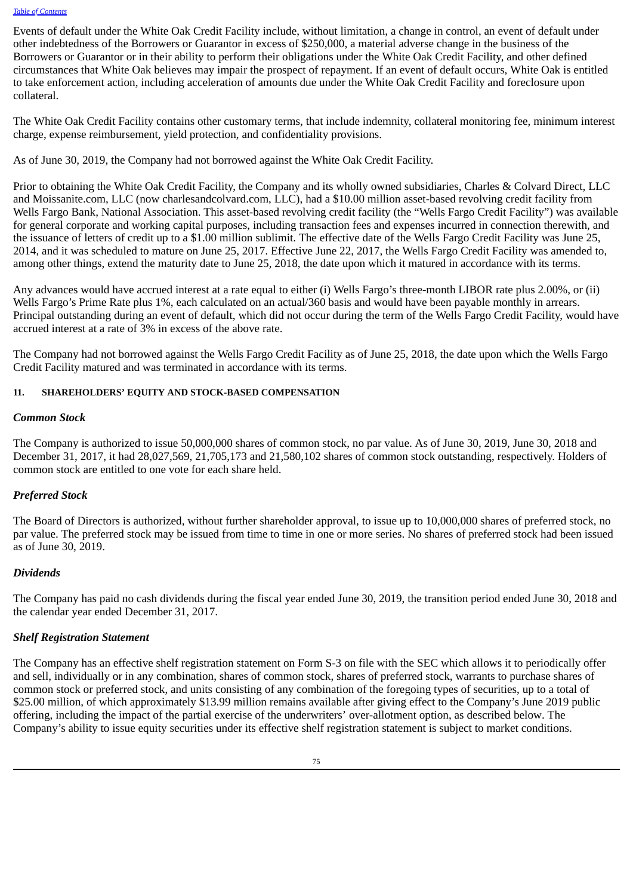Events of default under the White Oak Credit Facility include, without limitation, a change in control, an event of default under other indebtedness of the Borrowers or Guarantor in excess of \$250,000, a material adverse change in the business of the Borrowers or Guarantor or in their ability to perform their obligations under the White Oak Credit Facility, and other defined circumstances that White Oak believes may impair the prospect of repayment. If an event of default occurs, White Oak is entitled to take enforcement action, including acceleration of amounts due under the White Oak Credit Facility and foreclosure upon collateral.

The White Oak Credit Facility contains other customary terms, that include indemnity, collateral monitoring fee, minimum interest charge, expense reimbursement, yield protection, and confidentiality provisions.

As of June 30, 2019, the Company had not borrowed against the White Oak Credit Facility.

Prior to obtaining the White Oak Credit Facility, the Company and its wholly owned subsidiaries, Charles & Colvard Direct, LLC and Moissanite.com, LLC (now charlesandcolvard.com, LLC), had a \$10.00 million asset-based revolving credit facility from Wells Fargo Bank, National Association. This asset-based revolving credit facility (the "Wells Fargo Credit Facility") was available for general corporate and working capital purposes, including transaction fees and expenses incurred in connection therewith, and the issuance of letters of credit up to a \$1.00 million sublimit. The effective date of the Wells Fargo Credit Facility was June 25, 2014, and it was scheduled to mature on June 25, 2017. Effective June 22, 2017, the Wells Fargo Credit Facility was amended to, among other things, extend the maturity date to June 25, 2018, the date upon which it matured in accordance with its terms.

Any advances would have accrued interest at a rate equal to either (i) Wells Fargo's three-month LIBOR rate plus 2.00%, or (ii) Wells Fargo's Prime Rate plus 1%, each calculated on an actual/360 basis and would have been payable monthly in arrears. Principal outstanding during an event of default, which did not occur during the term of the Wells Fargo Credit Facility, would have accrued interest at a rate of 3% in excess of the above rate.

The Company had not borrowed against the Wells Fargo Credit Facility as of June 25, 2018, the date upon which the Wells Fargo Credit Facility matured and was terminated in accordance with its terms.

### **11. SHAREHOLDERS' EQUITY AND STOCK-BASED COMPENSATION**

### *Common Stock*

The Company is authorized to issue 50,000,000 shares of common stock, no par value. As of June 30, 2019, June 30, 2018 and December 31, 2017, it had 28,027,569, 21,705,173 and 21,580,102 shares of common stock outstanding, respectively. Holders of common stock are entitled to one vote for each share held.

### *Preferred Stock*

The Board of Directors is authorized, without further shareholder approval, to issue up to 10,000,000 shares of preferred stock, no par value. The preferred stock may be issued from time to time in one or more series. No shares of preferred stock had been issued as of June 30, 2019.

#### *Dividends*

The Company has paid no cash dividends during the fiscal year ended June 30, 2019, the transition period ended June 30, 2018 and the calendar year ended December 31, 2017.

### *Shelf Registration Statement*

The Company has an effective shelf registration statement on Form S-3 on file with the SEC which allows it to periodically offer and sell, individually or in any combination, shares of common stock, shares of preferred stock, warrants to purchase shares of common stock or preferred stock, and units consisting of any combination of the foregoing types of securities, up to a total of \$25.00 million, of which approximately \$13.99 million remains available after giving effect to the Company's June 2019 public offering, including the impact of the partial exercise of the underwriters' over-allotment option, as described below. The Company's ability to issue equity securities under its effective shelf registration statement is subject to market conditions.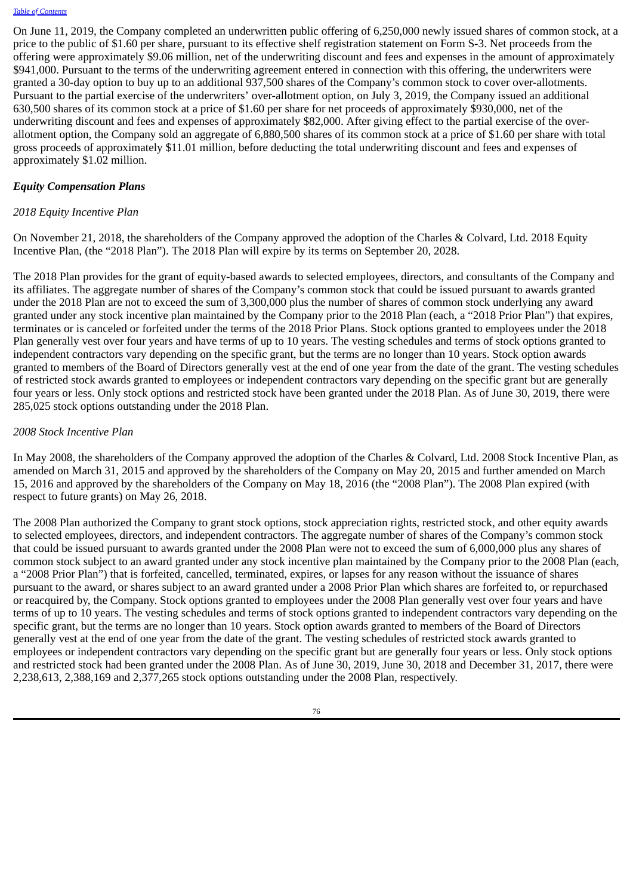On June 11, 2019, the Company completed an underwritten public offering of 6,250,000 newly issued shares of common stock, at a price to the public of \$1.60 per share, pursuant to its effective shelf registration statement on Form S-3. Net proceeds from the offering were approximately \$9.06 million, net of the underwriting discount and fees and expenses in the amount of approximately \$941,000. Pursuant to the terms of the underwriting agreement entered in connection with this offering, the underwriters were granted a 30-day option to buy up to an additional 937,500 shares of the Company's common stock to cover over-allotments. Pursuant to the partial exercise of the underwriters' over-allotment option, on July 3, 2019, the Company issued an additional 630,500 shares of its common stock at a price of \$1.60 per share for net proceeds of approximately \$930,000, net of the underwriting discount and fees and expenses of approximately \$82,000. After giving effect to the partial exercise of the overallotment option, the Company sold an aggregate of 6,880,500 shares of its common stock at a price of \$1.60 per share with total gross proceeds of approximately \$11.01 million, before deducting the total underwriting discount and fees and expenses of approximately \$1.02 million.

### *Equity Compensation Plans*

### *2018 Equity Incentive Plan*

On November 21, 2018, the shareholders of the Company approved the adoption of the Charles & Colvard, Ltd. 2018 Equity Incentive Plan, (the "2018 Plan"). The 2018 Plan will expire by its terms on September 20, 2028.

The 2018 Plan provides for the grant of equity-based awards to selected employees, directors, and consultants of the Company and its affiliates. The aggregate number of shares of the Company's common stock that could be issued pursuant to awards granted under the 2018 Plan are not to exceed the sum of 3,300,000 plus the number of shares of common stock underlying any award granted under any stock incentive plan maintained by the Company prior to the 2018 Plan (each, a "2018 Prior Plan") that expires, terminates or is canceled or forfeited under the terms of the 2018 Prior Plans. Stock options granted to employees under the 2018 Plan generally vest over four years and have terms of up to 10 years. The vesting schedules and terms of stock options granted to independent contractors vary depending on the specific grant, but the terms are no longer than 10 years. Stock option awards granted to members of the Board of Directors generally vest at the end of one year from the date of the grant. The vesting schedules of restricted stock awards granted to employees or independent contractors vary depending on the specific grant but are generally four years or less. Only stock options and restricted stock have been granted under the 2018 Plan. As of June 30, 2019, there were 285,025 stock options outstanding under the 2018 Plan.

### *2008 Stock Incentive Plan*

In May 2008, the shareholders of the Company approved the adoption of the Charles & Colvard, Ltd. 2008 Stock Incentive Plan, as amended on March 31, 2015 and approved by the shareholders of the Company on May 20, 2015 and further amended on March 15, 2016 and approved by the shareholders of the Company on May 18, 2016 (the "2008 Plan"). The 2008 Plan expired (with respect to future grants) on May 26, 2018.

The 2008 Plan authorized the Company to grant stock options, stock appreciation rights, restricted stock, and other equity awards to selected employees, directors, and independent contractors. The aggregate number of shares of the Company's common stock that could be issued pursuant to awards granted under the 2008 Plan were not to exceed the sum of 6,000,000 plus any shares of common stock subject to an award granted under any stock incentive plan maintained by the Company prior to the 2008 Plan (each, a "2008 Prior Plan") that is forfeited, cancelled, terminated, expires, or lapses for any reason without the issuance of shares pursuant to the award, or shares subject to an award granted under a 2008 Prior Plan which shares are forfeited to, or repurchased or reacquired by, the Company. Stock options granted to employees under the 2008 Plan generally vest over four years and have terms of up to 10 years. The vesting schedules and terms of stock options granted to independent contractors vary depending on the specific grant, but the terms are no longer than 10 years. Stock option awards granted to members of the Board of Directors generally vest at the end of one year from the date of the grant. The vesting schedules of restricted stock awards granted to employees or independent contractors vary depending on the specific grant but are generally four years or less. Only stock options and restricted stock had been granted under the 2008 Plan. As of June 30, 2019, June 30, 2018 and December 31, 2017, there were 2,238,613, 2,388,169 and 2,377,265 stock options outstanding under the 2008 Plan, respectively.

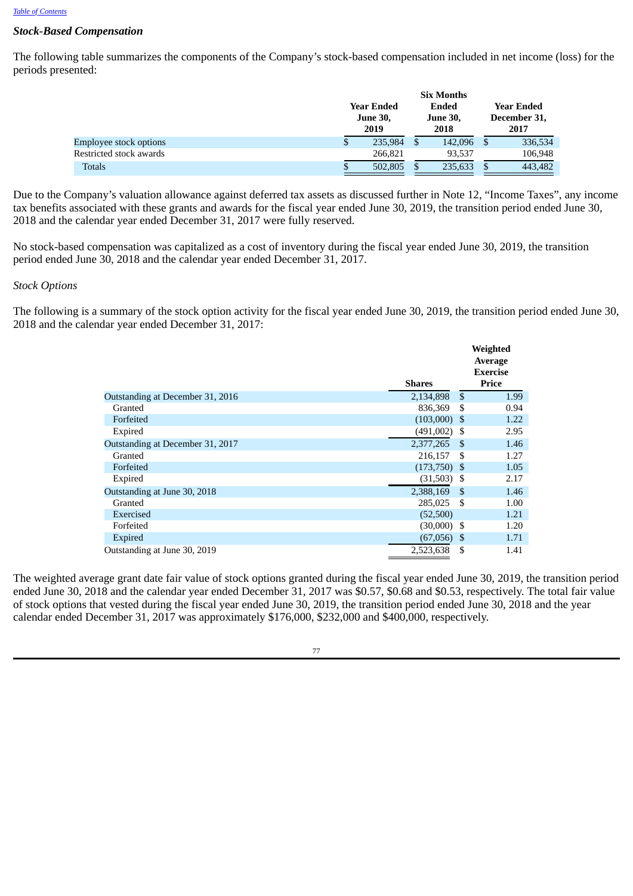# *Stock-Based Compensation*

The following table summarizes the components of the Company's stock-based compensation included in net income (loss) for the periods presented:

|                         |                                       | <b>Six Months</b>                |                                    |         |
|-------------------------|---------------------------------------|----------------------------------|------------------------------------|---------|
|                         | Year Ended<br><b>June 30,</b><br>2019 | Ended<br><b>June 30,</b><br>2018 | Year Ended<br>December 31,<br>2017 |         |
| Employee stock options  | \$<br>235,984                         | 142,096                          |                                    | 336,534 |
| Restricted stock awards | 266.821                               | 93,537                           |                                    | 106,948 |
| <b>Totals</b>           | 502,805                               | 235,633                          |                                    | 443,482 |

Due to the Company's valuation allowance against deferred tax assets as discussed further in Note 12, "Income Taxes", any income tax benefits associated with these grants and awards for the fiscal year ended June 30, 2019, the transition period ended June 30, 2018 and the calendar year ended December 31, 2017 were fully reserved.

No stock-based compensation was capitalized as a cost of inventory during the fiscal year ended June 30, 2019, the transition period ended June 30, 2018 and the calendar year ended December 31, 2017.

### *Stock Options*

The following is a summary of the stock option activity for the fiscal year ended June 30, 2019, the transition period ended June 30, 2018 and the calendar year ended December 31, 2017:

|                                  |                |               | Weighted<br>Average<br><b>Exercise</b> |
|----------------------------------|----------------|---------------|----------------------------------------|
|                                  | <b>Shares</b>  |               | Price                                  |
| Outstanding at December 31, 2016 | 2,134,898 \$   |               | 1.99                                   |
| Granted                          | 836,369        | \$.           | 0.94                                   |
| Forfeited                        | $(103,000)$ \$ |               | 1.22                                   |
| Expired                          | (491,002)      | \$            | 2.95                                   |
| Outstanding at December 31, 2017 | 2,377,265      | \$            | 1.46                                   |
| Granted                          | 216,157        | -S            | 1.27                                   |
| Forfeited                        | $(173,750)$ \$ |               | 1.05                                   |
| Expired                          | $(31,503)$ \$  |               | 2.17                                   |
| Outstanding at June 30, 2018     | 2,388,169      | <sup>\$</sup> | 1.46                                   |
| Granted                          | 285,025 \$     |               | 1.00                                   |
| Exercised                        | (52,500)       |               | 1.21                                   |
| Forfeited                        | $(30,000)$ \$  |               | 1.20                                   |
| <b>Expired</b>                   | $(67,056)$ \$  |               | 1.71                                   |
| Outstanding at June 30, 2019     | 2,523,638      | \$            | 1.41                                   |

The weighted average grant date fair value of stock options granted during the fiscal year ended June 30, 2019, the transition period ended June 30, 2018 and the calendar year ended December 31, 2017 was \$0.57, \$0.68 and \$0.53, respectively. The total fair value of stock options that vested during the fiscal year ended June 30, 2019, the transition period ended June 30, 2018 and the year calendar ended December 31, 2017 was approximately \$176,000, \$232,000 and \$400,000, respectively.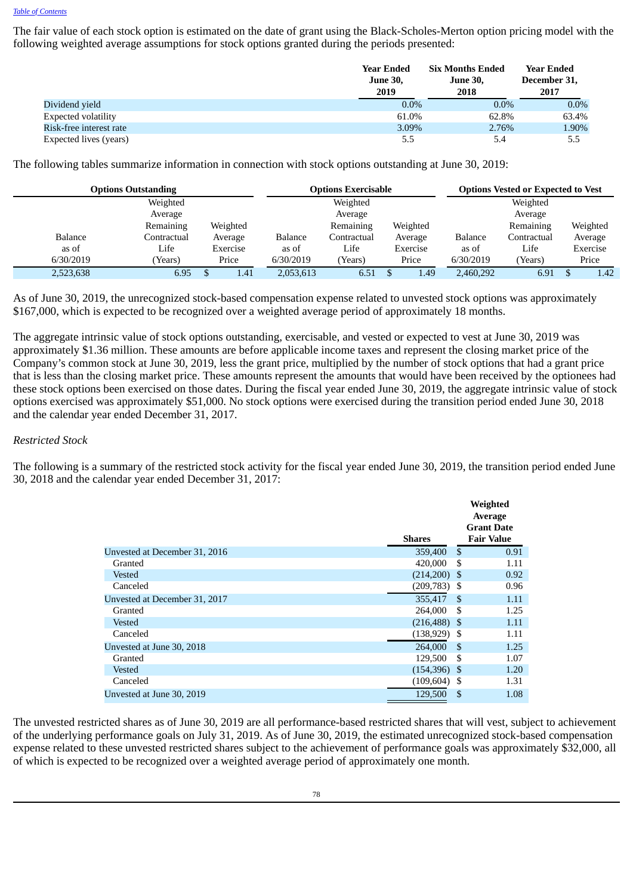The fair value of each stock option is estimated on the date of grant using the Black-Scholes-Merton option pricing model with the following weighted average assumptions for stock options granted during the periods presented:

|                         | <b>Year Ended</b><br><b>June 30,</b><br>2019 | <b>Six Months Ended</b><br><b>June 30,</b><br>2018 | Year Ended<br>December 31,<br>2017 |
|-------------------------|----------------------------------------------|----------------------------------------------------|------------------------------------|
| Dividend yield          | $0.0\%$                                      | $0.0\%$                                            | $0.0\%$                            |
| Expected volatility     | 61.0%                                        | 62.8%                                              | 63.4%                              |
| Risk-free interest rate | 3.09%                                        | 2.76%                                              | 1.90%                              |
| Expected lives (years)  | 5.5                                          | 5.4                                                | 5.5                                |

The following tables summarize information in connection with stock options outstanding at June 30, 2019:

|          | <b>Options Outstanding</b> |             |  |          |                | <b>Options Exercisable</b> |  | <b>Options Vested or Expected to Vest</b> |                |             |  |          |
|----------|----------------------------|-------------|--|----------|----------------|----------------------------|--|-------------------------------------------|----------------|-------------|--|----------|
| Weighted |                            |             |  | Weighted |                | Weighted                   |  |                                           |                |             |  |          |
|          |                            | Average     |  |          |                | Average                    |  |                                           |                | Average     |  |          |
|          |                            | Remaining   |  | Weighted |                | Remaining                  |  | Weighted                                  |                | Remaining   |  | Weighted |
|          | Balance                    | Contractual |  | Average  | <b>Balance</b> | Contractual                |  | Average                                   | <b>Balance</b> | Contractual |  | Average  |
|          | as of                      | Life        |  | Exercise | as of          | Life                       |  | Exercise                                  | as of          | Life        |  | Exercise |
|          | 6/30/2019                  | Years)      |  | Price    | 6/30/2019      | Years)                     |  | Price                                     | 6/30/2019      | (Years)     |  | Price    |
|          | 2,523,638                  | 6.95        |  | 1.41     | 2,053,613      | 6.51                       |  | 1.49                                      | 2,460,292      | 6.91        |  | 1.42     |

As of June 30, 2019, the unrecognized stock-based compensation expense related to unvested stock options was approximately \$167,000, which is expected to be recognized over a weighted average period of approximately 18 months.

The aggregate intrinsic value of stock options outstanding, exercisable, and vested or expected to vest at June 30, 2019 was approximately \$1.36 million. These amounts are before applicable income taxes and represent the closing market price of the Company's common stock at June 30, 2019, less the grant price, multiplied by the number of stock options that had a grant price that is less than the closing market price. These amounts represent the amounts that would have been received by the optionees had these stock options been exercised on those dates. During the fiscal year ended June 30, 2019, the aggregate intrinsic value of stock options exercised was approximately \$51,000. No stock options were exercised during the transition period ended June 30, 2018 and the calendar year ended December 31, 2017.

# *Restricted Stock*

The following is a summary of the restricted stock activity for the fiscal year ended June 30, 2019, the transition period ended June 30, 2018 and the calendar year ended December 31, 2017:

|                               |                 | Weighted<br>Average |      |
|-------------------------------|-----------------|---------------------|------|
|                               |                 | <b>Grant Date</b>   |      |
|                               | <b>Shares</b>   | <b>Fair Value</b>   |      |
| Unvested at December 31, 2016 | 359,400         | $\mathbf{s}$        | 0.91 |
| Granted                       | 420,000         | -S                  | 1.11 |
| Vested                        | $(214,200)$ \$  |                     | 0.92 |
| Canceled                      | (209, 783)      | - \$                | 0.96 |
| Unvested at December 31, 2017 | 355,417         | \$                  | 1.11 |
| Granted                       | 264,000         | S.                  | 1.25 |
| Vested                        | $(216, 488)$ \$ |                     | 1.11 |
| Canceled                      | (138, 929)      | - \$                | 1.11 |
| Unvested at June 30, 2018     | 264,000         | \$                  | 1.25 |
| Granted                       | 129,500         | -\$                 | 1.07 |
| Vested                        | $(154,396)$ \$  |                     | 1.20 |
| Canceled                      | (109, 604)      | - \$                | 1.31 |
| Unvested at June 30, 2019     | 129,500         | \$                  | 1.08 |

The unvested restricted shares as of June 30, 2019 are all performance-based restricted shares that will vest, subject to achievement of the underlying performance goals on July 31, 2019. As of June 30, 2019, the estimated unrecognized stock-based compensation expense related to these unvested restricted shares subject to the achievement of performance goals was approximately \$32,000, all of which is expected to be recognized over a weighted average period of approximately one month.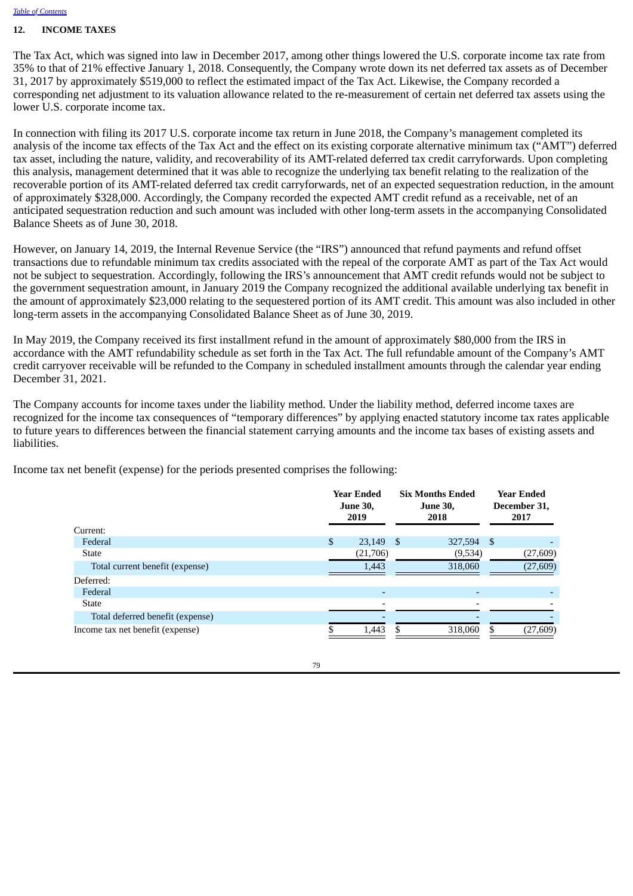# **12. INCOME TAXES**

The Tax Act, which was signed into law in December 2017, among other things lowered the U.S. corporate income tax rate from 35% to that of 21% effective January 1, 2018. Consequently, the Company wrote down its net deferred tax assets as of December 31, 2017 by approximately \$519,000 to reflect the estimated impact of the Tax Act. Likewise, the Company recorded a corresponding net adjustment to its valuation allowance related to the re-measurement of certain net deferred tax assets using the lower U.S. corporate income tax.

In connection with filing its 2017 U.S. corporate income tax return in June 2018, the Company's management completed its analysis of the income tax effects of the Tax Act and the effect on its existing corporate alternative minimum tax ("AMT") deferred tax asset, including the nature, validity, and recoverability of its AMT-related deferred tax credit carryforwards. Upon completing this analysis, management determined that it was able to recognize the underlying tax benefit relating to the realization of the recoverable portion of its AMT-related deferred tax credit carryforwards, net of an expected sequestration reduction, in the amount of approximately \$328,000. Accordingly, the Company recorded the expected AMT credit refund as a receivable, net of an anticipated sequestration reduction and such amount was included with other long-term assets in the accompanying Consolidated Balance Sheets as of June 30, 2018.

However, on January 14, 2019, the Internal Revenue Service (the "IRS") announced that refund payments and refund offset transactions due to refundable minimum tax credits associated with the repeal of the corporate AMT as part of the Tax Act would not be subject to sequestration. Accordingly, following the IRS's announcement that AMT credit refunds would not be subject to the government sequestration amount, in January 2019 the Company recognized the additional available underlying tax benefit in the amount of approximately \$23,000 relating to the sequestered portion of its AMT credit. This amount was also included in other long-term assets in the accompanying Consolidated Balance Sheet as of June 30, 2019.

In May 2019, the Company received its first installment refund in the amount of approximately \$80,000 from the IRS in accordance with the AMT refundability schedule as set forth in the Tax Act. The full refundable amount of the Company's AMT credit carryover receivable will be refunded to the Company in scheduled installment amounts through the calendar year ending December 31, 2021.

The Company accounts for income taxes under the liability method. Under the liability method, deferred income taxes are recognized for the income tax consequences of "temporary differences" by applying enacted statutory income tax rates applicable to future years to differences between the financial statement carrying amounts and the income tax bases of existing assets and liabilities.

Income tax net benefit (expense) for the periods presented comprises the following:

| <b>June 30,</b><br>2019 |          |                   | <b>June 30,</b><br>2018 |                         | <b>Year Ended</b><br>December 31,<br>2017 |
|-------------------------|----------|-------------------|-------------------------|-------------------------|-------------------------------------------|
|                         |          |                   |                         |                         |                                           |
| \$                      |          |                   | 327,594                 | - \$                    |                                           |
|                         | (21,706) |                   | (9,534)                 |                         | (27, 609)                                 |
|                         | 1,443    |                   | 318,060                 |                         | (27, 609)                                 |
|                         |          |                   |                         |                         |                                           |
|                         |          |                   |                         |                         |                                           |
|                         |          |                   |                         |                         |                                           |
|                         |          |                   |                         |                         |                                           |
|                         | 1,443    |                   | 318,060                 |                         | (27, 609)                                 |
|                         |          | <b>Year Ended</b> | $23,149$ \$             | <b>Six Months Ended</b> |                                           |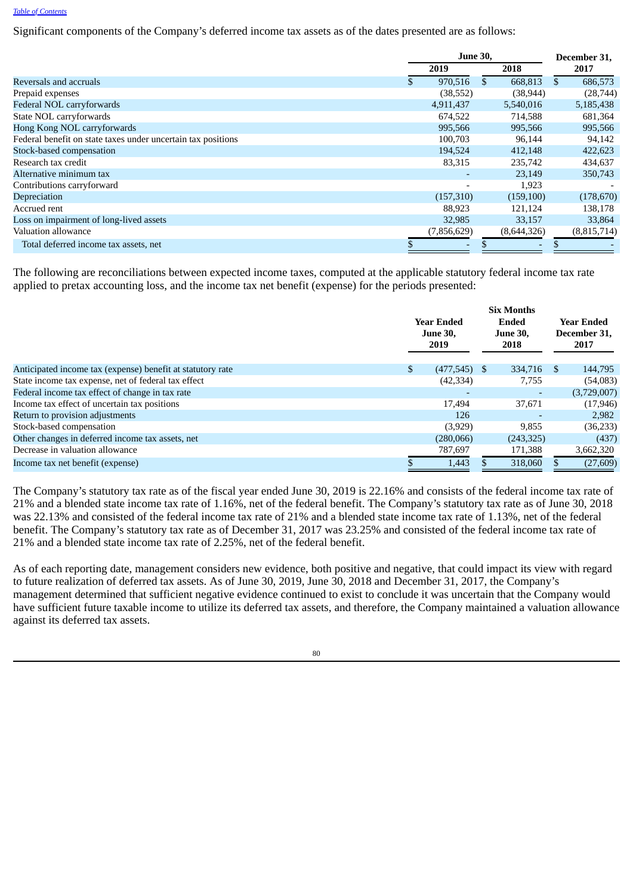Significant components of the Company's deferred income tax assets as of the dates presented are as follows:

|                                                              | <b>June 30.</b> |                          | December 31, |  |             |
|--------------------------------------------------------------|-----------------|--------------------------|--------------|--|-------------|
|                                                              |                 | 2019                     | 2018         |  | 2017        |
| Reversals and accruals                                       |                 | 970,516                  | 668,813      |  | 686,573     |
| Prepaid expenses                                             |                 | (38, 552)                | (38, 944)    |  | (28, 744)   |
| Federal NOL carryforwards                                    |                 | 4,911,437                | 5,540,016    |  | 5,185,438   |
| State NOL carryforwards                                      |                 | 674,522                  | 714,588      |  | 681,364     |
| Hong Kong NOL carryforwards                                  |                 | 995,566                  | 995,566      |  | 995,566     |
| Federal benefit on state taxes under uncertain tax positions |                 | 100,703                  | 96.144       |  | 94,142      |
| Stock-based compensation                                     |                 | 194,524                  | 412,148      |  | 422,623     |
| Research tax credit                                          |                 | 83,315                   | 235,742      |  | 434,637     |
| Alternative minimum tax                                      |                 |                          | 23,149       |  | 350,743     |
| Contributions carryforward                                   |                 | $\overline{\phantom{0}}$ | 1,923        |  |             |
| Depreciation                                                 |                 | (157, 310)               | (159, 100)   |  | (178, 670)  |
| Accrued rent                                                 |                 | 88,923                   | 121,124      |  | 138,178     |
| Loss on impairment of long-lived assets                      |                 | 32,985                   | 33,157       |  | 33,864      |
| Valuation allowance                                          |                 | (7,856,629)              | (8,644,326)  |  | (8,815,714) |
| Total deferred income tax assets, net                        |                 |                          |              |  |             |

The following are reconciliations between expected income taxes, computed at the applicable statutory federal income tax rate applied to pretax accounting loss, and the income tax net benefit (expense) for the periods presented:

|                                                            | <b>Year Ended</b><br><b>June 30,</b><br>2019 | <b>Six Months</b><br>Ended<br><b>June 30,</b><br>2018 |               | Year Ended<br>December 31,<br>2017 |
|------------------------------------------------------------|----------------------------------------------|-------------------------------------------------------|---------------|------------------------------------|
| Anticipated income tax (expense) benefit at statutory rate | \$<br>$(477,545)$ \$                         | 334,716                                               | <sup>\$</sup> | 144,795                            |
| State income tax expense, net of federal tax effect        | (42, 334)                                    | 7,755                                                 |               | (54,083)                           |
| Federal income tax effect of change in tax rate            | $\overline{a}$                               |                                                       |               | (3,729,007)                        |
| Income tax effect of uncertain tax positions               | 17.494                                       | 37.671                                                |               | (17, 946)                          |
| Return to provision adjustments                            | 126                                          | $\overline{a}$                                        |               | 2,982                              |
| Stock-based compensation                                   | (3,929)                                      | 9,855                                                 |               | (36, 233)                          |
| Other changes in deferred income tax assets, net           | (280,066)                                    | (243, 325)                                            |               | (437)                              |
| Decrease in valuation allowance                            | 787,697                                      | 171,388                                               |               | 3,662,320                          |
| Income tax net benefit (expense)                           | 1,443                                        | 318,060                                               |               | (27, 609)                          |

The Company's statutory tax rate as of the fiscal year ended June 30, 2019 is 22.16% and consists of the federal income tax rate of 21% and a blended state income tax rate of 1.16%, net of the federal benefit. The Company's statutory tax rate as of June 30, 2018 was 22.13% and consisted of the federal income tax rate of 21% and a blended state income tax rate of 1.13%, net of the federal benefit. The Company's statutory tax rate as of December 31, 2017 was 23.25% and consisted of the federal income tax rate of 21% and a blended state income tax rate of 2.25%, net of the federal benefit.

As of each reporting date, management considers new evidence, both positive and negative, that could impact its view with regard to future realization of deferred tax assets. As of June 30, 2019, June 30, 2018 and December 31, 2017, the Company's management determined that sufficient negative evidence continued to exist to conclude it was uncertain that the Company would have sufficient future taxable income to utilize its deferred tax assets, and therefore, the Company maintained a valuation allowance against its deferred tax assets.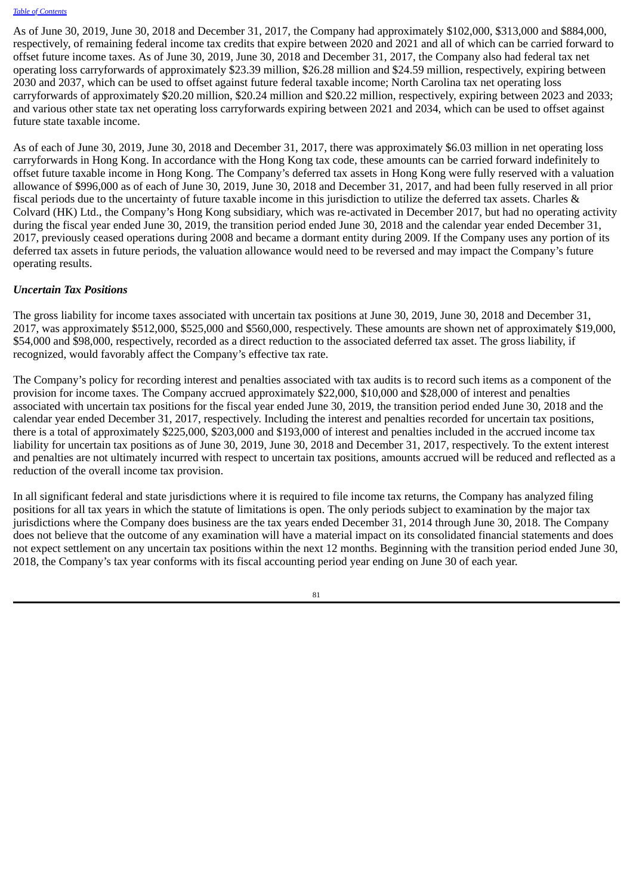As of June 30, 2019, June 30, 2018 and December 31, 2017, the Company had approximately \$102,000, \$313,000 and \$884,000, respectively, of remaining federal income tax credits that expire between 2020 and 2021 and all of which can be carried forward to offset future income taxes. As of June 30, 2019, June 30, 2018 and December 31, 2017, the Company also had federal tax net operating loss carryforwards of approximately \$23.39 million, \$26.28 million and \$24.59 million, respectively, expiring between 2030 and 2037, which can be used to offset against future federal taxable income; North Carolina tax net operating loss carryforwards of approximately \$20.20 million, \$20.24 million and \$20.22 million, respectively, expiring between 2023 and 2033; and various other state tax net operating loss carryforwards expiring between 2021 and 2034, which can be used to offset against future state taxable income.

As of each of June 30, 2019, June 30, 2018 and December 31, 2017, there was approximately \$6.03 million in net operating loss carryforwards in Hong Kong. In accordance with the Hong Kong tax code, these amounts can be carried forward indefinitely to offset future taxable income in Hong Kong. The Company's deferred tax assets in Hong Kong were fully reserved with a valuation allowance of \$996,000 as of each of June 30, 2019, June 30, 2018 and December 31, 2017, and had been fully reserved in all prior fiscal periods due to the uncertainty of future taxable income in this jurisdiction to utilize the deferred tax assets. Charles & Colvard (HK) Ltd., the Company's Hong Kong subsidiary, which was re-activated in December 2017, but had no operating activity during the fiscal year ended June 30, 2019, the transition period ended June 30, 2018 and the calendar year ended December 31, 2017, previously ceased operations during 2008 and became a dormant entity during 2009. If the Company uses any portion of its deferred tax assets in future periods, the valuation allowance would need to be reversed and may impact the Company's future operating results.

# *Uncertain Tax Positions*

The gross liability for income taxes associated with uncertain tax positions at June 30, 2019, June 30, 2018 and December 31, 2017, was approximately \$512,000, \$525,000 and \$560,000, respectively. These amounts are shown net of approximately \$19,000, \$54,000 and \$98,000, respectively, recorded as a direct reduction to the associated deferred tax asset. The gross liability, if recognized, would favorably affect the Company's effective tax rate.

The Company's policy for recording interest and penalties associated with tax audits is to record such items as a component of the provision for income taxes. The Company accrued approximately \$22,000, \$10,000 and \$28,000 of interest and penalties associated with uncertain tax positions for the fiscal year ended June 30, 2019, the transition period ended June 30, 2018 and the calendar year ended December 31, 2017, respectively. Including the interest and penalties recorded for uncertain tax positions, there is a total of approximately \$225,000, \$203,000 and \$193,000 of interest and penalties included in the accrued income tax liability for uncertain tax positions as of June 30, 2019, June 30, 2018 and December 31, 2017, respectively. To the extent interest and penalties are not ultimately incurred with respect to uncertain tax positions, amounts accrued will be reduced and reflected as a reduction of the overall income tax provision.

In all significant federal and state jurisdictions where it is required to file income tax returns, the Company has analyzed filing positions for all tax years in which the statute of limitations is open. The only periods subject to examination by the major tax jurisdictions where the Company does business are the tax years ended December 31, 2014 through June 30, 2018. The Company does not believe that the outcome of any examination will have a material impact on its consolidated financial statements and does not expect settlement on any uncertain tax positions within the next 12 months. Beginning with the transition period ended June 30, 2018, the Company's tax year conforms with its fiscal accounting period year ending on June 30 of each year.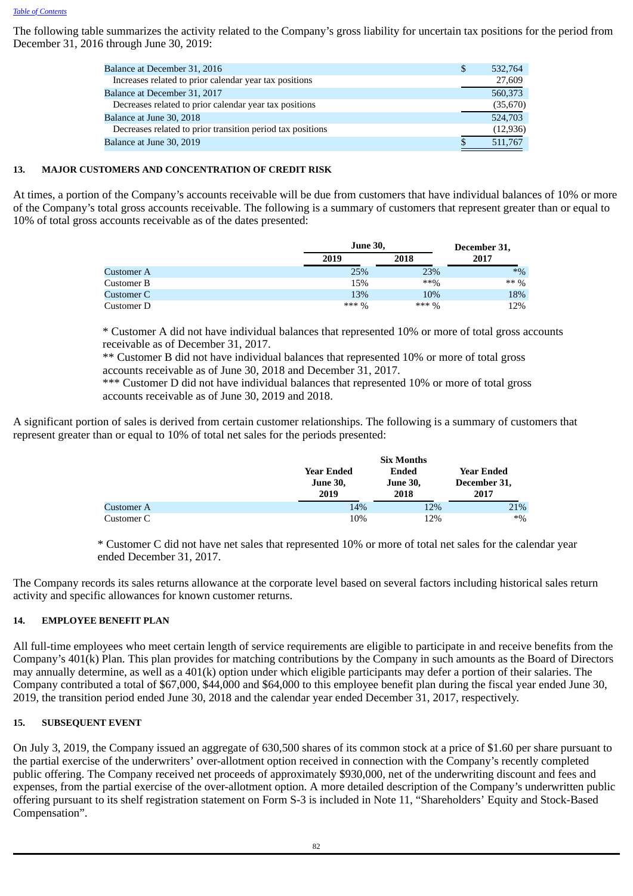The following table summarizes the activity related to the Company's gross liability for uncertain tax positions for the period from December 31, 2016 through June 30, 2019:

| Balance at December 31, 2016                               | S | 532.764   |
|------------------------------------------------------------|---|-----------|
| Increases related to prior calendar year tax positions     |   | 27,609    |
| Balance at December 31, 2017                               |   | 560,373   |
| Decreases related to prior calendar year tax positions     |   | (35,670)  |
| Balance at June 30, 2018                                   |   | 524,703   |
| Decreases related to prior transition period tax positions |   | (12, 936) |
| Balance at June 30, 2019                                   |   | 511,767   |
|                                                            |   |           |

# **13. MAJOR CUSTOMERS AND CONCENTRATION OF CREDIT RISK**

At times, a portion of the Company's accounts receivable will be due from customers that have individual balances of 10% or more of the Company's total gross accounts receivable. The following is a summary of customers that represent greater than or equal to 10% of total gross accounts receivable as of the dates presented:

|            |          | <b>June 30,</b> |         |
|------------|----------|-----------------|---------|
|            | 2019     | 2018            | 2017    |
| Customer A | 25%      | 23%             | $*9/6$  |
| Customer B | 15%      | $***%$          | ** $\%$ |
| Customer C | 13%      | 10%             | 18%     |
| Customer D | *** $\%$ | *** $\%$        | 12%     |

\* Customer A did not have individual balances that represented 10% or more of total gross accounts receivable as of December 31, 2017.

\*\* Customer B did not have individual balances that represented 10% or more of total gross accounts receivable as of June 30, 2018 and December 31, 2017.

\*\*\* Customer D did not have individual balances that represented 10% or more of total gross accounts receivable as of June 30, 2019 and 2018.

A significant portion of sales is derived from certain customer relationships. The following is a summary of customers that represent greater than or equal to 10% of total net sales for the periods presented:

|            |                               | <b>Six Months</b>               |                            |
|------------|-------------------------------|---------------------------------|----------------------------|
|            | Year Ended<br><b>June 30,</b> | <b>Ended</b><br><b>June 30,</b> | Year Ended<br>December 31, |
|            | 2019                          | 2018                            | 2017                       |
| Customer A | 14%                           | 12%                             | 21%                        |
| Customer C | 10%                           | 12%                             | $*9/0$                     |

\* Customer C did not have net sales that represented 10% or more of total net sales for the calendar year ended December 31, 2017.

The Company records its sales returns allowance at the corporate level based on several factors including historical sales return activity and specific allowances for known customer returns.

#### **14. EMPLOYEE BENEFIT PLAN**

All full-time employees who meet certain length of service requirements are eligible to participate in and receive benefits from the Company's 401(k) Plan. This plan provides for matching contributions by the Company in such amounts as the Board of Directors may annually determine, as well as a 401(k) option under which eligible participants may defer a portion of their salaries. The Company contributed a total of \$67,000, \$44,000 and \$64,000 to this employee benefit plan during the fiscal year ended June 30, 2019, the transition period ended June 30, 2018 and the calendar year ended December 31, 2017, respectively.

#### **15. SUBSEQUENT EVENT**

On July 3, 2019, the Company issued an aggregate of 630,500 shares of its common stock at a price of \$1.60 per share pursuant to the partial exercise of the underwriters' over-allotment option received in connection with the Company's recently completed public offering. The Company received net proceeds of approximately \$930,000, net of the underwriting discount and fees and expenses, from the partial exercise of the over-allotment option. A more detailed description of the Company's underwritten public offering pursuant to its shelf registration statement on Form S-3 is included in Note 11, "Shareholders' Equity and Stock-Based Compensation".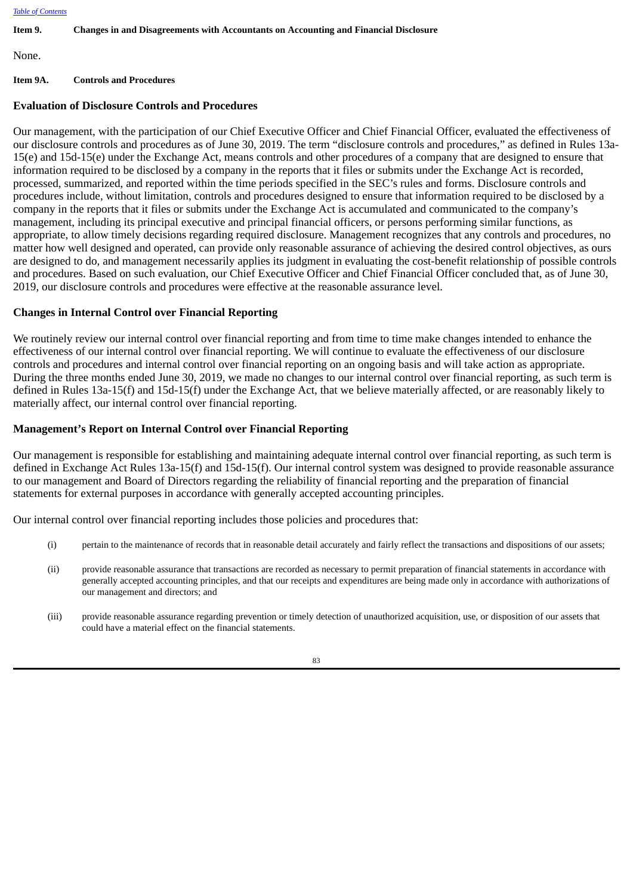### **Item 9. Changes in and Disagreements with Accountants on Accounting and Financial Disclosure**

None.

### **Item 9A. Controls and Procedures**

# **Evaluation of Disclosure Controls and Procedures**

Our management, with the participation of our Chief Executive Officer and Chief Financial Officer, evaluated the effectiveness of our disclosure controls and procedures as of June 30, 2019. The term "disclosure controls and procedures," as defined in Rules 13a-15(e) and 15d-15(e) under the Exchange Act, means controls and other procedures of a company that are designed to ensure that information required to be disclosed by a company in the reports that it files or submits under the Exchange Act is recorded, processed, summarized, and reported within the time periods specified in the SEC's rules and forms. Disclosure controls and procedures include, without limitation, controls and procedures designed to ensure that information required to be disclosed by a company in the reports that it files or submits under the Exchange Act is accumulated and communicated to the company's management, including its principal executive and principal financial officers, or persons performing similar functions, as appropriate, to allow timely decisions regarding required disclosure. Management recognizes that any controls and procedures, no matter how well designed and operated, can provide only reasonable assurance of achieving the desired control objectives, as ours are designed to do, and management necessarily applies its judgment in evaluating the cost-benefit relationship of possible controls and procedures. Based on such evaluation, our Chief Executive Officer and Chief Financial Officer concluded that, as of June 30, 2019, our disclosure controls and procedures were effective at the reasonable assurance level.

# **Changes in Internal Control over Financial Reporting**

We routinely review our internal control over financial reporting and from time to time make changes intended to enhance the effectiveness of our internal control over financial reporting. We will continue to evaluate the effectiveness of our disclosure controls and procedures and internal control over financial reporting on an ongoing basis and will take action as appropriate. During the three months ended June 30, 2019, we made no changes to our internal control over financial reporting, as such term is defined in Rules 13a-15(f) and 15d-15(f) under the Exchange Act, that we believe materially affected, or are reasonably likely to materially affect, our internal control over financial reporting.

# **Management's Report on Internal Control over Financial Reporting**

Our management is responsible for establishing and maintaining adequate internal control over financial reporting, as such term is defined in Exchange Act Rules 13a-15(f) and 15d-15(f). Our internal control system was designed to provide reasonable assurance to our management and Board of Directors regarding the reliability of financial reporting and the preparation of financial statements for external purposes in accordance with generally accepted accounting principles.

Our internal control over financial reporting includes those policies and procedures that:

- (i) pertain to the maintenance of records that in reasonable detail accurately and fairly reflect the transactions and dispositions of our assets;
- (ii) provide reasonable assurance that transactions are recorded as necessary to permit preparation of financial statements in accordance with generally accepted accounting principles, and that our receipts and expenditures are being made only in accordance with authorizations of our management and directors; and
- (iii) provide reasonable assurance regarding prevention or timely detection of unauthorized acquisition, use, or disposition of our assets that could have a material effect on the financial statements.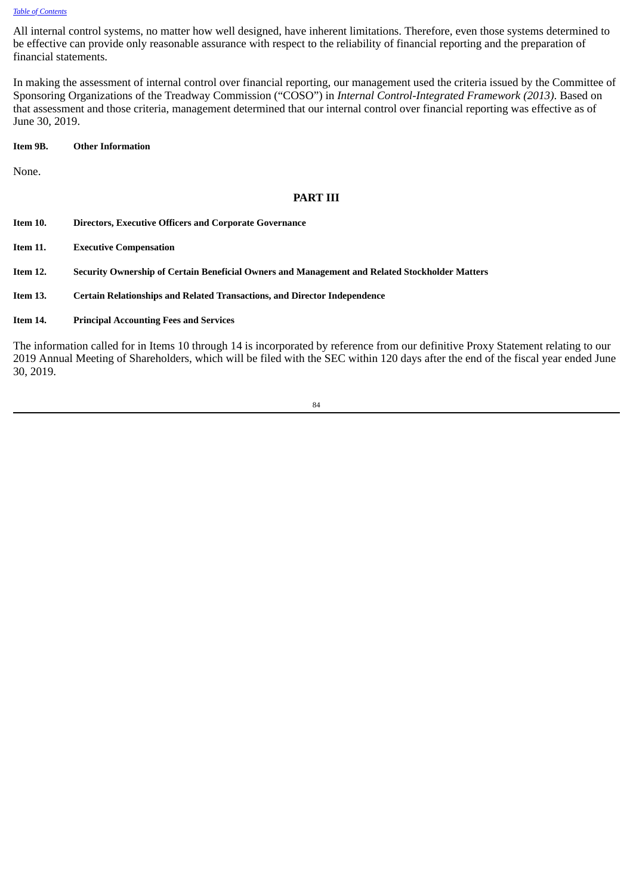All internal control systems, no matter how well designed, have inherent limitations. Therefore, even those systems determined to be effective can provide only reasonable assurance with respect to the reliability of financial reporting and the preparation of financial statements.

In making the assessment of internal control over financial reporting, our management used the criteria issued by the Committee of Sponsoring Organizations of the Treadway Commission ("COSO") in *Internal Control-Integrated Framework (2013)*. Based on that assessment and those criteria, management determined that our internal control over financial reporting was effective as of June 30, 2019.

**Item 9B. Other Information**

None.

### **PART III**

- **Item 10. Directors, Executive Officers and Corporate Governance**
- **Item 11. Executive Compensation**
- **Item 12. Security Ownership of Certain Beneficial Owners and Management and Related Stockholder Matters**
- **Item 13. Certain Relationships and Related Transactions, and Director Independence**

### **Item 14. Principal Accounting Fees and Services**

The information called for in Items 10 through 14 is incorporated by reference from our definitive Proxy Statement relating to our 2019 Annual Meeting of Shareholders, which will be filed with the SEC within 120 days after the end of the fiscal year ended June 30, 2019.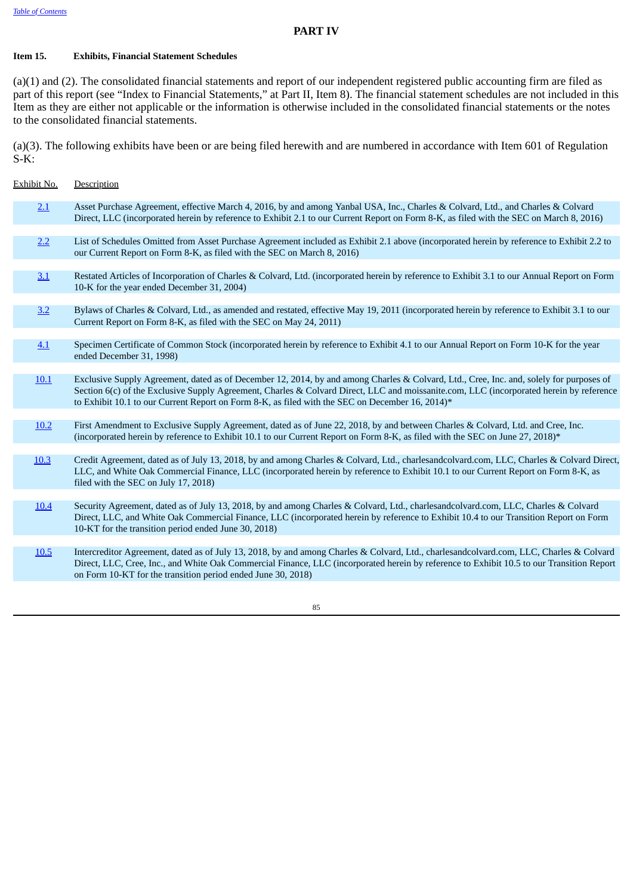# **PART IV**

### **Item 15. Exhibits, Financial Statement Schedules**

(a)(1) and (2). The consolidated financial statements and report of our independent registered public accounting firm are filed as part of this report (see "Index to Financial Statements," at Part II, Item 8). The financial statement schedules are not included in this Item as they are either not applicable or the information is otherwise included in the consolidated financial statements or the notes to the consolidated financial statements.

(a)(3). The following exhibits have been or are being filed herewith and are numbered in accordance with Item 601 of Regulation S-K:

| Exhibit No. | Description                                                                                                                                                                                                                                                                                                                                                                           |
|-------------|---------------------------------------------------------------------------------------------------------------------------------------------------------------------------------------------------------------------------------------------------------------------------------------------------------------------------------------------------------------------------------------|
| 2.1         | Asset Purchase Agreement, effective March 4, 2016, by and among Yanbal USA, Inc., Charles & Colvard, Ltd., and Charles & Colvard<br>Direct, LLC (incorporated herein by reference to Exhibit 2.1 to our Current Report on Form 8-K, as filed with the SEC on March 8, 2016)                                                                                                           |
| 2.2         | List of Schedules Omitted from Asset Purchase Agreement included as Exhibit 2.1 above (incorporated herein by reference to Exhibit 2.2 to<br>our Current Report on Form 8-K, as filed with the SEC on March 8, 2016)                                                                                                                                                                  |
| 3.1         | Restated Articles of Incorporation of Charles & Colvard, Ltd. (incorporated herein by reference to Exhibit 3.1 to our Annual Report on Form<br>10-K for the year ended December 31, 2004)                                                                                                                                                                                             |
| 3.2         | Bylaws of Charles & Colvard, Ltd., as amended and restated, effective May 19, 2011 (incorporated herein by reference to Exhibit 3.1 to our<br>Current Report on Form 8-K, as filed with the SEC on May 24, 2011)                                                                                                                                                                      |
| 4.1         | Specimen Certificate of Common Stock (incorporated herein by reference to Exhibit 4.1 to our Annual Report on Form 10-K for the year<br>ended December 31, 1998)                                                                                                                                                                                                                      |
| <u>10.1</u> | Exclusive Supply Agreement, dated as of December 12, 2014, by and among Charles & Colvard, Ltd., Cree, Inc. and, solely for purposes of<br>Section 6(c) of the Exclusive Supply Agreement, Charles & Colvard Direct, LLC and moissanite.com, LLC (incorporated herein by reference<br>to Exhibit 10.1 to our Current Report on Form 8-K, as filed with the SEC on December 16, 2014)* |
|             |                                                                                                                                                                                                                                                                                                                                                                                       |
| 10.2        | First Amendment to Exclusive Supply Agreement, dated as of June 22, 2018, by and between Charles & Colvard, Ltd. and Cree, Inc.<br>(incorporated herein by reference to Exhibit 10.1 to our Current Report on Form 8-K, as filed with the SEC on June 27, 2018)*                                                                                                                      |
| 10.3        | Credit Agreement, dated as of July 13, 2018, by and among Charles & Colvard, Ltd., charlesandcolvard.com, LLC, Charles & Colvard Direct,<br>LLC, and White Oak Commercial Finance, LLC (incorporated herein by reference to Exhibit 10.1 to our Current Report on Form 8-K, as<br>filed with the SEC on July 17, 2018)                                                                |
|             |                                                                                                                                                                                                                                                                                                                                                                                       |
| <u>10.4</u> | Security Agreement, dated as of July 13, 2018, by and among Charles & Colvard, Ltd., charlesandcolvard.com, LLC, Charles & Colvard<br>Direct, LLC, and White Oak Commercial Finance, LLC (incorporated herein by reference to Exhibit 10.4 to our Transition Report on Form<br>10-KT for the transition period ended June 30, 2018)                                                   |
|             |                                                                                                                                                                                                                                                                                                                                                                                       |
| 10.5        | Intercreditor Agreement, dated as of July 13, 2018, by and among Charles & Colvard, Ltd., charlesandcolvard.com, LLC, Charles & Colvard<br>Direct, LLC, Cree, Inc., and White Oak Commercial Finance, LLC (incorporated herein by reference to Exhibit 10.5 to our Transition Report<br>on Form 10-KT for the transition period ended June 30, 2018)                                  |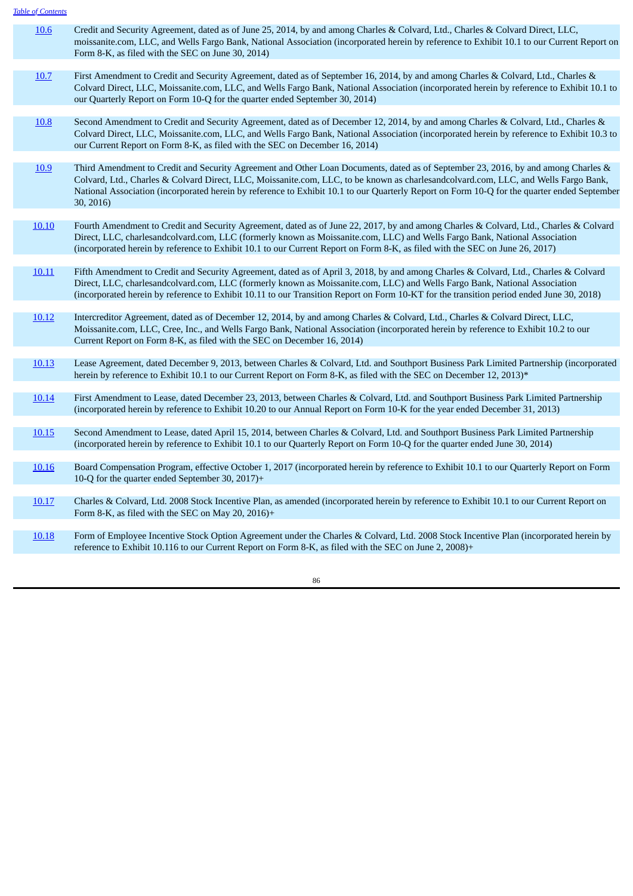| 10.6         | Credit and Security Agreement, dated as of June 25, 2014, by and among Charles & Colvard, Ltd., Charles & Colvard Direct, LLC,<br>moissanite.com, LLC, and Wells Fargo Bank, National Association (incorporated herein by reference to Exhibit 10.1 to our Current Report on<br>Form 8-K, as filed with the SEC on June 30, 2014)                                                                                                    |
|--------------|--------------------------------------------------------------------------------------------------------------------------------------------------------------------------------------------------------------------------------------------------------------------------------------------------------------------------------------------------------------------------------------------------------------------------------------|
| 10.7         | First Amendment to Credit and Security Agreement, dated as of September 16, 2014, by and among Charles & Colvard, Ltd., Charles &<br>Colvard Direct, LLC, Moissanite.com, LLC, and Wells Fargo Bank, National Association (incorporated herein by reference to Exhibit 10.1 to<br>our Quarterly Report on Form 10-Q for the quarter ended September 30, 2014)                                                                        |
| 10.8         | Second Amendment to Credit and Security Agreement, dated as of December 12, 2014, by and among Charles & Colvard, Ltd., Charles &<br>Colvard Direct, LLC, Moissanite.com, LLC, and Wells Fargo Bank, National Association (incorporated herein by reference to Exhibit 10.3 to<br>our Current Report on Form 8-K, as filed with the SEC on December 16, 2014)                                                                        |
| <u>10.9</u>  | Third Amendment to Credit and Security Agreement and Other Loan Documents, dated as of September 23, 2016, by and among Charles &<br>Colvard, Ltd., Charles & Colvard Direct, LLC, Moissanite.com, LLC, to be known as charlesandcolvard.com, LLC, and Wells Fargo Bank,<br>National Association (incorporated herein by reference to Exhibit 10.1 to our Quarterly Report on Form 10-Q for the quarter ended September<br>30, 2016) |
| 10.10        | Fourth Amendment to Credit and Security Agreement, dated as of June 22, 2017, by and among Charles & Colvard, Ltd., Charles & Colvard<br>Direct, LLC, charlesandcolvard.com, LLC (formerly known as Moissanite.com, LLC) and Wells Fargo Bank, National Association<br>(incorporated herein by reference to Exhibit 10.1 to our Current Report on Form 8-K, as filed with the SEC on June 26, 2017)                                  |
| 10.11        | Fifth Amendment to Credit and Security Agreement, dated as of April 3, 2018, by and among Charles & Colvard, Ltd., Charles & Colvard<br>Direct, LLC, charlesandcolvard.com, LLC (formerly known as Moissanite.com, LLC) and Wells Fargo Bank, National Association<br>(incorporated herein by reference to Exhibit 10.11 to our Transition Report on Form 10-KT for the transition period ended June 30, 2018)                       |
| 10.12        | Intercreditor Agreement, dated as of December 12, 2014, by and among Charles & Colvard, Ltd., Charles & Colvard Direct, LLC,<br>Moissanite.com, LLC, Cree, Inc., and Wells Fargo Bank, National Association (incorporated herein by reference to Exhibit 10.2 to our<br>Current Report on Form 8-K, as filed with the SEC on December 16, 2014)                                                                                      |
| <u>10.13</u> | Lease Agreement, dated December 9, 2013, between Charles & Colvard, Ltd. and Southport Business Park Limited Partnership (incorporated<br>herein by reference to Exhibit 10.1 to our Current Report on Form 8-K, as filed with the SEC on December 12, 2013)*                                                                                                                                                                        |
| <u>10.14</u> | First Amendment to Lease, dated December 23, 2013, between Charles & Colvard, Ltd. and Southport Business Park Limited Partnership<br>(incorporated herein by reference to Exhibit 10.20 to our Annual Report on Form 10-K for the year ended December 31, 2013)                                                                                                                                                                     |
| 10.15        | Second Amendment to Lease, dated April 15, 2014, between Charles & Colvard, Ltd. and Southport Business Park Limited Partnership<br>(incorporated herein by reference to Exhibit 10.1 to our Quarterly Report on Form 10-Q for the quarter ended June 30, 2014)                                                                                                                                                                      |
| 10.16        | Board Compensation Program, effective October 1, 2017 (incorporated herein by reference to Exhibit 10.1 to our Quarterly Report on Form<br>10-Q for the quarter ended September 30, 2017)+                                                                                                                                                                                                                                           |
| 10.17        | Charles & Colvard, Ltd. 2008 Stock Incentive Plan, as amended (incorporated herein by reference to Exhibit 10.1 to our Current Report on<br>Form 8-K, as filed with the SEC on May 20, 2016)+                                                                                                                                                                                                                                        |
| 10.18        | Form of Employee Incentive Stock Option Agreement under the Charles & Colvard, Ltd. 2008 Stock Incentive Plan (incorporated herein by<br>reference to Exhibit 10.116 to our Current Report on Form 8-K, as filed with the SEC on June 2, 2008)+                                                                                                                                                                                      |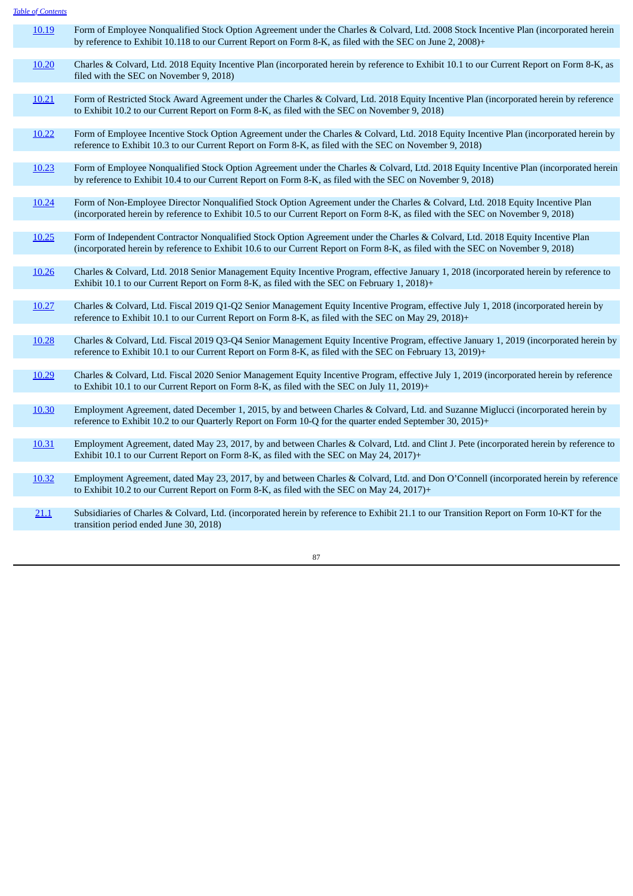| 10.19        | Form of Employee Nonqualified Stock Option Agreement under the Charles & Colvard, Ltd. 2008 Stock Incentive Plan (incorporated herein<br>by reference to Exhibit 10.118 to our Current Report on Form 8-K, as filed with the SEC on June 2, 2008)+                 |
|--------------|--------------------------------------------------------------------------------------------------------------------------------------------------------------------------------------------------------------------------------------------------------------------|
| 10.20        | Charles & Colvard, Ltd. 2018 Equity Incentive Plan (incorporated herein by reference to Exhibit 10.1 to our Current Report on Form 8-K, as<br>filed with the SEC on November 9, 2018)                                                                              |
| 10.21        | Form of Restricted Stock Award Agreement under the Charles & Colvard, Ltd. 2018 Equity Incentive Plan (incorporated herein by reference<br>to Exhibit 10.2 to our Current Report on Form 8-K, as filed with the SEC on November 9, 2018)                           |
| 10.22        | Form of Employee Incentive Stock Option Agreement under the Charles & Colvard, Ltd. 2018 Equity Incentive Plan (incorporated herein by<br>reference to Exhibit 10.3 to our Current Report on Form 8-K, as filed with the SEC on November 9, 2018)                  |
| 10.23        | Form of Employee Nonqualified Stock Option Agreement under the Charles & Colvard, Ltd. 2018 Equity Incentive Plan (incorporated herein<br>by reference to Exhibit 10.4 to our Current Report on Form 8-K, as filed with the SEC on November 9, 2018)               |
| 10.24        | Form of Non-Employee Director Nonqualified Stock Option Agreement under the Charles & Colvard, Ltd. 2018 Equity Incentive Plan<br>(incorporated herein by reference to Exhibit 10.5 to our Current Report on Form 8-K, as filed with the SEC on November 9, 2018)  |
| 10.25        | Form of Independent Contractor Nonqualified Stock Option Agreement under the Charles & Colvard, Ltd. 2018 Equity Incentive Plan<br>(incorporated herein by reference to Exhibit 10.6 to our Current Report on Form 8-K, as filed with the SEC on November 9, 2018) |
| 10.26        | Charles & Colvard, Ltd. 2018 Senior Management Equity Incentive Program, effective January 1, 2018 (incorporated herein by reference to<br>Exhibit 10.1 to our Current Report on Form 8-K, as filed with the SEC on February 1, 2018)+                             |
| 10.27        | Charles & Colvard, Ltd. Fiscal 2019 Q1-Q2 Senior Management Equity Incentive Program, effective July 1, 2018 (incorporated herein by<br>reference to Exhibit 10.1 to our Current Report on Form 8-K, as filed with the SEC on May 29, 2018)+                       |
| 10.28        | Charles & Colvard, Ltd. Fiscal 2019 Q3-Q4 Senior Management Equity Incentive Program, effective January 1, 2019 (incorporated herein by<br>reference to Exhibit 10.1 to our Current Report on Form 8-K, as filed with the SEC on February 13, 2019)+               |
| <u>10.29</u> | Charles & Colvard, Ltd. Fiscal 2020 Senior Management Equity Incentive Program, effective July 1, 2019 (incorporated herein by reference<br>to Exhibit 10.1 to our Current Report on Form 8-K, as filed with the SEC on July 11, 2019)+                            |
| 10.30        | Employment Agreement, dated December 1, 2015, by and between Charles & Colvard, Ltd. and Suzanne Miglucci (incorporated herein by<br>reference to Exhibit 10.2 to our Quarterly Report on Form 10-Q for the quarter ended September 30, 2015)+                     |
| 10.31        | Employment Agreement, dated May 23, 2017, by and between Charles & Colvard, Ltd. and Clint J. Pete (incorporated herein by reference to<br>Exhibit 10.1 to our Current Report on Form 8-K, as filed with the SEC on May 24, 2017)+                                 |
| 10.32        | Employment Agreement, dated May 23, 2017, by and between Charles & Colvard, Ltd. and Don O'Connell (incorporated herein by reference<br>to Exhibit 10.2 to our Current Report on Form 8-K, as filed with the SEC on May 24, 2017)+                                 |
| 21.1         | Subsidiaries of Charles & Colvard, Ltd. (incorporated herein by reference to Exhibit 21.1 to our Transition Report on Form 10-KT for the<br>transition period ended June 30, 2018)                                                                                 |
|              |                                                                                                                                                                                                                                                                    |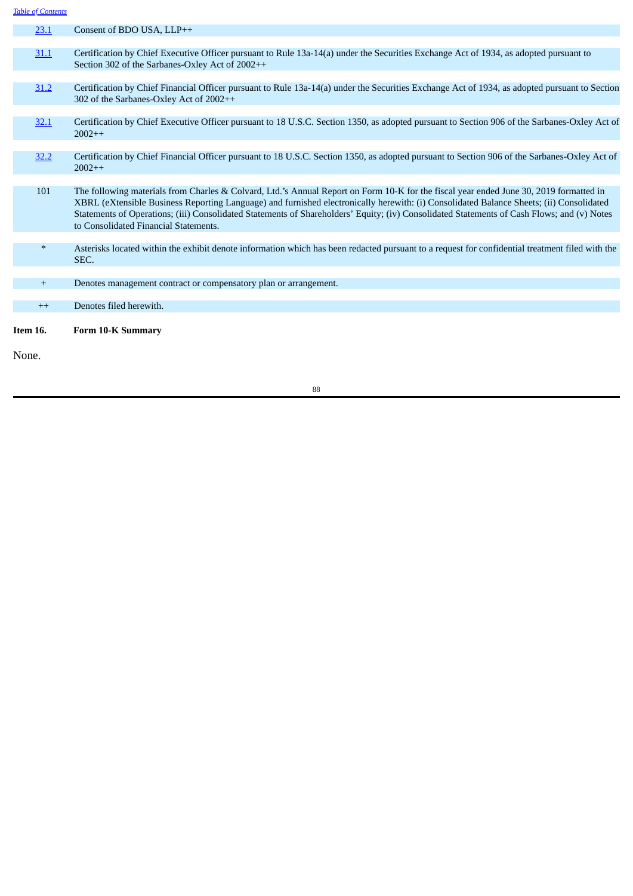| 23.1     | Consent of BDO USA, LLP++                                                                                                                                                                                                                                                                                                                                                                                                                                                |
|----------|--------------------------------------------------------------------------------------------------------------------------------------------------------------------------------------------------------------------------------------------------------------------------------------------------------------------------------------------------------------------------------------------------------------------------------------------------------------------------|
|          |                                                                                                                                                                                                                                                                                                                                                                                                                                                                          |
| 31.1     | Certification by Chief Executive Officer pursuant to Rule 13a-14(a) under the Securities Exchange Act of 1934, as adopted pursuant to<br>Section 302 of the Sarbanes-Oxley Act of 2002++                                                                                                                                                                                                                                                                                 |
|          |                                                                                                                                                                                                                                                                                                                                                                                                                                                                          |
| 31.2     | Certification by Chief Financial Officer pursuant to Rule 13a-14(a) under the Securities Exchange Act of 1934, as adopted pursuant to Section<br>302 of the Sarbanes-Oxley Act of 2002++                                                                                                                                                                                                                                                                                 |
|          |                                                                                                                                                                                                                                                                                                                                                                                                                                                                          |
| 32.1     | Certification by Chief Executive Officer pursuant to 18 U.S.C. Section 1350, as adopted pursuant to Section 906 of the Sarbanes-Oxley Act of<br>$2002++$                                                                                                                                                                                                                                                                                                                 |
|          |                                                                                                                                                                                                                                                                                                                                                                                                                                                                          |
| 32.2     | Certification by Chief Financial Officer pursuant to 18 U.S.C. Section 1350, as adopted pursuant to Section 906 of the Sarbanes-Oxley Act of<br>$2002++$                                                                                                                                                                                                                                                                                                                 |
|          |                                                                                                                                                                                                                                                                                                                                                                                                                                                                          |
| 101      | The following materials from Charles & Colvard, Ltd.'s Annual Report on Form 10-K for the fiscal year ended June 30, 2019 formatted in<br>XBRL (eXtensible Business Reporting Language) and furnished electronically herewith: (i) Consolidated Balance Sheets; (ii) Consolidated<br>Statements of Operations; (iii) Consolidated Statements of Shareholders' Equity; (iv) Consolidated Statements of Cash Flows; and (v) Notes<br>to Consolidated Financial Statements. |
|          |                                                                                                                                                                                                                                                                                                                                                                                                                                                                          |
| $\ast$   | Asterisks located within the exhibit denote information which has been redacted pursuant to a request for confidential treatment filed with the<br>SEC.                                                                                                                                                                                                                                                                                                                  |
|          |                                                                                                                                                                                                                                                                                                                                                                                                                                                                          |
| $+$      | Denotes management contract or compensatory plan or arrangement.                                                                                                                                                                                                                                                                                                                                                                                                         |
|          |                                                                                                                                                                                                                                                                                                                                                                                                                                                                          |
| $++$     | Denotes filed herewith.                                                                                                                                                                                                                                                                                                                                                                                                                                                  |
|          |                                                                                                                                                                                                                                                                                                                                                                                                                                                                          |
| Item 16. | Form 10-K Summary                                                                                                                                                                                                                                                                                                                                                                                                                                                        |
| None.    |                                                                                                                                                                                                                                                                                                                                                                                                                                                                          |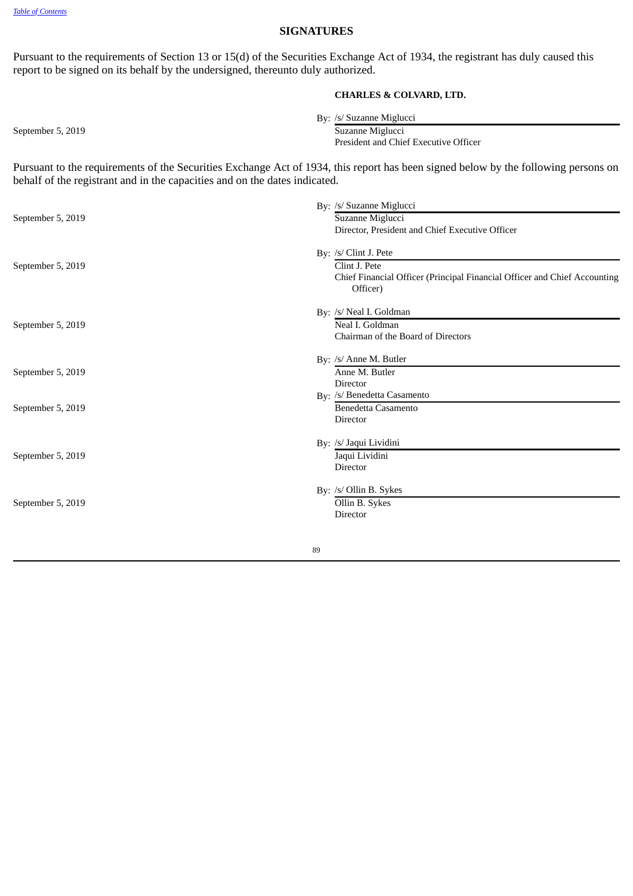# **SIGNATURES**

Pursuant to the requirements of Section 13 or 15(d) of the Securities Exchange Act of 1934, the registrant has duly caused this report to be signed on its behalf by the undersigned, thereunto duly authorized.

### **CHARLES & COLVARD, LTD.**

By: /s/ Suzanne Miglucci

September 5, 2019 Suzanne Miglucci

President and Chief Executive Officer

Pursuant to the requirements of the Securities Exchange Act of 1934, this report has been signed below by the following persons on behalf of the registrant and in the capacities and on the dates indicated.

| September 5, 2019 | By: /s/ Suzanne Miglucci<br>Suzanne Miglucci<br>Director, President and Chief Executive Officer                                 |
|-------------------|---------------------------------------------------------------------------------------------------------------------------------|
| September 5, 2019 | By: /s/ Clint J. Pete<br>Clint J. Pete<br>Chief Financial Officer (Principal Financial Officer and Chief Accounting<br>Officer) |
| September 5, 2019 | By: /s/ Neal I. Goldman<br>Neal I. Goldman<br>Chairman of the Board of Directors                                                |
| September 5, 2019 | By: /s/ Anne M. Butler<br>Anne M. Butler<br>Director                                                                            |
| September 5, 2019 | By: /s/ Benedetta Casamento<br>Benedetta Casamento<br>Director                                                                  |
| September 5, 2019 | By: /s/ Jaqui Lividini<br>Jaqui Lividini<br>Director                                                                            |
| September 5, 2019 | By: /s/ Ollin B. Sykes<br>Ollin B. Sykes<br>Director                                                                            |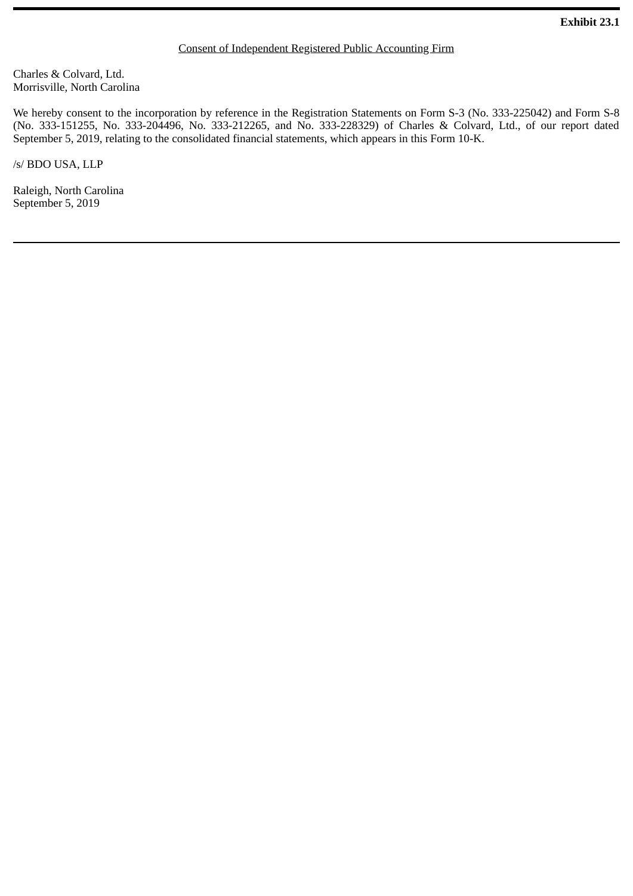# Consent of Independent Registered Public Accounting Firm

<span id="page-92-0"></span>Charles & Colvard, Ltd. Morrisville, North Carolina

We hereby consent to the incorporation by reference in the Registration Statements on Form S-3 (No. 333-225042) and Form S-8 (No. 333-151255, No. 333-204496, No. 333-212265, and No. 333-228329) of Charles & Colvard, Ltd., of our report dated September 5, 2019, relating to the consolidated financial statements, which appears in this Form 10-K.

/s/ BDO USA, LLP

Raleigh, North Carolina September 5, 2019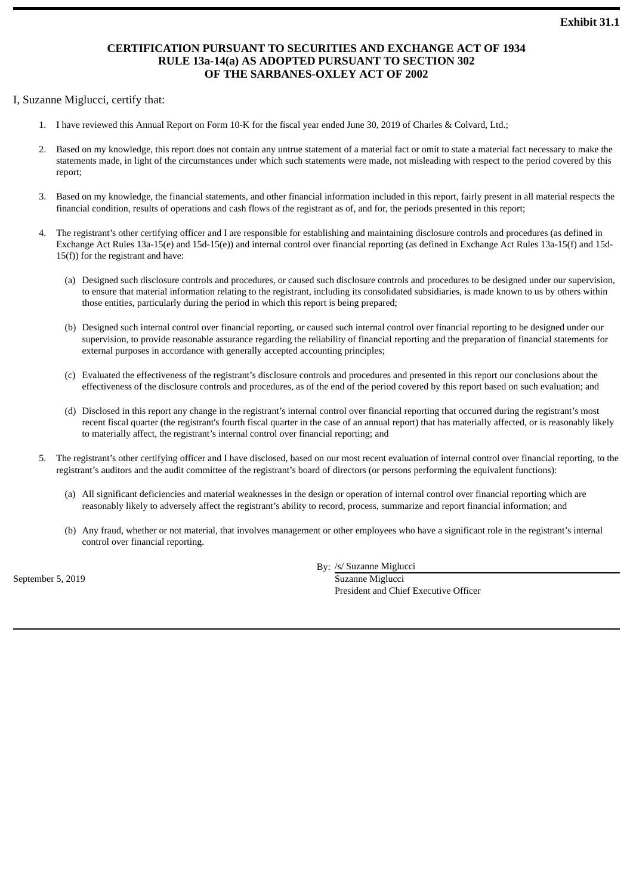# **CERTIFICATION PURSUANT TO SECURITIES AND EXCHANGE ACT OF 1934 RULE 13a-14(a) AS ADOPTED PURSUANT TO SECTION 302 OF THE SARBANES-OXLEY ACT OF 2002**

# <span id="page-93-0"></span>I, Suzanne Miglucci, certify that:

- 1. I have reviewed this Annual Report on Form 10-K for the fiscal year ended June 30, 2019 of Charles & Colvard, Ltd.;
- 2. Based on my knowledge, this report does not contain any untrue statement of a material fact or omit to state a material fact necessary to make the statements made, in light of the circumstances under which such statements were made, not misleading with respect to the period covered by this report;
- 3. Based on my knowledge, the financial statements, and other financial information included in this report, fairly present in all material respects the financial condition, results of operations and cash flows of the registrant as of, and for, the periods presented in this report;
- 4. The registrant's other certifying officer and I are responsible for establishing and maintaining disclosure controls and procedures (as defined in Exchange Act Rules 13a-15(e) and 15d-15(e)) and internal control over financial reporting (as defined in Exchange Act Rules 13a-15(f) and 15d- $15(f)$ ) for the registrant and have:
	- (a) Designed such disclosure controls and procedures, or caused such disclosure controls and procedures to be designed under our supervision, to ensure that material information relating to the registrant, including its consolidated subsidiaries, is made known to us by others within those entities, particularly during the period in which this report is being prepared;
	- (b) Designed such internal control over financial reporting, or caused such internal control over financial reporting to be designed under our supervision, to provide reasonable assurance regarding the reliability of financial reporting and the preparation of financial statements for external purposes in accordance with generally accepted accounting principles;
	- (c) Evaluated the effectiveness of the registrant's disclosure controls and procedures and presented in this report our conclusions about the effectiveness of the disclosure controls and procedures, as of the end of the period covered by this report based on such evaluation; and
	- (d) Disclosed in this report any change in the registrant's internal control over financial reporting that occurred during the registrant's most recent fiscal quarter (the registrant's fourth fiscal quarter in the case of an annual report) that has materially affected, or is reasonably likely to materially affect, the registrant's internal control over financial reporting; and
- 5. The registrant's other certifying officer and I have disclosed, based on our most recent evaluation of internal control over financial reporting, to the registrant's auditors and the audit committee of the registrant's board of directors (or persons performing the equivalent functions):
	- (a) All significant deficiencies and material weaknesses in the design or operation of internal control over financial reporting which are reasonably likely to adversely affect the registrant's ability to record, process, summarize and report financial information; and
	- (b) Any fraud, whether or not material, that involves management or other employees who have a significant role in the registrant's internal control over financial reporting.

September 5, 2019 **Suzanne Miglucci** Suzanne Miglucci Suzanne Miglucci Suzanne Miglucci Suzanne Miglucci Suzanne Miglucci Suzanne Miglucci Suzanne Miglucci Suzanne Miglucci Suzanne Miglucci Suzanne Miglucci Suzanne Miglucc

By: /s/ Suzanne Miglucci

President and Chief Executive Officer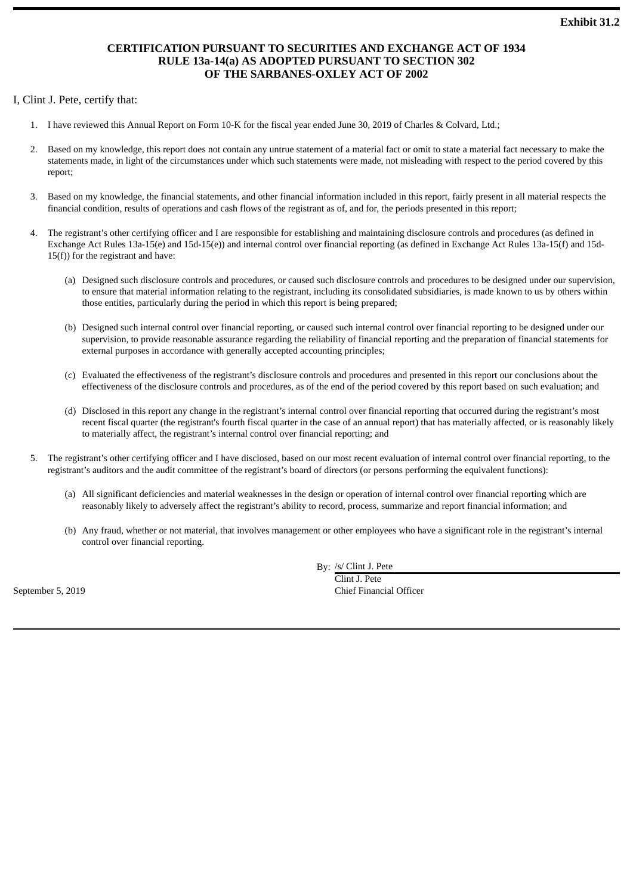# **CERTIFICATION PURSUANT TO SECURITIES AND EXCHANGE ACT OF 1934 RULE 13a-14(a) AS ADOPTED PURSUANT TO SECTION 302 OF THE SARBANES-OXLEY ACT OF 2002**

# <span id="page-94-0"></span>I, Clint J. Pete, certify that:

- 1. I have reviewed this Annual Report on Form 10-K for the fiscal year ended June 30, 2019 of Charles & Colvard, Ltd.;
- 2. Based on my knowledge, this report does not contain any untrue statement of a material fact or omit to state a material fact necessary to make the statements made, in light of the circumstances under which such statements were made, not misleading with respect to the period covered by this report;
- 3. Based on my knowledge, the financial statements, and other financial information included in this report, fairly present in all material respects the financial condition, results of operations and cash flows of the registrant as of, and for, the periods presented in this report;
- 4. The registrant's other certifying officer and I are responsible for establishing and maintaining disclosure controls and procedures (as defined in Exchange Act Rules 13a-15(e) and 15d-15(e)) and internal control over financial reporting (as defined in Exchange Act Rules 13a-15(f) and 15d- $15(f)$ ) for the registrant and have:
	- (a) Designed such disclosure controls and procedures, or caused such disclosure controls and procedures to be designed under our supervision, to ensure that material information relating to the registrant, including its consolidated subsidiaries, is made known to us by others within those entities, particularly during the period in which this report is being prepared;
	- (b) Designed such internal control over financial reporting, or caused such internal control over financial reporting to be designed under our supervision, to provide reasonable assurance regarding the reliability of financial reporting and the preparation of financial statements for external purposes in accordance with generally accepted accounting principles;
	- (c) Evaluated the effectiveness of the registrant's disclosure controls and procedures and presented in this report our conclusions about the effectiveness of the disclosure controls and procedures, as of the end of the period covered by this report based on such evaluation; and
	- (d) Disclosed in this report any change in the registrant's internal control over financial reporting that occurred during the registrant's most recent fiscal quarter (the registrant's fourth fiscal quarter in the case of an annual report) that has materially affected, or is reasonably likely to materially affect, the registrant's internal control over financial reporting; and
- 5. The registrant's other certifying officer and I have disclosed, based on our most recent evaluation of internal control over financial reporting, to the registrant's auditors and the audit committee of the registrant's board of directors (or persons performing the equivalent functions):
	- (a) All significant deficiencies and material weaknesses in the design or operation of internal control over financial reporting which are reasonably likely to adversely affect the registrant's ability to record, process, summarize and report financial information; and
	- (b) Any fraud, whether or not material, that involves management or other employees who have a significant role in the registrant's internal control over financial reporting.

By: /s/ Clint J. Pete Clint J. Pete

September 5, 2019 Chief Financial Officer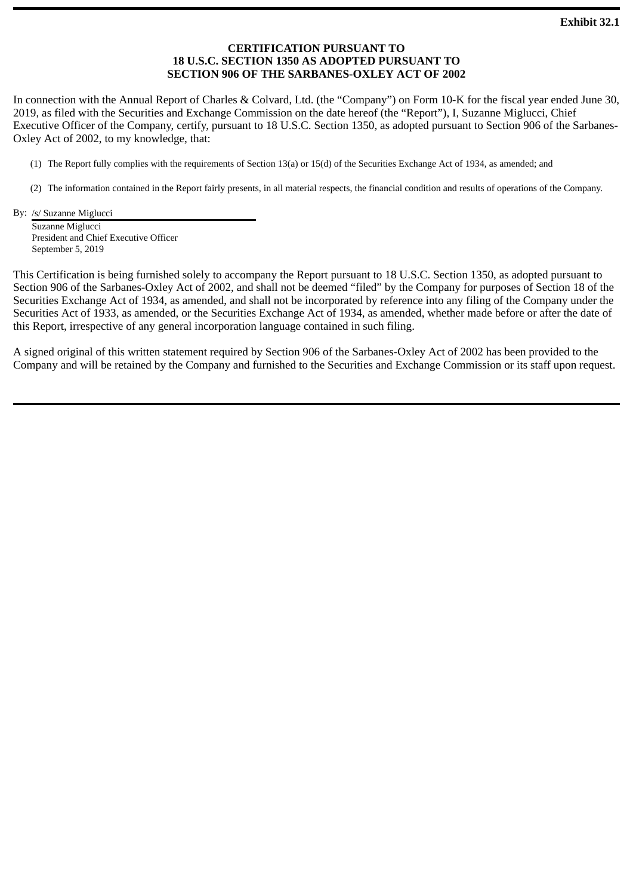# **CERTIFICATION PURSUANT TO 18 U.S.C. SECTION 1350 AS ADOPTED PURSUANT TO SECTION 906 OF THE SARBANES-OXLEY ACT OF 2002**

<span id="page-95-0"></span>In connection with the Annual Report of Charles & Colvard, Ltd. (the "Company") on Form 10-K for the fiscal year ended June 30, 2019, as filed with the Securities and Exchange Commission on the date hereof (the "Report"), I, Suzanne Miglucci, Chief Executive Officer of the Company, certify, pursuant to 18 U.S.C. Section 1350, as adopted pursuant to Section 906 of the Sarbanes-Oxley Act of 2002, to my knowledge, that:

- (1) The Report fully complies with the requirements of Section 13(a) or 15(d) of the Securities Exchange Act of 1934, as amended; and
- (2) The information contained in the Report fairly presents, in all material respects, the financial condition and results of operations of the Company.
- By: /s/ Suzanne Miglucci

Suzanne Miglucci President and Chief Executive Officer September 5, 2019

This Certification is being furnished solely to accompany the Report pursuant to 18 U.S.C. Section 1350, as adopted pursuant to Section 906 of the Sarbanes-Oxley Act of 2002, and shall not be deemed "filed" by the Company for purposes of Section 18 of the Securities Exchange Act of 1934, as amended, and shall not be incorporated by reference into any filing of the Company under the Securities Act of 1933, as amended, or the Securities Exchange Act of 1934, as amended, whether made before or after the date of this Report, irrespective of any general incorporation language contained in such filing.

A signed original of this written statement required by Section 906 of the Sarbanes-Oxley Act of 2002 has been provided to the Company and will be retained by the Company and furnished to the Securities and Exchange Commission or its staff upon request.